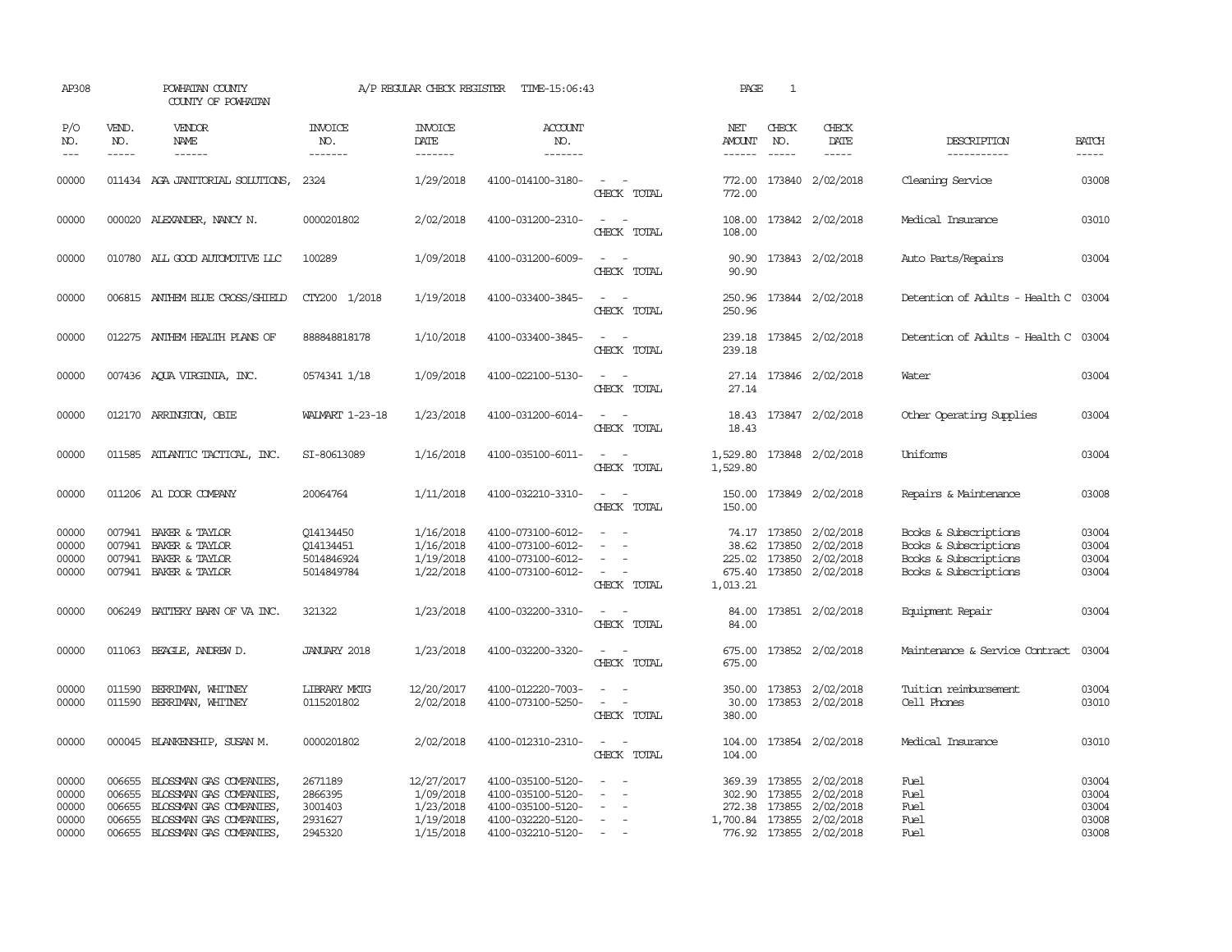| AP308                                     |                                      | POWHATAN COUNTY<br>COUNTY OF POWHATAN                                                                                                    |                                                     | A/P REGULAR CHECK REGISTER                                     | TIME-15:06:43                                                                                         |                                                                                                                                          | PAGE                    | $\mathbf{1}$                  |                                                                                                                         |                                                                                                  |                                           |
|-------------------------------------------|--------------------------------------|------------------------------------------------------------------------------------------------------------------------------------------|-----------------------------------------------------|----------------------------------------------------------------|-------------------------------------------------------------------------------------------------------|------------------------------------------------------------------------------------------------------------------------------------------|-------------------------|-------------------------------|-------------------------------------------------------------------------------------------------------------------------|--------------------------------------------------------------------------------------------------|-------------------------------------------|
| P/O<br>NO.<br>$\frac{1}{2}$               | VEND.<br>NO.<br>$- - - - -$          | <b>VENDOR</b><br><b>NAME</b><br>------                                                                                                   | <b>INVOICE</b><br>NO.<br>-------                    | <b>INVOICE</b><br><b>DATE</b><br>--------                      | <b>ACCOUNT</b><br>NO.<br>-------                                                                      |                                                                                                                                          | NET<br>AMOUNT<br>------ | CHECK<br>NO.<br>$\frac{1}{2}$ | CHECK<br>DATE                                                                                                           | DESCRIPTION<br>-----------                                                                       | <b>BATCH</b>                              |
| 00000                                     |                                      | 011434 AGA JANITORIAL SOLUTIONS,                                                                                                         | 2324                                                | 1/29/2018                                                      | 4100-014100-3180-                                                                                     | $\sim$ $\sim$<br>CHECK TOTAL                                                                                                             | 772.00                  |                               | 772.00 173840 2/02/2018                                                                                                 | Cleaning Service                                                                                 | 03008                                     |
| 00000                                     |                                      | 000020 ALEXANDER, NANCY N.                                                                                                               | 0000201802                                          | 2/02/2018                                                      | 4100-031200-2310-                                                                                     | $\frac{1}{2} \left( \frac{1}{2} \right) \left( \frac{1}{2} \right) = \frac{1}{2} \left( \frac{1}{2} \right)$<br>CHECK TOTAL              | 108.00                  |                               | 108.00 173842 2/02/2018                                                                                                 | Medical Insurance                                                                                | 03010                                     |
| 00000                                     |                                      | 010780 ALL GOOD AUTOMOTTVE LLC                                                                                                           | 100289                                              | 1/09/2018                                                      | 4100-031200-6009-                                                                                     | $\sim$<br>CHECK TOTAL                                                                                                                    | 90.90                   |                               | 90.90 173843 2/02/2018                                                                                                  | Auto Parts/Repairs                                                                               | 03004                                     |
| 00000                                     |                                      | 006815 ANTHEM BLUE CROSS/SHIELD                                                                                                          | CTY200 1/2018                                       | 1/19/2018                                                      | 4100-033400-3845-                                                                                     | $ -$<br>CHECK TOTAL                                                                                                                      | 250.96                  |                               | 250.96 173844 2/02/2018                                                                                                 | Detention of Adults - Health C 03004                                                             |                                           |
| 00000                                     |                                      | 012275 ANTHEM HEALTH PLANS OF                                                                                                            | 888848818178                                        | 1/10/2018                                                      | 4100-033400-3845-                                                                                     | $\frac{1}{2} \left( \frac{1}{2} \right) \left( \frac{1}{2} \right) = \frac{1}{2} \left( \frac{1}{2} \right)$<br>CHECK TOTAL              | 239.18                  |                               | 239.18 173845 2/02/2018                                                                                                 | Detention of Adults - Health C 03004                                                             |                                           |
| 00000                                     |                                      | 007436 AQUA VIRGINIA, INC.                                                                                                               | 0574341 1/18                                        | 1/09/2018                                                      | 4100-022100-5130-                                                                                     | $\sim$ $\sim$<br>CHECK TOTAL                                                                                                             | 27.14                   |                               | 27.14 173846 2/02/2018                                                                                                  | Water                                                                                            | 03004                                     |
| 00000                                     |                                      | 012170 ARRINGTON, OBIE                                                                                                                   | WALMART 1-23-18                                     | 1/23/2018                                                      | 4100-031200-6014-                                                                                     | $\overline{\phantom{a}}$<br>CHECK TOTAL                                                                                                  | 18.43                   |                               | 18.43 173847 2/02/2018                                                                                                  | Other Operating Supplies                                                                         | 03004                                     |
| 00000                                     |                                      | 011585 ATLANTIC TACTICAL, INC.                                                                                                           | SI-80613089                                         | 1/16/2018                                                      | 4100-035100-6011-                                                                                     | $\frac{1}{2} \left( \frac{1}{2} \right) \left( \frac{1}{2} \right) \left( \frac{1}{2} \right) \left( \frac{1}{2} \right)$<br>CHECK TOTAL | 1,529.80<br>1,529.80    |                               | 173848 2/02/2018                                                                                                        | Uniforms                                                                                         | 03004                                     |
| 00000                                     |                                      | 011206 A1 DOOR COMPANY                                                                                                                   | 20064764                                            | 1/11/2018                                                      | 4100-032210-3310-                                                                                     | $\sim$<br>$\sim$<br>CHECK TOTAL                                                                                                          | 150.00<br>150.00        |                               | 173849 2/02/2018                                                                                                        | Repairs & Maintenance                                                                            | 03008                                     |
| 00000<br>00000<br>00000<br>00000          | 007941                               | 007941 BAKER & TAYLOR<br>BAKER & TAYLOR<br>007941 BAKER & TAYLOR<br>007941 BAKER & TAYLOR                                                | Q14134450<br>Q14134451<br>5014846924<br>5014849784  | 1/16/2018<br>1/16/2018<br>1/19/2018<br>1/22/2018               | 4100-073100-6012-<br>4100-073100-6012-<br>4100-073100-6012-<br>4100-073100-6012-                      | $\sim$<br>$\sim$<br>$\sim$<br>CHECK TOTAL                                                                                                | 1,013.21                | 38.62 173850                  | 74.17 173850 2/02/2018<br>2/02/2018<br>225.02 173850 2/02/2018<br>675.40 173850 2/02/2018                               | Books & Subscriptions<br>Books & Subscriptions<br>Books & Subscriptions<br>Books & Subscriptions | 03004<br>03004<br>03004<br>03004          |
| 00000                                     | 006249                               | BATTERY BARN OF VA INC.                                                                                                                  | 321322                                              | 1/23/2018                                                      | 4100-032200-3310-                                                                                     | $\sim$ $ \sim$<br>CHECK TOTAL                                                                                                            | 84.00<br>84.00          |                               | 173851 2/02/2018                                                                                                        | Equipment Repair                                                                                 | 03004                                     |
| 00000                                     | 011063                               | BEAGLE, ANDREW D.                                                                                                                        | <b>JANUARY 2018</b>                                 | 1/23/2018                                                      | 4100-032200-3320-                                                                                     | $ -$<br>CHECK TOTAL                                                                                                                      | 675.00                  |                               | 675.00 173852 2/02/2018                                                                                                 | Maintenance & Service Contract                                                                   | 03004                                     |
| 00000<br>00000                            | 011590<br>011590                     | BERRIMAN, WHITNEY<br>BERRIMAN, WHITNEY                                                                                                   | <b>LIBRARY MKIG</b><br>0115201802                   | 12/20/2017<br>2/02/2018                                        | 4100-012220-7003-<br>4100-073100-5250-                                                                | $\sim$<br>$\frac{1}{2} \left( \frac{1}{2} \right) \left( \frac{1}{2} \right) = \frac{1}{2} \left( \frac{1}{2} \right)$<br>CHECK TOTAL    | 30.00<br>380.00         |                               | 350.00 173853 2/02/2018<br>173853 2/02/2018                                                                             | Tuition reimbursement<br>Cell Phones                                                             | 03004<br>03010                            |
| 00000                                     |                                      | 000045 BLANKENSHIP, SUSAN M.                                                                                                             | 0000201802                                          | 2/02/2018                                                      | 4100-012310-2310-                                                                                     | $\omega_{\rm{max}}$ and $\omega_{\rm{max}}$<br>CHECK TOTAL                                                                               | 104.00<br>104.00        |                               | 173854 2/02/2018                                                                                                        | Medical Insurance                                                                                | 03010                                     |
| 00000<br>00000<br>00000<br>00000<br>00000 | 006655<br>006655<br>006655<br>006655 | 006655 BLOSSMAN GAS COMPANIES,<br>BLOSSMAN GAS COMPANIES<br>BLOSSMAN GAS COMPANIES,<br>BLOSSMAN GAS COMPANIES,<br>BLOSSMAN GAS COMPANIES | 2671189<br>2866395<br>3001403<br>2931627<br>2945320 | 12/27/2017<br>1/09/2018<br>1/23/2018<br>1/19/2018<br>1/15/2018 | 4100-035100-5120-<br>4100-035100-5120-<br>4100-035100-5120-<br>4100-032220-5120-<br>4100-032210-5120- | $\overline{\phantom{a}}$<br>$\equiv$<br>$\equiv$<br>$\sim$<br>$\sim$                                                                     | 302.90                  | 173855                        | 369.39 173855 2/02/2018<br>2/02/2018<br>272.38 173855 2/02/2018<br>1,700.84 173855 2/02/2018<br>776.92 173855 2/02/2018 | Fuel<br>Fuel<br>Fuel<br>Fuel<br>Fuel                                                             | 03004<br>03004<br>03004<br>03008<br>03008 |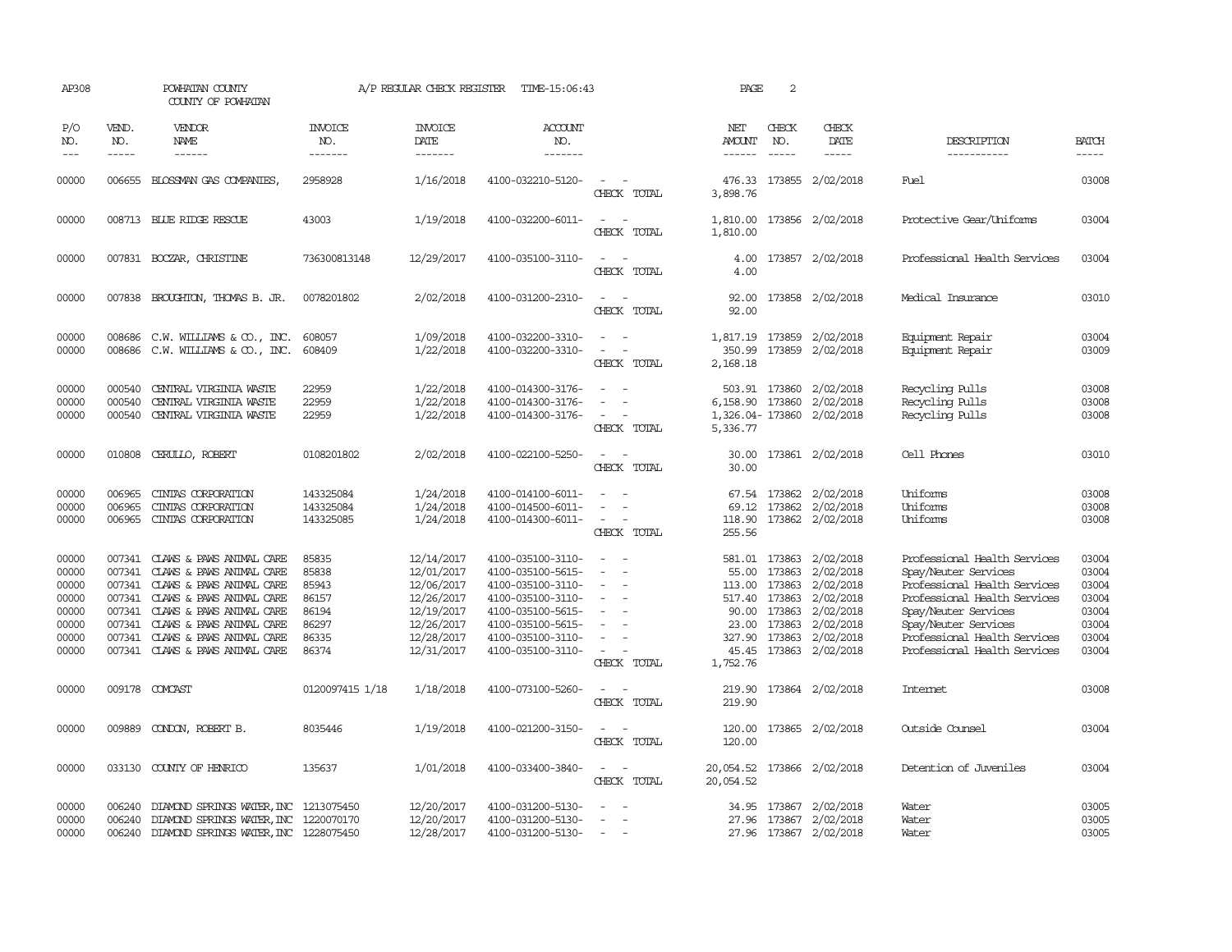| AP308                                                                |                             | POWHATAN COUNTY<br>COUNTY OF POWHATAN                                                                                                                                                                                                                           |                                                                      | A/P REGULAR CHECK REGISTER                                                                                   | TIME-15:06:43                                                                                                                                                        |                                                   | PAGE                                            | 2                                                                     |                                                                                                                                 |                                                                                                                                                                                                                                      |                                                                      |
|----------------------------------------------------------------------|-----------------------------|-----------------------------------------------------------------------------------------------------------------------------------------------------------------------------------------------------------------------------------------------------------------|----------------------------------------------------------------------|--------------------------------------------------------------------------------------------------------------|----------------------------------------------------------------------------------------------------------------------------------------------------------------------|---------------------------------------------------|-------------------------------------------------|-----------------------------------------------------------------------|---------------------------------------------------------------------------------------------------------------------------------|--------------------------------------------------------------------------------------------------------------------------------------------------------------------------------------------------------------------------------------|----------------------------------------------------------------------|
| P/O<br>NO.<br>$---$                                                  | VEND.<br>NO.<br>$- - - - -$ | <b>VENDOR</b><br>NAME<br>$- - - - - -$                                                                                                                                                                                                                          | <b>INVOICE</b><br>NO.<br>-------                                     | <b>INVOICE</b><br>DATE<br>-------                                                                            | <b>ACCOUNT</b><br>NO.<br>-------                                                                                                                                     |                                                   | NET<br>AMOUNT<br>------                         | CHECK<br>NO.<br>$- - - - -$                                           | CHECK<br>DATE<br>$- - - - -$                                                                                                    | DESCRIPTION<br>-----------                                                                                                                                                                                                           | <b>BATCH</b><br>-----                                                |
| 00000                                                                |                             | 006655 BLOSSMAN GAS COMPANIES,                                                                                                                                                                                                                                  | 2958928                                                              | 1/16/2018                                                                                                    | 4100-032210-5120-                                                                                                                                                    | $\sim$<br>CHECK TOTAL                             | 476.33<br>3,898.76                              |                                                                       | 173855 2/02/2018                                                                                                                | Fuel                                                                                                                                                                                                                                 | 03008                                                                |
| 00000                                                                |                             | 008713 BLUE RIDGE RESCUE                                                                                                                                                                                                                                        | 43003                                                                | 1/19/2018                                                                                                    | 4100-032200-6011-                                                                                                                                                    | $\overline{\phantom{a}}$<br>$\sim$<br>CHECK TOTAL | 1,810.00<br>1,810.00                            |                                                                       | 173856 2/02/2018                                                                                                                | Protective Gear/Uniforms                                                                                                                                                                                                             | 03004                                                                |
| 00000                                                                |                             | 007831 BOCZAR, CHRISTINE                                                                                                                                                                                                                                        | 736300813148                                                         | 12/29/2017                                                                                                   | 4100-035100-3110-                                                                                                                                                    | CHECK TOTAL                                       | 4.00<br>4.00                                    |                                                                       | 173857 2/02/2018                                                                                                                | Professional Health Services                                                                                                                                                                                                         | 03004                                                                |
| 00000                                                                |                             | 007838 BROUGHTON, THOMAS B. JR.                                                                                                                                                                                                                                 | 0078201802                                                           | 2/02/2018                                                                                                    | 4100-031200-2310-                                                                                                                                                    | $\sim$<br>CHECK TOTAL                             | 92.00<br>92.00                                  |                                                                       | 173858 2/02/2018                                                                                                                | Medical Insurance                                                                                                                                                                                                                    | 03010                                                                |
| 00000<br>00000                                                       | 008686<br>008686            | C.W. WILLIAMS & CO., INC.<br>C.W. WILLIAMS & CO., INC.                                                                                                                                                                                                          | 608057<br>608409                                                     | 1/09/2018<br>1/22/2018                                                                                       | 4100-032200-3310-<br>4100-032200-3310-                                                                                                                               | $\equiv$<br>$\equiv$<br>CHECK TOTAL               | 350.99<br>2,168.18                              |                                                                       | 1,817.19 173859 2/02/2018<br>173859 2/02/2018                                                                                   | Equipment Repair<br>Equipment Repair                                                                                                                                                                                                 | 03004<br>03009                                                       |
| 00000<br>00000<br>00000                                              | 000540<br>000540<br>000540  | CENTRAL VIRGINIA WASTE<br>CENTRAL VIRGINIA WASTE<br>CENTRAL VIRGINIA WASTE                                                                                                                                                                                      | 22959<br>22959<br>22959                                              | 1/22/2018<br>1/22/2018<br>1/22/2018                                                                          | 4100-014300-3176-<br>4100-014300-3176-<br>4100-014300-3176-                                                                                                          | $\equiv$<br>$\sim$<br>CHECK TOTAL                 | 6,158.90 173860<br>1,326.04- 173860<br>5,336.77 | 503.91 173860                                                         | 2/02/2018<br>2/02/2018<br>2/02/2018                                                                                             | Recycling Pulls<br>Recycling Pulls<br>Recycling Pulls                                                                                                                                                                                | 03008<br>03008<br>03008                                              |
| 00000                                                                | 010808                      | CERULLO, ROBERT                                                                                                                                                                                                                                                 | 0108201802                                                           | 2/02/2018                                                                                                    | 4100-022100-5250-                                                                                                                                                    | $\sim$<br>CHECK TOTAL                             | 30.00<br>30.00                                  |                                                                       | 173861 2/02/2018                                                                                                                | Cell Phones                                                                                                                                                                                                                          | 03010                                                                |
| 00000<br>00000<br>00000                                              | 006965<br>006965<br>006965  | CINIAS CORPORATION<br>CINIAS CORPORATION<br>CINIAS CORPORATION                                                                                                                                                                                                  | 143325084<br>143325084<br>143325085                                  | 1/24/2018<br>1/24/2018<br>1/24/2018                                                                          | 4100-014100-6011-<br>4100-014500-6011-<br>4100-014300-6011-                                                                                                          | $\sim$<br>$\sim$<br>$\sim$<br>CHECK TOTAL         | 255.56                                          |                                                                       | 67.54 173862 2/02/2018<br>69.12 173862 2/02/2018<br>118.90 173862 2/02/2018                                                     | Uniforms<br>Uniforms<br>Uniforms                                                                                                                                                                                                     | 03008<br>03008<br>03008                                              |
| 00000<br>00000<br>00000<br>00000<br>00000<br>00000<br>00000<br>00000 | 007341<br>007341<br>007341  | CLAWS & PAWS ANIMAL CARE<br>007341 CLAWS & PAWS ANIMAL CARE<br>CLAWS & PAWS ANIMAL CARE<br>007341 CLAWS & PAWS ANIMAL CARE<br>007341 CLAWS & PAWS ANIMAL CARE<br>CLAWS & PAWS ANIMAL CARE<br>007341 CLAWS & PAWS ANIMAL CARE<br>007341 CLAWS & PAWS ANIMAL CARE | 85835<br>85838<br>85943<br>86157<br>86194<br>86297<br>86335<br>86374 | 12/14/2017<br>12/01/2017<br>12/06/2017<br>12/26/2017<br>12/19/2017<br>12/26/2017<br>12/28/2017<br>12/31/2017 | 4100-035100-3110-<br>4100-035100-5615-<br>4100-035100-3110-<br>4100-035100-3110-<br>4100-035100-5615-<br>4100-035100-5615-<br>4100-035100-3110-<br>4100-035100-3110- | $\equiv$<br>CHECK TOTAL                           | 113.00<br>90.00<br>23.00<br>327.90<br>1,752.76  | 55.00 173863<br>173863<br>517.40 173863<br>173863<br>173863<br>173863 | 581.01 173863 2/02/2018<br>2/02/2018<br>2/02/2018<br>2/02/2018<br>2/02/2018<br>2/02/2018<br>2/02/2018<br>45.45 173863 2/02/2018 | Professional Health Services<br>Spay/Neuter Services<br>Professional Health Services<br>Professional Health Services<br>Spay/Neuter Services<br>Spay/Neuter Services<br>Professional Health Services<br>Professional Health Services | 03004<br>03004<br>03004<br>03004<br>03004<br>03004<br>03004<br>03004 |
| 00000                                                                | 009178                      | COMCAST                                                                                                                                                                                                                                                         | 0120097415 1/18                                                      | 1/18/2018                                                                                                    | 4100-073100-5260-                                                                                                                                                    | CHECK TOTAL                                       | 219.90<br>219.90                                |                                                                       | 173864 2/02/2018                                                                                                                | Internet                                                                                                                                                                                                                             | 03008                                                                |
| 00000                                                                | 009889                      | CONDON, ROBERT B.                                                                                                                                                                                                                                               | 8035446                                                              | 1/19/2018                                                                                                    | 4100-021200-3150-                                                                                                                                                    | CHECK TOTAL                                       | 120.00<br>120.00                                |                                                                       | 173865 2/02/2018                                                                                                                | Outside Counsel                                                                                                                                                                                                                      | 03004                                                                |
| 00000                                                                | 033130                      | COUNTY OF HENRICO                                                                                                                                                                                                                                               | 135637                                                               | 1/01/2018                                                                                                    | 4100-033400-3840-                                                                                                                                                    | CHECK TOTAL                                       | 20,054.52                                       |                                                                       | 20,054.52 173866 2/02/2018                                                                                                      | Detention of Juveniles                                                                                                                                                                                                               | 03004                                                                |
| 00000<br>00000<br>00000                                              | 006240<br>006240            | DIAMOND SPRINGS WATER, INC<br>006240 DIAMOND SPRINGS WATER, INC 1220070170<br>DIAMOND SPRINGS WATER, INC 1228075450                                                                                                                                             | 1213075450                                                           | 12/20/2017<br>12/20/2017<br>12/28/2017                                                                       | 4100-031200-5130-<br>4100-031200-5130-<br>4100-031200-5130-                                                                                                          | $\overline{\phantom{a}}$<br>$\sim$                | 34.95                                           |                                                                       | 173867 2/02/2018<br>27.96 173867 2/02/2018<br>27.96 173867 2/02/2018                                                            | Water<br>Water<br>Water                                                                                                                                                                                                              | 03005<br>03005<br>03005                                              |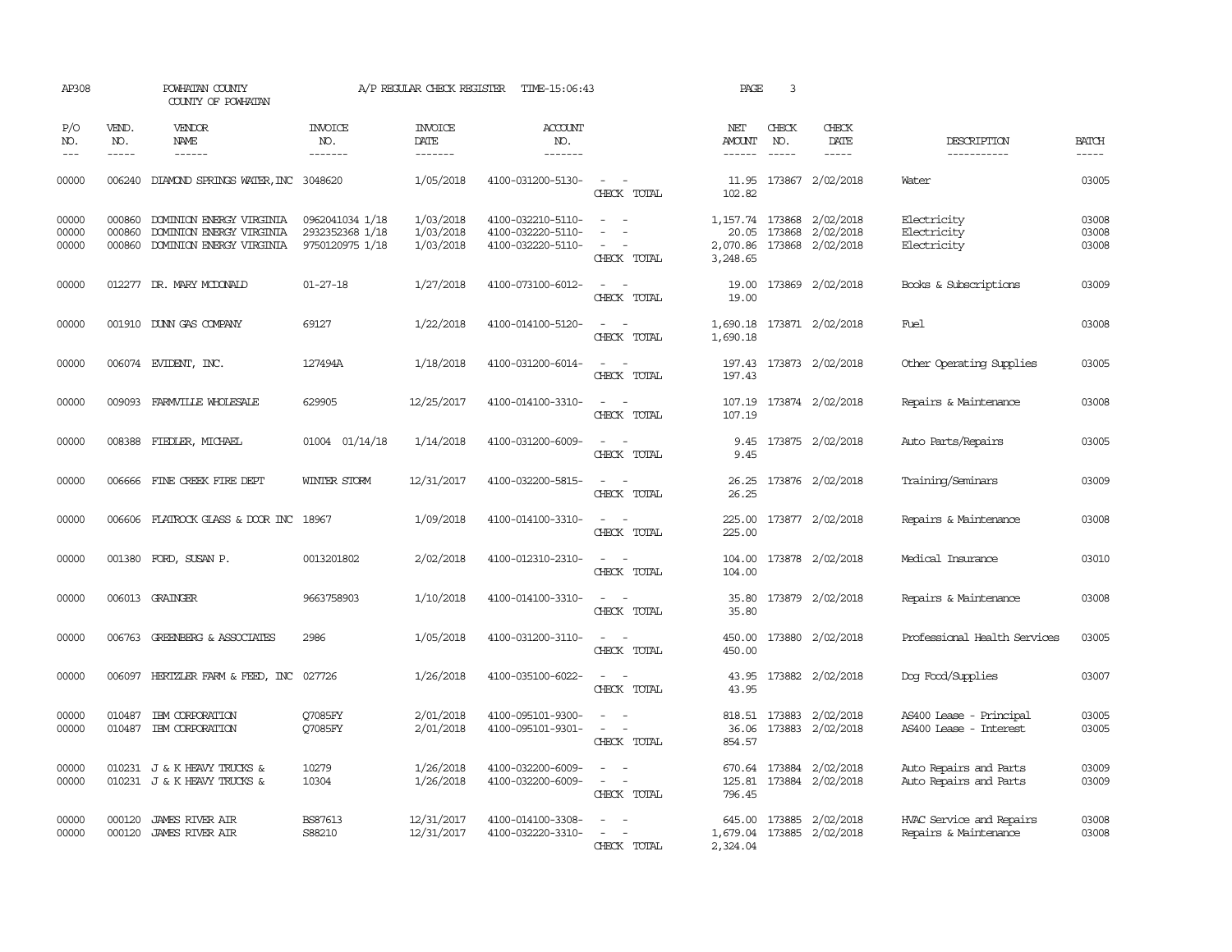| AP308                   |                             | POWHATAN COUNTY<br>COUNTY OF POWHATAN                                            |                                                       | A/P REGULAR CHECK REGISTER          | TIME-15:06:43                                               |                                                                                                                                          | PAGE                          | 3                           |                                                                    |                                                   |                         |
|-------------------------|-----------------------------|----------------------------------------------------------------------------------|-------------------------------------------------------|-------------------------------------|-------------------------------------------------------------|------------------------------------------------------------------------------------------------------------------------------------------|-------------------------------|-----------------------------|--------------------------------------------------------------------|---------------------------------------------------|-------------------------|
| P/O<br>NO.<br>$---$     | VEND.<br>NO.<br>$- - - - -$ | <b>VENDOR</b><br>NAME<br>$- - - - - -$                                           | INVOICE<br>NO.<br>-------                             | <b>INVOICE</b><br>DATE<br>-------   | <b>ACCOUNT</b><br>NO.<br>-------                            |                                                                                                                                          | NET<br>AMOUNT<br>------       | CHECK<br>NO.<br>$- - - - -$ | CHECK<br>DATE<br>$- - - - -$                                       | DESCRIPTION<br>-----------                        | <b>BATCH</b><br>-----   |
|                         |                             |                                                                                  |                                                       |                                     |                                                             |                                                                                                                                          |                               |                             |                                                                    |                                                   |                         |
| 00000                   |                             | 006240 DIAMOND SPRINGS WATER, INC 3048620                                        |                                                       | 1/05/2018                           | 4100-031200-5130-                                           | $\sim$ $\sim$<br>CHECK TOTAL                                                                                                             | 102.82                        |                             | 11.95 173867 2/02/2018                                             | Water                                             | 03005                   |
| 00000<br>00000<br>00000 | 000860<br>000860<br>000860  | DOMINION ENERGY VIRGINIA<br>DOMINION ENERGY VIRGINIA<br>DOMINION ENERGY VIRGINIA | 0962041034 1/18<br>2932352368 1/18<br>9750120975 1/18 | 1/03/2018<br>1/03/2018<br>1/03/2018 | 4100-032210-5110-<br>4100-032220-5110-<br>4100-032220-5110- | $\sim$ $\sim$<br>$\equiv$<br>$\overline{\phantom{a}}$<br>$\overline{\phantom{a}}$<br>CHECK TOTAL                                         | 20.05<br>2,070.86<br>3,248.65 |                             | 1, 157.74 173868 2/02/2018<br>173868 2/02/2018<br>173868 2/02/2018 | Electricity<br>Electricity<br>Electricity         | 03008<br>03008<br>03008 |
| 00000                   |                             | 012277 DR. MARY MCDONALD                                                         | $01 - 27 - 18$                                        | 1/27/2018                           | 4100-073100-6012-                                           | $\sim$<br>$\sim$<br>CHECK TOTAL                                                                                                          | 19.00<br>19.00                |                             | 173869 2/02/2018                                                   | Books & Subscriptions                             | 03009                   |
| 00000                   |                             | 001910 DUNN GAS COMPANY                                                          | 69127                                                 | 1/22/2018                           | 4100-014100-5120-                                           | CHECK TOTAL                                                                                                                              | 1,690.18                      |                             | 1,690.18 173871 2/02/2018                                          | <b>Fuel</b>                                       | 03008                   |
| 00000                   |                             | 006074 EVIDENT, INC.                                                             | 127494A                                               | 1/18/2018                           | 4100-031200-6014-                                           | $\sim$ $\sim$<br>CHECK TOTAL                                                                                                             | 197.43                        |                             | 197.43 173873 2/02/2018                                            | Other Operating Supplies                          | 03005                   |
| 00000                   |                             | 009093 FARMVILLE WHOLESALE                                                       | 629905                                                | 12/25/2017                          | 4100-014100-3310-                                           | $\sim$<br>$\sim$<br>CHECK TOTAL                                                                                                          | 107.19                        |                             | 107.19 173874 2/02/2018                                            | Repairs & Maintenance                             | 03008                   |
| 00000                   |                             | 008388 FIEDLER, MICHAEL                                                          | 01004 01/14/18                                        | 1/14/2018                           | 4100-031200-6009-                                           | CHECK TOTAL                                                                                                                              | 9.45<br>9.45                  |                             | 173875 2/02/2018                                                   | Auto Parts/Repairs                                | 03005                   |
| 00000                   |                             | 006666 FINE CREEK FIRE DEPT                                                      | WINTER STORM                                          | 12/31/2017                          | 4100-032200-5815-                                           | $\sim$<br>CHECK TOTAL                                                                                                                    | 26.25<br>26.25                |                             | 173876 2/02/2018                                                   | Training/Seminars                                 | 03009                   |
| 00000                   |                             | 006606 FLATROCK GLASS & DOOR INC 18967                                           |                                                       | 1/09/2018                           | 4100-014100-3310-                                           | $\frac{1}{2} \left( \frac{1}{2} \right) \left( \frac{1}{2} \right) \left( \frac{1}{2} \right) \left( \frac{1}{2} \right)$<br>CHECK TOTAL | 225.00<br>225.00              |                             | 173877 2/02/2018                                                   | Repairs & Maintenance                             | 03008                   |
| 00000                   |                             | 001380 FORD, SUSAN P.                                                            | 0013201802                                            | 2/02/2018                           | 4100-012310-2310-                                           | $\sim$ 10 $\sim$ 10 $\sim$<br>CHECK TOTAL                                                                                                | 104.00<br>104.00              |                             | 173878 2/02/2018                                                   | Medical Insurance                                 | 03010                   |
| 00000                   |                             | 006013 GRAINGER                                                                  | 9663758903                                            | 1/10/2018                           | 4100-014100-3310-                                           | CHECK TOTAL                                                                                                                              | 35.80<br>35.80                |                             | 173879 2/02/2018                                                   | Repairs & Maintenance                             | 03008                   |
| 00000                   |                             | 006763 GREENBERG & ASSOCIATES                                                    | 2986                                                  | 1/05/2018                           | 4100-031200-3110-                                           | CHECK TOTAL                                                                                                                              | 450.00<br>450.00              |                             | 173880 2/02/2018                                                   | Professional Health Services                      | 03005                   |
| 00000                   | 006097                      | HERTZLER FARM & FEED, INC                                                        | 027726                                                | 1/26/2018                           | 4100-035100-6022-                                           | CHECK TOTAL                                                                                                                              | 43.95<br>43.95                |                             | 173882 2/02/2018                                                   | Dog Food/Supplies                                 | 03007                   |
| 00000<br>00000          | 010487                      | IBM CORPORATION<br>010487 IBM CORPORATION                                        | O7085FY<br>07085FY                                    | 2/01/2018<br>2/01/2018              | 4100-095101-9300-<br>4100-095101-9301-                      | $\sim$<br>CHECK TOTAL                                                                                                                    | 818.51<br>36.06<br>854.57     |                             | 173883 2/02/2018<br>173883 2/02/2018                               | AS400 Lease - Principal<br>AS400 Lease - Interest | 03005<br>03005          |
| 00000<br>00000          |                             | 010231 J & K HEAVY TRUCKS &<br>010231 J & K HEAVY TRUCKS &                       | 10279<br>10304                                        | 1/26/2018<br>1/26/2018              | 4100-032200-6009-<br>4100-032200-6009-                      | $\sim$<br>CHECK TOTAL                                                                                                                    | 796.45                        |                             | 670.64 173884 2/02/2018<br>125.81  173884  2/02/2018               | Auto Repairs and Parts<br>Auto Repairs and Parts  | 03009<br>03009          |
| 00000<br>00000          | 000120                      | <b>JAMES RIVER AIR</b><br>000120 JAMES RIVER AIR                                 | <b>BS87613</b><br>S88210                              | 12/31/2017<br>12/31/2017            | 4100-014100-3308-<br>4100-032220-3310-                      | $\sim$<br>$\sim$<br>CHECK TOTAL                                                                                                          | 645.00<br>2,324.04            |                             | 173885 2/02/2018<br>1,679.04 173885 2/02/2018                      | HVAC Service and Repairs<br>Repairs & Maintenance | 03008<br>03008          |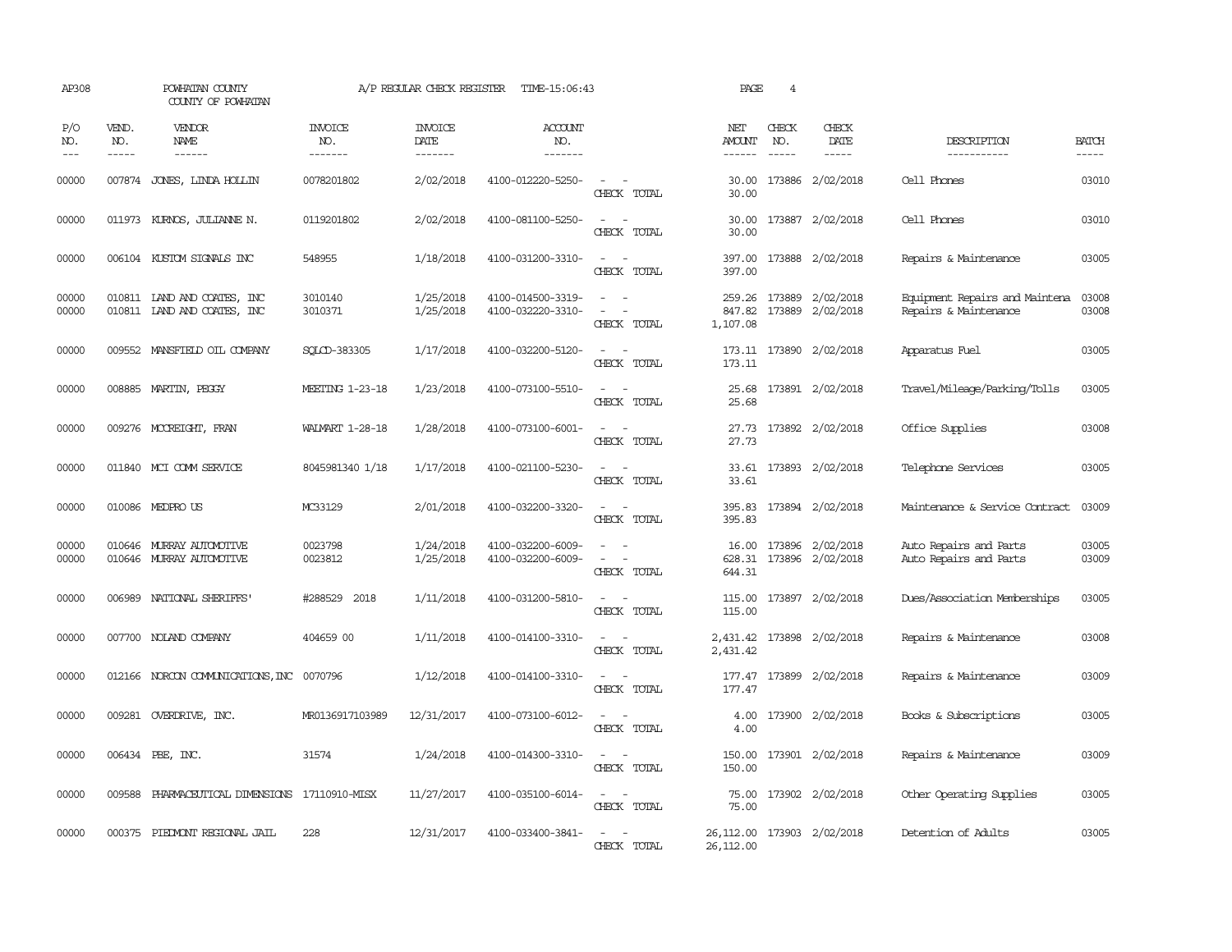| AP308               |                             | POWHATAN COUNTY<br>COUNTY OF POWHATAN                      |                                   | A/P REGULAR CHECK REGISTER                | TIME-15:06:43                          |                                                     | PAGE                                      | $\overline{4}$                |                                             |                                                         |                       |
|---------------------|-----------------------------|------------------------------------------------------------|-----------------------------------|-------------------------------------------|----------------------------------------|-----------------------------------------------------|-------------------------------------------|-------------------------------|---------------------------------------------|---------------------------------------------------------|-----------------------|
| P/O<br>NO.<br>$---$ | VEND.<br>NO.<br>$- - - - -$ | VENDOR<br>NAME<br>$- - - - - -$                            | <b>INVOICE</b><br>NO.<br>-------- | <b>INVOICE</b><br>DATE<br>$- - - - - - -$ | <b>ACCOUNT</b><br>NO.<br>-------       |                                                     | NET<br>AMOUNT<br>$- - - - - -$            | CHECK<br>NO.<br>$\frac{1}{2}$ | CHECK<br>DATE<br>$- - - - -$                | DESCRIPTION<br>-----------                              | <b>BATCH</b><br>----- |
| 00000               |                             | 007874 JONES, LINDA HOLLIN                                 | 0078201802                        | 2/02/2018                                 | 4100-012220-5250-                      | $\sim$ $ \sim$<br>CHECK TOTAL                       | 30.00<br>30.00                            |                               | 173886 2/02/2018                            | Cell Phones                                             | 03010                 |
| 00000               |                             | 011973 KURNOS, JULIANNE N.                                 | 0119201802                        | 2/02/2018                                 | 4100-081100-5250-                      | $\equiv$<br>$\overline{\phantom{a}}$<br>CHECK TOTAL | 30.00<br>30.00                            |                               | 173887 2/02/2018                            | Cell Phones                                             | 03010                 |
| 00000               |                             | 006104 KUSTOM SIGNALS INC                                  | 548955                            | 1/18/2018                                 | 4100-031200-3310-                      | $ -$<br>CHECK TOTAL                                 | 397.00<br>397.00                          |                               | 173888 2/02/2018                            | Repairs & Maintenance                                   | 03005                 |
| 00000<br>00000      |                             | 010811 LAND AND COATES, INC<br>010811 LAND AND COATES, INC | 3010140<br>3010371                | 1/25/2018<br>1/25/2018                    | 4100-014500-3319-<br>4100-032220-3310- | $\sim$<br>CHECK TOTAL                               | 847.82<br>1,107.08                        |                               | 259.26 173889 2/02/2018<br>173889 2/02/2018 | Equipment Repairs and Maintena<br>Repairs & Maintenance | 03008<br>03008        |
| 00000               |                             | 009552 MANSFIELD OIL COMPANY                               | SOLCD-383305                      | 1/17/2018                                 | 4100-032200-5120-                      | CHECK TOTAL                                         | 173.11                                    |                               | 173.11 173890 2/02/2018                     | Apparatus Fuel                                          | 03005                 |
| 00000               |                             | 008885 MARTIN, PEGGY                                       | MEETING 1-23-18                   | 1/23/2018                                 | 4100-073100-5510-                      | CHECK TOTAL                                         | 25.68<br>25.68                            |                               | 173891 2/02/2018                            | Travel/Mileage/Parking/Tolls                            | 03005                 |
| 00000               |                             | 009276 MCCREIGHT, FRAN                                     | <b>WALMART 1-28-18</b>            | 1/28/2018                                 | 4100-073100-6001-                      | $\equiv$<br>CHECK TOTAL                             | 27.73<br>27.73                            |                               | 173892 2/02/2018                            | Office Supplies                                         | 03008                 |
| 00000               |                             | 011840 MCI COMM SERVICE                                    | 8045981340 1/18                   | 1/17/2018                                 | 4100-021100-5230-                      | $\equiv$<br>$\sim$<br>CHECK TOTAL                   | 33.61                                     |                               | 33.61 173893 2/02/2018                      | Telephone Services                                      | 03005                 |
| 00000               |                             | 010086 MEDPRO US                                           | MC33129                           | 2/01/2018                                 | 4100-032200-3320-                      | $\equiv$<br>$\sim$<br>CHECK TOTAL                   | 395.83                                    |                               | 395.83 173894 2/02/2018                     | Maintenance & Service Contract                          | 03009                 |
| 00000<br>00000      |                             | 010646 MURRAY AUTOMOTTVE<br>010646 MURRAY AUTOMOTIVE       | 0023798<br>0023812                | 1/24/2018<br>1/25/2018                    | 4100-032200-6009-<br>4100-032200-6009- | CHECK TOTAL                                         | 16.00<br>628.31<br>644.31                 |                               | 173896 2/02/2018<br>173896 2/02/2018        | Auto Repairs and Parts<br>Auto Repairs and Parts        | 03005<br>03009        |
| 00000               |                             | 006989 NATIONAL SHERIFFS'                                  | #288529 2018                      | 1/11/2018                                 | 4100-031200-5810-                      | CHECK TOTAL                                         | 115.00<br>115.00                          |                               | 173897 2/02/2018                            | Dues/Association Memberships                            | 03005                 |
| 00000               |                             | 007700 NOLAND COMPANY                                      | 404659 00                         | 1/11/2018                                 | 4100-014100-3310-                      | $\overline{\phantom{a}}$<br>CHECK TOTAL             | 2,431.42<br>2,431.42                      |                               | 173898 2/02/2018                            | Repairs & Maintenance                                   | 03008                 |
| 00000               |                             | 012166 NORCON COMMUNICATIONS, INC                          | 0070796                           | 1/12/2018                                 | 4100-014100-3310-                      | CHECK TOTAL                                         | 177.47<br>177.47                          |                               | 173899 2/02/2018                            | Repairs & Maintenance                                   | 03009                 |
| 00000               |                             | 009281 OVERDRIVE, INC.                                     | MR0136917103989                   | 12/31/2017                                | 4100-073100-6012-                      | CHECK TOTAL                                         | 4.00<br>4.00                              |                               | 173900 2/02/2018                            | Books & Subscriptions                                   | 03005                 |
| 00000               |                             | 006434 PBE, INC.                                           | 31574                             | 1/24/2018                                 | 4100-014300-3310-                      | $\equiv$<br>$\sim$<br>CHECK TOTAL                   | 150.00<br>150.00                          |                               | 173901 2/02/2018                            | Repairs & Maintenance                                   | 03009                 |
| 00000               |                             | 009588 PHARMACEUTICAL DIMENSIONS 17110910-MISX             |                                   | 11/27/2017                                | 4100-035100-6014-                      | $\overline{\phantom{a}}$<br>CHECK TOTAL             | 75.00<br>75.00                            |                               | 173902 2/02/2018                            | Other Operating Supplies                                | 03005                 |
| 00000               |                             | 000375 PIEDMONT REGIONAL JAIL                              | 228                               | 12/31/2017                                | 4100-033400-3841-                      | $\equiv$<br>$\overline{\phantom{a}}$<br>CHECK TOTAL | 26,112.00 173903 2/02/2018<br>26, 112, 00 |                               |                                             | Detention of Adults                                     | 03005                 |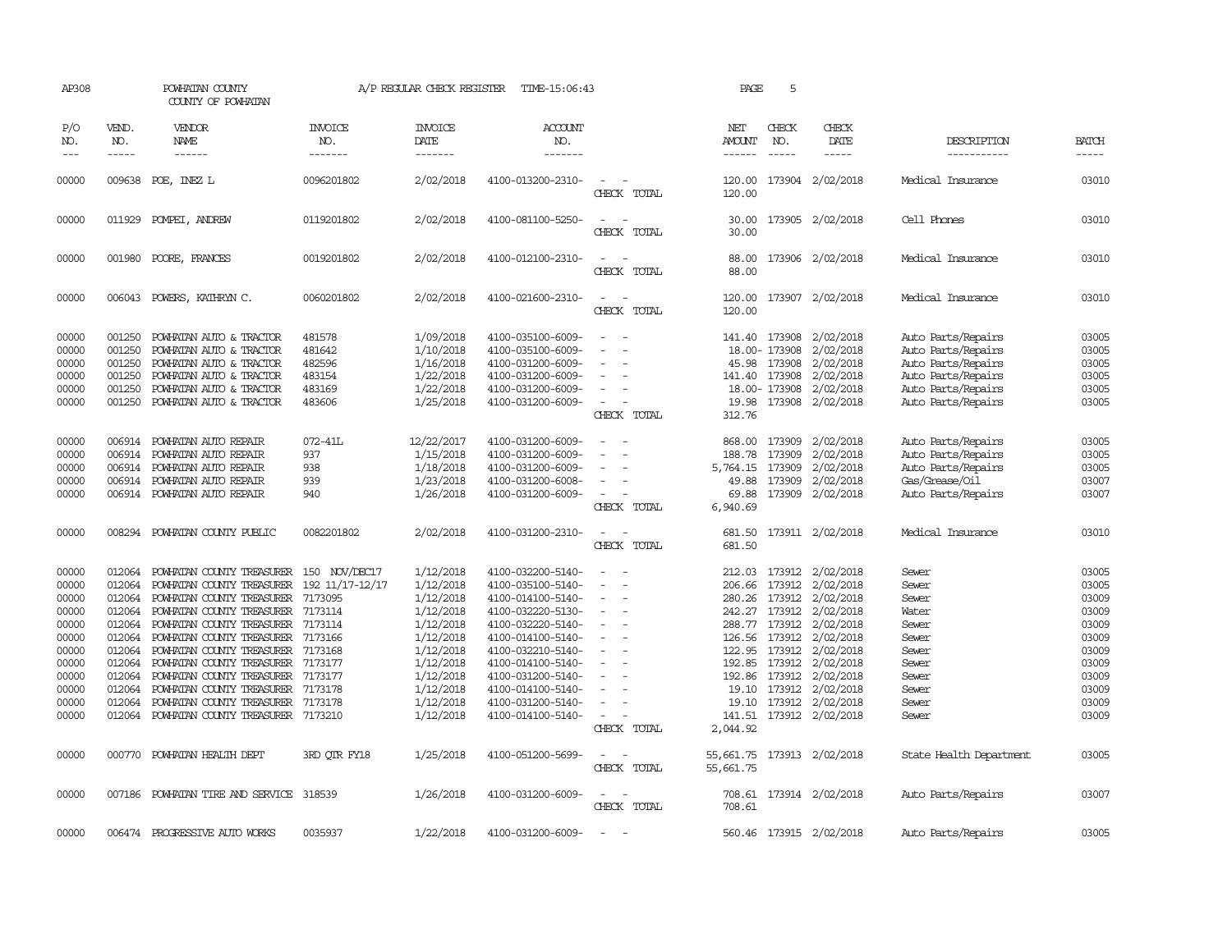| AP308                                                                                                             |                                                                                                                                | POWHATAN COUNTY<br>COUNTY OF POWHATAN                                                                                                                                                                                                                                                                                                                                                    |                                                                                                                                                     | A/P REGULAR CHECK REGISTER                                                                                                                                            | TIME-15:06:43                                                                                                                                                                                                                                                                 |                                                                                         | PAGE                                                                                                 | 5                                                                                                                           |                                                                                                                                                                                            |                                                                                                                                     |                                                                                                                   |
|-------------------------------------------------------------------------------------------------------------------|--------------------------------------------------------------------------------------------------------------------------------|------------------------------------------------------------------------------------------------------------------------------------------------------------------------------------------------------------------------------------------------------------------------------------------------------------------------------------------------------------------------------------------|-----------------------------------------------------------------------------------------------------------------------------------------------------|-----------------------------------------------------------------------------------------------------------------------------------------------------------------------|-------------------------------------------------------------------------------------------------------------------------------------------------------------------------------------------------------------------------------------------------------------------------------|-----------------------------------------------------------------------------------------|------------------------------------------------------------------------------------------------------|-----------------------------------------------------------------------------------------------------------------------------|--------------------------------------------------------------------------------------------------------------------------------------------------------------------------------------------|-------------------------------------------------------------------------------------------------------------------------------------|-------------------------------------------------------------------------------------------------------------------|
| P/O<br>NO.<br>$---$                                                                                               | VEND.<br>NO.<br>-----                                                                                                          | VENDOR<br>NAME<br>$- - - - - -$                                                                                                                                                                                                                                                                                                                                                          | <b>INVOICE</b><br>NO.<br>-------                                                                                                                    | <b>INVOICE</b><br>DATE<br>$- - - - - - -$                                                                                                                             | <b>ACCOUNT</b><br>NO.<br>-------                                                                                                                                                                                                                                              |                                                                                         | NET<br>AMOUNT<br>$- - - - - -$                                                                       | CHECK<br>NO.<br>$\frac{1}{2}$                                                                                               | CHECK<br>DATE<br>$- - - - -$                                                                                                                                                               | DESCRIPTION<br>-----------                                                                                                          | <b>BATCH</b><br>$- - - - -$                                                                                       |
| 00000                                                                                                             |                                                                                                                                | 009638 POE, INEZ L                                                                                                                                                                                                                                                                                                                                                                       | 0096201802                                                                                                                                          | 2/02/2018                                                                                                                                                             | 4100-013200-2310-                                                                                                                                                                                                                                                             | $\sim$<br>CHECK TOTAL                                                                   | 120.00<br>120.00                                                                                     | 173904                                                                                                                      | 2/02/2018                                                                                                                                                                                  | Medical Insurance                                                                                                                   | 03010                                                                                                             |
| 00000                                                                                                             |                                                                                                                                | 011929 POMPEI, ANDREW                                                                                                                                                                                                                                                                                                                                                                    | 0119201802                                                                                                                                          | 2/02/2018                                                                                                                                                             | 4100-081100-5250-                                                                                                                                                                                                                                                             | $\sim$<br>CHECK<br>TOTAL                                                                | 30.00<br>30.00                                                                                       |                                                                                                                             | 173905 2/02/2018                                                                                                                                                                           | Cell Phones                                                                                                                         | 03010                                                                                                             |
| 00000                                                                                                             | 001980                                                                                                                         | POORE, FRANCES                                                                                                                                                                                                                                                                                                                                                                           | 0019201802                                                                                                                                          | 2/02/2018                                                                                                                                                             | 4100-012100-2310-                                                                                                                                                                                                                                                             | $\sim$<br>$\sim$<br>CHECK TOTAL                                                         | 88.00<br>88.00                                                                                       |                                                                                                                             | 173906 2/02/2018                                                                                                                                                                           | Medical Insurance                                                                                                                   | 03010                                                                                                             |
| 00000                                                                                                             | 006043                                                                                                                         | POWERS, KATHRYN C.                                                                                                                                                                                                                                                                                                                                                                       | 0060201802                                                                                                                                          | 2/02/2018                                                                                                                                                             | 4100-021600-2310-                                                                                                                                                                                                                                                             | $\sim$<br>$\sim$<br>CHECK TOTAL                                                         | 120.00<br>120.00                                                                                     | 173907                                                                                                                      | 2/02/2018                                                                                                                                                                                  | Medical Insurance                                                                                                                   | 03010                                                                                                             |
| 00000<br>00000<br>00000<br>00000<br>00000<br>00000                                                                | 001250<br>001250<br>001250<br>001250<br>001250<br>001250                                                                       | POWHATAN AUTO & TRACTOR<br>POWHATAN AUTO & TRACTOR<br>POWHATAN AUTO & TRACTOR<br>POWHATAN AUTO & TRACTOR<br>POWHATAN AUTO & TRACTOR<br>POWHATAN AUTO & TRACTOR                                                                                                                                                                                                                           | 481578<br>481642<br>482596<br>483154<br>483169<br>483606                                                                                            | 1/09/2018<br>1/10/2018<br>1/16/2018<br>1/22/2018<br>1/22/2018<br>1/25/2018                                                                                            | 4100-035100-6009-<br>4100-035100-6009-<br>4100-031200-6009-<br>4100-031200-6009-<br>4100-031200-6009-<br>4100-031200-6009-                                                                                                                                                    | $\overline{\phantom{a}}$<br>CHECK TOTAL                                                 | 45.98<br>141.40<br>19.98<br>312.76                                                                   | 141.40 173908<br>18.00-173908<br>173908<br>173908<br>18.00- 173908                                                          | 2/02/2018<br>2/02/2018<br>2/02/2018<br>2/02/2018<br>2/02/2018<br>173908 2/02/2018                                                                                                          | Auto Parts/Repairs<br>Auto Parts/Repairs<br>Auto Parts/Repairs<br>Auto Parts/Repairs<br>Auto Parts/Repairs<br>Auto Parts/Repairs    | 03005<br>03005<br>03005<br>03005<br>03005<br>03005                                                                |
| 00000<br>00000<br>00000<br>00000<br>00000                                                                         | 006914<br>006914<br>006914<br>006914<br>006914                                                                                 | POWHATAN AUTO REPAIR<br>POWHATAN AUTO REPAIR<br>POWHATAN AUTO REPAIR<br>POWHATAN AUTO REPAIR<br>POWHATAN AUTO REPAIR                                                                                                                                                                                                                                                                     | 072-41L<br>937<br>938<br>939<br>940                                                                                                                 | 12/22/2017<br>1/15/2018<br>1/18/2018<br>1/23/2018<br>1/26/2018                                                                                                        | 4100-031200-6009-<br>4100-031200-6009-<br>4100-031200-6009-<br>4100-031200-6008-<br>4100-031200-6009-                                                                                                                                                                         | $\sim$<br>$\sim$<br>CHECK TOTAL                                                         | 868.00<br>188.78<br>5,764.15<br>49.88<br>69.88<br>6,940.69                                           | 173909<br>173909<br>173909<br>173909                                                                                        | 2/02/2018<br>2/02/2018<br>2/02/2018<br>2/02/2018<br>173909 2/02/2018                                                                                                                       | Auto Parts/Repairs<br>Auto Parts/Repairs<br>Auto Parts/Repairs<br>Gas/Grease/Oil<br>Auto Parts/Repairs                              | 03005<br>03005<br>03005<br>03007<br>03007                                                                         |
| 00000                                                                                                             | 008294                                                                                                                         | POWHATAN COUNTY PUBLIC                                                                                                                                                                                                                                                                                                                                                                   | 0082201802                                                                                                                                          | 2/02/2018                                                                                                                                                             | 4100-031200-2310-                                                                                                                                                                                                                                                             | CHECK TOTAL                                                                             | 681.50<br>681.50                                                                                     |                                                                                                                             | 173911 2/02/2018                                                                                                                                                                           | Medical Insurance                                                                                                                   | 03010                                                                                                             |
| 00000<br>00000<br>00000<br>00000<br>00000<br>00000<br>00000<br>00000<br>00000<br>00000<br>00000<br>00000<br>00000 | 012064<br>012064<br>012064<br>012064<br>012064<br>012064<br>012064<br>012064<br>012064<br>012064<br>012064<br>012064<br>000770 | POWHATAN COUNTY TREASURER<br>POWHATAN COUNTY TREASURER<br>POWHATAN COUNTY TREASURER<br>POWHATAN COUNTY TREASURER<br>POWHATAN COUNTY TREASURER<br>POWHATAN COUNTY TREASURER<br>POWHATAN COUNTY TREASURER<br>POWHATAN COUNTY TREASURER<br>POWHATAN COUNTY TREASURER<br>POWHATAN COUNTY TREASURER 7173178<br>POWHATAN COUNTY TREASURER<br>POWHATAN COUNTY TREASURER<br>POWHATAN HEALTH DEPT | 150 NOV/DEC17<br>192 11/17-12/17<br>7173095<br>7173114<br>7173114<br>7173166<br>7173168<br>7173177<br>7173177<br>7173178<br>7173210<br>3RD OTR FY18 | 1/12/2018<br>1/12/2018<br>1/12/2018<br>1/12/2018<br>1/12/2018<br>1/12/2018<br>1/12/2018<br>1/12/2018<br>1/12/2018<br>1/12/2018<br>1/12/2018<br>1/12/2018<br>1/25/2018 | 4100-032200-5140-<br>4100-035100-5140-<br>4100-014100-5140-<br>4100-032220-5130-<br>4100-032220-5140-<br>4100-014100-5140-<br>4100-032210-5140-<br>4100-014100-5140-<br>4100-031200-5140-<br>4100-014100-5140-<br>4100-031200-5140-<br>4100-014100-5140-<br>4100-051200-5699- | $\sim$<br>$\overline{\phantom{a}}$<br>$\sim$<br>$\overline{\phantom{a}}$<br>CHECK TOTAL | 212.03<br>206.66<br>280.26<br>242.27<br>122.95<br>192.86<br>19.10<br>141.51<br>2,044.92<br>55,661.75 | 173912<br>173912<br>173912<br>288.77 173912<br>126.56 173912<br>173912<br>192.85 173912<br>173912<br>19.10 173912<br>173912 | 173912 2/02/2018<br>2/02/2018<br>2/02/2018<br>2/02/2018<br>2/02/2018<br>2/02/2018<br>2/02/2018<br>2/02/2018<br>2/02/2018<br>2/02/2018<br>2/02/2018<br>173912 2/02/2018<br>173913 2/02/2018 | Sewer<br>Sewer<br>Sewer<br>Water<br>Sewer<br>Sewer<br>Sewer<br>Sewer<br>Sewer<br>Sewer<br>Sewer<br>Sewer<br>State Health Department | 03005<br>03005<br>03009<br>03009<br>03009<br>03009<br>03009<br>03009<br>03009<br>03009<br>03009<br>03009<br>03005 |
|                                                                                                                   |                                                                                                                                |                                                                                                                                                                                                                                                                                                                                                                                          |                                                                                                                                                     |                                                                                                                                                                       |                                                                                                                                                                                                                                                                               | CHECK TOTAL                                                                             | 55,661.75                                                                                            |                                                                                                                             |                                                                                                                                                                                            |                                                                                                                                     |                                                                                                                   |
| 00000                                                                                                             | 007186                                                                                                                         | POWHATAN TIRE AND SERVICE                                                                                                                                                                                                                                                                                                                                                                | 318539                                                                                                                                              | 1/26/2018                                                                                                                                                             | 4100-031200-6009-                                                                                                                                                                                                                                                             | CHECK TOTAL                                                                             | 708.61<br>708.61                                                                                     |                                                                                                                             | 173914 2/02/2018                                                                                                                                                                           | Auto Parts/Repairs                                                                                                                  | 03007                                                                                                             |
| 00000                                                                                                             |                                                                                                                                | 006474 PROGRESSIVE AUTO WORKS                                                                                                                                                                                                                                                                                                                                                            | 0035937                                                                                                                                             | 1/22/2018                                                                                                                                                             | 4100-031200-6009-                                                                                                                                                                                                                                                             | $\sim$                                                                                  |                                                                                                      |                                                                                                                             | 560.46 173915 2/02/2018                                                                                                                                                                    | Auto Parts/Repairs                                                                                                                  | 03005                                                                                                             |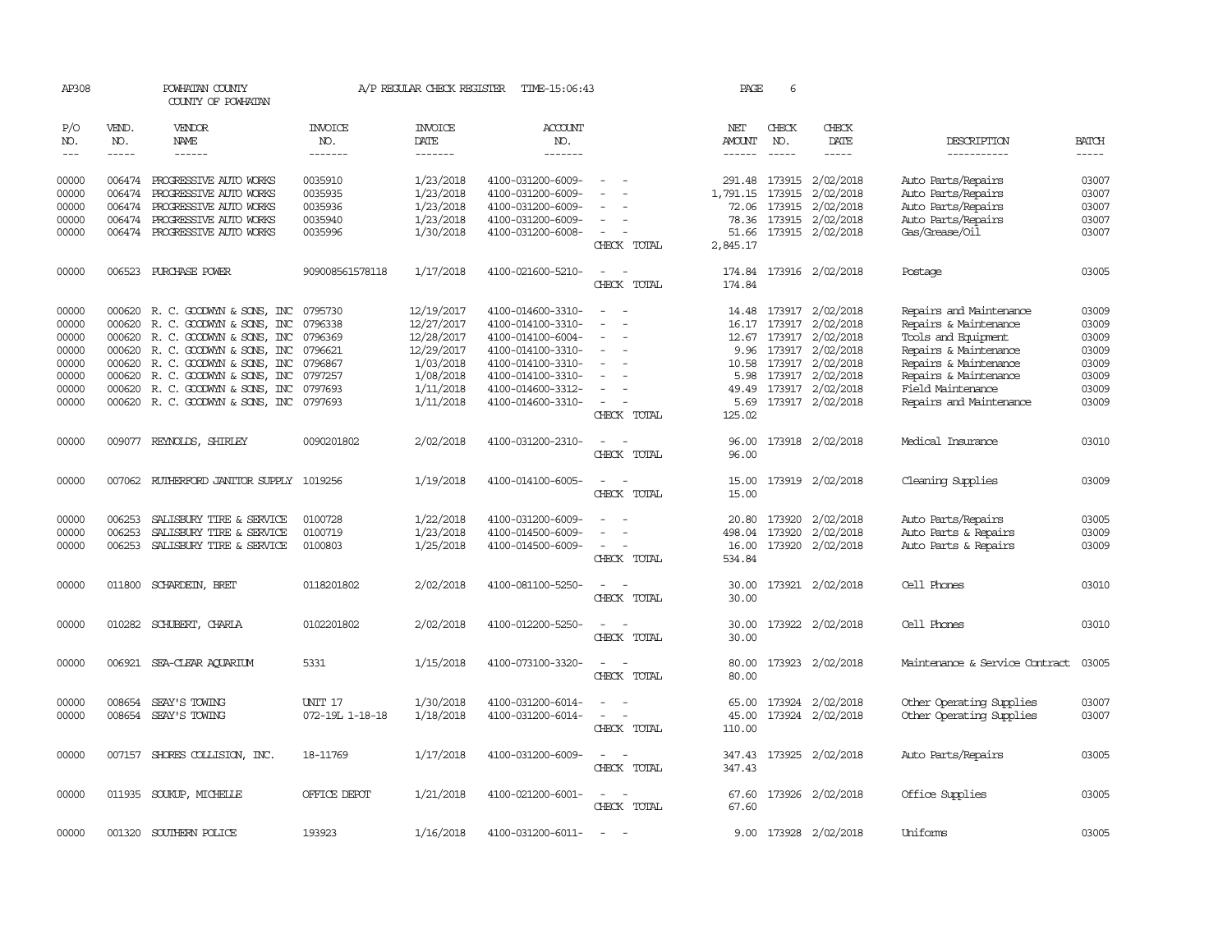| AP308             |                                                                                                                                                                                                                                                                                                                                                                                                                                                         | POWHATAN COUNTY<br>COUNTY OF POWHATAN    |                       | A/P REGULAR CHECK REGISTER | TIME-15:06:43     |                                                      | PAGE                           | 6                           |                         |                                |              |
|-------------------|---------------------------------------------------------------------------------------------------------------------------------------------------------------------------------------------------------------------------------------------------------------------------------------------------------------------------------------------------------------------------------------------------------------------------------------------------------|------------------------------------------|-----------------------|----------------------------|-------------------|------------------------------------------------------|--------------------------------|-----------------------------|-------------------------|--------------------------------|--------------|
| P/O<br>NO.        | VEND.<br>NO.                                                                                                                                                                                                                                                                                                                                                                                                                                            | VENDOR<br>NAME                           | <b>INVOICE</b><br>NO. | <b>INVOICE</b><br>DATE     | ACCOUNT<br>NO.    |                                                      | NET<br>AMOUNT<br>$- - - - - -$ | CHECK<br>NO.<br>$- - - - -$ | CHECK<br>DATE           | DESCRIPTION                    | <b>BATCH</b> |
| $\qquad \qquad -$ | $\begin{tabular}{ccccc} \multicolumn{2}{c }{\multicolumn{2}{c }{\multicolumn{2}{c }{\multicolumn{2}{c}}{\hspace{-2.2cm}}}} \multicolumn{2}{c }{\multicolumn{2}{c }{\hspace{-2.2cm}}\hline} \multicolumn{2}{c }{\hspace{-2.2cm}}\hline \multicolumn{2}{c }{\hspace{-2.2cm}}\hline \multicolumn{2}{c }{\hspace{-2.2cm}}\hline \multicolumn{2}{c }{\hspace{-2.2cm}}\hline \multicolumn{2}{c }{\hspace{-2.2cm}}\hline \multicolumn{2}{c }{\hspace{-2.2cm}}$ | $- - - - - -$                            | -------               | -------                    | -------           |                                                      |                                |                             | -----                   | -----------                    |              |
| 00000             |                                                                                                                                                                                                                                                                                                                                                                                                                                                         | 006474 PROGRESSIVE AUTO WORKS            | 0035910               | 1/23/2018                  | 4100-031200-6009- |                                                      | 291.48                         |                             | 173915 2/02/2018        | Auto Parts/Repairs             | 03007        |
| 00000             | 006474                                                                                                                                                                                                                                                                                                                                                                                                                                                  | PROGRESSIVE AUTO WORKS                   | 0035935               | 1/23/2018                  | 4100-031200-6009- |                                                      | 1,791.15                       | 173915                      | 2/02/2018               | Auto Parts/Repairs             | 03007        |
| 00000             | 006474                                                                                                                                                                                                                                                                                                                                                                                                                                                  | PROGRESSIVE AUTO WORKS                   | 0035936               | 1/23/2018                  | 4100-031200-6009- |                                                      | 72.06                          | 173915                      | 2/02/2018               | Auto Parts/Repairs             | 03007        |
| 00000             | 006474                                                                                                                                                                                                                                                                                                                                                                                                                                                  | PROGRESSIVE AUTO WORKS                   | 0035940               | 1/23/2018                  | 4100-031200-6009- |                                                      | 78.36                          | 173915                      | 2/02/2018               | Auto Parts/Repairs             | 03007        |
| 00000             |                                                                                                                                                                                                                                                                                                                                                                                                                                                         | 006474 PROGRESSIVE AUTO WORKS            | 0035996               | 1/30/2018                  | 4100-031200-6008- | $\overline{\phantom{a}}$                             | 51.66                          |                             | 173915 2/02/2018        | Gas/Grease/0il                 | 03007        |
|                   |                                                                                                                                                                                                                                                                                                                                                                                                                                                         |                                          |                       |                            |                   | CHECK TOTAL                                          | 2,845.17                       |                             |                         |                                |              |
| 00000             |                                                                                                                                                                                                                                                                                                                                                                                                                                                         | 006523 PURCHASE POWER                    | 909008561578118       | 1/17/2018                  | 4100-021600-5210- |                                                      | 174.84                         |                             | 173916 2/02/2018        | Postage                        | 03005        |
|                   |                                                                                                                                                                                                                                                                                                                                                                                                                                                         |                                          |                       |                            |                   | CHECK TOTAL                                          | 174.84                         |                             |                         |                                |              |
| 00000             | 000620                                                                                                                                                                                                                                                                                                                                                                                                                                                  | R. C. GOODWYN & SONS, INC                | 0795730               | 12/19/2017                 | 4100-014600-3310- | $\overline{\phantom{a}}$                             | 14.48                          |                             | 173917 2/02/2018        | Repairs and Maintenance        | 03009        |
| 00000             | 000620                                                                                                                                                                                                                                                                                                                                                                                                                                                  | R. C. GOODWYN & SONS, INC                | 0796338               | 12/27/2017                 | 4100-014100-3310- | $\overline{\phantom{a}}$                             | 16.17                          | 173917                      | 2/02/2018               | Repairs & Maintenance          | 03009        |
| 00000             | 000620                                                                                                                                                                                                                                                                                                                                                                                                                                                  | R. C. GOODWYN & SONS, INC                | 0796369               | 12/28/2017                 | 4100-014100-6004- |                                                      | 12.67                          |                             | 173917 2/02/2018        | Tools and Equipment            | 03009        |
| 00000             |                                                                                                                                                                                                                                                                                                                                                                                                                                                         | 000620 R. C. GOODWYN & SONS, INC         | 0796621               | 12/29/2017                 | 4100-014100-3310- | $\equiv$                                             | 9.96                           |                             | 173917 2/02/2018        | Repairs & Maintenance          | 03009        |
| 00000             | 000620                                                                                                                                                                                                                                                                                                                                                                                                                                                  | R. C. GOODWYN & SONS, INC                | 0796867               | 1/03/2018                  | 4100-014100-3310- |                                                      | 10.58                          | 173917                      | 2/02/2018               | Repairs & Maintenance          | 03009        |
| 00000             | 000620                                                                                                                                                                                                                                                                                                                                                                                                                                                  | R. C. GOODWYN & SONS, INC                | 0797257               | 1/08/2018                  | 4100-014100-3310- |                                                      | 5.98                           |                             | 173917 2/02/2018        | Repairs & Maintenance          | 03009        |
| 00000             |                                                                                                                                                                                                                                                                                                                                                                                                                                                         | 000620 R. C. GOODWYN & SONS, INC         | 0797693               | 1/11/2018                  | 4100-014600-3312- |                                                      | 49.49                          |                             | 173917 2/02/2018        | Field Maintenance              | 03009        |
| 00000             |                                                                                                                                                                                                                                                                                                                                                                                                                                                         | 000620 R. C. GOODWYN & SONS, INC 0797693 |                       | 1/11/2018                  | 4100-014600-3310- | $\overline{\phantom{a}}$                             | 5.69                           |                             | 173917 2/02/2018        | Repairs and Maintenance        | 03009        |
|                   |                                                                                                                                                                                                                                                                                                                                                                                                                                                         |                                          |                       |                            |                   | CHECK TOTAL                                          | 125.02                         |                             |                         |                                |              |
| 00000             |                                                                                                                                                                                                                                                                                                                                                                                                                                                         | 009077 REYNOLDS, SHIRLEY                 | 0090201802            | 2/02/2018                  | 4100-031200-2310- | $\sim$                                               | 96.00                          |                             | 173918 2/02/2018        | Medical Insurance              | 03010        |
|                   |                                                                                                                                                                                                                                                                                                                                                                                                                                                         |                                          |                       |                            |                   | CHECK TOTAL                                          | 96.00                          |                             |                         |                                |              |
| 00000             |                                                                                                                                                                                                                                                                                                                                                                                                                                                         | 007062 RUIHERFORD JANITOR SUPPLY 1019256 |                       | 1/19/2018                  | 4100-014100-6005- | $\sim$<br>$\overline{\phantom{a}}$                   | 15.00                          |                             | 173919 2/02/2018        | Cleaning Supplies              | 03009        |
|                   |                                                                                                                                                                                                                                                                                                                                                                                                                                                         |                                          |                       |                            |                   | CHECK TOTAL                                          | 15.00                          |                             |                         |                                |              |
| 00000             | 006253                                                                                                                                                                                                                                                                                                                                                                                                                                                  | SALISBURY TIRE & SERVICE                 | 0100728               | 1/22/2018                  | 4100-031200-6009- |                                                      | 20.80                          | 173920                      | 2/02/2018               | Auto Parts/Repairs             | 03005        |
| 00000             | 006253                                                                                                                                                                                                                                                                                                                                                                                                                                                  | SALISBURY TIRE & SERVICE                 | 0100719               | 1/23/2018                  | 4100-014500-6009- |                                                      | 498.04                         | 173920                      | 2/02/2018               | Auto Parts & Repairs           | 03009        |
| 00000             | 006253                                                                                                                                                                                                                                                                                                                                                                                                                                                  | SALISBURY TIRE & SERVICE                 | 0100803               | 1/25/2018                  | 4100-014500-6009- |                                                      | 16.00                          | 173920                      | 2/02/2018               | Auto Parts & Repairs           | 03009        |
|                   |                                                                                                                                                                                                                                                                                                                                                                                                                                                         |                                          |                       |                            |                   | CHECK TOTAL                                          | 534.84                         |                             |                         |                                |              |
| 00000             |                                                                                                                                                                                                                                                                                                                                                                                                                                                         | 011800 SCHARDEIN, BRET                   | 0118201802            | 2/02/2018                  | 4100-081100-5250- |                                                      | 30.00                          |                             | 173921 2/02/2018        | Cell Phones                    | 03010        |
|                   |                                                                                                                                                                                                                                                                                                                                                                                                                                                         |                                          |                       |                            |                   | CHECK TOTAL                                          | 30.00                          |                             |                         |                                |              |
| 00000             |                                                                                                                                                                                                                                                                                                                                                                                                                                                         | 010282 SCHUBERT, CHARLA                  | 0102201802            | 2/02/2018                  | 4100-012200-5250- |                                                      | 30.00                          |                             | 173922 2/02/2018        | Cell Phones                    | 03010        |
|                   |                                                                                                                                                                                                                                                                                                                                                                                                                                                         |                                          |                       |                            |                   | CHECK TOTAL                                          | 30.00                          |                             |                         |                                |              |
| 00000             |                                                                                                                                                                                                                                                                                                                                                                                                                                                         | 006921 SEA-CLEAR AQUARIUM                | 5331                  | 1/15/2018                  | 4100-073100-3320- |                                                      | 80.00                          |                             | 173923 2/02/2018        | Maintenance & Service Contract | 03005        |
|                   |                                                                                                                                                                                                                                                                                                                                                                                                                                                         |                                          |                       |                            |                   | CHECK TOTAL                                          | 80.00                          |                             |                         |                                |              |
| 00000             | 008654                                                                                                                                                                                                                                                                                                                                                                                                                                                  | SEAY'S TOWING                            | UNIT 17               | 1/30/2018                  | 4100-031200-6014- |                                                      | 65.00                          |                             | 173924 2/02/2018        | Other Operating Supplies       | 03007        |
| 00000             |                                                                                                                                                                                                                                                                                                                                                                                                                                                         | 008654 SEAY'S TOWING                     | 072-19L 1-18-18       | 1/18/2018                  | 4100-031200-6014- | $\equiv$                                             | 45.00                          |                             | 173924 2/02/2018        | Other Operating Supplies       | 03007        |
|                   |                                                                                                                                                                                                                                                                                                                                                                                                                                                         |                                          |                       |                            |                   | CHECK TOTAL                                          | 110.00                         |                             |                         |                                |              |
| 00000             |                                                                                                                                                                                                                                                                                                                                                                                                                                                         | 007157 SHORES COLLISION, INC.            | 18-11769              | 1/17/2018                  | 4100-031200-6009- |                                                      |                                |                             | 347.43 173925 2/02/2018 | Auto Parts/Repairs             | 03005        |
|                   |                                                                                                                                                                                                                                                                                                                                                                                                                                                         |                                          |                       |                            |                   | CHECK TOTAL                                          | 347.43                         |                             |                         |                                |              |
| 00000             |                                                                                                                                                                                                                                                                                                                                                                                                                                                         | 011935 SOUKUP, MICHELLE                  | OFFICE DEPOT          | 1/21/2018                  | 4100-021200-6001- | $\overline{\phantom{a}}$<br>$\overline{\phantom{a}}$ |                                |                             | 67.60 173926 2/02/2018  | Office Supplies                | 03005        |
|                   |                                                                                                                                                                                                                                                                                                                                                                                                                                                         |                                          |                       |                            |                   | CHECK TOTAL                                          | 67.60                          |                             |                         |                                |              |
| 00000             |                                                                                                                                                                                                                                                                                                                                                                                                                                                         | 001320 SOUTHERN POLICE                   | 193923                | 1/16/2018                  | 4100-031200-6011- |                                                      |                                |                             | 9.00 173928 2/02/2018   | Uniforms                       | 03005        |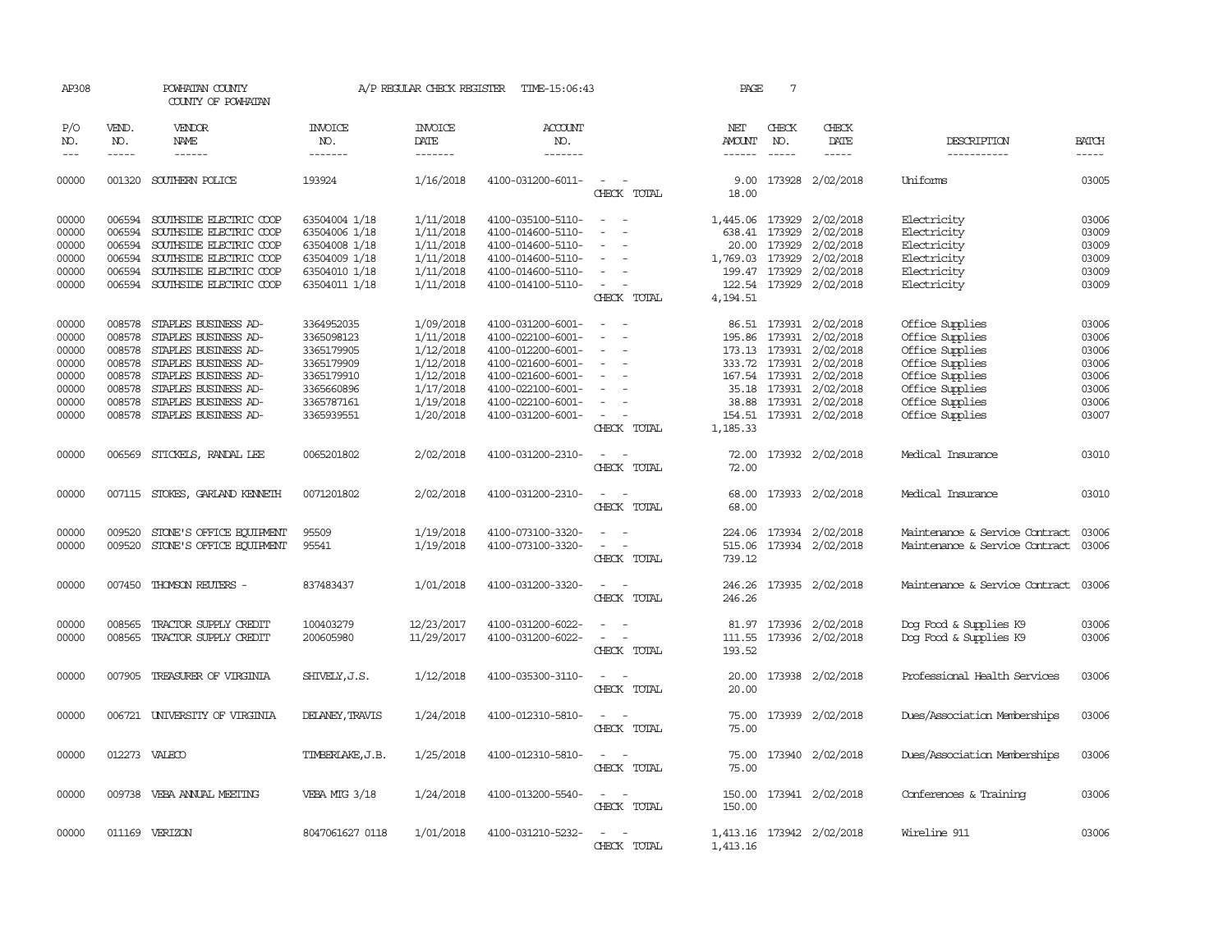| AP308      |              | POWHATAN COUNTY<br>COUNTY OF POWHATAN |                  |                        | A/P REGULAR CHECK REGISTER TIME-15:06:43 |                                                      | PAGE            | 7             |                           |                                |              |
|------------|--------------|---------------------------------------|------------------|------------------------|------------------------------------------|------------------------------------------------------|-----------------|---------------|---------------------------|--------------------------------|--------------|
| P/O<br>NO. | VEND.<br>NO. | VENDOR<br>NAME                        | INVOICE<br>NO.   | <b>INVOICE</b><br>DATE | <b>ACCOUNT</b><br>NO.                    |                                                      | NET<br>AMOUNT   | CHECK<br>NO.  | CHECK<br>DATE             | DESCRIPTION                    | <b>BATCH</b> |
| $---$      | $- - - - -$  | $- - - - - -$                         | -------          | -------                | -------                                  |                                                      |                 | $\frac{1}{2}$ | $- - - - -$               | -----------                    | -----        |
| 00000      |              | 001320 SOUTHERN POLICE                | 193924           | 1/16/2018              | 4100-031200-6011-                        | $\sim$ $ \sim$<br>CHECK TOTAL                        | 18.00           |               | 9.00 173928 2/02/2018     | Uniforms                       | 03005        |
| 00000      | 006594       | SOUTHSIDE ELECTRIC COOP               | 63504004 1/18    | 1/11/2018              | 4100-035100-5110-                        |                                                      | 1,445.06 173929 |               | 2/02/2018                 | Electricity                    | 03006        |
| 00000      | 006594       | SOUTHSIDE ELECTRIC COOP               | 63504006 1/18    | 1/11/2018              | 4100-014600-5110-                        | $\overline{\phantom{a}}$<br>$\overline{\phantom{a}}$ |                 | 638.41 173929 | 2/02/2018                 | Electricity                    | 03009        |
| 00000      | 006594       | SOUTHSIDE ELECTRIC COOP               | 63504008 1/18    | 1/11/2018              | 4100-014600-5110-                        | $\overline{\phantom{a}}$                             | 20.00           | 173929        | 2/02/2018                 | Electricity                    | 03009        |
| 00000      |              | 006594 SOUTHSIDE ELECTRIC COOP        | 63504009 1/18    | 1/11/2018              | 4100-014600-5110-                        | $\overline{\phantom{a}}$                             | 1,769.03 173929 |               | 2/02/2018                 | Electricity                    | 03009        |
| 00000      | 006594       | SOUTHSIDE ELECTRIC COOP               | 63504010 1/18    | 1/11/2018              | 4100-014600-5110-                        | $\sim$<br>$\overline{\phantom{0}}$                   |                 | 199.47 173929 | 2/02/2018                 | Electricity                    | 03009        |
| 00000      |              | 006594 SOUTHSIDE ELECTRIC COOP        | 63504011 1/18    | 1/11/2018              | 4100-014100-5110-                        | $\sim$<br>$\overline{\phantom{a}}$                   |                 |               | 122.54 173929 2/02/2018   | Electricity                    | 03009        |
|            |              |                                       |                  |                        |                                          | CHECK TOTAL                                          | 4,194.51        |               |                           |                                |              |
| 00000      | 008578       | STAPLES BUSINESS AD-                  | 3364952035       | 1/09/2018              | 4100-031200-6001-                        | $\sim$<br>$\sim$                                     |                 |               | 86.51 173931 2/02/2018    | Office Supplies                | 03006        |
| 00000      | 008578       | STAPLES BUSINESS AD-                  | 3365098123       | 1/11/2018              | 4100-022100-6001-                        | $\overline{\phantom{a}}$<br>$\overline{\phantom{a}}$ |                 |               | 195.86 173931 2/02/2018   | Office Supplies                | 03006        |
| 00000      |              | 008578 STAPLES BUSINESS AD-           | 3365179905       | 1/12/2018              | 4100-012200-6001-                        | $\sim$                                               |                 | 173.13 173931 | 2/02/2018                 | Office Supplies                | 03006        |
| 00000      |              | 008578 STAPLES BUSINESS AD-           | 3365179909       | 1/12/2018              | 4100-021600-6001-                        |                                                      |                 |               | 333.72 173931 2/02/2018   | Office Supplies                | 03006        |
| 00000      |              | 008578 STAPLES BUSINESS AD-           | 3365179910       | 1/12/2018              | 4100-021600-6001-                        | $\sim$<br>$\overline{a}$                             |                 |               | 167.54 173931 2/02/2018   | Office Supplies                | 03006        |
| 00000      | 008578       | STAPLES BUSINESS AD-                  | 3365660896       | 1/17/2018              | 4100-022100-6001-                        | $\overline{\phantom{a}}$                             |                 |               | 35.18 173931 2/02/2018    | Office Supplies                | 03006        |
| 00000      |              | 008578 STAPLES BUSINESS AD-           | 3365787161       | 1/19/2018              | 4100-022100-6001-                        |                                                      |                 |               | 38.88 173931 2/02/2018    | Office Supplies                | 03006        |
| 00000      |              | 008578 STAPLES BUSINESS AD-           | 3365939551       | 1/20/2018              | 4100-031200-6001-                        | $\sim$<br>$\overline{\phantom{a}}$                   |                 |               | 154.51 173931 2/02/2018   | Office Supplies                | 03007        |
|            |              |                                       |                  |                        |                                          | CHECK TOTAL                                          | 1,185.33        |               |                           |                                |              |
| 00000      | 006569       | STICKELS, RANDAL LEE                  | 0065201802       | 2/02/2018              | 4100-031200-2310-                        | $\sim$<br>$\sim$                                     |                 |               | 72.00 173932 2/02/2018    | Medical Insurance              | 03010        |
|            |              |                                       |                  |                        |                                          | CHECK TOTAL                                          | 72.00           |               |                           |                                |              |
| 00000      |              | 007115 STOKES, GARLAND KENNETH        | 0071201802       | 2/02/2018              | 4100-031200-2310-                        |                                                      |                 |               | 68.00 173933 2/02/2018    | Medical Insurance              | 03010        |
|            |              |                                       |                  |                        |                                          | CHECK TOTAL                                          | 68.00           |               |                           |                                |              |
| 00000      | 009520       | STONE'S OFFICE EQUIPMENT              | 95509            | 1/19/2018              | 4100-073100-3320-                        | $\overline{\phantom{a}}$<br>$\sim$                   |                 |               | 224.06 173934 2/02/2018   | Maintenance & Service Contract | 03006        |
| 00000      | 009520       | STONE'S OFFICE EQUIPMENT              | 95541            | 1/19/2018              | 4100-073100-3320-                        | $\sim$                                               |                 |               | 515.06 173934 2/02/2018   | Maintenance & Service Contract | 03006        |
|            |              |                                       |                  |                        |                                          | CHECK TOTAL                                          | 739.12          |               |                           |                                |              |
| 00000      |              | 007450 THOMSON REUTERS -              | 837483437        | 1/01/2018              | 4100-031200-3320-                        | $\sim$<br>$\sim$                                     | 246.26          |               | 173935 2/02/2018          | Maintenance & Service Contract | 03006        |
|            |              |                                       |                  |                        |                                          | CHECK TOTAL                                          | 246.26          |               |                           |                                |              |
| 00000      | 008565       | TRACTOR SUPPLY CREDIT                 | 100403279        | 12/23/2017             | 4100-031200-6022-                        |                                                      | 81.97           |               | 173936 2/02/2018          | Dog Food & Supplies K9         | 03006        |
| 00000      |              | 008565 TRACTOR SUPPLY CREDIT          | 200605980        | 11/29/2017             | 4100-031200-6022-                        |                                                      |                 |               | 111.55 173936 2/02/2018   | Dog Food & Supplies K9         | 03006        |
|            |              |                                       |                  |                        |                                          | CHECK TOTAL                                          | 193.52          |               |                           |                                |              |
| 00000      | 007905       | TREASURER OF VIRGINIA                 | SHIVELY, J.S.    | 1/12/2018              | 4100-035300-3110-                        |                                                      | 20.00           |               | 173938 2/02/2018          | Professional Health Services   | 03006        |
|            |              |                                       |                  |                        |                                          | CHECK TOTAL                                          | 20.00           |               |                           |                                |              |
| 00000      |              | 006721 UNIVERSITY OF VIRGINIA         | DELANEY, TRAVIS  | 1/24/2018              | 4100-012310-5810-                        | $\overline{\phantom{a}}$                             | 75.00           |               | 173939 2/02/2018          | Dues/Association Memberships   | 03006        |
|            |              |                                       |                  |                        |                                          | CHECK TOTAL                                          | 75.00           |               |                           |                                |              |
| 00000      |              | 012273 VALECO                         | TIMBERLAKE, J.B. | 1/25/2018              | 4100-012310-5810-                        |                                                      |                 |               | 75.00 173940 2/02/2018    | Dues/Association Memberships   | 03006        |
|            |              |                                       |                  |                        |                                          | CHECK TOTAL                                          | 75.00           |               |                           |                                |              |
| 00000      |              | 009738 VEBA ANNUAL MEETING            | VEBA MIG 3/18    | 1/24/2018              | 4100-013200-5540-                        | $\sim$                                               | 150.00          |               | 173941 2/02/2018          | Conferences & Training         | 03006        |
|            |              |                                       |                  |                        |                                          | CHECK TOTAL                                          | 150.00          |               |                           |                                |              |
| 00000      |              | 011169 VERIZON                        | 8047061627 0118  | 1/01/2018              | 4100-031210-5232-                        | $\sim$<br>$\sim$                                     |                 |               | 1,413.16 173942 2/02/2018 | Wireline 911                   | 03006        |
|            |              |                                       |                  |                        |                                          | CHECK TOTAL                                          | 1,413.16        |               |                           |                                |              |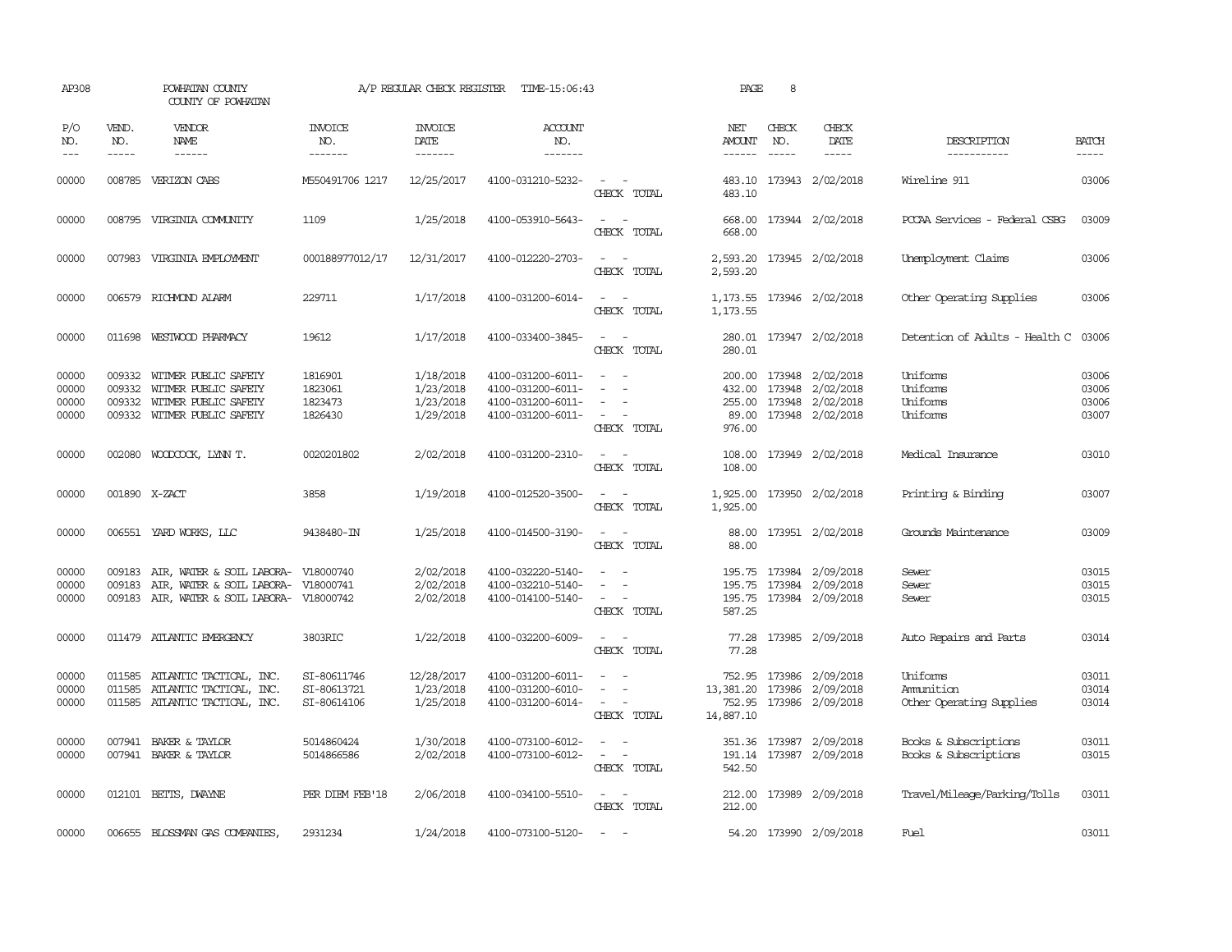| AP308                            |                             | POWHATAN COUNTY<br>COUNTY OF POWHATAN                                                                          |                                           | A/P REGULAR CHECK REGISTER                       | TIME-15:06:43                                                                    |                                                                                                                             | PAGE                                       | 8                |                                                                              |                                                  |                                  |
|----------------------------------|-----------------------------|----------------------------------------------------------------------------------------------------------------|-------------------------------------------|--------------------------------------------------|----------------------------------------------------------------------------------|-----------------------------------------------------------------------------------------------------------------------------|--------------------------------------------|------------------|------------------------------------------------------------------------------|--------------------------------------------------|----------------------------------|
| P/O<br>NO.<br>$---$              | VEND.<br>NO.<br>$- - - - -$ | <b>VENDOR</b><br>NAME                                                                                          | <b>INVOICE</b><br>NO.<br>-------          | <b>INVOICE</b><br>DATE<br>-------                | <b>ACCOUNT</b><br>NO.<br>-------                                                 |                                                                                                                             | NET<br>AMOUNT<br>------                    | CHECK<br>NO.     | CHECK<br>DATE<br>$- - - - -$                                                 | DESCRIPTION<br>-----------                       | <b>BATCH</b><br>-----            |
| 00000                            |                             | 008785 VERIZON CABS                                                                                            | M550491706 1217                           | 12/25/2017                                       | 4100-031210-5232-                                                                | $\sim$<br>CHECK TOTAL                                                                                                       | 483.10<br>483.10                           |                  | 173943 2/02/2018                                                             | Wireline 911                                     | 03006                            |
| 00000                            |                             | 008795 VIRGINIA COMUNITY                                                                                       | 1109                                      | 1/25/2018                                        | 4100-053910-5643-                                                                | $\frac{1}{2} \left( \frac{1}{2} \right) \left( \frac{1}{2} \right) = \frac{1}{2} \left( \frac{1}{2} \right)$<br>CHECK TOTAL | 668.00<br>668.00                           |                  | 173944 2/02/2018                                                             | PCCAA Services - Federal CSBG                    | 03009                            |
| 00000                            |                             | 007983 VIRGINIA EMPLOYMENT                                                                                     | 000188977012/17                           | 12/31/2017                                       | 4100-012220-2703-                                                                | $\sim$<br>CHECK TOTAL                                                                                                       | 2,593.20<br>2,593.20                       |                  | 173945 2/02/2018                                                             | Unemployment Claims                              | 03006                            |
| 00000                            |                             | 006579 RICHMOND ALARM                                                                                          | 229711                                    | 1/17/2018                                        | 4100-031200-6014-                                                                | $ -$<br>CHECK TOTAL                                                                                                         | 1,173.55                                   |                  | 1, 173.55 173946 2/02/2018                                                   | Other Operating Supplies                         | 03006                            |
| 00000                            |                             | 011698 WESTWOOD PHARMACY                                                                                       | 19612                                     | 1/17/2018                                        | 4100-033400-3845-                                                                | $\frac{1}{2} \left( \frac{1}{2} \right) \left( \frac{1}{2} \right) = \frac{1}{2} \left( \frac{1}{2} \right)$<br>CHECK TOTAL | 280.01                                     |                  | 280.01 173947 2/02/2018                                                      | Detention of Adults - Health C                   | 03006                            |
| 00000<br>00000<br>00000<br>00000 | 009332<br>009332            | WITMER PUBLIC SAFETY<br>WITMER PUBLIC SAFETY<br>009332 WITMER PUBLIC SAFETY<br>009332 WITMER PUBLIC SAFETY     | 1816901<br>1823061<br>1823473<br>1826430  | 1/18/2018<br>1/23/2018<br>1/23/2018<br>1/29/2018 | 4100-031200-6011-<br>4100-031200-6011-<br>4100-031200-6011-<br>4100-031200-6011- | $\sim$<br>CHECK TOTAL                                                                                                       | 200.00<br>432.00<br>89.00<br>976.00        | 173948           | 173948 2/02/2018<br>2/02/2018<br>255.00 173948 2/02/2018<br>173948 2/02/2018 | Uniforms<br>Uniforms<br>Uniforms<br>Uniforms     | 03006<br>03006<br>03006<br>03007 |
| 00000                            |                             | 002080 WOODCOCK, LYNN T.                                                                                       | 0020201802                                | 2/02/2018                                        | 4100-031200-2310-                                                                | $\overline{a}$<br>$\sim$<br>CHECK TOTAL                                                                                     | 108.00<br>108.00                           |                  | 173949 2/02/2018                                                             | Medical Insurance                                | 03010                            |
| 00000                            |                             | 001890 X-ZACT                                                                                                  | 3858                                      | 1/19/2018                                        | 4100-012520-3500-                                                                | CHECK TOTAL                                                                                                                 | 1,925.00<br>1,925.00                       |                  | 173950 2/02/2018                                                             | Printing & Binding                               | 03007                            |
| 00000                            |                             | 006551 YARD WORKS, LLC                                                                                         | 9438480-IN                                | 1/25/2018                                        | 4100-014500-3190-                                                                | $\frac{1}{2} \left( \frac{1}{2} \right) \left( \frac{1}{2} \right) = \frac{1}{2} \left( \frac{1}{2} \right)$<br>CHECK TOTAL | 88.00<br>88.00                             |                  | 173951 2/02/2018                                                             | Grounds Maintenance                              | 03009                            |
| 00000<br>00000<br>00000          | 009183<br>009183            | AIR, WATER & SOIL LABORA-<br>AIR, WATER & SOIL LABORA- V18000741<br>009183 AIR, WATER & SOIL LABORA- V18000742 | V18000740                                 | 2/02/2018<br>2/02/2018<br>2/02/2018              | 4100-032220-5140-<br>4100-032210-5140-<br>4100-014100-5140-                      | $\equiv$<br>$\sim$ $\sim$<br>CHECK TOTAL                                                                                    | 195.75<br>195.75<br>587.25                 | 173984<br>173984 | 2/09/2018<br>2/09/2018<br>195.75 173984 2/09/2018                            | Sewer<br>Sewer<br>Sewer                          | 03015<br>03015<br>03015          |
| 00000                            |                             | 011479 ATLANTIC EMERGENCY                                                                                      | 3803RIC                                   | 1/22/2018                                        | 4100-032200-6009-                                                                | $\overline{\phantom{a}}$<br>CHECK TOTAL                                                                                     | 77.28<br>77.28                             |                  | 173985 2/09/2018                                                             | Auto Repairs and Parts                           | 03014                            |
| 00000<br>00000<br>00000          | 011585                      | ATLANTIC TACTICAL, INC.<br>011585 ATLANTIC TACTICAL, INC.<br>011585 ATLANTIC TACTICAL, INC.                    | SI-80611746<br>SI-80613721<br>SI-80614106 | 12/28/2017<br>1/23/2018<br>1/25/2018             | 4100-031200-6011-<br>4100-031200-6010-<br>4100-031200-6014-                      | $\sim$<br>CHECK TOTAL                                                                                                       | 752.95<br>13,381.20<br>752.95<br>14,887.10 | 173986<br>173986 | 2/09/2018<br>2/09/2018<br>173986 2/09/2018                                   | Uniforms<br>Ammition<br>Other Operating Supplies | 03011<br>03014<br>03014          |
| 00000<br>00000                   |                             | 007941 BAKER & TAYLOR<br>007941 BAKER & TAYLOR                                                                 | 5014860424<br>5014866586                  | 1/30/2018<br>2/02/2018                           | 4100-073100-6012-<br>4100-073100-6012-                                           | $\sim$<br>CHECK TOTAL                                                                                                       | 542.50                                     |                  | 351.36 173987 2/09/2018<br>191.14 173987 2/09/2018                           | Books & Subscriptions<br>Books & Subscriptions   | 03011<br>03015                   |
| 00000                            |                             | 012101 BETTS, DWAYNE                                                                                           | PER DIEM FEB'18                           | 2/06/2018                                        | 4100-034100-5510-                                                                | $\sim$ $ \sim$<br>CHECK TOTAL                                                                                               | 212.00<br>212.00                           |                  | 173989 2/09/2018                                                             | Travel/Mileage/Parking/Tolls                     | 03011                            |
| 00000                            |                             | 006655 BLOSSMAN GAS COMPANIES                                                                                  | 2931234                                   | 1/24/2018                                        | 4100-073100-5120-                                                                |                                                                                                                             |                                            |                  | 54.20 173990 2/09/2018                                                       | <b>Fuel</b>                                      | 03011                            |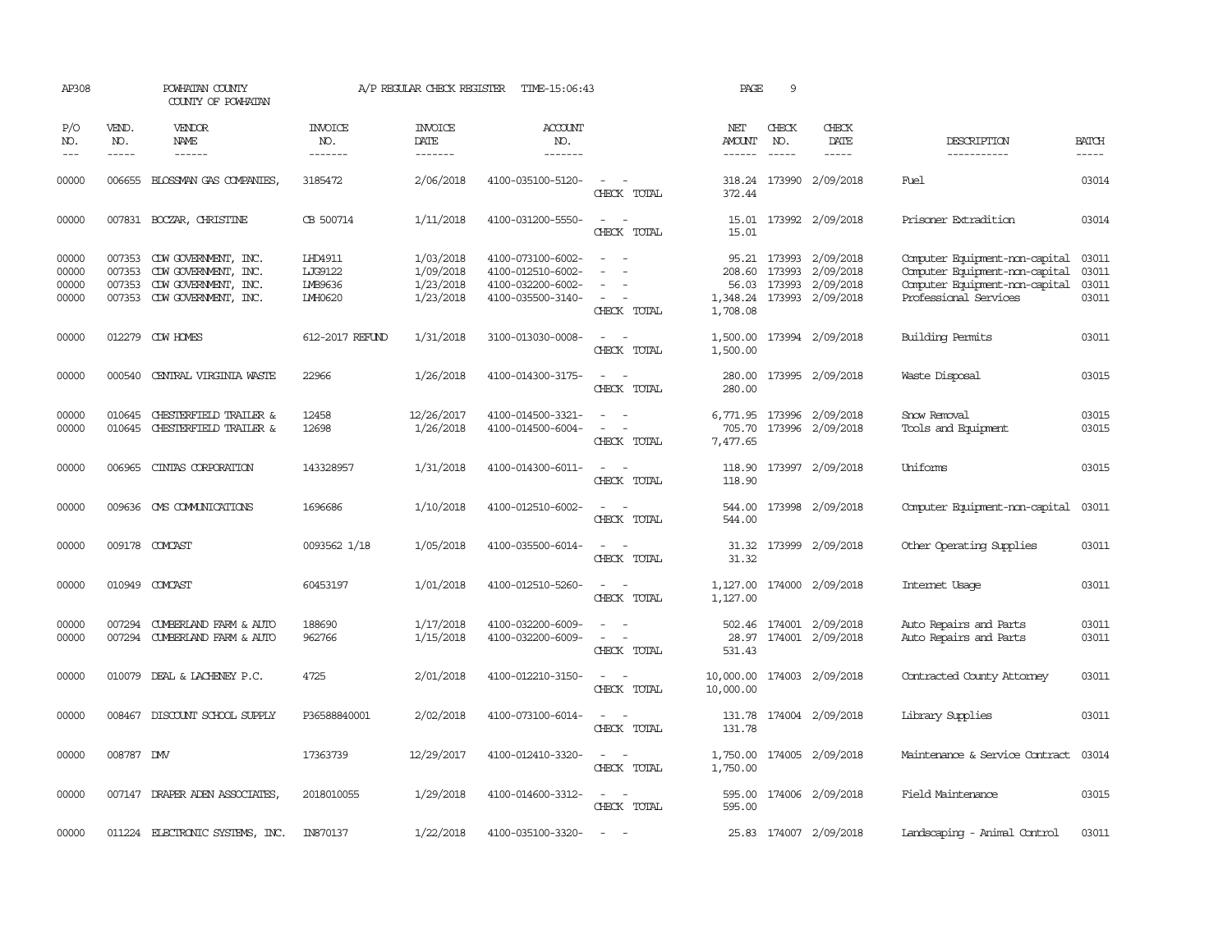| AP308                            |                             | POWHATAN COUNTY<br>COUNTY OF POWHATAN                                                                      |                                                 | A/P REGULAR CHECK REGISTER                       | TIME-15:06:43                                                                    |                                                             | PAGE                    | 9                             |                                                                                            |                                                                                                                             |                                  |
|----------------------------------|-----------------------------|------------------------------------------------------------------------------------------------------------|-------------------------------------------------|--------------------------------------------------|----------------------------------------------------------------------------------|-------------------------------------------------------------|-------------------------|-------------------------------|--------------------------------------------------------------------------------------------|-----------------------------------------------------------------------------------------------------------------------------|----------------------------------|
| P/O<br>NO.<br>$---$              | VEND.<br>NO.<br>$- - - - -$ | VENDOR<br><b>NAME</b><br>$- - - - - -$                                                                     | INVOICE<br>NO.<br>-------                       | <b>INVOICE</b><br>DATE<br>-------                | ACCOUNT<br>NO.<br>$- - - - - - -$                                                |                                                             | NET<br>AMOUNT<br>------ | CHECK<br>NO.<br>$\frac{1}{2}$ | CHECK<br>DATE<br>$- - - - -$                                                               | DESCRIPTION<br>-----------                                                                                                  | <b>BATCH</b><br>-----            |
| 00000                            | 006655                      | BLOSSMAN GAS COMPANIES                                                                                     | 3185472                                         | 2/06/2018                                        | 4100-035100-5120-                                                                | $\overline{\phantom{a}}$<br>CHECK TOTAL                     | 372.44                  |                               | 318.24 173990 2/09/2018                                                                    | Fuel                                                                                                                        | 03014                            |
| 00000                            |                             | 007831 BOCZAR, CHRISTINE                                                                                   | CB 500714                                       | 1/11/2018                                        | 4100-031200-5550-                                                                | $\equiv$<br>CHECK TOTAL                                     | 15.01                   |                               | 15.01 173992 2/09/2018                                                                     | Prisoner Extradition                                                                                                        | 03014                            |
| 00000<br>00000<br>00000<br>00000 | 007353<br>007353            | 007353 CDW GOVERNMENT, INC.<br>CDW GOVERNMENT, INC.<br>CDW GOVERNMENT, INC.<br>007353 CDW GOVERNMENT, INC. | LHD4911<br>LJG9122<br>IMB9636<br><b>IMH0620</b> | 1/03/2018<br>1/09/2018<br>1/23/2018<br>1/23/2018 | 4100-073100-6002-<br>4100-012510-6002-<br>4100-032200-6002-<br>4100-035500-3140- | $\sim$<br>$\sim$<br>$\overline{\phantom{a}}$<br>CHECK TOTAL | 208.60<br>1,708.08      | 173993                        | 95.21 173993 2/09/2018<br>2/09/2018<br>56.03 173993 2/09/2018<br>1,348.24 173993 2/09/2018 | Computer Equipment-non-capital<br>Computer Equipment-non-capital<br>Computer Equipment-non-capital<br>Professional Services | 03011<br>03011<br>03011<br>03011 |
| 00000                            |                             | 012279 CDW HOMES                                                                                           | 612-2017 REFUND                                 | 1/31/2018                                        | 3100-013030-0008-                                                                | $\sim$ $\sim$<br>CHECK TOTAL                                | 1,500.00<br>1,500.00    |                               | 173994 2/09/2018                                                                           | <b>Building Permits</b>                                                                                                     | 03011                            |
| 00000                            |                             | 000540 CENTRAL VIRGINIA WASTE                                                                              | 22966                                           | 1/26/2018                                        | 4100-014300-3175-                                                                | $\sim$<br>$\sim$<br>CHECK TOTAL                             | 280.00<br>280.00        |                               | 173995 2/09/2018                                                                           | Waste Disposal                                                                                                              | 03015                            |
| 00000<br>00000                   |                             | 010645 CHESTERFIELD TRAILER &<br>010645 CHESTERFIELD TRAILER &                                             | 12458<br>12698                                  | 12/26/2017<br>1/26/2018                          | 4100-014500-3321-<br>4100-014500-6004-                                           | CHECK TOTAL                                                 | 705.70<br>7,477.65      |                               | 6,771.95 173996 2/09/2018<br>173996 2/09/2018                                              | Snow Removal<br>Tools and Equipment                                                                                         | 03015<br>03015                   |
| 00000                            | 006965                      | CINIAS CORPORATION                                                                                         | 143328957                                       | 1/31/2018                                        | 4100-014300-6011-                                                                | CHECK TOTAL                                                 | 118.90<br>118.90        |                               | 173997 2/09/2018                                                                           | Uniforms                                                                                                                    | 03015                            |
| 00000                            |                             | 009636 CMS COMMUNICATIONS                                                                                  | 1696686                                         | 1/10/2018                                        | 4100-012510-6002-                                                                | CHECK TOTAL                                                 | 544.00<br>544.00        |                               | 173998 2/09/2018                                                                           | Computer Equipment-non-capital                                                                                              | 03011                            |
| 00000                            |                             | 009178 COMCAST                                                                                             | 0093562 1/18                                    | 1/05/2018                                        | 4100-035500-6014-                                                                | CHECK TOTAL                                                 | 31.32<br>31.32          |                               | 173999 2/09/2018                                                                           | Other Operating Supplies                                                                                                    | 03011                            |
| 00000                            |                             | 010949 COMCAST                                                                                             | 60453197                                        | 1/01/2018                                        | 4100-012510-5260-                                                                | $\overline{\phantom{a}}$<br>$\sim$<br>CHECK TOTAL           | 1,127.00<br>1,127.00    |                               | 174000 2/09/2018                                                                           | Internet Usage                                                                                                              | 03011                            |
| 00000<br>00000                   |                             | 007294 CUMBERLAND FARM & AUTO<br>007294 CUMBERLAND FARM & AUTO                                             | 188690<br>962766                                | 1/17/2018<br>1/15/2018                           | 4100-032200-6009-<br>4100-032200-6009-                                           | $\sim$<br>$\sim$<br>$\equiv$<br>CHECK TOTAL                 | 28.97<br>531.43         |                               | 502.46 174001 2/09/2018<br>174001 2/09/2018                                                | Auto Repairs and Parts<br>Auto Repairs and Parts                                                                            | 03011<br>03011                   |
| 00000                            |                             | 010079 DEAL & LACHENEY P.C.                                                                                | 4725                                            | 2/01/2018                                        | 4100-012210-3150-                                                                | $\sim$<br>$\sim$<br>CHECK TOTAL                             | 10,000.00<br>10,000.00  |                               | 174003 2/09/2018                                                                           | Contracted County Attorney                                                                                                  | 03011                            |
| 00000                            | 008467                      | DISCOUNT SCHOOL SUPPLY                                                                                     | P36588840001                                    | 2/02/2018                                        | 4100-073100-6014-                                                                | $\sim$<br>$\sim$<br>CHECK TOTAL                             | 131.78<br>131.78        |                               | 174004 2/09/2018                                                                           | Library Supplies                                                                                                            | 03011                            |
| 00000                            | 008787 DW                   |                                                                                                            | 17363739                                        | 12/29/2017                                       | 4100-012410-3320-                                                                | $\sim$ $ \sim$<br>CHECK TOTAL                               | 1,750.00<br>1,750.00    |                               | 174005 2/09/2018                                                                           | Maintenance & Service Contract                                                                                              | 03014                            |
| 00000                            |                             | 007147 DRAPER ADEN ASSOCIATES                                                                              | 2018010055                                      | 1/29/2018                                        | 4100-014600-3312-                                                                | $\sim$ $ \sim$<br>CHECK TOTAL                               | 595.00<br>595.00        |                               | 174006 2/09/2018                                                                           | Field Maintenance                                                                                                           | 03015                            |
| 00000                            |                             | 011224 ELECTRONIC SYSTEMS, INC.                                                                            | IN870137                                        | 1/22/2018                                        | 4100-035100-3320-                                                                |                                                             |                         |                               | 25.83 174007 2/09/2018                                                                     | Landscaping - Animal Control                                                                                                | 03011                            |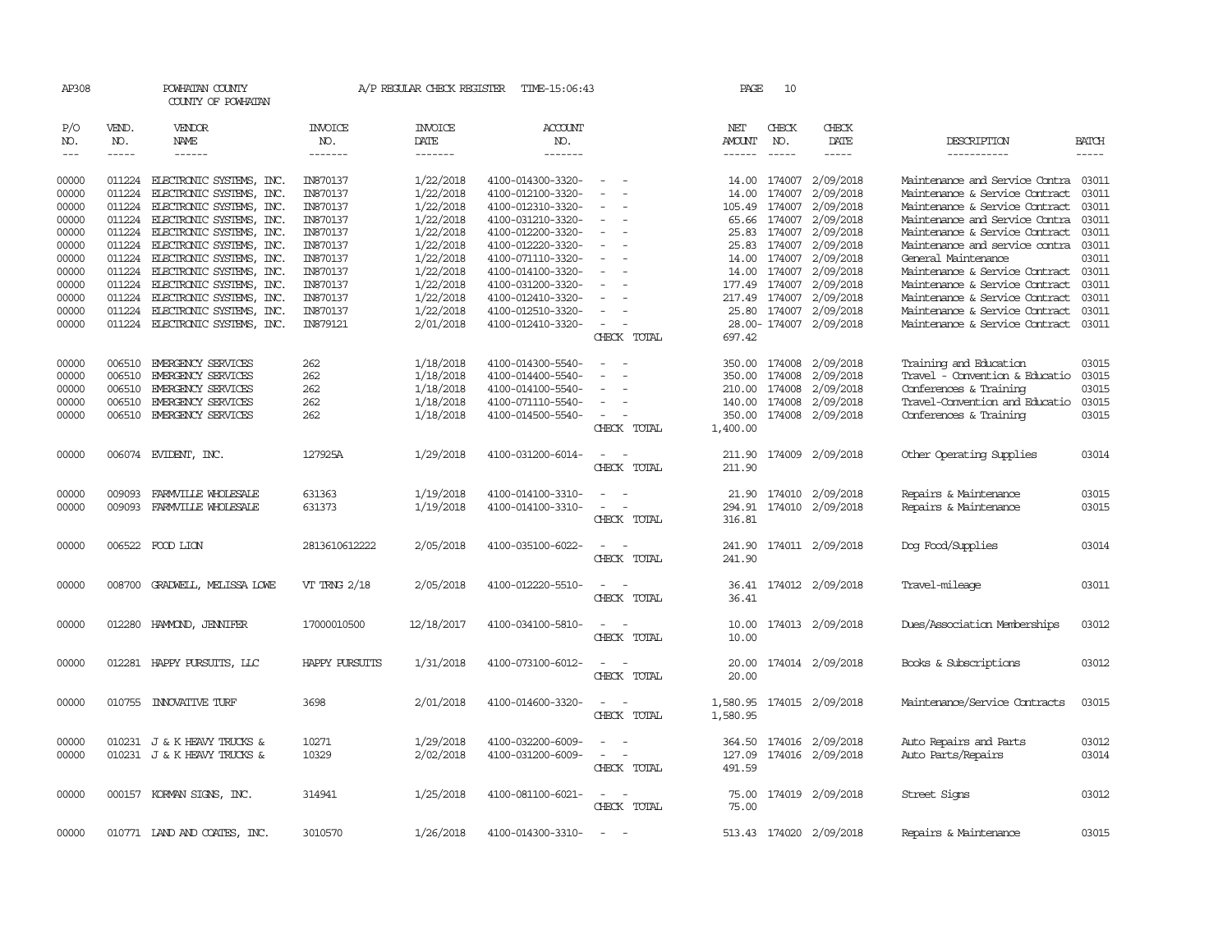| AP308               |                             | POWHATAN COUNTY<br>COUNTY OF POWHATAN |                           | A/P REGULAR CHECK REGISTER        | TIME-15:06:43             |                                                      | PAGE             | 10                          |                           |                                |              |
|---------------------|-----------------------------|---------------------------------------|---------------------------|-----------------------------------|---------------------------|------------------------------------------------------|------------------|-----------------------------|---------------------------|--------------------------------|--------------|
| P/O<br>NO.<br>$---$ | VEND.<br>NO.<br>$- - - - -$ | VENDOR<br>NAME<br>------              | INVOICE<br>NO.<br>------- | <b>INVOICE</b><br>DATE<br>------- | ACCOUNT<br>NO.<br>------- |                                                      | NET<br>AMOUNT    | CHECK<br>NO.<br>$- - - - -$ | CHECK<br>DATE<br>-----    | DESCRIPTION<br>-----------     | <b>BATCH</b> |
| 00000               | 011224                      | ELECTRONIC SYSTEMS, INC.              | IN870137                  | 1/22/2018                         | 4100-014300-3320-         | $\sim$                                               | 14.00            | 174007                      | 2/09/2018                 | Maintenance and Service Contra | 03011        |
| 00000               | 011224                      | ELECTRONIC SYSTEMS, INC.              | IN870137                  | 1/22/2018                         | 4100-012100-3320-         | $\overline{\phantom{a}}$<br>$\overline{\phantom{a}}$ | 14.00            | 174007                      | 2/09/2018                 | Maintenance & Service Contract | 03011        |
| 00000               | 011224                      | ELECTRONIC SYSTEMS, INC.              | IN870137                  | 1/22/2018                         | 4100-012310-3320-         |                                                      | 105.49           | 174007                      | 2/09/2018                 | Maintenance & Service Contract | 03011        |
| 00000               |                             | 011224 ELECTRONIC SYSTEMS, INC.       | IN870137                  | 1/22/2018                         | 4100-031210-3320-         |                                                      |                  | 65.66 174007                | 2/09/2018                 | Maintenance and Service Contra | 03011        |
| 00000               |                             | 011224 ELECTRONIC SYSTEMS, INC.       | IN870137                  | 1/22/2018                         | 4100-012200-3320-         | $\overline{\phantom{a}}$                             |                  | 25.83 174007                | 2/09/2018                 | Maintenance & Service Contract | 03011        |
| 00000               | 011224                      | ELECTRONIC SYSTEMS, INC.              | IN870137                  | 1/22/2018                         | 4100-012220-3320-         |                                                      | 25.83            | 174007                      | 2/09/2018                 | Maintenance and service contra | 03011        |
| 00000               | 011224                      | ELECTRONIC SYSTEMS, INC.              | IN870137                  | 1/22/2018                         | 4100-071110-3320-         |                                                      |                  | 14.00 174007                | 2/09/2018                 | General Maintenance            | 03011        |
| 00000               | 011224                      | ELECTRONIC SYSTEMS, INC.              | IN870137                  | 1/22/2018                         | 4100-014100-3320-         |                                                      | 14.00            | 174007                      | 2/09/2018                 | Maintenance & Service Contract | 03011        |
| 00000               |                             | 011224 ELECTRONIC SYSTEMS, INC.       | IN870137                  | 1/22/2018                         | 4100-031200-3320-         |                                                      |                  | 177.49 174007               | 2/09/2018                 | Maintenance & Service Contract | 03011        |
| 00000               |                             | 011224 ELECTRONIC SYSTEMS, INC.       | IN870137                  | 1/22/2018                         | 4100-012410-3320-         |                                                      | 217.49           | 174007                      | 2/09/2018                 | Maintenance & Service Contract | 03011        |
| 00000               | 011224                      | ELECTRONIC SYSTEMS, INC.              | IN870137                  | 1/22/2018                         | 4100-012510-3320-         |                                                      |                  |                             | 25.80 174007 2/09/2018    | Maintenance & Service Contract | 03011        |
| 00000               |                             | 011224 ELECTRONIC SYSTEMS, INC.       | IN879121                  | 2/01/2018                         | 4100-012410-3320-         | $\sim$                                               |                  |                             | 28.00-174007 2/09/2018    | Maintenance & Service Contract | 03011        |
|                     |                             |                                       |                           |                                   |                           | CHECK TOTAL                                          | 697.42           |                             |                           |                                |              |
| 00000               | 006510                      | EMERGENCY SERVICES                    | 262                       | 1/18/2018                         | 4100-014300-5540-         |                                                      |                  | 350.00 174008               | 2/09/2018                 | Training and Education         | 03015        |
| 00000               | 006510                      | EMERGENCY SERVICES                    | 262                       | 1/18/2018                         | 4100-014400-5540-         | $\overline{\phantom{a}}$<br>$\sim$                   |                  | 350.00 174008               | 2/09/2018                 | Travel - Convention & Educatio | 03015        |
| 00000               | 006510                      | EMERGENCY SERVICES                    | 262                       | 1/18/2018                         | 4100-014100-5540-         |                                                      | 210.00           | 174008                      | 2/09/2018                 | Conferences & Training         | 03015        |
| 00000               | 006510                      | EMERGENCY SERVICES                    | 262                       | 1/18/2018                         | 4100-071110-5540-         |                                                      | 140.00           | 174008                      | 2/09/2018                 | Travel-Convention and Educatio | 03015        |
| 00000               |                             | 006510 EMERGENCY SERVICES             | 262                       | 1/18/2018                         | 4100-014500-5540-         | $\overline{\phantom{a}}$                             |                  |                             | 350.00 174008 2/09/2018   | Conferences & Training         | 03015        |
|                     |                             |                                       |                           |                                   |                           | CHECK TOTAL                                          | 1,400.00         |                             |                           |                                |              |
| 00000               |                             | 006074 EVIDENT, INC.                  | 127925A                   | 1/29/2018                         | 4100-031200-6014-         | $\sim$<br>CHECK TOTAL                                | 211.90<br>211.90 |                             | 174009 2/09/2018          | Other Operating Supplies       | 03014        |
|                     |                             |                                       |                           |                                   |                           |                                                      |                  |                             |                           |                                |              |
| 00000               | 009093                      | FARMVILLE WHOLESALE                   | 631363                    | 1/19/2018                         | 4100-014100-3310-         |                                                      |                  |                             | 21.90 174010 2/09/2018    | Repairs & Maintenance          | 03015        |
| 00000               | 009093                      | FARMILLE WHOLESALE                    | 631373                    | 1/19/2018                         | 4100-014100-3310-         | $\sim$<br>$\overline{\phantom{a}}$                   | 294.91           |                             | 174010 2/09/2018          | Repairs & Maintenance          | 03015        |
|                     |                             |                                       |                           |                                   |                           | CHECK TOTAL                                          | 316.81           |                             |                           |                                |              |
| 00000               |                             | 006522 FOOD LION                      | 2813610612222             | 2/05/2018                         | 4100-035100-6022-         |                                                      | 241.90           |                             | 174011 2/09/2018          | Dog Food/Supplies              | 03014        |
|                     |                             |                                       |                           |                                   |                           | CHECK TOTAL                                          | 241.90           |                             |                           |                                |              |
| 00000               | 008700                      | GRADWELL, MELISSA LOWE                | VT TRNG 2/18              | 2/05/2018                         | 4100-012220-5510-         |                                                      | 36.41            |                             | 174012 2/09/2018          | Travel-mileage                 | 03011        |
|                     |                             |                                       |                           |                                   |                           | CHECK TOTAL                                          | 36.41            |                             |                           |                                |              |
| 00000               | 012280                      | HAMOND, JENNIFER                      | 17000010500               | 12/18/2017                        | 4100-034100-5810-         |                                                      | 10.00            |                             | 174013 2/09/2018          | Dues/Association Memberships   | 03012        |
|                     |                             |                                       |                           |                                   |                           | CHECK TOTAL                                          | 10.00            |                             |                           |                                |              |
| 00000               |                             | 012281 HAPPY PURSUITS, LLC            | HAPPY PURSUITS            | 1/31/2018                         | 4100-073100-6012-         | $\overline{\phantom{a}}$                             | 20.00            |                             | 174014 2/09/2018          | Books & Subscriptions          | 03012        |
|                     |                             |                                       |                           |                                   |                           | CHECK TOTAL                                          | 20.00            |                             |                           |                                |              |
| 00000               |                             | 010755 INNOVATIVE TURF                | 3698                      | 2/01/2018                         | 4100-014600-3320-         | $\sim$<br>$\overline{\phantom{a}}$                   |                  |                             | 1,580.95 174015 2/09/2018 | Maintenance/Service Contracts  | 03015        |
|                     |                             |                                       |                           |                                   |                           | CHECK TOTAL                                          | 1,580.95         |                             |                           |                                |              |
| 00000               |                             | 010231 J & K HEAVY TRUCKS &           | 10271                     | 1/29/2018                         | 4100-032200-6009-         |                                                      | 364.50           | 174016                      | 2/09/2018                 | Auto Repairs and Parts         | 03012        |
| 00000               |                             | 010231 J & K HEAVY TRUCKS &           | 10329                     | 2/02/2018                         | 4100-031200-6009-         | $\overline{\phantom{a}}$<br>$\overline{\phantom{a}}$ | 127.09           |                             | 174016 2/09/2018          | Auto Parts/Repairs             | 03014        |
|                     |                             |                                       |                           |                                   |                           | CHECK TOTAL                                          | 491.59           |                             |                           |                                |              |
| 00000               |                             | 000157 KORMAN SIGNS, INC.             | 314941                    | 1/25/2018                         | 4100-081100-6021-         | $\overline{\phantom{a}}$<br>$\overline{\phantom{a}}$ | 75.00            |                             | 174019 2/09/2018          | Street Signs                   | 03012        |
|                     |                             |                                       |                           |                                   |                           | CHECK TOTAL                                          | 75.00            |                             |                           |                                |              |
| 00000               |                             | 010771 LAND AND COATES, INC.          | 3010570                   | 1/26/2018                         | 4100-014300-3310-         | $\sim$                                               |                  |                             | 513.43 174020 2/09/2018   | Repairs & Maintenance          | 03015        |
|                     |                             |                                       |                           |                                   |                           |                                                      |                  |                             |                           |                                |              |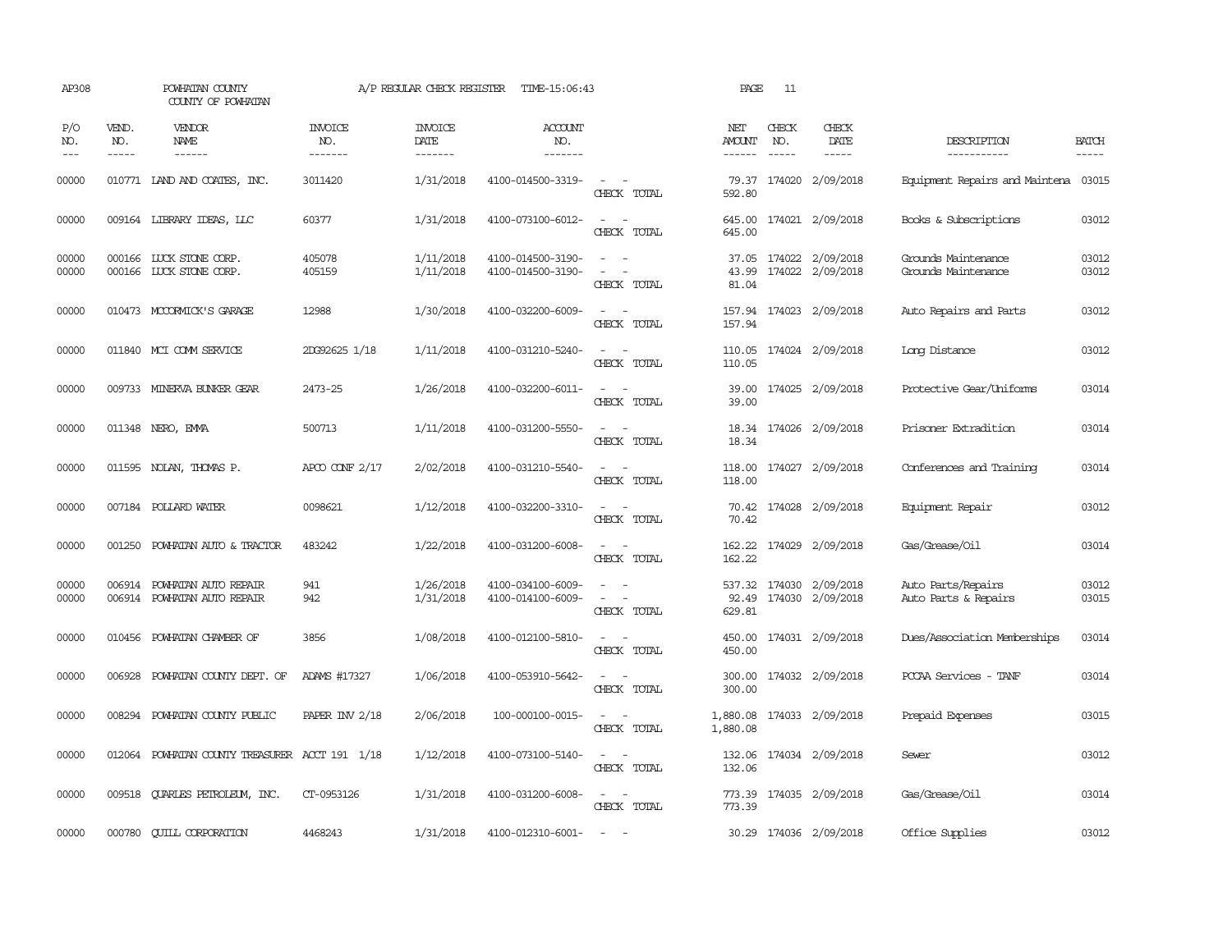| AP308               |                               | POWHATAN COUNTY<br>COUNTY OF POWHATAN                      |                                  | A/P REGULAR CHECK REGISTER        | TIME-15:06:43                          |                                                                                                                                          | PAGE                    | 11                            |                                             |                                            |                       |
|---------------------|-------------------------------|------------------------------------------------------------|----------------------------------|-----------------------------------|----------------------------------------|------------------------------------------------------------------------------------------------------------------------------------------|-------------------------|-------------------------------|---------------------------------------------|--------------------------------------------|-----------------------|
| P/O<br>NO.<br>$---$ | VEND.<br>NO.<br>$\frac{1}{2}$ | VENDOR<br>NAME<br>------                                   | <b>INVOICE</b><br>NO.<br>------- | <b>INVOICE</b><br>DATE<br>------- | <b>ACCOUNT</b><br>NO.<br>-------       |                                                                                                                                          | NET<br>AMOUNT           | CHECK<br>NO.<br>$\frac{1}{2}$ | CHECK<br>DATE                               | DESCRIPTION<br>-----------                 | <b>BATCH</b><br>----- |
| 00000               |                               | 010771 LAND AND COATES, INC.                               | 3011420                          | 1/31/2018                         | 4100-014500-3319-                      | $\sim$ $\sim$<br>CHECK TOTAL                                                                                                             | 79.37<br>592.80         |                               | 174020 2/09/2018                            | Equipment Repairs and Maintena 03015       |                       |
| 00000               |                               | 009164 LIBRARY IDEAS, LLC                                  | 60377                            | 1/31/2018                         | 4100-073100-6012-                      | $\sim$ $ \sim$<br>CHECK TOTAL                                                                                                            | 645.00<br>645.00        |                               | 174021 2/09/2018                            | Books & Subscriptions                      | 03012                 |
| 00000<br>00000      |                               | 000166 LUCK STONE CORP.<br>000166 LUCK STONE CORP.         | 405078<br>405159                 | 1/11/2018<br>1/11/2018            | 4100-014500-3190-<br>4100-014500-3190- | $\sim$<br>$\sim$<br>$\equiv$<br>$\overline{\phantom{a}}$<br>CHECK TOTAL                                                                  | 37.05<br>43.99<br>81.04 |                               | 174022 2/09/2018<br>174022 2/09/2018        | Grounds Maintenance<br>Grounds Maintenance | 03012<br>03012        |
| 00000               |                               | 010473 MCCORMICK'S GARAGE                                  | 12988                            | 1/30/2018                         | 4100-032200-6009-                      | $\frac{1}{2} \left( \frac{1}{2} \right) \left( \frac{1}{2} \right) \left( \frac{1}{2} \right) \left( \frac{1}{2} \right)$<br>CHECK TOTAL | 157.94<br>157.94        |                               | 174023 2/09/2018                            | Auto Repairs and Parts                     | 03012                 |
| 00000               |                               | 011840 MCI COMM SERVICE                                    | 2DG92625 1/18                    | 1/11/2018                         | 4100-031210-5240-                      | $\sim$<br>CHECK TOTAL                                                                                                                    | 110.05<br>110.05        |                               | 174024 2/09/2018                            | Long Distance                              | 03012                 |
| 00000               |                               | 009733 MINERVA BUNKER GEAR                                 | 2473-25                          | 1/26/2018                         | 4100-032200-6011-                      | $\frac{1}{2} \left( \frac{1}{2} \right) \left( \frac{1}{2} \right) \left( \frac{1}{2} \right) \left( \frac{1}{2} \right)$<br>CHECK TOTAL | 39.00<br>39.00          |                               | 174025 2/09/2018                            | Protective Gear/Uniforms                   | 03014                 |
| 00000               |                               | 011348 NERO, EMMA                                          | 500713                           | 1/11/2018                         | 4100-031200-5550-                      | $\sim$<br>$\sim$<br>CHECK TOTAL                                                                                                          | 18.34                   |                               | 18.34 174026 2/09/2018                      | Prisoner Extradition                       | 03014                 |
| 00000               |                               | 011595 NOLAN, THOMAS P.                                    | APCO CONF $2/17$                 | 2/02/2018                         | 4100-031210-5540-                      | $\sim$<br>CHECK TOTAL                                                                                                                    | 118.00<br>118.00        |                               | 174027 2/09/2018                            | Conferences and Training                   | 03014                 |
| 00000               |                               | 007184 POLLARD WATER                                       | 0098621                          | 1/12/2018                         | 4100-032200-3310-                      | CHECK TOTAL                                                                                                                              | 70.42                   |                               | 70.42 174028 2/09/2018                      | Equipment Repair                           | 03012                 |
| 00000               |                               | 001250 POWHATAN AUTO & TRACTOR                             | 483242                           | 1/22/2018                         | 4100-031200-6008-                      | CHECK TOTAL                                                                                                                              | 162.22<br>162.22        |                               | 174029 2/09/2018                            | Gas/Grease/Oil                             | 03014                 |
| 00000<br>00000      |                               | 006914 POWHATAN AUTO REPAIR<br>006914 POWHATAN AUTO REPAIR | 941<br>942                       | 1/26/2018<br>1/31/2018            | 4100-034100-6009-<br>4100-014100-6009- | $\sim$<br>$\overline{\phantom{a}}$<br>$\sim$<br>CHECK TOTAL                                                                              | 92.49<br>629.81         |                               | 537.32 174030 2/09/2018<br>174030 2/09/2018 | Auto Parts/Repairs<br>Auto Parts & Repairs | 03012<br>03015        |
| 00000               |                               | 010456 POWHATAN CHAMBER OF                                 | 3856                             | 1/08/2018                         | 4100-012100-5810-                      | $\overline{\phantom{a}}$<br>$\sim$<br>CHECK TOTAL                                                                                        | 450.00<br>450.00        |                               | 174031 2/09/2018                            | Dues/Association Memberships               | 03014                 |
| 00000               |                               | 006928 POWHATAN COUNTY DEPT. OF                            | ADAMS #17327                     | 1/06/2018                         | 4100-053910-5642-                      | $\sim$<br>$\sim$<br>CHECK TOTAL                                                                                                          | 300.00<br>300.00        |                               | 174032 2/09/2018                            | PCCAA Services - TANF                      | 03014                 |
| 00000               |                               | 008294 POWHATAN COUNTY PUBLIC                              | PAPER INV 2/18                   | 2/06/2018                         | 100-000100-0015-                       | $\sim$ $ -$<br>CHECK TOTAL                                                                                                               | 1,880.08<br>1,880.08    |                               | 174033 2/09/2018                            | Prepaid Expenses                           | 03015                 |
| 00000               |                               | 012064 POWHATAN COUNTY TREASURER ACCT 191 1/18             |                                  | 1/12/2018                         | 4100-073100-5140-                      | $\equiv$<br>$\sim$<br>CHECK TOTAL                                                                                                        | 132.06<br>132.06        |                               | 174034 2/09/2018                            | Sewer                                      | 03012                 |
| 00000               |                               | 009518 QUARLES PETROLEUM, INC.                             | CT-0953126                       | 1/31/2018                         | 4100-031200-6008-                      | $\sim$ $-$<br>CHECK TOTAL                                                                                                                | 773.39<br>773.39        |                               | 174035 2/09/2018                            | Gas/Grease/Oil                             | 03014                 |
| 00000               |                               | 000780 CUILL CORPORATION                                   | 4468243                          | 1/31/2018                         | 4100-012310-6001-                      | <b><i><u>Participate</u></i></b>                                                                                                         |                         |                               | 30.29 174036 2/09/2018                      | Office Supplies                            | 03012                 |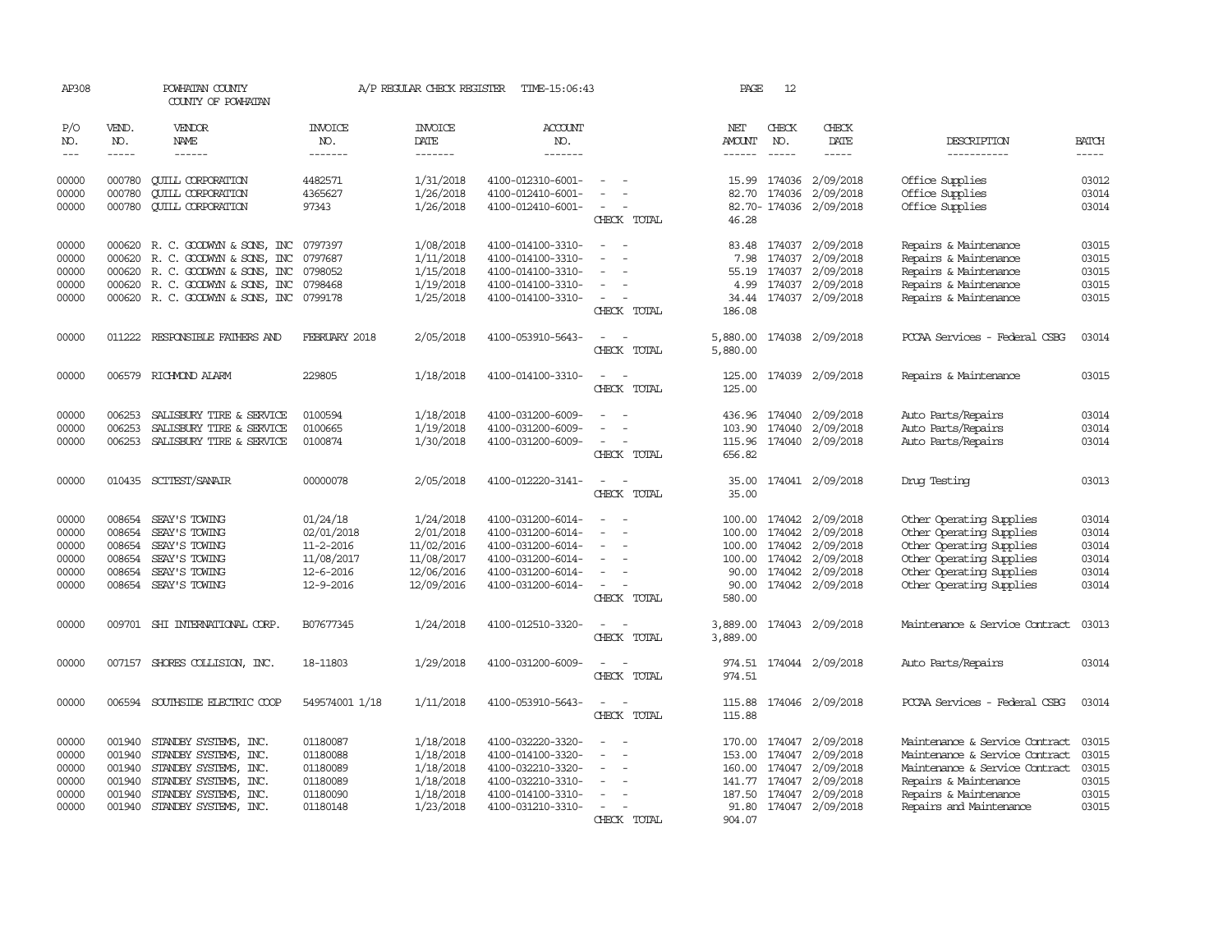| AP308                       |                             | POWHATAN COUNTY<br>COUNTY OF POWHATAN                         |                                  | A/P REGULAR CHECK REGISTER        | TIME-15:06:43                          |                                      | PAGE                           | 12                      |                               |                                                      |                       |
|-----------------------------|-----------------------------|---------------------------------------------------------------|----------------------------------|-----------------------------------|----------------------------------------|--------------------------------------|--------------------------------|-------------------------|-------------------------------|------------------------------------------------------|-----------------------|
| P/O<br>NO.<br>$\frac{1}{2}$ | VEND.<br>NO.<br>$- - - - -$ | VENDOR<br>NAME<br>$- - - - - -$                               | <b>INVOICE</b><br>NO.<br>------- | <b>INVOICE</b><br>DATE<br>------- | ACCOUNT<br>NO.<br>-------              |                                      | NET<br><b>AMOUNT</b><br>------ | CHECK<br>NO.            | CHECK<br>DATE<br>$- - - - -$  | DESCRIPTION<br>-----------                           | <b>BATCH</b><br>----- |
| 00000<br>00000              | 000780                      | <b>CUILL CORPORATION</b>                                      | 4482571                          | 1/31/2018                         | 4100-012310-6001-                      |                                      | 15.99                          | 174036                  | 2/09/2018                     | Office Supplies                                      | 03012                 |
| 00000                       | 000780<br>000780            | <b>CUILL CORPORATION</b><br><b>CUILL CORPORATION</b>          | 4365627<br>97343                 | 1/26/2018<br>1/26/2018            | 4100-012410-6001-<br>4100-012410-6001- | $\sim$<br>CHECK TOTAL                | 82.70<br>46.28                 | 174036<br>82.70- 174036 | 2/09/2018<br>2/09/2018        | Office Supplies<br>Office Supplies                   | 03014<br>03014        |
| 00000<br>00000              | 000620                      | 000620 R. C. GOODWYN & SONS, INC                              | 0797397                          | 1/08/2018<br>1/11/2018            | 4100-014100-3310-                      | $\sim$<br>$\sim$                     | 83.48<br>7.98                  | 174037                  | 2/09/2018<br>2/09/2018        | Repairs & Maintenance<br>Repairs & Maintenance       | 03015<br>03015        |
| 00000                       |                             | R. C. GOODWYN & SONS, INC<br>000620 R. C. GOODWYN & SONS, INC | 0797687<br>0798052               | 1/15/2018                         | 4100-014100-3310-<br>4100-014100-3310- |                                      | 55.19                          | 174037<br>174037        | 2/09/2018                     | Repairs & Maintenance                                | 03015                 |
| 00000                       |                             | 000620 R. C. GOODWYN & SONS, INC                              | 0798468                          | 1/19/2018                         | 4100-014100-3310-                      | $\sim$                               | 4.99                           | 174037                  | 2/09/2018                     | Repairs & Maintenance                                | 03015                 |
| 00000                       |                             | 000620 R. C. GOODWYN & SONS, INC 0799178                      |                                  | 1/25/2018                         | 4100-014100-3310-                      | $\overline{\phantom{a}}$             | 34.44                          | 174037                  | 2/09/2018                     | Repairs & Maintenance                                | 03015                 |
|                             |                             |                                                               |                                  |                                   |                                        | CHECK TOTAL                          | 186.08                         |                         |                               |                                                      |                       |
| 00000                       |                             | 011222 RESPONSIBLE FAIHERS AND                                | FEBRUARY 2018                    | 2/05/2018                         | 4100-053910-5643-                      | CHECK TOTAL                          | 5,880.00<br>5,880.00           |                         | 174038 2/09/2018              | PCCAA Services - Federal CSBG                        | 03014                 |
| 00000                       |                             | 006579 RICHMOND ALARM                                         | 229805                           | 1/18/2018                         | 4100-014100-3310-                      | $\sim$<br>CHECK TOTAL                | 125.00<br>125.00               |                         | 174039 2/09/2018              | Repairs & Maintenance                                | 03015                 |
| 00000                       | 006253                      | SALISBURY TIRE & SERVICE                                      | 0100594                          | 1/18/2018                         | 4100-031200-6009-                      |                                      |                                | 436.96 174040           | 2/09/2018                     | Auto Parts/Repairs                                   | 03014                 |
| 00000                       | 006253                      | SALISBURY TIRE & SERVICE                                      | 0100665                          | 1/19/2018                         | 4100-031200-6009-                      |                                      | 103.90                         | 174040                  | 2/09/2018                     | Auto Parts/Repairs                                   | 03014                 |
| 00000                       | 006253                      | SALISBURY TIRE & SERVICE                                      | 0100874                          | 1/30/2018                         | 4100-031200-6009-                      | CHECK TOTAL                          | 656.82                         |                         | 115.96 174040 2/09/2018       | Auto Parts/Repairs                                   | 03014                 |
| 00000                       |                             | 010435 SCITEST/SANAIR                                         | 00000078                         | 2/05/2018                         | 4100-012220-3141-                      | CHECK TOTAL                          | 35.00<br>35.00                 |                         | 174041 2/09/2018              | Drug Testing                                         | 03013                 |
| 00000                       | 008654                      | SEAY'S TOWING                                                 | 01/24/18                         | 1/24/2018                         | 4100-031200-6014-                      |                                      | 100.00                         | 174042                  | 2/09/2018                     |                                                      | 03014                 |
| 00000                       | 008654                      | SEAY'S TOWING                                                 | 02/01/2018                       | 2/01/2018                         | 4100-031200-6014-                      | $\overline{\phantom{a}}$<br>$\equiv$ | 100.00                         | 174042                  | 2/09/2018                     | Other Operating Supplies<br>Other Operating Supplies | 03014                 |
| 00000                       | 008654                      | SEAY'S TOWING                                                 | 11-2-2016                        | 11/02/2016                        | 4100-031200-6014-                      |                                      | 100.00                         | 174042                  | 2/09/2018                     | Other Operating Supplies                             | 03014                 |
| 00000                       | 008654                      | SEAY'S TOWING                                                 | 11/08/2017                       | 11/08/2017                        | 4100-031200-6014-                      |                                      | 100.00                         | 174042                  | 2/09/2018                     | Other Operating Supplies                             | 03014                 |
| 00000                       | 008654                      | SEAY'S TOWING                                                 | 12-6-2016                        | 12/06/2016                        | 4100-031200-6014-                      | $\equiv$                             | 90.00                          | 174042                  | 2/09/2018                     | Other Operating Supplies                             | 03014                 |
| 00000                       |                             | 008654 SEAY'S TOWING                                          | 12-9-2016                        | 12/09/2016                        | 4100-031200-6014-                      | $\sim$<br>CHECK TOTAL                | 90.00<br>580.00                | 174042                  | 2/09/2018                     | Other Operating Supplies                             | 03014                 |
| 00000                       |                             | 009701 SHI INTERNATIONAL CORP.                                | B07677345                        | 1/24/2018                         | 4100-012510-3320-                      | CHECK TOTAL                          | 3,889.00<br>3,889.00           |                         | 174043 2/09/2018              | Maintenance & Service Contract                       | 03013                 |
| 00000                       |                             | 007157 SHORES COLLISION, INC.                                 | 18-11803                         | 1/29/2018                         | 4100-031200-6009-                      | $\sim$<br>CHECK TOTAL                | 974.51<br>974.51               |                         | 174044 2/09/2018              | Auto Parts/Repairs                                   | 03014                 |
| 00000                       |                             | 006594 SOUTHSIDE ELECTRIC COOP                                | 549574001 1/18                   | 1/11/2018                         | 4100-053910-5643-                      | $\sim$<br>$\sim$<br>CHECK TOTAL      | 115.88<br>115.88               |                         | 174046 2/09/2018              | PCCAA Services - Federal CSBG                        | 03014                 |
| 00000                       | 001940                      | STANDBY SYSTEMS, INC.                                         | 01180087                         | 1/18/2018                         | 4100-032220-3320-                      | $\sim$                               | 170.00 174047                  |                         | 2/09/2018                     | Maintenance & Service Contract                       | 03015                 |
| 00000                       | 001940                      | STANDBY SYSTEMS, INC.                                         | 01180088                         | 1/18/2018                         | 4100-014100-3320-                      | $\equiv$                             | 153.00                         | 174047                  | 2/09/2018                     | Maintenance & Service Contract                       | 03015                 |
| 00000                       |                             | 001940 STANDBY SYSTEMS, INC.                                  | 01180089                         | 1/18/2018                         | 4100-032210-3320-                      |                                      | 160.00                         | 174047                  | 2/09/2018                     | Maintenance & Service Contract                       | 03015                 |
| 00000                       |                             | 001940 STANDBY SYSTEMS, INC.                                  | 01180089                         | 1/18/2018                         | 4100-032210-3310-                      | $\overline{\phantom{a}}$             |                                | 141.77 174047           | 2/09/2018                     | Repairs & Maintenance                                | 03015                 |
| 00000<br>00000              | 001940                      | STANDBY SYSTEMS,<br>INC.<br>001940 STANDBY SYSTEMS, INC.      | 01180090<br>01180148             | 1/18/2018<br>1/23/2018            | 4100-014100-3310-<br>4100-031210-3310- |                                      | 187.50<br>91.80                | 174047                  | 2/09/2018<br>174047 2/09/2018 | Repairs & Maintenance<br>Repairs and Maintenance     | 03015<br>03015        |
|                             |                             |                                                               |                                  |                                   |                                        | CHECK TOTAL                          | 904.07                         |                         |                               |                                                      |                       |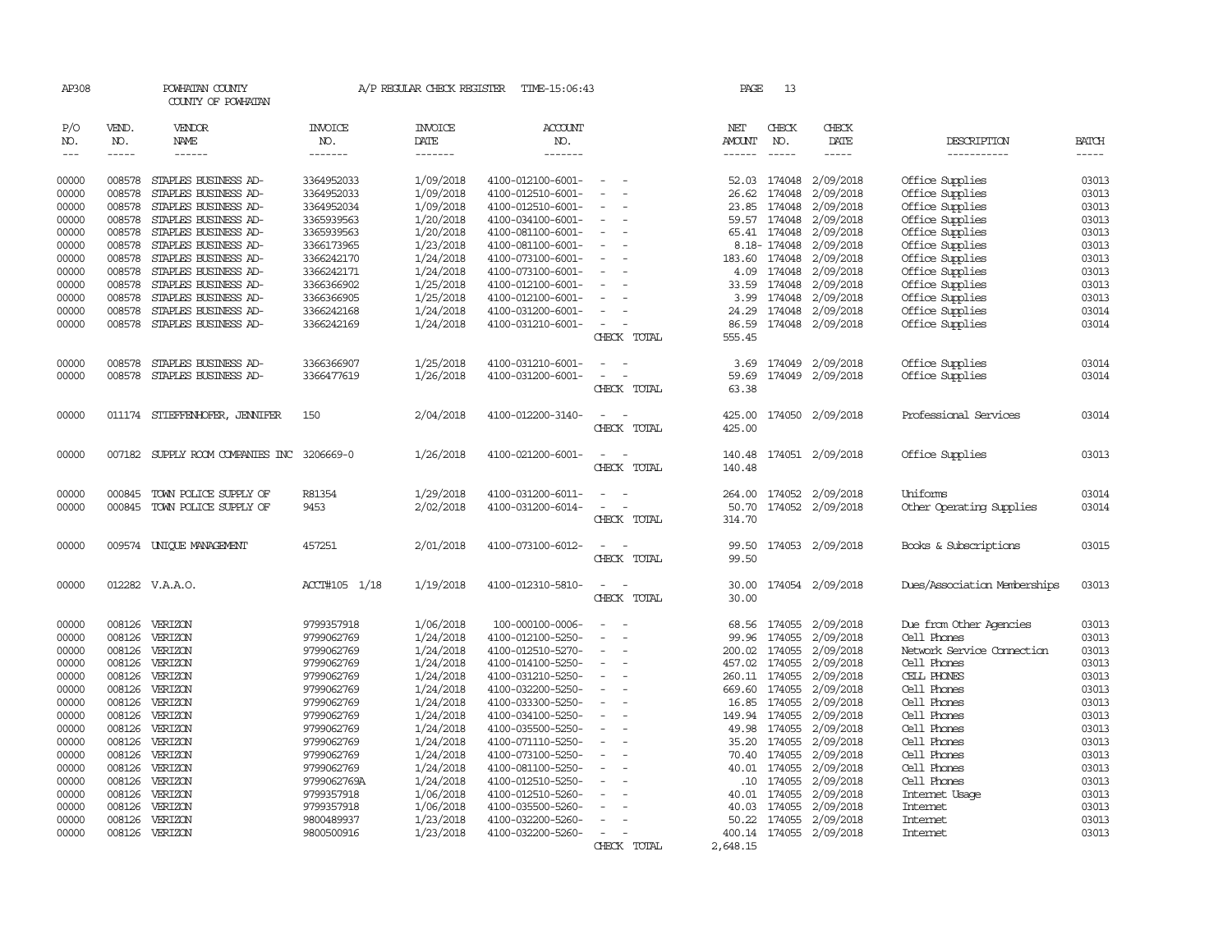| AP308      |              | POWHATAN COUNTY<br>COUNTY OF POWHATAN      |                       | A/P REGULAR CHECK REGISTER | TIME-15:06:43         |                                    | PAGE          | -13           |                                                                                                                                                                                                                                                                                                                                                                                                                                                         |                              |              |
|------------|--------------|--------------------------------------------|-----------------------|----------------------------|-----------------------|------------------------------------|---------------|---------------|---------------------------------------------------------------------------------------------------------------------------------------------------------------------------------------------------------------------------------------------------------------------------------------------------------------------------------------------------------------------------------------------------------------------------------------------------------|------------------------------|--------------|
| P/O<br>NO. | VEND.<br>NO. | VENDOR<br>NAME                             | <b>INVOICE</b><br>NO. | <b>INVOICE</b><br>DATE     | <b>ACCOUNT</b><br>NO. |                                    | NET<br>AMOUNT | CHECK<br>NO.  | CHECK<br>DATE                                                                                                                                                                                                                                                                                                                                                                                                                                           | DESCRIPTION                  | <b>BATCH</b> |
| $---$      | $- - - - -$  | $- - - - - -$                              | -------               |                            | $- - - - - - -$       |                                    |               | $\frac{1}{2}$ | $\begin{tabular}{ccccc} \multicolumn{2}{c }{\multicolumn{2}{c }{\multicolumn{2}{c }{\multicolumn{2}{c}}{\hspace{-2.2cm}}}} \multicolumn{2}{c }{\multicolumn{2}{c }{\hspace{-2.2cm}}\hline} \multicolumn{2}{c }{\hspace{-2.2cm}}\hline \multicolumn{2}{c }{\hspace{-2.2cm}}\hline \multicolumn{2}{c }{\hspace{-2.2cm}}\hline \multicolumn{2}{c }{\hspace{-2.2cm}}\hline \multicolumn{2}{c }{\hspace{-2.2cm}}\hline \multicolumn{2}{c }{\hspace{-2.2cm}}$ | -----------                  | -----        |
| 00000      | 008578       | STAPLES BUSINESS AD-                       | 3364952033            | 1/09/2018                  | 4100-012100-6001-     |                                    | 52.03         | 174048        | 2/09/2018                                                                                                                                                                                                                                                                                                                                                                                                                                               | Office Supplies              | 03013        |
| 00000      | 008578       | STAPLES BUSINESS AD-                       | 3364952033            | 1/09/2018                  | 4100-012510-6001-     | $\sim$<br>$\overline{\phantom{a}}$ |               | 26.62 174048  | 2/09/2018                                                                                                                                                                                                                                                                                                                                                                                                                                               | Office Supplies              | 03013        |
| 00000      | 008578       | STAPLES BUSINESS AD-                       | 3364952034            | 1/09/2018                  | 4100-012510-6001-     | $\sim$                             | 23.85         | 174048        | 2/09/2018                                                                                                                                                                                                                                                                                                                                                                                                                                               | Office Supplies              | 03013        |
| 00000      | 008578       | STAPLES BUSINESS AD-                       | 3365939563            | 1/20/2018                  | 4100-034100-6001-     |                                    |               | 59.57 174048  | 2/09/2018                                                                                                                                                                                                                                                                                                                                                                                                                                               | Office Supplies              | 03013        |
| 00000      | 008578       | STAPLES BUSINESS AD-                       | 3365939563            | 1/20/2018                  | 4100-081100-6001-     | $\sim$                             |               | 65.41 174048  | 2/09/2018                                                                                                                                                                                                                                                                                                                                                                                                                                               | Office Supplies              | 03013        |
| 00000      | 008578       | STAPLES BUSINESS AD-                       | 3366173965            | 1/23/2018                  | 4100-081100-6001-     | $\sim$                             |               | 8.18-174048   | 2/09/2018                                                                                                                                                                                                                                                                                                                                                                                                                                               | Office Supplies              | 03013        |
| 00000      | 008578       | STAPLES BUSINESS AD-                       | 3366242170            | 1/24/2018                  | 4100-073100-6001-     | $\overline{\phantom{a}}$           | 183.60 174048 |               | 2/09/2018                                                                                                                                                                                                                                                                                                                                                                                                                                               | Office Supplies              | 03013        |
| 00000      | 008578       | STAPLES BUSINESS AD-                       | 3366242171            | 1/24/2018                  | 4100-073100-6001-     |                                    |               | 4.09 174048   | 2/09/2018                                                                                                                                                                                                                                                                                                                                                                                                                                               | Office Supplies              | 03013        |
| 00000      | 008578       | STAPLES BUSINESS AD-                       | 3366366902            | 1/25/2018                  | 4100-012100-6001-     | $\sim$                             |               | 33.59 174048  | 2/09/2018                                                                                                                                                                                                                                                                                                                                                                                                                                               | Office Supplies              | 03013        |
| 00000      | 008578       | STAPLES BUSINESS AD-                       | 3366366905            | 1/25/2018                  | 4100-012100-6001-     | $\sim$                             |               | 3.99 174048   | 2/09/2018                                                                                                                                                                                                                                                                                                                                                                                                                                               | Office Supplies              | 03013        |
| 00000      | 008578       | STAPLES BUSINESS AD-                       | 3366242168            | 1/24/2018                  | 4100-031200-6001-     |                                    | 24.29         | 174048        | 2/09/2018                                                                                                                                                                                                                                                                                                                                                                                                                                               | Office Supplies              | 03014        |
| 00000      | 008578       | STAPLES BUSINESS AD-                       | 3366242169            | 1/24/2018                  | 4100-031210-6001-     | $\overline{\phantom{a}}$           | 86.59         |               | 174048 2/09/2018                                                                                                                                                                                                                                                                                                                                                                                                                                        | Office Supplies              | 03014        |
|            |              |                                            |                       |                            |                       | CHECK TOTAL                        | 555.45        |               |                                                                                                                                                                                                                                                                                                                                                                                                                                                         |                              |              |
| 00000      | 008578       | STAPLES BUSINESS AD-                       | 3366366907            | 1/25/2018                  | 4100-031210-6001-     | $\overline{\phantom{a}}$           | 3.69          | 174049        | 2/09/2018                                                                                                                                                                                                                                                                                                                                                                                                                                               | Office Supplies              | 03014        |
| 00000      | 008578       | STAPLES BUSINESS AD-                       | 3366477619            | 1/26/2018                  | 4100-031200-6001-     | $\sim$<br>$\overline{\phantom{a}}$ | 59.69         |               | 174049 2/09/2018                                                                                                                                                                                                                                                                                                                                                                                                                                        | Office Supplies              | 03014        |
|            |              |                                            |                       |                            |                       | CHECK TOTAL                        | 63.38         |               |                                                                                                                                                                                                                                                                                                                                                                                                                                                         |                              |              |
| 00000      |              | 011174 STIEFFENHOFER, JENNIFER             | 150                   | 2/04/2018                  | 4100-012200-3140-     | $\sim$<br>$\sim$                   | 425.00        |               | 174050 2/09/2018                                                                                                                                                                                                                                                                                                                                                                                                                                        | Professional Services        | 03014        |
|            |              |                                            |                       |                            |                       | CHECK TOTAL                        | 425.00        |               |                                                                                                                                                                                                                                                                                                                                                                                                                                                         |                              |              |
| 00000      |              | 007182 SUPPLY ROOM COMPANIES INC 3206669-0 |                       | 1/26/2018                  | 4100-021200-6001-     | $\sim$                             | 140.48        |               | 174051 2/09/2018                                                                                                                                                                                                                                                                                                                                                                                                                                        | Office Supplies              | 03013        |
|            |              |                                            |                       |                            |                       | CHECK TOTAL                        | 140.48        |               |                                                                                                                                                                                                                                                                                                                                                                                                                                                         |                              |              |
| 00000      | 000845       | TOWN POLICE SUPPLY OF                      | R81354                | 1/29/2018                  | 4100-031200-6011-     | $\equiv$<br>$\overline{a}$         | 264.00        |               | 174052 2/09/2018                                                                                                                                                                                                                                                                                                                                                                                                                                        | Uniforms                     | 03014        |
| 00000      | 000845       | TOWN POLICE SUPPLY OF                      | 9453                  | 2/02/2018                  | 4100-031200-6014-     | $\sim$<br>$\equiv$                 | 50.70         | 174052        | 2/09/2018                                                                                                                                                                                                                                                                                                                                                                                                                                               | Other Operating Supplies     | 03014        |
|            |              |                                            |                       |                            |                       | CHECK TOTAL                        | 314.70        |               |                                                                                                                                                                                                                                                                                                                                                                                                                                                         |                              |              |
| 00000      |              | 009574 UNIOUE MANAGEMENT                   | 457251                | 2/01/2018                  | 4100-073100-6012-     | $\sim$<br>$\sim$                   |               |               | 99.50 174053 2/09/2018                                                                                                                                                                                                                                                                                                                                                                                                                                  | Books & Subscriptions        | 03015        |
|            |              |                                            |                       |                            |                       | CHECK TOTAL                        | 99.50         |               |                                                                                                                                                                                                                                                                                                                                                                                                                                                         |                              |              |
| 00000      |              | 012282 V.A.A.O.                            | ACCT#105 1/18         | 1/19/2018                  | 4100-012310-5810-     | $\sim$<br>$\sim$                   | 30.00         |               | 174054 2/09/2018                                                                                                                                                                                                                                                                                                                                                                                                                                        | Dues/Association Memberships | 03013        |
|            |              |                                            |                       |                            |                       | CHECK TOTAL                        | 30.00         |               |                                                                                                                                                                                                                                                                                                                                                                                                                                                         |                              |              |
| 00000      |              | 008126 VERIZON                             | 9799357918            | 1/06/2018                  | 100-000100-0006-      | $\sim$                             | 68.56         | 174055        | 2/09/2018                                                                                                                                                                                                                                                                                                                                                                                                                                               | Due from Other Agencies      | 03013        |
| 00000      | 008126       | VERIZON                                    | 9799062769            | 1/24/2018                  | 4100-012100-5250-     |                                    |               | 99.96 174055  | 2/09/2018                                                                                                                                                                                                                                                                                                                                                                                                                                               | Cell Phones                  | 03013        |
| 00000      | 008126       | VERIZON                                    | 9799062769            | 1/24/2018                  | 4100-012510-5270-     | $\sim$                             | 200.02        | 174055        | 2/09/2018                                                                                                                                                                                                                                                                                                                                                                                                                                               | Network Service Cornection   | 03013        |
| 00000      |              | 008126 VERIZON                             | 9799062769            | 1/24/2018                  | 4100-014100-5250-     | $\sim$                             | 457.02 174055 |               | 2/09/2018                                                                                                                                                                                                                                                                                                                                                                                                                                               | Cell Phones                  | 03013        |
| 00000      | 008126       | VERIZON                                    | 9799062769            | 1/24/2018                  | 4100-031210-5250-     |                                    | 260.11        | 174055        | 2/09/2018                                                                                                                                                                                                                                                                                                                                                                                                                                               | CELL PHONES                  | 03013        |
| 00000      |              | 008126 VERIZON                             | 9799062769            | 1/24/2018                  | 4100-032200-5250-     |                                    | 669.60 174055 |               | 2/09/2018                                                                                                                                                                                                                                                                                                                                                                                                                                               | Cell Phones                  | 03013        |
| 00000      | 008126       | VERIZON                                    | 9799062769            | 1/24/2018                  | 4100-033300-5250-     | $\overline{\phantom{a}}$           |               | 16.85 174055  | 2/09/2018                                                                                                                                                                                                                                                                                                                                                                                                                                               | Cell Phones                  | 03013        |
| 00000      |              | 008126 VERIZON                             | 9799062769            | 1/24/2018                  | 4100-034100-5250-     |                                    | 149.94        | 174055        | 2/09/2018                                                                                                                                                                                                                                                                                                                                                                                                                                               | Cell Phones                  | 03013        |
| 00000      | 008126       | VERIZON                                    | 9799062769            | 1/24/2018                  | 4100-035500-5250-     |                                    | 49.98         | 174055        | 2/09/2018                                                                                                                                                                                                                                                                                                                                                                                                                                               | Cell Phones                  | 03013        |
| 00000      | 008126       | VERIZON                                    | 9799062769            | 1/24/2018                  | 4100-071110-5250-     |                                    | 35.20         | 174055        | 2/09/2018                                                                                                                                                                                                                                                                                                                                                                                                                                               | Cell Phones                  | 03013        |
| 00000      |              | 008126 VERIZON                             | 9799062769            | 1/24/2018                  | 4100-073100-5250-     | $\sim$                             | 70.40         | 174055        | 2/09/2018                                                                                                                                                                                                                                                                                                                                                                                                                                               | Cell Phones                  | 03013        |
| 00000      | 008126       | VERIZON                                    | 9799062769            | 1/24/2018                  | 4100-081100-5250-     | $\sim$                             |               | 40.01 174055  | 2/09/2018                                                                                                                                                                                                                                                                                                                                                                                                                                               | Cell Phones                  | 03013        |
| 00000      | 008126       | VERIZON                                    | 9799062769A           | 1/24/2018                  | 4100-012510-5250-     | $\sim$                             | .10           | 174055        | 2/09/2018                                                                                                                                                                                                                                                                                                                                                                                                                                               | Cell Phones                  | 03013        |
| 00000      | 008126       | VERIZON                                    | 9799357918            | 1/06/2018                  | 4100-012510-5260-     |                                    | 40.01         | 174055        | 2/09/2018                                                                                                                                                                                                                                                                                                                                                                                                                                               | Internet Usage               | 03013        |
| 00000      | 008126       | VERIZON                                    | 9799357918            | 1/06/2018                  | 4100-035500-5260-     | $\sim$                             | 40.03         | 174055        | 2/09/2018                                                                                                                                                                                                                                                                                                                                                                                                                                               | Internet                     | 03013        |
| 00000      | 008126       | VERIZON                                    | 9800489937            | 1/23/2018                  | 4100-032200-5260-     |                                    |               | 50.22 174055  | 2/09/2018                                                                                                                                                                                                                                                                                                                                                                                                                                               | Internet                     | 03013        |
| 00000      |              | 008126 VERIZON                             | 9800500916            | 1/23/2018                  | 4100-032200-5260-     | $\overline{\phantom{a}}$           | 400.14 174055 |               | 2/09/2018                                                                                                                                                                                                                                                                                                                                                                                                                                               | Internet                     | 03013        |
|            |              |                                            |                       |                            |                       | CHECK TOTAL                        | 2,648.15      |               |                                                                                                                                                                                                                                                                                                                                                                                                                                                         |                              |              |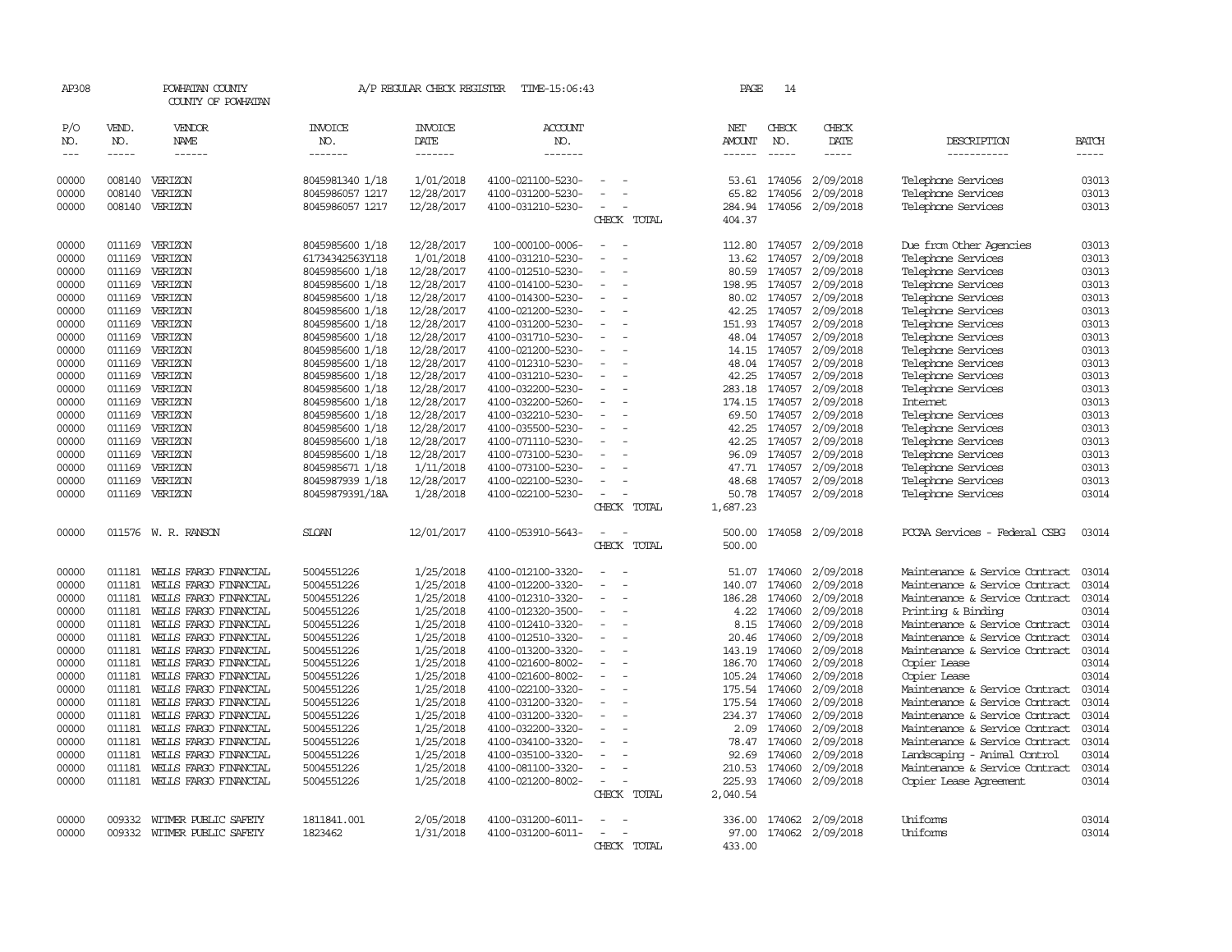| AP308          |              | POWHATAN COUNTY<br>COUNTY OF POWHATAN |                       | A/P REGULAR CHECK REGISTER | TIME-15:06:43         |                                                      |                          | PAGE          | 14            |                        |                                |              |
|----------------|--------------|---------------------------------------|-----------------------|----------------------------|-----------------------|------------------------------------------------------|--------------------------|---------------|---------------|------------------------|--------------------------------|--------------|
| P/O<br>NO.     | VEND.<br>NO. | VENDOR<br>NAME                        | <b>INVOICE</b><br>NO. | <b>INVOICE</b><br>DATE     | <b>ACCOUNT</b><br>NO. |                                                      |                          | NET<br>AMOUNT | CHECK<br>NO.  | CHECK<br>DATE          | DESCRIPTION                    | <b>BATCH</b> |
| $---$          | $\cdots$     | ------                                | -------               | -------                    | -------               |                                                      |                          |               | $- - - - -$   | $- - - - -$            | -----------                    | $- - - - -$  |
| 00000          |              | 008140 VERIZON                        | 8045981340 1/18       | 1/01/2018                  | 4100-021100-5230-     |                                                      |                          |               | 53.61 174056  | 2/09/2018              | Telephone Services             | 03013        |
| 00000          | 008140       | VERIZON                               | 8045986057 1217       | 12/28/2017                 | 4100-031200-5230-     |                                                      |                          | 65.82         | 174056        | 2/09/2018              | Telephone Services             | 03013        |
| 00000          | 008140       | VERIZON                               | 8045986057 1217       | 12/28/2017                 | 4100-031210-5230-     | $\sim$<br>÷,                                         |                          | 284.94        | 174056        | 2/09/2018              | Telephone Services             | 03013        |
|                |              |                                       |                       |                            |                       |                                                      | CHECK TOTAL              | 404.37        |               |                        |                                |              |
| 00000          | 011169       | VERIZON                               | 8045985600 1/18       | 12/28/2017                 | 100-000100-0006-      | $\overline{a}$<br>$\overline{\phantom{a}}$           |                          | 112.80        | 174057        | 2/09/2018              | Due from Other Agencies        | 03013        |
| 00000          | 011169       | VERIZON                               | 61734342563Y118       | 1/01/2018                  | 4100-031210-5230-     |                                                      |                          | 13.62         | 174057        | 2/09/2018              | Telephone Services             | 03013        |
| 00000          | 011169       | VERIZON                               | 8045985600 1/18       | 12/28/2017                 | 4100-012510-5230-     | $\sim$                                               |                          | 80.59         | 174057        | 2/09/2018              | Telephone Services             | 03013        |
| 00000          | 011169       | VERIZON                               | 8045985600 1/18       | 12/28/2017                 | 4100-014100-5230-     | $\overline{\phantom{a}}$                             |                          | 198.95        | 174057        | 2/09/2018              | Telephone Services             | 03013        |
| 00000          | 011169       | VERIZON                               | 8045985600 1/18       | 12/28/2017                 | 4100-014300-5230-     | $\overline{\phantom{a}}$                             |                          | 80.02         | 174057        | 2/09/2018              | Telephone Services             | 03013        |
| 00000          | 011169       | VERIZON                               | 8045985600 1/18       | 12/28/2017                 | 4100-021200-5230-     |                                                      |                          | 42.25         | 174057        | 2/09/2018              | Telephone Services             | 03013        |
| 00000          | 011169       | VERIZON                               | 8045985600 1/18       |                            | 4100-031200-5230-     | $\overline{\phantom{a}}$                             | $\overline{\phantom{a}}$ |               | 151.93 174057 | 2/09/2018              | Telephone Services             | 03013        |
| 00000          | 011169       | VERIZON                               |                       | 12/28/2017                 | 4100-031710-5230-     | $\overline{\phantom{a}}$                             |                          |               | 174057        |                        |                                | 03013        |
|                |              |                                       | 8045985600 1/18       | 12/28/2017                 |                       | $\overline{\phantom{a}}$                             |                          | 48.04         |               | 2/09/2018              | Telephone Services             |              |
| 00000          | 011169       | VERIZON                               | 8045985600 1/18       | 12/28/2017                 | 4100-021200-5230-     |                                                      |                          | 14.15         | 174057        | 2/09/2018              | Telephone Services             | 03013        |
| 00000          | 011169       | VERIZON                               | 8045985600 1/18       | 12/28/2017                 | 4100-012310-5230-     |                                                      |                          | 48.04         | 174057        | 2/09/2018              | Telephone Services             | 03013        |
| 00000          |              | 011169 VERIZON                        | 8045985600 1/18       | 12/28/2017                 | 4100-031210-5230-     | $\sim$<br>$\sim$                                     |                          |               | 42.25 174057  | 2/09/2018              | Telephone Services             | 03013        |
| 00000          | 011169       | VERIZON                               | 8045985600 1/18       | 12/28/2017                 | 4100-032200-5230-     | $\overline{\phantom{a}}$                             |                          | 283.18        | 174057        | 2/09/2018              | Telephone Services             | 03013        |
| 00000          | 011169       | VERIZON                               | 8045985600 1/18       | 12/28/2017                 | 4100-032200-5260-     |                                                      |                          |               | 174.15 174057 | 2/09/2018              | Internet                       | 03013        |
| 00000          | 011169       | VERIZON                               | 8045985600 1/18       | 12/28/2017                 | 4100-032210-5230-     | $\overline{\phantom{a}}$                             |                          | 69.50         | 174057        | 2/09/2018              | Telephone Services             | 03013        |
| 00000          | 011169       | VERIZON                               | 8045985600 1/18       | 12/28/2017                 | 4100-035500-5230-     | $\overline{\phantom{a}}$                             |                          | 42.25         | 174057        | 2/09/2018              | Telephone Services             | 03013        |
| 00000          | 011169       | VERIZON                               | 8045985600 1/18       | 12/28/2017                 | 4100-071110-5230-     |                                                      |                          | 42.25         | 174057        | 2/09/2018              | Telephone Services             | 03013        |
| 00000          | 011169       | VERIZON                               | 8045985600 1/18       | 12/28/2017                 | 4100-073100-5230-     |                                                      |                          | 96.09         | 174057        | 2/09/2018              | Telephone Services             | 03013        |
| 00000          | 011169       | VERIZON                               | 8045985671 1/18       | 1/11/2018                  | 4100-073100-5230-     | $\overline{\phantom{a}}$                             | $\overline{\phantom{a}}$ |               | 47.71 174057  | 2/09/2018              | Telephone Services             | 03013        |
| 00000          | 011169       | VERIZON                               | 8045987939 1/18       | 12/28/2017                 | 4100-022100-5230-     |                                                      |                          | 48.68         | 174057        | 2/09/2018              | Telephone Services             | 03013        |
| 00000          | 011169       | VERIZON                               | 80459879391/18A       | 1/28/2018                  | 4100-022100-5230-     | $\sim$                                               |                          | 50.78         |               | 174057 2/09/2018       | Telephone Services             | 03014        |
|                |              |                                       |                       |                            |                       |                                                      | CHECK TOTAL              | 1,687.23      |               |                        |                                |              |
| 00000          |              | 011576 W. R. RANSON                   | <b>SLOAN</b>          | 12/01/2017                 | 4100-053910-5643-     | $\overline{\phantom{a}}$<br>$\overline{\phantom{a}}$ |                          | 500.00        |               | 174058 2/09/2018       | PCCAA Services - Federal CSBG  | 03014        |
|                |              |                                       |                       |                            |                       |                                                      | CHECK TOTAL              | 500.00        |               |                        |                                |              |
| 00000          | 011181       | WEILS FARGO FINANCIAL                 | 5004551226            | 1/25/2018                  | 4100-012100-3320-     | $\overline{\phantom{a}}$<br>$\sim$                   |                          | 51.07         | 174060        | 2/09/2018              | Maintenance & Service Contract | 03014        |
| 00000          | 011181       | WELLS FARGO FINANCIAL                 | 5004551226            | 1/25/2018                  | 4100-012200-3320-     |                                                      |                          | 140.07        | 174060        | 2/09/2018              | Maintenance & Service Contract | 03014        |
| 00000          | 011181       | WELLS FARGO FINANCIAL                 | 5004551226            | 1/25/2018                  | 4100-012310-3320-     |                                                      |                          | 186.28        | 174060        | 2/09/2018              | Maintenance & Service Contract | 03014        |
| 00000          | 011181       | WELLS FARGO FINANCIAL                 | 5004551226            | 1/25/2018                  | 4100-012320-3500-     | $\overline{\phantom{a}}$                             | $\equiv$                 | 4.22          | 174060        | 2/09/2018              | Printing & Binding             | 03014        |
| 00000          | 011181       | WELLS FARGO FINANCIAL                 | 5004551226            | 1/25/2018                  | 4100-012410-3320-     |                                                      |                          | 8.15          | 174060        | 2/09/2018              | Maintenance & Service Contract | 03014        |
| 00000          | 011181       | WELLS FARGO FINANCIAL                 | 5004551226            | 1/25/2018                  | 4100-012510-3320-     | $\sim$                                               |                          | 20.46         | 174060        | 2/09/2018              | Maintenance & Service Contract | 03014        |
| 00000          | 011181       | WELLS FARGO FINANCIAL                 | 5004551226            | 1/25/2018                  | 4100-013200-3320-     | $\overline{\phantom{a}}$                             |                          | 143.19        | 174060        | 2/09/2018              | Maintenance & Service Contract | 03014        |
|                | 011181       | WELLS FARGO FINANCIAL                 | 5004551226            | 1/25/2018                  | 4100-021600-8002-     | $\overline{\phantom{a}}$                             |                          |               | 186.70 174060 | 2/09/2018              | Copier Lease                   | 03014        |
| 00000<br>00000 | 011181       | WEILS FARGO FINANCIAL                 | 5004551226            | 1/25/2018                  |                       | $\overline{\phantom{a}}$                             |                          |               | 174060        | 2/09/2018              |                                | 03014        |
| 00000          | 011181       |                                       |                       | 1/25/2018                  | 4100-021600-8002-     |                                                      |                          | 105.24        |               | 2/09/2018              | Copier Lease                   | 03014        |
|                |              | WELLS FARGO FINANCIAL                 | 5004551226            |                            | 4100-022100-3320-     |                                                      |                          | 175.54        | 174060        |                        | Maintenance & Service Contract |              |
| 00000          | 011181       | WELLS FARGO FINANCIAL                 | 5004551226            | 1/25/2018                  | 4100-031200-3320-     | $\overline{\phantom{a}}$                             |                          | 175.54        | 174060        | 2/09/2018              | Maintenance & Service Contract | 03014        |
| 00000          | 011181       | WELLS FARGO FINANCIAL                 | 5004551226            | 1/25/2018                  | 4100-031200-3320-     | $\overline{\phantom{a}}$                             |                          |               | 234.37 174060 | 2/09/2018              | Maintenance & Service Contract | 03014        |
| 00000          | 011181       | WELLS FARGO FINANCIAL                 | 5004551226            | 1/25/2018                  | 4100-032200-3320-     |                                                      |                          | 2.09          | 174060        | 2/09/2018              | Maintenance & Service Contract | 03014        |
| 00000          | 011181       | WELLS FARGO FINANCIAL                 | 5004551226            | 1/25/2018                  | 4100-034100-3320-     |                                                      |                          |               | 78.47 174060  | 2/09/2018              | Maintenance & Service Contract | 03014        |
| 00000          | 011181       | WELLS FARGO FINANCIAL                 | 5004551226            | 1/25/2018                  | 4100-035100-3320-     | $\equiv$                                             |                          | 92.69         | 174060        | 2/09/2018              | Landscaping - Animal Control   | 03014        |
| 00000          | 011181       | WELLS FARGO FINANCIAL                 | 5004551226            | 1/25/2018                  | 4100-081100-3320-     |                                                      |                          | 210.53        | 174060        | 2/09/2018              | Maintenance & Service Contract | 03014        |
| 00000          | 011181       | WELLS FARGO FINANCIAL                 | 5004551226            | 1/25/2018                  | 4100-021200-8002-     | $\equiv$                                             |                          | 225.93        | 174060        | 2/09/2018              | Copier Lease Agreement         | 03014        |
|                |              |                                       |                       |                            |                       |                                                      | CHECK TOTAL              | 2,040.54      |               |                        |                                |              |
| 00000          |              | 009332 WITMER PUBLIC SAFETY           | 1811841.001           | 2/05/2018                  | 4100-031200-6011-     |                                                      |                          | 336.00        |               | 174062 2/09/2018       | Uniforms                       | 03014        |
| 00000          |              | 009332 WITMER PUBLIC SAFETY           | 1823462               | 1/31/2018                  | 4100-031200-6011-     | $\sim$<br>$\overline{\phantom{a}}$                   |                          |               |               | 97.00 174062 2/09/2018 | Uniforms                       | 03014        |
|                |              |                                       |                       |                            |                       |                                                      | CHECK TOTAL              | 433.00        |               |                        |                                |              |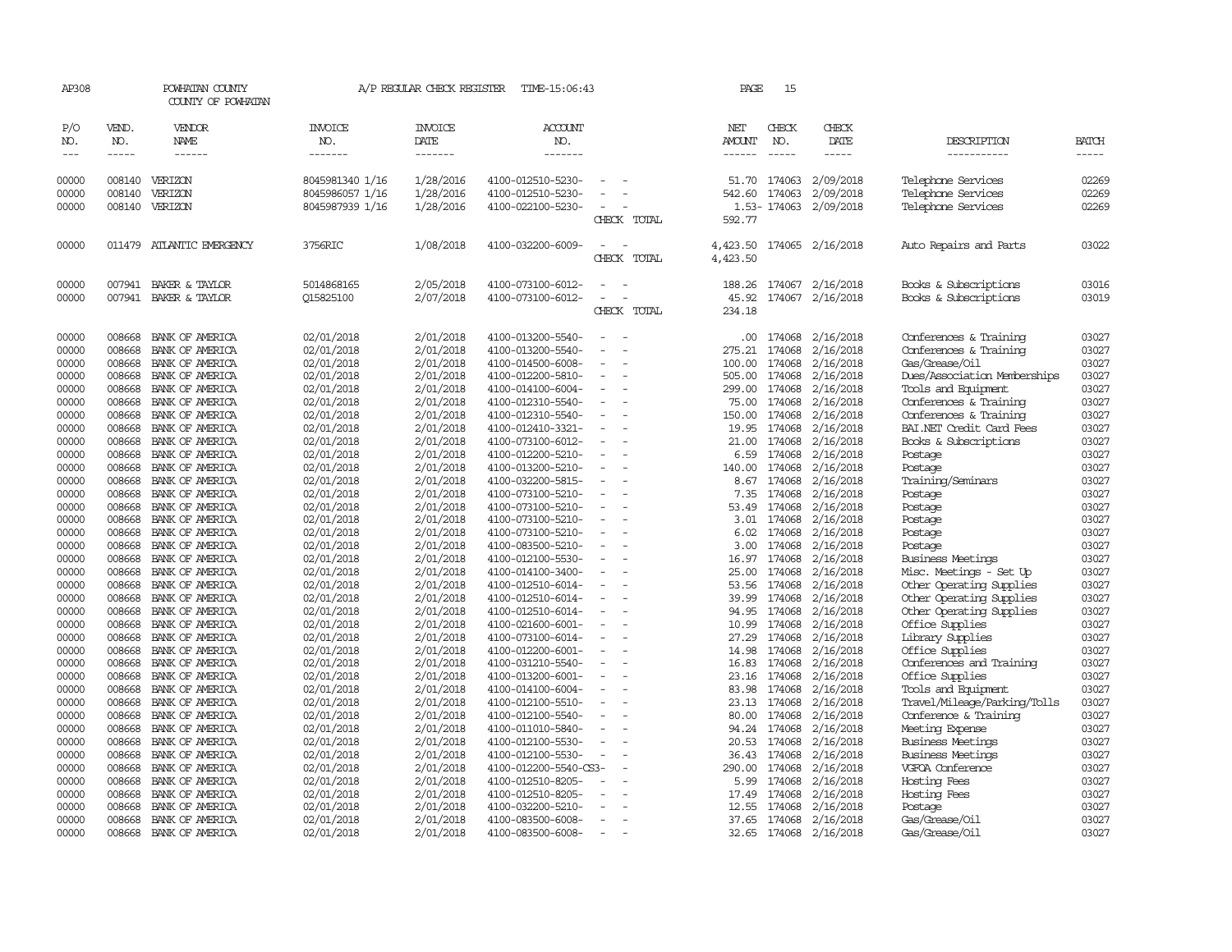| AP308                       |                       | POWHATAN COUNTY<br>COUNTY OF POWHATAN |                           | A/P REGULAR CHECK REGISTER        | TIME-15:06:43                          |                                      | PAGE                    | 15                          |                        |                                     |                |
|-----------------------------|-----------------------|---------------------------------------|---------------------------|-----------------------------------|----------------------------------------|--------------------------------------|-------------------------|-----------------------------|------------------------|-------------------------------------|----------------|
| P/O<br>NO.<br>$\frac{1}{2}$ | VEND.<br>NO.<br>----- | <b>VENDOR</b><br>NAME<br>------       | INVOICE<br>NO.<br>------- | <b>INVOICE</b><br>DATE<br>------- | <b>ACCOUNT</b><br>NO.<br>-------       |                                      | NET<br>AMOUNT<br>------ | CHECK<br>NO.<br>$- - - - -$ | CHECK<br>DATE<br>----- | DESCRIPTION<br>-----------          | BATCH<br>----- |
|                             |                       |                                       |                           |                                   |                                        |                                      |                         |                             |                        |                                     |                |
| 00000                       | 008140                | VERIZON                               | 8045981340 1/16           | 1/28/2016                         | 4100-012510-5230-                      |                                      | 51.70                   | 174063                      | 2/09/2018              | Telephone Services                  | 02269          |
| 00000                       | 008140                | VERIZON                               | 8045986057 1/16           | 1/28/2016                         | 4100-012510-5230-                      |                                      |                         | 542.60 174063               | 2/09/2018              | Telephone Services                  | 02269          |
| 00000                       |                       | 008140 VERIZON                        | 8045987939 1/16           | 1/28/2016                         | 4100-022100-5230-                      |                                      |                         |                             | 1.53-174063 2/09/2018  | Telephone Services                  | 02269          |
|                             |                       |                                       |                           |                                   |                                        | CHECK TOTAL                          | 592.77                  |                             |                        |                                     |                |
| 00000                       |                       | 011479 ATLANTIC EMERGENCY             | 3756RIC                   | 1/08/2018                         | 4100-032200-6009-                      | CHECK TOTAL                          | 4,423.50<br>4,423.50    |                             | 174065 2/16/2018       | Auto Repairs and Parts              | 03022          |
| 00000                       |                       | 007941 BAKER & TAYLOR                 | 5014868165                | 2/05/2018                         | 4100-073100-6012-                      |                                      | 188.26                  |                             | 174067 2/16/2018       | Books & Subscriptions               | 03016          |
| 00000                       |                       | 007941 BAKER & TAYLOR                 | 015825100                 | 2/07/2018                         | 4100-073100-6012-                      | $\equiv$                             | 45.92                   |                             | 174067 2/16/2018       | Books & Subscriptions               | 03019          |
|                             |                       |                                       |                           |                                   |                                        | CHECK TOTAL                          | 234.18                  |                             |                        |                                     |                |
| 00000                       | 008668                | BANK OF AMERICA                       | 02/01/2018                | 2/01/2018                         | 4100-013200-5540-                      |                                      | .00.                    | 174068                      | 2/16/2018              | Conferences & Training              | 03027          |
| 00000                       | 008668                | BANK OF AMERICA                       | 02/01/2018                | 2/01/2018                         | 4100-013200-5540-                      | $\equiv$                             | 275.21                  | 174068                      | 2/16/2018              | Conferences & Training              | 03027          |
| 00000                       | 008668                | BANK OF AMERICA                       | 02/01/2018                | 2/01/2018                         | 4100-014500-6008-                      | $\equiv$                             | 100.00                  | 174068                      | 2/16/2018              | Gas/Grease/Oil                      | 03027          |
| 00000                       | 008668                | BANK OF AMERICA                       | 02/01/2018                | 2/01/2018                         | 4100-012200-5810-                      | $\overline{\phantom{a}}$             | 505.00                  | 174068                      | 2/16/2018              | Dues/Association Memberships        | 03027          |
| 00000                       | 008668                | BANK OF AMERICA                       | 02/01/2018                | 2/01/2018                         | 4100-014100-6004-                      | $\overline{\phantom{a}}$             | 299.00                  | 174068                      | 2/16/2018              | Tools and Equipment                 | 03027          |
| 00000                       | 008668                | BANK OF AMERICA                       | 02/01/2018                | 2/01/2018                         | 4100-012310-5540-                      | $\overline{\phantom{a}}$             | 75.00                   | 174068                      | 2/16/2018              | Conferences & Training              | 03027          |
| 00000                       | 008668                | BANK OF AMERICA                       | 02/01/2018                | 2/01/2018                         | 4100-012310-5540-                      | $\overline{\phantom{a}}$             | 150.00                  | 174068                      | 2/16/2018              | Conferences & Training              | 03027          |
| 00000                       | 008668                | BANK OF AMERICA                       | 02/01/2018                | 2/01/2018                         | 4100-012410-3321-                      | $\equiv$                             | 19.95                   | 174068                      | 2/16/2018              | BAI.NET Credit Card Fees            | 03027          |
| 00000                       | 008668                | BANK OF AMERICA                       | 02/01/2018                | 2/01/2018                         | 4100-073100-6012-                      | $\sim$                               | 21.00                   | 174068                      | 2/16/2018              | Books & Subscriptions               | 03027          |
| 00000                       | 008668                | BANK OF AMERICA                       | 02/01/2018                | 2/01/2018                         | 4100-012200-5210-                      | $\equiv$                             | 6.59                    | 174068                      | 2/16/2018              | Postage                             | 03027          |
| 00000                       | 008668                | BANK OF AMERICA                       | 02/01/2018                | 2/01/2018                         | 4100-013200-5210-                      |                                      | 140.00                  | 174068                      | 2/16/2018              | Postage                             | 03027          |
| 00000                       | 008668                | BANK OF AMERICA                       | 02/01/2018                | 2/01/2018                         | 4100-032200-5815-                      | $\equiv$                             |                         | 8.67 174068                 | 2/16/2018              | Training/Seminars                   | 03027          |
| 00000                       | 008668                | BANK OF AMERICA                       | 02/01/2018                | 2/01/2018                         | 4100-073100-5210-                      | $\equiv$                             | 7.35                    | 174068                      | 2/16/2018              | Postage                             | 03027          |
| 00000                       | 008668                | BANK OF AMERICA                       | 02/01/2018                | 2/01/2018                         | 4100-073100-5210-                      | $\equiv$                             | 53.49                   | 174068                      | 2/16/2018              | Postage                             | 03027          |
| 00000                       | 008668                | BANK OF AMERICA                       | 02/01/2018                | 2/01/2018                         | 4100-073100-5210-                      | $\sim$                               | 3.01                    | 174068                      | 2/16/2018              | Postage                             | 03027          |
| 00000                       | 008668                | BANK OF AMERICA                       | 02/01/2018                | 2/01/2018                         | 4100-073100-5210-                      | $\overline{\phantom{a}}$             | 6.02                    | 174068                      | 2/16/2018              | Postage                             | 03027          |
| 00000                       | 008668                | BANK OF AMERICA                       | 02/01/2018                | 2/01/2018                         | 4100-083500-5210-                      | $\equiv$                             | 3.00                    | 174068                      | 2/16/2018              | Postage                             | 03027          |
| 00000                       | 008668                | BANK OF AMERICA                       | 02/01/2018                | 2/01/2018                         | 4100-012100-5530-                      |                                      | 16.97                   | 174068                      | 2/16/2018              | <b>Business Meetings</b>            | 03027          |
| 00000                       | 008668                | BANK OF AMERICA                       | 02/01/2018                | 2/01/2018                         | 4100-014100-3400-                      | $\equiv$                             | 25.00                   | 174068                      | 2/16/2018              | Misc. Meetings - Set Up             | 03027          |
| 00000                       | 008668                | BANK OF AMERICA                       | 02/01/2018                | 2/01/2018                         | 4100-012510-6014-                      |                                      | 53.56                   | 174068                      | 2/16/2018              | Other Operating Supplies            | 03027          |
| 00000                       | 008668                | BANK OF AMERICA                       | 02/01/2018                | 2/01/2018                         | 4100-012510-6014-                      |                                      | 39.99                   | 174068                      | 2/16/2018              | Other Operating Supplies            | 03027          |
| 00000                       | 008668                | BANK OF AMERICA                       | 02/01/2018                | 2/01/2018                         | 4100-012510-6014-                      | $\equiv$<br>$\overline{\phantom{a}}$ | 94.95                   | 174068<br>174068            | 2/16/2018              | Other Operating Supplies            | 03027<br>03027 |
| 00000                       | 008668<br>008668      | BANK OF AMERICA<br>BANK OF AMERICA    | 02/01/2018                | 2/01/2018                         | 4100-021600-6001-                      | $\equiv$                             | 10.99<br>27.29          | 174068                      | 2/16/2018              | Office Supplies<br>Library Supplies |                |
| 00000<br>00000              | 008668                | BANK OF AMERICA                       | 02/01/2018                | 2/01/2018<br>2/01/2018            | 4100-073100-6014-<br>4100-012200-6001- |                                      | 14.98                   | 174068                      | 2/16/2018<br>2/16/2018 | Office Supplies                     | 03027<br>03027 |
| 00000                       | 008668                | BANK OF AMERICA                       | 02/01/2018<br>02/01/2018  | 2/01/2018                         | 4100-031210-5540-                      | $\equiv$                             | 16.83                   | 174068                      | 2/16/2018              | Conferences and Training            | 03027          |
| 00000                       | 008668                | BANK OF AMERICA                       | 02/01/2018                | 2/01/2018                         | 4100-013200-6001-                      | $\overline{\phantom{a}}$             | 23.16                   | 174068                      | 2/16/2018              | Office Supplies                     | 03027          |
| 00000                       | 008668                | BANK OF AMERICA                       | 02/01/2018                | 2/01/2018                         | 4100-014100-6004-                      |                                      | 83.98                   | 174068                      | 2/16/2018              | Tools and Equipment                 | 03027          |
| 00000                       | 008668                | BANK OF AMERICA                       | 02/01/2018                | 2/01/2018                         | 4100-012100-5510-                      | $\equiv$                             |                         | 23.13 174068                | 2/16/2018              | Travel/Mileage/Parking/Tolls        | 03027          |
| 00000                       | 008668                | BANK OF AMERICA                       | 02/01/2018                | 2/01/2018                         | 4100-012100-5540-                      |                                      | 80.00                   | 174068                      | 2/16/2018              | Conference & Training               | 03027          |
| 00000                       | 008668                | BANK OF AMERICA                       | 02/01/2018                | 2/01/2018                         | 4100-011010-5840-                      | $\equiv$                             |                         | 94.24 174068                | 2/16/2018              | Meeting Expense                     | 03027          |
| 00000                       | 008668                | BANK OF AMERICA                       | 02/01/2018                | 2/01/2018                         | 4100-012100-5530-                      | $\equiv$                             | 20.53                   | 174068                      | 2/16/2018              | <b>Business Meetings</b>            | 03027          |
| 00000                       | 008668                | BANK OF AMERICA                       | 02/01/2018                | 2/01/2018                         | 4100-012100-5530-                      | $\overline{\phantom{a}}$             | 36.43                   | 174068                      | 2/16/2018              | <b>Business Meetings</b>            | 03027          |
| 00000                       | 008668                | BANK OF AMERICA                       | 02/01/2018                | 2/01/2018                         | 4100-012200-5540-CS3-                  |                                      | 290.00                  | 174068                      | 2/16/2018              | VGFOA Conference                    | 03027          |
| 00000                       | 008668                | BANK OF AMERICA                       | 02/01/2018                | 2/01/2018                         | 4100-012510-8205-                      |                                      | 5.99                    | 174068                      | 2/16/2018              | Hosting Fees                        | 03027          |
| 00000                       | 008668                | BANK OF AMERICA                       | 02/01/2018                | 2/01/2018                         | 4100-012510-8205-                      | $\equiv$                             | 17.49                   | 174068                      | 2/16/2018              | Hosting Fees                        | 03027          |
| 00000                       | 008668                | BANK OF AMERICA                       | 02/01/2018                | 2/01/2018                         | 4100-032200-5210-                      |                                      | 12.55                   | 174068                      | 2/16/2018              | Postage                             | 03027          |
| 00000                       | 008668                | BANK OF AMERICA                       | 02/01/2018                | 2/01/2018                         | 4100-083500-6008-                      | $\sim$                               |                         |                             | 37.65 174068 2/16/2018 | Gas/Grease/Oil                      | 03027          |
| 00000                       | 008668                | BANK OF AMERICA                       | 02/01/2018                | 2/01/2018                         | 4100-083500-6008-                      | $\sim$                               | 32.65                   |                             | 174068 2/16/2018       | Gas/Grease/Oil                      | 03027          |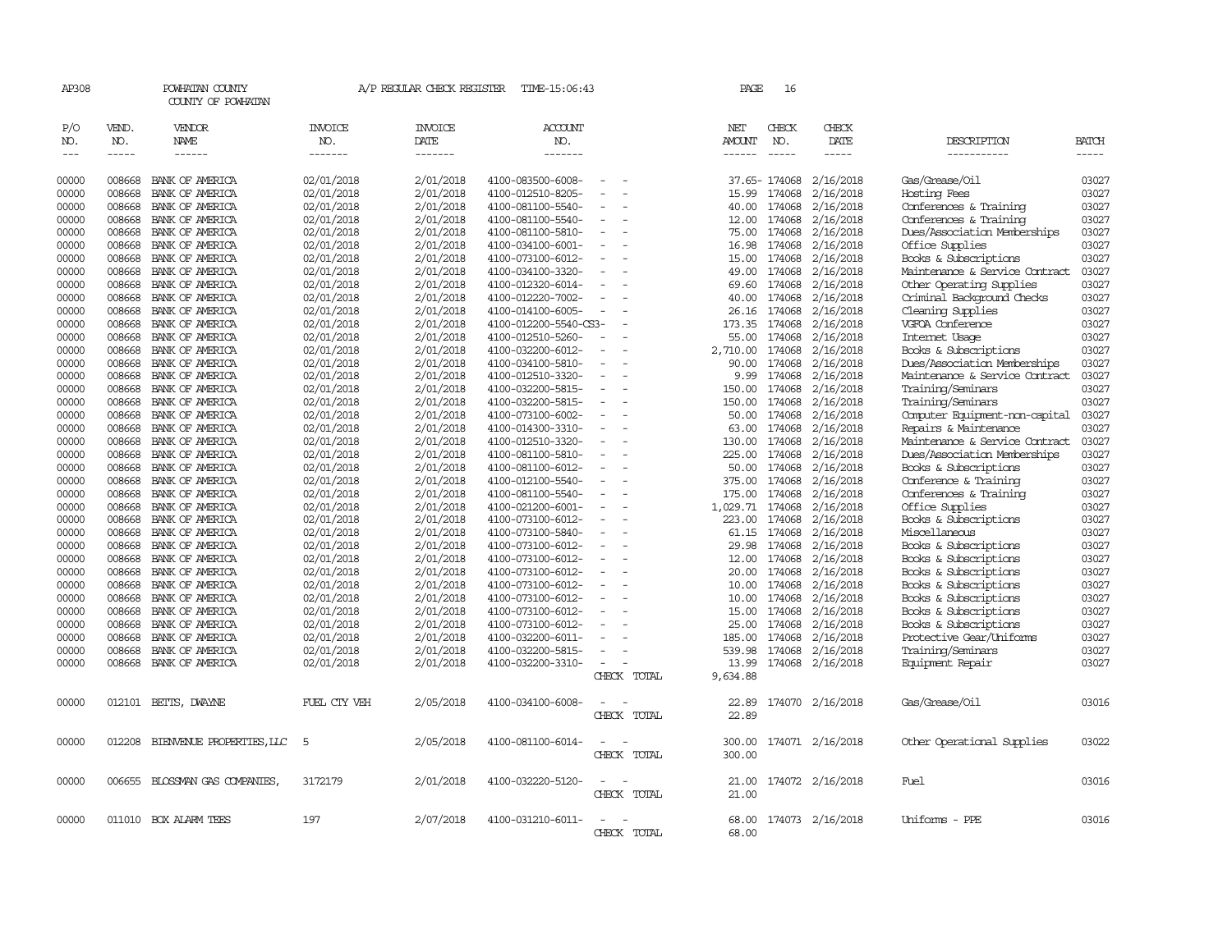| AP308               |                       | POWHATAN COUNTY<br>COUNTY OF POWHATAN                                                                                                                                                                                                                                             |                                  | A/P REGULAR CHECK REGISTER        | TIME-15:06:43                          |                          | PAGE                    | 16                                     |                              |                                                |                       |
|---------------------|-----------------------|-----------------------------------------------------------------------------------------------------------------------------------------------------------------------------------------------------------------------------------------------------------------------------------|----------------------------------|-----------------------------------|----------------------------------------|--------------------------|-------------------------|----------------------------------------|------------------------------|------------------------------------------------|-----------------------|
| P/O<br>NO.<br>$---$ | VEND.<br>NO.<br>----- | VENDOR<br>NAME<br>$\begin{tabular}{ccccc} \multicolumn{2}{c }{\multicolumn{2}{c }{\multicolumn{2}{c }{\multicolumn{2}{c}}}{\multicolumn{2}{c }{\multicolumn{2}{c}}}{\multicolumn{2}{c }{\multicolumn{2}{c}}}{\multicolumn{2}{c }{\multicolumn{2}{c}}}\end{tabular} \end{tabular}$ | <b>INVOICE</b><br>NO.<br>------- | <b>INVOICE</b><br>DATE<br>------- | <b>ACCOUNT</b><br>NO.<br>-------       |                          | NET<br>AMOUNT<br>------ | CHECK<br>NO.<br>$\cdots \cdots \cdots$ | CHECK<br>DATE<br>$- - - - -$ | DESCRIPTION<br>-----------                     | <b>BATCH</b><br>----- |
| 00000               | 008668                | BANK OF AMERICA                                                                                                                                                                                                                                                                   | 02/01/2018                       | 2/01/2018                         | 4100-083500-6008-                      |                          |                         | 37.65-174068                           | 2/16/2018                    | Gas/Grease/Oil                                 | 03027                 |
| 00000               | 008668                | BANK OF AMERICA                                                                                                                                                                                                                                                                   | 02/01/2018                       | 2/01/2018                         | 4100-012510-8205-                      |                          | 15.99                   | 174068                                 | 2/16/2018                    | Hosting Fees                                   | 03027                 |
| 00000               | 008668                | BANK OF AMERICA                                                                                                                                                                                                                                                                   | 02/01/2018                       | 2/01/2018                         | 4100-081100-5540-                      | $\overline{a}$           | 40.00                   | 174068                                 | 2/16/2018                    | Conferences & Training                         | 03027                 |
| 00000               | 008668                | BANK OF AMERICA                                                                                                                                                                                                                                                                   | 02/01/2018                       | 2/01/2018                         | 4100-081100-5540-                      |                          | 12.00                   | 174068                                 | 2/16/2018                    | Conferences & Training                         | 03027                 |
| 00000               | 008668                | BANK OF AMERICA                                                                                                                                                                                                                                                                   | 02/01/2018                       | 2/01/2018                         | 4100-081100-5810-                      |                          | 75.00                   | 174068                                 | 2/16/2018                    | Dues/Association Memberships                   | 03027                 |
| 00000               | 008668                | BANK OF AMERICA                                                                                                                                                                                                                                                                   | 02/01/2018                       | 2/01/2018                         | 4100-034100-6001-                      |                          | 16.98                   | 174068                                 | 2/16/2018                    | Office Supplies                                | 03027                 |
| 00000               | 008668                | BANK OF AMERICA                                                                                                                                                                                                                                                                   | 02/01/2018                       | 2/01/2018                         | 4100-073100-6012-                      |                          | 15.00                   | 174068                                 | 2/16/2018                    | Books & Subscriptions                          | 03027                 |
| 00000               | 008668                | BANK OF AMERICA                                                                                                                                                                                                                                                                   | 02/01/2018                       | 2/01/2018                         | 4100-034100-3320-                      |                          | 49.00                   | 174068                                 | 2/16/2018                    | Maintenance & Service Contract                 | 03027                 |
| 00000               | 008668                | BANK OF AMERICA                                                                                                                                                                                                                                                                   | 02/01/2018                       | 2/01/2018                         | 4100-012320-6014-                      |                          | 69.60                   | 174068                                 | 2/16/2018                    | Other Operating Supplies                       | 03027                 |
| 00000               | 008668                | BANK OF AMERICA                                                                                                                                                                                                                                                                   | 02/01/2018                       | 2/01/2018                         | 4100-012220-7002-                      | $\equiv$                 | 40.00                   | 174068                                 | 2/16/2018                    | Criminal Background Checks                     | 03027                 |
| 00000               | 008668                | BANK OF AMERICA                                                                                                                                                                                                                                                                   | 02/01/2018                       | 2/01/2018                         | 4100-014100-6005-                      | $\equiv$                 | 26.16                   | 174068                                 | 2/16/2018                    | Cleaning Supplies                              | 03027                 |
| 00000               | 008668                | BANK OF AMERICA                                                                                                                                                                                                                                                                   | 02/01/2018                       | 2/01/2018                         | 4100-012200-5540-CS3-                  |                          | 173.35                  | 174068                                 | 2/16/2018                    | VGFOA Conference                               | 03027                 |
| 00000               | 008668                | BANK OF AMERICA                                                                                                                                                                                                                                                                   | 02/01/2018                       | 2/01/2018                         | 4100-012510-5260-                      |                          | 55.00                   | 174068                                 | 2/16/2018                    | Internet Usage                                 | 03027                 |
| 00000               | 008668                | BANK OF AMERICA                                                                                                                                                                                                                                                                   | 02/01/2018                       | 2/01/2018                         | 4100-032200-6012-                      |                          | 2,710.00                | 174068                                 | 2/16/2018                    | Books & Subscriptions                          | 03027                 |
| 00000               | 008668                | BANK OF AMERICA                                                                                                                                                                                                                                                                   | 02/01/2018                       | 2/01/2018                         | 4100-034100-5810-                      | $\equiv$                 | 90.00                   | 174068                                 | 2/16/2018                    | Dues/Association Memberships                   | 03027                 |
| 00000               | 008668                | BANK OF AMERICA                                                                                                                                                                                                                                                                   | 02/01/2018                       | 2/01/2018                         | 4100-012510-3320-                      |                          | 9.99                    | 174068                                 | 2/16/2018                    | Maintenance & Service Contract                 | 03027                 |
| 00000               | 008668                | BANK OF AMERICA                                                                                                                                                                                                                                                                   | 02/01/2018                       | 2/01/2018                         | 4100-032200-5815-                      | $\equiv$                 | 150.00                  | 174068                                 | 2/16/2018                    | Training/Seminars                              | 03027                 |
| 00000               | 008668                | BANK OF AMERICA                                                                                                                                                                                                                                                                   | 02/01/2018                       | 2/01/2018                         | 4100-032200-5815-                      | $\overline{\phantom{a}}$ | 150.00                  | 174068                                 | 2/16/2018                    | Training/Seminars                              | 03027                 |
| 00000               | 008668                | BANK OF AMERICA                                                                                                                                                                                                                                                                   | 02/01/2018                       | 2/01/2018                         | 4100-073100-6002-                      |                          | 50.00                   | 174068                                 | 2/16/2018                    | Computer Equipment-non-capital                 | 03027                 |
| 00000               | 008668                | BANK OF AMERICA                                                                                                                                                                                                                                                                   | 02/01/2018                       | 2/01/2018                         | 4100-014300-3310-                      | $\overline{\phantom{a}}$ | 63.00                   | 174068                                 | 2/16/2018                    | Repairs & Maintenance                          | 03027                 |
| 00000<br>00000      | 008668<br>008668      | BANK OF AMERICA<br>BANK OF AMERICA                                                                                                                                                                                                                                                | 02/01/2018                       | 2/01/2018                         | 4100-012510-3320-                      | $\equiv$                 | 130.00<br>225.00        | 174068<br>174068                       | 2/16/2018                    | Maintenance & Service Contract                 | 03027                 |
|                     |                       |                                                                                                                                                                                                                                                                                   | 02/01/2018                       | 2/01/2018                         | 4100-081100-5810-                      |                          |                         | 174068                                 | 2/16/2018                    | Dues/Association Memberships                   | 03027                 |
| 00000<br>00000      | 008668<br>008668      | BANK OF AMERICA<br>BANK OF AMERICA                                                                                                                                                                                                                                                | 02/01/2018                       | 2/01/2018<br>2/01/2018            | 4100-081100-6012-<br>4100-012100-5540- | $\equiv$                 | 50.00<br>375.00         | 174068                                 | 2/16/2018<br>2/16/2018       | Books & Subscriptions<br>Conference & Training | 03027<br>03027        |
| 00000               | 008668                | BANK OF AMERICA                                                                                                                                                                                                                                                                   | 02/01/2018<br>02/01/2018         | 2/01/2018                         |                                        | $\overline{\phantom{a}}$ | 175.00                  | 174068                                 | 2/16/2018                    | Conferences & Training                         | 03027                 |
| 00000               | 008668                | BANK OF AMERICA                                                                                                                                                                                                                                                                   | 02/01/2018                       | 2/01/2018                         | 4100-081100-5540-<br>4100-021200-6001- |                          | 1,029.71                | 174068                                 | 2/16/2018                    | Office Supplies                                | 03027                 |
| 00000               | 008668                | BANK OF AMERICA                                                                                                                                                                                                                                                                   | 02/01/2018                       | 2/01/2018                         | 4100-073100-6012-                      | $\sim$                   | 223.00                  | 174068                                 | 2/16/2018                    | Books & Subscriptions                          | 03027                 |
| 00000               | 008668                | BANK OF AMERICA                                                                                                                                                                                                                                                                   | 02/01/2018                       | 2/01/2018                         | 4100-073100-5840-                      |                          | 61.15                   | 174068                                 | 2/16/2018                    | Miscellaneous                                  | 03027                 |
| 00000               | 008668                | BANK OF AMERICA                                                                                                                                                                                                                                                                   | 02/01/2018                       | 2/01/2018                         | 4100-073100-6012-                      |                          | 29.98                   | 174068                                 | 2/16/2018                    | Books & Subscriptions                          | 03027                 |
| 00000               | 008668                | BANK OF AMERICA                                                                                                                                                                                                                                                                   | 02/01/2018                       | 2/01/2018                         | 4100-073100-6012-                      |                          | 12.00                   | 174068                                 | 2/16/2018                    | Books & Subscriptions                          | 03027                 |
| 00000               | 008668                | BANK OF AMERICA                                                                                                                                                                                                                                                                   | 02/01/2018                       | 2/01/2018                         | 4100-073100-6012-                      | $\overline{\phantom{a}}$ | 20.00                   | 174068                                 | 2/16/2018                    | Books & Subscriptions                          | 03027                 |
| 00000               | 008668                | BANK OF AMERICA                                                                                                                                                                                                                                                                   | 02/01/2018                       | 2/01/2018                         | 4100-073100-6012-                      |                          | 10.00                   | 174068                                 | 2/16/2018                    | Books & Subscriptions                          | 03027                 |
| 00000               | 008668                | BANK OF AMERICA                                                                                                                                                                                                                                                                   | 02/01/2018                       | 2/01/2018                         | 4100-073100-6012-                      |                          | 10.00                   | 174068                                 | 2/16/2018                    | Books & Subscriptions                          | 03027                 |
| 00000               | 008668                | BANK OF AMERICA                                                                                                                                                                                                                                                                   | 02/01/2018                       | 2/01/2018                         | 4100-073100-6012-                      |                          | 15.00                   | 174068                                 | 2/16/2018                    | Books & Subscriptions                          | 03027                 |
| 00000               | 008668                | BANK OF AMERICA                                                                                                                                                                                                                                                                   | 02/01/2018                       | 2/01/2018                         | 4100-073100-6012-                      |                          | 25.00                   | 174068                                 | 2/16/2018                    | Books & Subscriptions                          | 03027                 |
| 00000               | 008668                | BANK OF AMERICA                                                                                                                                                                                                                                                                   | 02/01/2018                       | 2/01/2018                         | 4100-032200-6011-                      |                          | 185.00                  | 174068                                 | 2/16/2018                    | Protective Gear/Uniforms                       | 03027                 |
| 00000               | 008668                | BANK OF AMERICA                                                                                                                                                                                                                                                                   | 02/01/2018                       | 2/01/2018                         | 4100-032200-5815-                      |                          | 539.98                  | 174068                                 | 2/16/2018                    | Training/Seminars                              | 03027                 |
| 00000               | 008668                | BANK OF AMERICA                                                                                                                                                                                                                                                                   | 02/01/2018                       | 2/01/2018                         | 4100-032200-3310-                      | $\sim$                   | 13.99                   |                                        | 174068 2/16/2018             | Equipment Repair                               | 03027                 |
|                     |                       |                                                                                                                                                                                                                                                                                   |                                  |                                   |                                        | CHECK TOTAL              | 9,634.88                |                                        |                              |                                                |                       |
| 00000               | 012101                | BETTS, DWAYNE                                                                                                                                                                                                                                                                     | FUEL CTY VEH                     | 2/05/2018                         | 4100-034100-6008-                      | $\equiv$<br>CHECK TOTAL  | 22.89<br>22.89          |                                        | 174070 2/16/2018             | Gas/Grease/Oil                                 | 03016                 |
| 00000               | 012208                | BIENVENUE PROPERTIES, LLC                                                                                                                                                                                                                                                         | - 5                              | 2/05/2018                         | 4100-081100-6014-                      | CHECK TOTAL              | 300.00<br>300.00        |                                        | 174071 2/16/2018             | Other Operational Supplies                     | 03022                 |
| 00000               | 006655                | BLOSSMAN GAS COMPANIES,                                                                                                                                                                                                                                                           | 3172179                          | 2/01/2018                         | 4100-032220-5120-                      | CHECK TOTAL              | 21.00<br>21.00          |                                        | 174072 2/16/2018             | Fuel                                           | 03016                 |
| 00000               |                       | 011010 BOX ALARM TEES                                                                                                                                                                                                                                                             | 197                              | 2/07/2018                         | 4100-031210-6011-                      | CHECK TOTAL              | 68.00<br>68.00          |                                        | 174073 2/16/2018             | Uniforms - PPE                                 | 03016                 |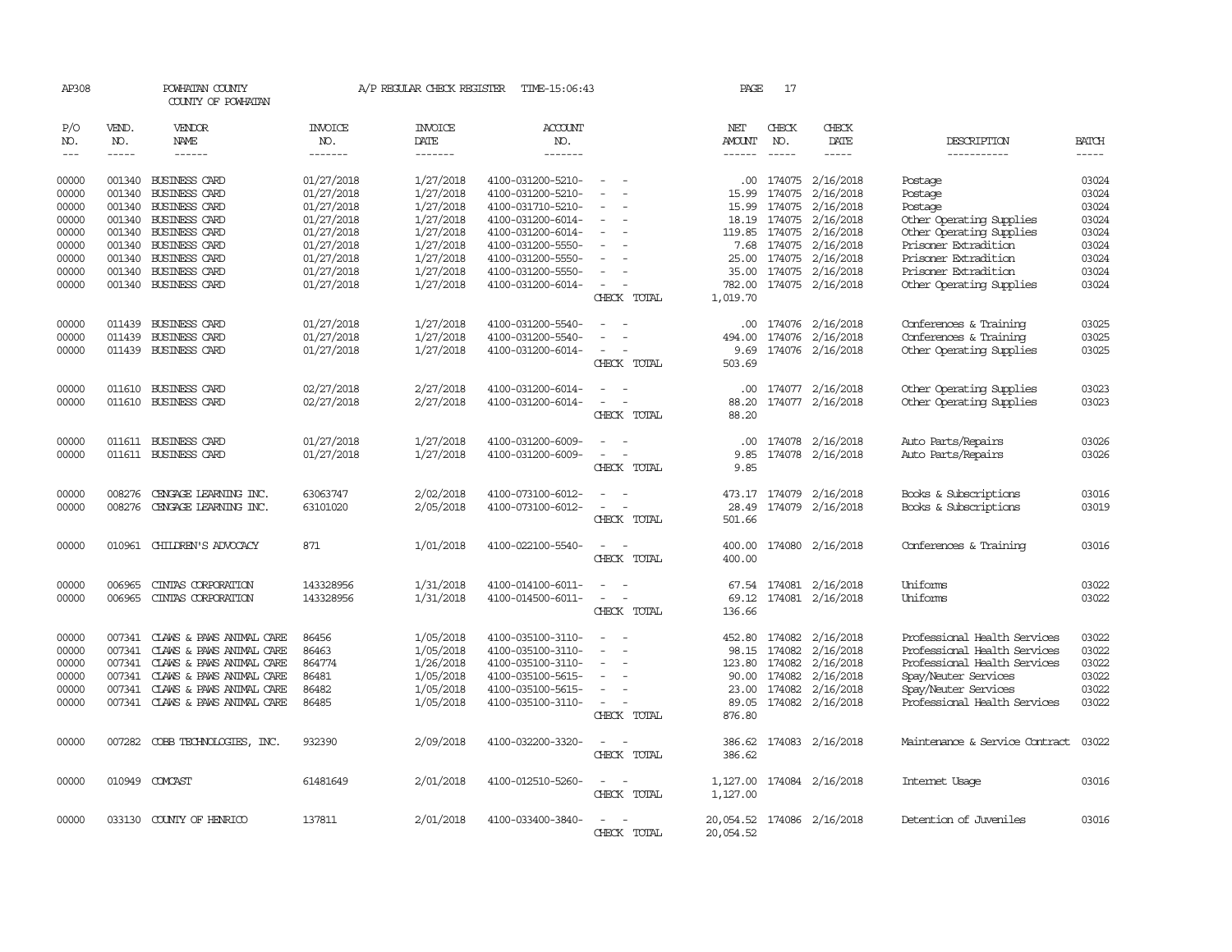| AP308                                                                |                                                                                                                                                                                                                                                                                                                                                                                                                                                                         | POWHATAN COUNTY<br>COUNTY OF POWHATAN                                                                                                                                                 |                                                                                                              | A/P REGULAR CHECK REGISTER                                                                           | TIME-15:06:43                                                                                                                                                        |                                            |             | PAGE                                                           | 17                                                              |                                                                                                                          |                                                                                                                                                                              |                                                                      |
|----------------------------------------------------------------------|-------------------------------------------------------------------------------------------------------------------------------------------------------------------------------------------------------------------------------------------------------------------------------------------------------------------------------------------------------------------------------------------------------------------------------------------------------------------------|---------------------------------------------------------------------------------------------------------------------------------------------------------------------------------------|--------------------------------------------------------------------------------------------------------------|------------------------------------------------------------------------------------------------------|----------------------------------------------------------------------------------------------------------------------------------------------------------------------|--------------------------------------------|-------------|----------------------------------------------------------------|-----------------------------------------------------------------|--------------------------------------------------------------------------------------------------------------------------|------------------------------------------------------------------------------------------------------------------------------------------------------------------------------|----------------------------------------------------------------------|
| P/O<br>NO.<br>$--\,$                                                 | VEND.<br>NO.<br>$\begin{tabular}{ccccc} \multicolumn{2}{c }{\multicolumn{2}{c }{\multicolumn{2}{c }{\multicolumn{2}{c}}{\hspace{-2.2cm}}}} \multicolumn{2}{c }{\multicolumn{2}{c }{\hspace{-2.2cm}}\hline} \multicolumn{2}{c }{\hspace{-2.2cm}}\hline \multicolumn{2}{c }{\hspace{-2.2cm}}\hline \multicolumn{2}{c }{\hspace{-2.2cm}}\hline \multicolumn{2}{c }{\hspace{-2.2cm}}\hline \multicolumn{2}{c }{\hspace{-2.2cm}}\hline \multicolumn{2}{c }{\hspace{-2.2cm}}$ | <b>VENDOR</b><br>NAME<br>------                                                                                                                                                       | <b>INVOICE</b><br>NO.<br>-------                                                                             | <b>INVOICE</b><br>DATE<br>-------                                                                    | <b>ACCOUNT</b><br>NO.<br>-------                                                                                                                                     |                                            |             | NET<br>AMOUNT                                                  | CHECK<br>NO.<br>$\frac{1}{2}$                                   | CHECK<br>DATE                                                                                                            | DESCRIPTION<br>-----------                                                                                                                                                   | <b>BATCH</b><br>-----                                                |
| 00000<br>00000<br>00000<br>00000<br>00000<br>00000<br>00000<br>00000 | 001340<br>001340<br>001340<br>001340<br>001340                                                                                                                                                                                                                                                                                                                                                                                                                          | BUSINESS CARD<br><b>BUSINESS CARD</b><br>001340 BUSINESS CARD<br><b>BUSINESS CARD</b><br>001340 BUSINESS CARD<br><b>BUSINESS CARD</b><br>001340 BUSINESS CARD<br><b>BUSINESS CARD</b> | 01/27/2018<br>01/27/2018<br>01/27/2018<br>01/27/2018<br>01/27/2018<br>01/27/2018<br>01/27/2018<br>01/27/2018 | 1/27/2018<br>1/27/2018<br>1/27/2018<br>1/27/2018<br>1/27/2018<br>1/27/2018<br>1/27/2018<br>1/27/2018 | 4100-031200-5210-<br>4100-031200-5210-<br>4100-031710-5210-<br>4100-031200-6014-<br>4100-031200-6014-<br>4100-031200-5550-<br>4100-031200-5550-<br>4100-031200-5550- | $\equiv$<br>$\equiv$                       |             | .00<br>15.99<br>15.99<br>18.19<br>7.68<br>35.00                | 174075<br>174075<br>174075<br>174075<br>119.85 174075<br>174075 | 2/16/2018<br>2/16/2018<br>2/16/2018<br>2/16/2018<br>2/16/2018<br>2/16/2018<br>25.00 174075 2/16/2018<br>174075 2/16/2018 | Postage<br>Postage<br>Postage<br>Other Operating Supplies<br>Other Operating Supplies<br>Prisoner Extradition<br>Prisoner Extradition<br>Prisoner Extradition                | 03024<br>03024<br>03024<br>03024<br>03024<br>03024<br>03024<br>03024 |
| 00000                                                                |                                                                                                                                                                                                                                                                                                                                                                                                                                                                         | 001340 BUSINESS CARD                                                                                                                                                                  | 01/27/2018                                                                                                   | 1/27/2018                                                                                            | 4100-031200-6014-                                                                                                                                                    | $\equiv$                                   | CHECK TOTAL | 782.00<br>1,019.70                                             |                                                                 | 174075 2/16/2018                                                                                                         | Other Operating Supplies                                                                                                                                                     | 03024                                                                |
| 00000<br>00000<br>00000                                              | 011439                                                                                                                                                                                                                                                                                                                                                                                                                                                                  | 011439 BUSINESS CARD<br><b>BUSINESS CARD</b><br>011439 BUSINESS CARD                                                                                                                  | 01/27/2018<br>01/27/2018<br>01/27/2018                                                                       | 1/27/2018<br>1/27/2018<br>1/27/2018                                                                  | 4100-031200-5540-<br>4100-031200-5540-<br>4100-031200-6014-                                                                                                          | $\overline{\phantom{a}}$                   | CHECK TOTAL | .00<br>494.00<br>9.69<br>503.69                                |                                                                 | 174076 2/16/2018<br>174076 2/16/2018<br>174076 2/16/2018                                                                 | Conferences & Training<br>Conferences & Training<br>Other Operating Supplies                                                                                                 | 03025<br>03025<br>03025                                              |
| 00000<br>00000                                                       | 011610                                                                                                                                                                                                                                                                                                                                                                                                                                                                  | <b>BUSINESS CARD</b><br>011610 BUSINESS CARD                                                                                                                                          | 02/27/2018<br>02/27/2018                                                                                     | 2/27/2018<br>2/27/2018                                                                               | 4100-031200-6014-<br>4100-031200-6014-                                                                                                                               | $\equiv$                                   | CHECK TOTAL | .00.<br>88.20<br>88.20                                         |                                                                 | 174077 2/16/2018<br>174077 2/16/2018                                                                                     | Other Operating Supplies<br>Other Operating Supplies                                                                                                                         | 03023<br>03023                                                       |
| 00000<br>00000                                                       |                                                                                                                                                                                                                                                                                                                                                                                                                                                                         | 011611 BUSINESS CARD<br>011611 BUSINESS CARD                                                                                                                                          | 01/27/2018<br>01/27/2018                                                                                     | 1/27/2018<br>1/27/2018                                                                               | 4100-031200-6009-<br>4100-031200-6009-                                                                                                                               | $\equiv$<br>$\equiv$                       | CHECK TOTAL | $.00 \cdot$<br>9.85<br>9.85                                    |                                                                 | 174078 2/16/2018<br>174078 2/16/2018                                                                                     | Auto Parts/Repairs<br>Auto Parts/Repairs                                                                                                                                     | 03026<br>03026                                                       |
| 00000<br>00000                                                       | 008276<br>008276                                                                                                                                                                                                                                                                                                                                                                                                                                                        | CENGAGE LEARNING INC.<br>CENGAGE LEARNING INC.                                                                                                                                        | 63063747<br>63101020                                                                                         | 2/02/2018<br>2/05/2018                                                                               | 4100-073100-6012-<br>4100-073100-6012-                                                                                                                               | $\equiv$<br>$\equiv$                       | CHECK TOTAL | 28.49<br>501.66                                                |                                                                 | 473.17 174079 2/16/2018<br>174079 2/16/2018                                                                              | Books & Subscriptions<br>Books & Subscriptions                                                                                                                               | 03016<br>03019                                                       |
| 00000                                                                |                                                                                                                                                                                                                                                                                                                                                                                                                                                                         | 010961 CHILDREN'S ADVOCACY                                                                                                                                                            | 871                                                                                                          | 1/01/2018                                                                                            | 4100-022100-5540-                                                                                                                                                    | $\overline{\phantom{a}}$                   | CHECK TOTAL | 400.00<br>400.00                                               |                                                                 | 174080 2/16/2018                                                                                                         | Conferences & Training                                                                                                                                                       | 03016                                                                |
| 00000<br>00000                                                       | 006965<br>006965                                                                                                                                                                                                                                                                                                                                                                                                                                                        | CINTAS CORPORATION<br>CINIAS CORPORATION                                                                                                                                              | 143328956<br>143328956                                                                                       | 1/31/2018<br>1/31/2018                                                                               | 4100-014100-6011-<br>4100-014500-6011-                                                                                                                               | $\equiv$                                   | CHECK TOTAL | 69.12<br>136.66                                                |                                                                 | 67.54 174081 2/16/2018<br>174081 2/16/2018                                                                               | Uniforms<br>Uniforms                                                                                                                                                         | 03022<br>03022                                                       |
| 00000<br>00000<br>00000<br>00000<br>00000<br>00000                   | 007341<br>007341<br>007341<br>007341                                                                                                                                                                                                                                                                                                                                                                                                                                    | 007341 CLAWS & PAWS ANIMAL CARE<br>CLAWS & PAWS ANIMAL CARE<br>CLAWS & PAWS ANIMAL CARE<br>CLAWS & PAWS ANIMAL CARE<br>CLAWS & PAWS ANIMAL CARE<br>007341 CLAWS & PAWS ANIMAL CARE    | 86456<br>86463<br>864774<br>86481<br>86482<br>86485                                                          | 1/05/2018<br>1/05/2018<br>1/26/2018<br>1/05/2018<br>1/05/2018<br>1/05/2018                           | 4100-035100-3110-<br>4100-035100-3110-<br>4100-035100-3110-<br>4100-035100-5615-<br>4100-035100-5615-<br>4100-035100-3110-                                           | $\sim$<br>$\equiv$<br>$\equiv$<br>$\equiv$ | CHECK TOTAL | 452.80<br>98.15<br>123.80<br>90.00<br>23.00<br>89.05<br>876.80 | 174082<br>174082<br>174082<br>174082                            | 2/16/2018<br>2/16/2018<br>174082 2/16/2018<br>2/16/2018<br>2/16/2018<br>174082 2/16/2018                                 | Professional Health Services<br>Professional Health Services<br>Professional Health Services<br>Spay/Neuter Services<br>Spay/Neuter Services<br>Professional Health Services | 03022<br>03022<br>03022<br>03022<br>03022<br>03022                   |
| 00000                                                                |                                                                                                                                                                                                                                                                                                                                                                                                                                                                         | 007282 COBB TECHNOLOGIES, INC.                                                                                                                                                        | 932390                                                                                                       | 2/09/2018                                                                                            | 4100-032200-3320-                                                                                                                                                    | $\equiv$                                   | CHECK TOTAL | 386.62<br>386.62                                               |                                                                 | 174083 2/16/2018                                                                                                         | Maintenance & Service Contract                                                                                                                                               | 03022                                                                |
| 00000                                                                |                                                                                                                                                                                                                                                                                                                                                                                                                                                                         | 010949 COMCAST                                                                                                                                                                        | 61481649                                                                                                     | 2/01/2018                                                                                            | 4100-012510-5260-                                                                                                                                                    | $\sim$ 10 $\,$                             | CHECK TOTAL | 1,127.00                                                       |                                                                 | 1,127.00 174084 2/16/2018                                                                                                | Internet Usage                                                                                                                                                               | 03016                                                                |
| 00000                                                                |                                                                                                                                                                                                                                                                                                                                                                                                                                                                         | 033130 COUNTY OF HENRICO                                                                                                                                                              | 137811                                                                                                       | 2/01/2018                                                                                            | 4100-033400-3840-                                                                                                                                                    |                                            | CHECK TOTAL | 20,054.52<br>20,054.52                                         |                                                                 | 174086 2/16/2018                                                                                                         | Detention of Juveniles                                                                                                                                                       | 03016                                                                |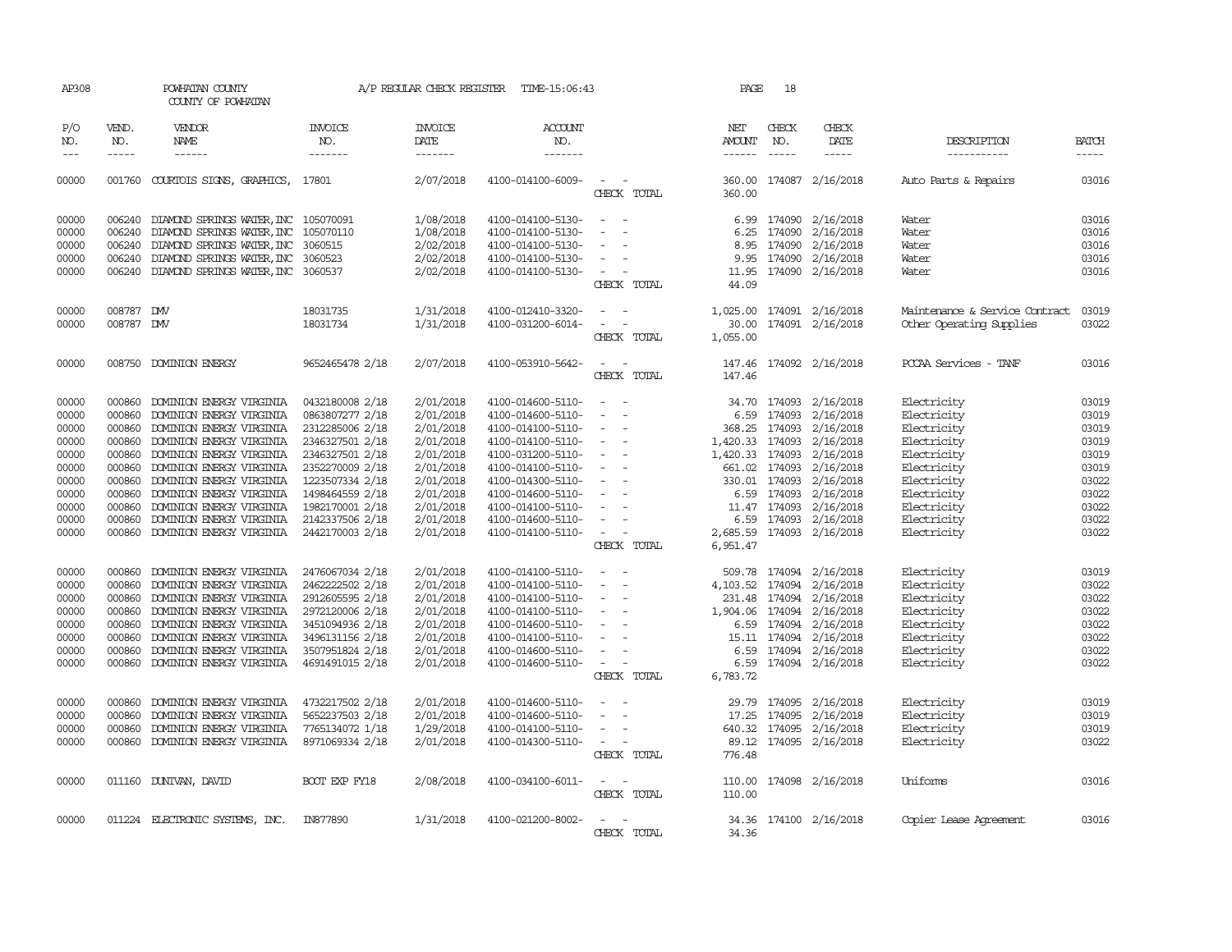| AP308               |                  | POWHATAN COUNTY<br>COUNTY OF POWHATAN                |                                    |                        | A/P REGULAR CHECK REGISTER TIME-15:06:43 |                                                      | PAGE          | 18                     |                                         |                                |                |
|---------------------|------------------|------------------------------------------------------|------------------------------------|------------------------|------------------------------------------|------------------------------------------------------|---------------|------------------------|-----------------------------------------|--------------------------------|----------------|
| P/O<br>NO.          | VEND.<br>NO.     | VENDOR<br><b>NAME</b>                                | INVOICE<br>NO.                     | <b>INVOICE</b><br>DATE | <b>ACCOUNT</b><br>NO.                    |                                                      | NET<br>AMOUNT | CHECK<br>NO.           | CHECK<br>DATE                           | DESCRIPTION                    | <b>BATCH</b>   |
| $\qquad \qquad - -$ | $- - - - -$      | ------                                               | -------                            | -------                | -------                                  |                                                      | ------        | $\cdots \cdots \cdots$ | -----                                   | -----------                    | -----          |
| 00000               |                  | 001760 COURTOIS SIGNS, GRAPHICS, 17801               |                                    | 2/07/2018              | 4100-014100-6009-                        | $\sim$ $\sim$<br>CHECK TOTAL                         | 360.00        |                        | 360.00 174087 2/16/2018                 | Auto Parts & Repairs           | 03016          |
| 00000               |                  | 006240 DIAMOND SPRINGS WATER, INC 105070091          |                                    | 1/08/2018              | 4100-014100-5130-                        | $\sim$<br>$\sim$                                     | 6.99          |                        | 174090 2/16/2018                        | Water                          | 03016          |
| 00000               | 006240           | DIAMOND SPRINGS WATER, INC 105070110                 |                                    | 1/08/2018              | 4100-014100-5130-                        | $\overline{\phantom{a}}$<br>$\overline{\phantom{a}}$ | 6.25          | 174090                 | 2/16/2018                               | Water                          | 03016          |
| 00000               |                  | 006240 DIAMOND SPRINGS WATER, INC                    | 3060515                            | 2/02/2018              | 4100-014100-5130-                        | $\sim$                                               | 8.95          |                        | 174090 2/16/2018                        | Water                          | 03016          |
| 00000               |                  | 006240 DIAMOND SPRINGS WATER, INC                    | 3060523                            | 2/02/2018              | 4100-014100-5130-                        | $\sim$                                               | 9.95          | 174090                 | 2/16/2018                               | Water                          | 03016          |
| 00000               |                  | 006240 DIAMOND SPRINGS WATER, INC 3060537            |                                    | 2/02/2018              | 4100-014100-5130-                        | $\overline{\phantom{a}}$                             | 11.95         |                        | 174090 2/16/2018                        | Water                          | 03016          |
|                     |                  |                                                      |                                    |                        |                                          | CHECK TOTAL                                          | 44.09         |                        |                                         |                                |                |
| 00000               | 008787 DW        |                                                      | 18031735                           | 1/31/2018              | 4100-012410-3320-                        | $\sim$<br>$\overline{\phantom{a}}$                   | 1,025.00      |                        | 174091 2/16/2018                        | Maintenance & Service Contract | 03019          |
| 00000               | 008787 DMV       |                                                      | 18031734                           | 1/31/2018              | 4100-031200-6014-                        | $\sim$<br>$\overline{\phantom{a}}$                   | 30.00         |                        | 174091 2/16/2018                        | Other Operating Supplies       | 03022          |
|                     |                  |                                                      |                                    |                        |                                          | CHECK TOTAL                                          | 1,055.00      |                        |                                         |                                |                |
| 00000               |                  | 008750 DOMINION ENERGY                               | 9652465478 2/18                    | 2/07/2018              | 4100-053910-5642-                        | $\sim$<br>- -                                        | 147.46        |                        | 174092 2/16/2018                        | PCCAA Services - TANF          | 03016          |
|                     |                  |                                                      |                                    |                        |                                          | CHECK TOTAL                                          | 147.46        |                        |                                         |                                |                |
| 00000               |                  | 000860 DOMINION ENERGY VIRGINIA                      | 0432180008 2/18                    | 2/01/2018              | 4100-014600-5110-                        | $\sim$ $ \sim$                                       |               |                        | 34.70 174093 2/16/2018                  | Electricity                    | 03019          |
| 00000               | 000860           | DOMINION ENERGY VIRGINIA                             | 0863807277 2/18                    | 2/01/2018              | 4100-014600-5110-                        | $\overline{\phantom{a}}$                             | 6.59          | 174093                 | 2/16/2018                               | Electricity                    | 03019          |
| 00000               | 000860           | DOMINION ENERGY VIRGINIA                             | 2312285006 2/18                    | 2/01/2018              | 4100-014100-5110-                        | $\overline{\phantom{a}}$                             |               |                        | 368.25 174093 2/16/2018                 | Electricity                    | 03019          |
| 00000               |                  | 000860 DOMINION ENERGY VIRGINIA                      | 2346327501 2/18                    | 2/01/2018              | 4100-014100-5110-                        | $\sim$ $-$                                           |               |                        | 1,420.33 174093 2/16/2018               | Electricity                    | 03019          |
| 00000               |                  | 000860 DOMINION ENERGY VIRGINIA                      | 2346327501 2/18                    | 2/01/2018              | 4100-031200-5110-                        | $\sim$ $-$                                           |               |                        | 1,420.33 174093 2/16/2018               | Electricity                    | 03019          |
| 00000               |                  | 000860 DOMINION ENERGY VIRGINIA                      | 2352270009 2/18                    | 2/01/2018              | 4100-014100-5110-                        | $\sim$                                               |               |                        | 661.02 174093 2/16/2018                 | Electricity                    | 03019          |
| 00000               |                  | 000860 DOMINION ENERGY VIRGINIA                      | 1223507334 2/18                    | 2/01/2018              | 4100-014300-5110-                        | $\sim$                                               |               |                        | 330.01 174093 2/16/2018                 | Electricity                    | 03022          |
| 00000               |                  | 000860 DOMINION ENERGY VIRGINIA                      | 1498464559 2/18                    | 2/01/2018              | 4100-014600-5110-                        | $\sim$                                               |               |                        | 6.59 174093 2/16/2018                   | Electricity                    | 03022          |
| 00000               | 000860           | DOMINION ENERGY VIRGINIA                             | 1982170001 2/18                    | 2/01/2018              | 4100-014100-5110-                        |                                                      |               |                        | 11.47 174093 2/16/2018                  | Electricity                    | 03022          |
| 00000               | 000860           | DOMINION ENERGY VIRGINIA                             | 2142337506 2/18                    | 2/01/2018              | 4100-014600-5110-                        |                                                      | 6.59          |                        | 174093 2/16/2018                        | Electricity                    | 03022          |
| 00000               |                  | 000860 DOMINION ENERGY VIRGINIA                      | 2442170003 2/18                    | 2/01/2018              | 4100-014100-5110-                        | $\sim$<br>CHECK TOTAL                                | 6,951.47      |                        | 2,685.59 174093 2/16/2018               | Electricity                    | 03022          |
|                     |                  |                                                      |                                    |                        |                                          |                                                      |               |                        |                                         |                                |                |
| 00000<br>00000      | 000860<br>000860 | DOMINION ENERGY VIRGINIA<br>DOMINION ENERGY VIRGINIA | 2476067034 2/18<br>2462222502 2/18 | 2/01/2018<br>2/01/2018 | 4100-014100-5110-<br>4100-014100-5110-   | $\sim$                                               | 509.78        | 174094                 | 2/16/2018<br>4, 103.52 174094 2/16/2018 | Electricity<br>Electricity     | 03019<br>03022 |
| 00000               |                  | 000860 DOMINION ENERGY VIRGINIA                      | 2912605595 2/18                    | 2/01/2018              | 4100-014100-5110-                        | $\sim$ $-$                                           |               |                        | 231.48 174094 2/16/2018                 | Electricity                    | 03022          |
| 00000               |                  | 000860 DOMINION ENERGY VIRGINIA                      | 2972120006 2/18                    | 2/01/2018              | 4100-014100-5110-                        | $\sim$ $-$                                           |               |                        | 1,904.06 174094 2/16/2018               | Electricity                    | 03022          |
| 00000               |                  | 000860 DOMINION ENERGY VIRGINIA                      | 3451094936 2/18                    | 2/01/2018              | 4100-014600-5110-                        | $\sim$ $ \sim$                                       |               |                        | 6.59 174094 2/16/2018                   | Electricity                    | 03022          |
| 00000               | 000860           | DOMINION ENERGY VIRGINIA                             | 3496131156 2/18                    | 2/01/2018              | 4100-014100-5110-                        | $\sim$                                               |               | 15.11 174094           | 2/16/2018                               | Electricity                    | 03022          |
| 00000               | 000860           | DOMINION ENERGY VIRGINIA                             | 3507951824 2/18                    | 2/01/2018              | 4100-014600-5110-                        | $\overline{\phantom{a}}$                             | 6.59          |                        | 174094 2/16/2018                        | Electricity                    | 03022          |
| 00000               |                  | 000860 DOMINION ENERGY VIRGINIA                      | 4691491015 2/18                    | 2/01/2018              | 4100-014600-5110-                        | $\sim$ 10 $\sim$ $\sim$                              |               |                        | 6.59 174094 2/16/2018                   | Electricity                    | 03022          |
|                     |                  |                                                      |                                    |                        |                                          | CHECK TOTAL                                          | 6,783.72      |                        |                                         |                                |                |
| 00000               | 000860           | DOMINION ENERGY VIRGINIA                             | 4732217502 2/18                    | 2/01/2018              | 4100-014600-5110-                        | $\sim$                                               |               |                        | 29.79 174095 2/16/2018                  | Electricity                    | 03019          |
| 00000               | 000860           | DOMINION ENERGY VIRGINIA                             | 5652237503 2/18                    | 2/01/2018              | 4100-014600-5110-                        | $\overline{\phantom{a}}$                             | 17.25         | 174095                 | 2/16/2018                               | Electricity                    | 03019          |
| 00000               | 000860           | DOMINION ENERGY VIRGINIA                             | 7765134072 1/18                    | 1/29/2018              | 4100-014100-5110-                        | $\sim$                                               |               | 640.32 174095          | 2/16/2018                               | Electricity                    | 03019          |
| 00000               |                  | 000860 DOMINION ENERGY VIRGINIA                      | 8971069334 2/18                    | 2/01/2018              | 4100-014300-5110-                        | $\sim$ $ \sim$                                       |               |                        | 89.12 174095 2/16/2018                  | Electricity                    | 03022          |
|                     |                  |                                                      |                                    |                        |                                          | CHECK TOTAL                                          | 776.48        |                        |                                         |                                |                |
| 00000               |                  | 011160 DUNIVAN, DAVID                                | BOOT EXP FY18                      | 2/08/2018              | 4100-034100-6011-                        | $\sim$ $ \sim$                                       | 110.00        |                        | 174098 2/16/2018                        | Uniforms                       | 03016          |
|                     |                  |                                                      |                                    |                        |                                          | CHECK TOTAL                                          | 110.00        |                        |                                         |                                |                |
| 00000               |                  | 011224 ELECTRONIC SYSTEMS, INC.                      | IN877890                           | 1/31/2018              | 4100-021200-8002-                        |                                                      |               |                        | 34.36 174100 2/16/2018                  | Copier Lease Agreement         | 03016          |
|                     |                  |                                                      |                                    |                        |                                          | CHECK TOTAL                                          | 34.36         |                        |                                         |                                |                |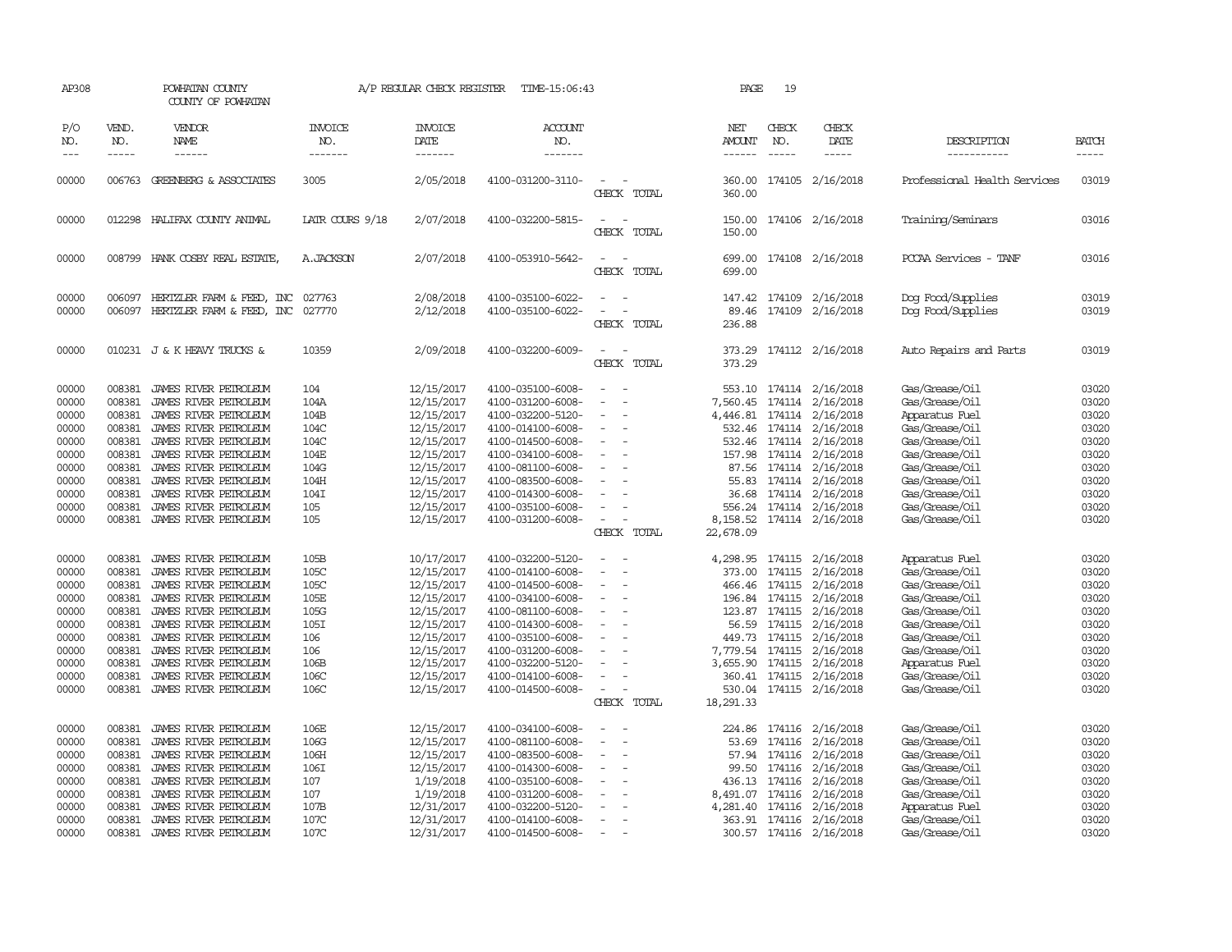| AP308               |                             | POWHATAN COUNTY<br>COUNTY OF POWHATAN |                                  | A/P REGULAR CHECK REGISTER        | TIME-15:06:43                    |                                                                     | PAGE                           | 19                            |                           |                              |                             |
|---------------------|-----------------------------|---------------------------------------|----------------------------------|-----------------------------------|----------------------------------|---------------------------------------------------------------------|--------------------------------|-------------------------------|---------------------------|------------------------------|-----------------------------|
| P/O<br>NO.<br>$---$ | VEND.<br>NO.<br>$- - - - -$ | VENDOR<br>NAME<br>------              | <b>INVOICE</b><br>NO.<br>------- | <b>INVOICE</b><br>DATE<br>------- | <b>ACCOUNT</b><br>NO.<br>------- |                                                                     | NET<br>AMOUNT<br>$- - - - - -$ | CHECK<br>NO.<br>$\frac{1}{2}$ | CHECK<br>DATE<br>-----    | DESCRIPTION<br>-----------   | <b>BATCH</b><br>$- - - - -$ |
| 00000               |                             | 006763 GREENBERG & ASSOCIATES         | 3005                             | 2/05/2018                         | 4100-031200-3110-                | $\overline{\phantom{a}}$<br>CHECK<br>TOTAL                          | 360.00<br>360.00               |                               | 174105 2/16/2018          | Professional Health Services | 03019                       |
| 00000               |                             | 012298 HALIFAX COUNTY ANIMAL          | LATR COURS 9/18                  | 2/07/2018                         | 4100-032200-5815-                | TOTAL<br>CHECK                                                      | 150.00                         |                               | 150.00 174106 2/16/2018   | Training/Seminars            | 03016                       |
| 00000               |                             | 008799 HANK COSBY REAL ESTATE         | A. JACKSON                       | 2/07/2018                         | 4100-053910-5642-                | $\overline{\phantom{a}}$<br>$\overline{\phantom{0}}$<br>CHECK TOTAL | 699.00<br>699.00               |                               | 174108 2/16/2018          | PCCAA Services - TANF        | 03016                       |
| 00000               | 006097                      | HERIZLER FARM & FEED, INC             | 027763                           | 2/08/2018                         | 4100-035100-6022-                |                                                                     | 147.42                         | 174109                        | 2/16/2018                 | Dog Food/Supplies            | 03019                       |
| 00000               |                             | 006097 HERTZLER FARM & FEED, INC      | 027770                           | 2/12/2018                         | 4100-035100-6022-                | CHECK TOTAL                                                         | 89.46<br>236.88                |                               | 174109 2/16/2018          | Dog Food/Supplies            | 03019                       |
| 00000               |                             | 010231 J & K HEAVY TRUCKS &           | 10359                            | 2/09/2018                         | 4100-032200-6009-                | CHECK TOTAL                                                         | 373.29<br>373.29               |                               | 174112 2/16/2018          | Auto Repairs and Parts       | 03019                       |
| 00000               | 008381                      | JAMES RIVER PETROLEUM                 | 104                              | 12/15/2017                        | 4100-035100-6008-                |                                                                     | 553.10                         |                               | 174114 2/16/2018          | Gas/Grease/Oil               | 03020                       |
| 00000               | 008381                      | JAMES RIVER PETROLEUM                 | 104A                             | 12/15/2017                        | 4100-031200-6008-                | $\sim$<br>$\overline{\phantom{a}}$                                  | 7,560.45                       |                               | 174114 2/16/2018          | Gas/Grease/Oil               | 03020                       |
| 00000               | 008381                      | JAMES RIVER PETROLEUM                 | 104B                             | 12/15/2017                        | 4100-032200-5120-                | $\overline{\phantom{a}}$                                            | 4,446.81                       | 174114                        | 2/16/2018                 | Apparatus Fuel               | 03020                       |
| 00000               | 008381                      | JAMES RIVER PETROLEUM                 | 104C                             | 12/15/2017                        | 4100-014100-6008-                |                                                                     |                                |                               | 532.46 174114 2/16/2018   | Gas/Grease/Oil               | 03020                       |
| 00000               | 008381                      | JAMES RIVER PETROLEUM                 | 104C                             | 12/15/2017                        | 4100-014500-6008-                | $\sim$                                                              |                                |                               | 532.46 174114 2/16/2018   | Gas/Grease/Oil               | 03020                       |
| 00000               | 008381                      | JAMES RIVER PETROLEUM                 | 104E                             | 12/15/2017                        | 4100-034100-6008-                |                                                                     | 157.98                         |                               | 174114 2/16/2018          | Gas/Grease/Oil               | 03020                       |
| 00000               | 008381                      | JAMES RIVER PETROLEUM                 | 104G                             | 12/15/2017                        | 4100-081100-6008-                |                                                                     |                                | 87.56 174114                  | 2/16/2018                 | Gas/Grease/Oil               | 03020                       |
| 00000               | 008381                      | JAMES RIVER PETROLEUM                 | 104H                             | 12/15/2017                        | 4100-083500-6008-                | $\overline{\phantom{a}}$                                            | 55.83                          | 174114                        | 2/16/2018                 | Gas/Grease/Oil               | 03020                       |
| 00000               | 008381                      | JAMES RIVER PETROLEUM                 | 104I                             | 12/15/2017                        | 4100-014300-6008-                | $\overline{\phantom{a}}$                                            | 36.68                          |                               | 174114 2/16/2018          | Gas/Grease/Oil               | 03020                       |
| 00000               | 008381                      | JAMES RIVER PETROLEUM                 | 105                              | 12/15/2017                        | 4100-035100-6008-                |                                                                     | 556.24                         |                               | 174114 2/16/2018          | Gas/Grease/Oil               | 03020                       |
| 00000               |                             | 008381 JAMES RIVER PETROLEUM          | 105                              | 12/15/2017                        | 4100-031200-6008-                | $\sim$<br>CHECK TOTAL                                               | 8,158.52<br>22,678.09          |                               | 174114 2/16/2018          | Gas/Grease/Oil               | 03020                       |
| 00000               | 008381                      | JAMES RIVER PETROLEUM                 | 105B                             | 10/17/2017                        | 4100-032200-5120-                |                                                                     | 4,298.95                       |                               | 174115 2/16/2018          | Apparatus Fuel               | 03020                       |
| 00000               | 008381                      | JAMES RIVER PETROLEUM                 | 105C                             | 12/15/2017                        | 4100-014100-6008-                |                                                                     | 373.00                         | 174115                        | 2/16/2018                 | Gas/Grease/Oil               | 03020                       |
| 00000               | 008381                      | JAMES RIVER PEIROLEUM                 | 105C                             | 12/15/2017                        | 4100-014500-6008-                |                                                                     | 466.46                         | 174115                        | 2/16/2018                 | Gas/Grease/Oil               | 03020                       |
| 00000               | 008381                      | JAMES RIVER PETROLEUM                 | 105E                             | 12/15/2017                        | 4100-034100-6008-                |                                                                     | 196.84                         | 174115                        | 2/16/2018                 | Gas/Grease/Oil               | 03020                       |
| 00000               | 008381                      | JAMES RIVER PEIROLEUM                 | 105G                             | 12/15/2017                        | 4100-081100-6008-                |                                                                     |                                | 123.87 174115                 | 2/16/2018                 | Gas/Grease/Oil               | 03020                       |
| 00000               | 008381                      | JAMES RIVER PETROLEUM                 | 105I                             | 12/15/2017                        | 4100-014300-6008-                | $\overline{\phantom{a}}$                                            |                                | 56.59 174115                  | 2/16/2018                 | Gas/Grease/Oil               | 03020                       |
| 00000               | 008381                      | JAMES RIVER PETROLEUM                 | 106                              | 12/15/2017                        | 4100-035100-6008-                |                                                                     | 449.73                         | 174115                        | 2/16/2018                 | Gas/Grease/Oil               | 03020                       |
| 00000               | 008381                      | JAMES RIVER PETROLEUM                 | 106                              | 12/15/2017                        | 4100-031200-6008-                |                                                                     | 7,779.54                       | 174115                        | 2/16/2018                 | Gas/Grease/Oil               | 03020                       |
| 00000               | 008381                      | JAMES RIVER PETROLEUM                 | 106B                             | 12/15/2017                        | 4100-032200-5120-                | $\sim$                                                              |                                |                               | 3,655.90 174115 2/16/2018 | Apparatus Fuel               | 03020                       |
| 00000               | 008381                      | JAMES RIVER PETROLEUM                 | 106C                             | 12/15/2017                        | 4100-014100-6008-                |                                                                     |                                | 360.41 174115                 | 2/16/2018                 | Gas/Grease/Oil               | 03020                       |
| 00000               | 008381                      | JAMES RIVER PEIROLEUM                 | 106C                             | 12/15/2017                        | 4100-014500-6008-                | $\overline{a}$                                                      | 530.04                         |                               | 174115 2/16/2018          | Gas/Grease/Oil               | 03020                       |
|                     |                             |                                       |                                  |                                   |                                  | CHECK TOTAL                                                         | 18,291.33                      |                               |                           |                              |                             |
| 00000               | 008381                      | JAMES RIVER PETROLEUM                 | 106E                             | 12/15/2017                        | 4100-034100-6008-                |                                                                     | 224.86                         | 174116                        | 2/16/2018                 | Gas/Grease/Oil               | 03020                       |
| 00000               | 008381                      | JAMES RIVER PEIROLEUM                 | 106G                             | 12/15/2017                        | 4100-081100-6008-                |                                                                     | 53.69                          | 174116                        | 2/16/2018                 | Gas/Grease/Oil               | 03020                       |
| 00000               | 008381                      | JAMES RIVER PEIROLEUM                 | 106H                             | 12/15/2017                        | 4100-083500-6008-                | $\overline{\phantom{a}}$                                            | 57.94                          | 174116                        | 2/16/2018                 | Gas/Grease/Oil               | 03020                       |
| 00000               | 008381                      | JAMES RIVER PETROLEUM                 | 106I                             | 12/15/2017                        | 4100-014300-6008-                | $\equiv$                                                            | 99.50                          | 174116                        | 2/16/2018                 | Gas/Grease/Oil               | 03020                       |
| 00000               | 008381                      | JAMES RIVER PETROLEUM                 | 107                              | 1/19/2018                         | 4100-035100-6008-                |                                                                     | 436.13                         | 174116                        | 2/16/2018                 | Gas/Grease/Oil               | 03020                       |
| 00000               | 008381                      | JAMES RIVER PETROLEUM                 | 107                              | 1/19/2018                         | 4100-031200-6008-                |                                                                     | 8,491.07                       | 174116                        | 2/16/2018                 | Gas/Grease/Oil               | 03020                       |
| 00000               | 008381                      | JAMES RIVER PETROLEUM                 | 107B                             | 12/31/2017                        | 4100-032200-5120-                |                                                                     | 4,281.40                       | 174116                        | 2/16/2018                 | Apparatus Fuel               | 03020                       |
| 00000               | 008381                      | JAMES RIVER PETROLEUM                 | 107C                             | 12/31/2017                        | 4100-014100-6008-                | $\overline{\phantom{a}}$                                            |                                |                               | 363.91 174116 2/16/2018   | Gas/Grease/Oil               | 03020                       |
| 00000               | 008381                      | JAMES RIVER PEIROLEUM                 | 107C                             | 12/31/2017                        | 4100-014500-6008-                |                                                                     |                                |                               | 300.57 174116 2/16/2018   | Gas/Grease/Oil               | 03020                       |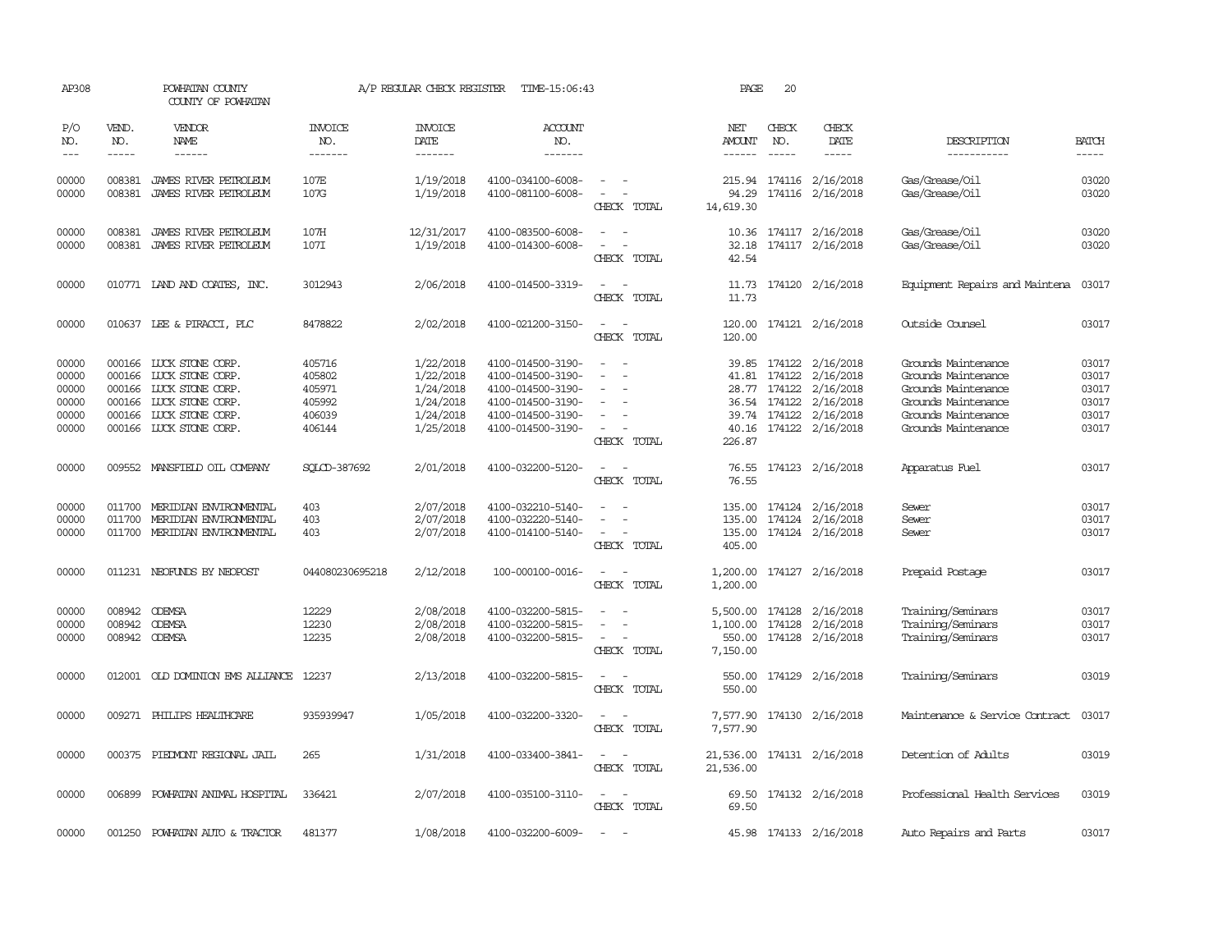| AP308                                              |                                                                                                                                                                                                                                                                                                                                                                                                                                                                         | POWHATAN COUNTY<br>COUNTY OF POWHATAN                                                                                                            |                                                          | A/P REGULAR CHECK REGISTER                                                 | TIME-15:06:43                                                                                                              |                                                                                                                             | PAGE                                       | 20                          |                                                                                                                                 |                                                                                                                                        |                                                    |
|----------------------------------------------------|-------------------------------------------------------------------------------------------------------------------------------------------------------------------------------------------------------------------------------------------------------------------------------------------------------------------------------------------------------------------------------------------------------------------------------------------------------------------------|--------------------------------------------------------------------------------------------------------------------------------------------------|----------------------------------------------------------|----------------------------------------------------------------------------|----------------------------------------------------------------------------------------------------------------------------|-----------------------------------------------------------------------------------------------------------------------------|--------------------------------------------|-----------------------------|---------------------------------------------------------------------------------------------------------------------------------|----------------------------------------------------------------------------------------------------------------------------------------|----------------------------------------------------|
| P/O<br>NO.<br>$\qquad \qquad -$                    | VEND.<br>NO.<br>$\begin{tabular}{ccccc} \multicolumn{2}{c }{\multicolumn{2}{c }{\multicolumn{2}{c }{\multicolumn{2}{c}}{\hspace{-2.2cm}}}} \multicolumn{2}{c }{\multicolumn{2}{c }{\hspace{-2.2cm}}\hline} \multicolumn{2}{c }{\hspace{-2.2cm}}\hline \multicolumn{2}{c }{\hspace{-2.2cm}}\hline \multicolumn{2}{c }{\hspace{-2.2cm}}\hline \multicolumn{2}{c }{\hspace{-2.2cm}}\hline \multicolumn{2}{c }{\hspace{-2.2cm}}\hline \multicolumn{2}{c }{\hspace{-2.2cm}}$ | VENDOR<br>NAME<br>------                                                                                                                         | <b>INVOICE</b><br>NO.<br>-------                         | <b>INVOICE</b><br>DATE<br>-------                                          | <b>ACCOUNT</b><br>NO.<br>-------                                                                                           |                                                                                                                             | NET<br>AMOUNT<br>------                    | CHECK<br>NO.<br>$- - - - -$ | CHECK<br>DATE                                                                                                                   | DESCRIPTION<br>-----------                                                                                                             | <b>BATCH</b><br>-----                              |
| 00000<br>00000                                     | 008381<br>008381                                                                                                                                                                                                                                                                                                                                                                                                                                                        | JAMES RIVER PETROLEUM<br>JAMES RIVER PETROLEUM                                                                                                   | 107E<br>107G                                             | 1/19/2018<br>1/19/2018                                                     | 4100-034100-6008-<br>4100-081100-6008-                                                                                     | $\omega_{\rm{max}}$ and $\omega_{\rm{max}}$<br>$\sim$ $-$<br>CHECK TOTAL                                                    | 94.29<br>14,619.30                         |                             | 215.94 174116 2/16/2018<br>174116 2/16/2018                                                                                     | Gas/Grease/Oil<br>Gas/Grease/Oil                                                                                                       | 03020<br>03020                                     |
| 00000<br>00000                                     | 008381<br>008381                                                                                                                                                                                                                                                                                                                                                                                                                                                        | JAMES RIVER PETROLEUM<br>JAMES RIVER PETROLEUM                                                                                                   | 107H<br>107I                                             | 12/31/2017<br>1/19/2018                                                    | 4100-083500-6008-<br>4100-014300-6008-                                                                                     | $\equiv$<br>$\equiv$<br>CHECK TOTAL                                                                                         | 10.36<br>32.18<br>42.54                    |                             | 174117 2/16/2018<br>174117 2/16/2018                                                                                            | Gas/Grease/Oil<br>Gas/Grease/Oil                                                                                                       | 03020<br>03020                                     |
| 00000                                              |                                                                                                                                                                                                                                                                                                                                                                                                                                                                         | 010771 LAND AND COATES, INC.                                                                                                                     | 3012943                                                  | 2/06/2018                                                                  | 4100-014500-3319-                                                                                                          | $\sim$<br>CHECK TOTAL                                                                                                       | 11.73                                      |                             | 11.73 174120 2/16/2018                                                                                                          | Equipment Repairs and Maintena 03017                                                                                                   |                                                    |
| 00000                                              |                                                                                                                                                                                                                                                                                                                                                                                                                                                                         | 010637 LEE & PIRACCI, PLC                                                                                                                        | 8478822                                                  | 2/02/2018                                                                  | 4100-021200-3150-                                                                                                          | $\equiv$<br>CHECK TOTAL                                                                                                     | 120.00<br>120.00                           |                             | 174121 2/16/2018                                                                                                                | Outside Counsel                                                                                                                        | 03017                                              |
| 00000<br>00000<br>00000<br>00000<br>00000<br>00000 | 000166<br>000166                                                                                                                                                                                                                                                                                                                                                                                                                                                        | 000166 LUCK STONE CORP.<br>LUCK STONE CORP.<br>LUCK STONE CORP.<br>000166 LUCK STONE CORP.<br>000166 LUCK STONE CORP.<br>000166 LUCK STONE CORP. | 405716<br>405802<br>405971<br>405992<br>406039<br>406144 | 1/22/2018<br>1/22/2018<br>1/24/2018<br>1/24/2018<br>1/24/2018<br>1/25/2018 | 4100-014500-3190-<br>4100-014500-3190-<br>4100-014500-3190-<br>4100-014500-3190-<br>4100-014500-3190-<br>4100-014500-3190- | $\sim$<br>$\equiv$<br>CHECK TOTAL                                                                                           | 39.85<br>41.81<br>226.87                   | 28.77 174122                | 174122 2/16/2018<br>174122 2/16/2018<br>2/16/2018<br>36.54 174122 2/16/2018<br>39.74 174122 2/16/2018<br>40.16 174122 2/16/2018 | Grounds Maintenance<br>Grounds Maintenance<br>Grounds Maintenance<br>Grounds Maintenance<br>Grounds Maintenance<br>Grounds Maintenance | 03017<br>03017<br>03017<br>03017<br>03017<br>03017 |
| 00000                                              |                                                                                                                                                                                                                                                                                                                                                                                                                                                                         | 009552 MANSFIELD OIL COMPANY                                                                                                                     | SOLCD-387692                                             | 2/01/2018                                                                  | 4100-032200-5120-                                                                                                          | $\frac{1}{2} \left( \frac{1}{2} \right) \left( \frac{1}{2} \right) = \frac{1}{2} \left( \frac{1}{2} \right)$<br>CHECK TOTAL | 76.55                                      |                             | 76.55 174123 2/16/2018                                                                                                          | Apparatus Fuel                                                                                                                         | 03017                                              |
| 00000<br>00000<br>00000                            | 011700<br>011700                                                                                                                                                                                                                                                                                                                                                                                                                                                        | MERIDIAN ENVIRONMENTAL<br>MERIDIAN ENVIRONENTAL<br>011700 MERIDIAN ENVIRONMENTAL                                                                 | 403<br>403<br>403                                        | 2/07/2018<br>2/07/2018<br>2/07/2018                                        | 4100-032210-5140-<br>4100-032220-5140-<br>4100-014100-5140-                                                                | $\sim$<br>CHECK TOTAL                                                                                                       | 135.00<br>135.00<br>405.00                 |                             | 135.00 174124 2/16/2018<br>174124 2/16/2018<br>174124 2/16/2018                                                                 | Sewer<br>Sewer<br>Sewer                                                                                                                | 03017<br>03017<br>03017                            |
| 00000                                              |                                                                                                                                                                                                                                                                                                                                                                                                                                                                         | 011231 NEOFUNDS BY NEOPOST                                                                                                                       | 044080230695218                                          | 2/12/2018                                                                  | 100-000100-0016-                                                                                                           | $\omega_{\rm{max}}$ and $\omega_{\rm{max}}$<br>CHECK TOTAL                                                                  | 1,200.00<br>1,200.00                       |                             | 174127 2/16/2018                                                                                                                | Prepaid Postage                                                                                                                        | 03017                                              |
| 00000<br>00000<br>00000                            | 008942<br>008942                                                                                                                                                                                                                                                                                                                                                                                                                                                        | <b>ODEMSA</b><br><b>ODEMSA</b><br>008942 ODEMSA                                                                                                  | 12229<br>12230<br>12235                                  | 2/08/2018<br>2/08/2018<br>2/08/2018                                        | 4100-032200-5815-<br>4100-032200-5815-<br>4100-032200-5815-                                                                | $\sim$<br>$\sim$<br>CHECK TOTAL                                                                                             | 5,500.00<br>1,100.00<br>550.00<br>7,150.00 |                             | 174128 2/16/2018<br>174128 2/16/2018<br>174128 2/16/2018                                                                        | Training/Seminars<br>Training/Seminars<br>Training/Seminars                                                                            | 03017<br>03017<br>03017                            |
| 00000                                              |                                                                                                                                                                                                                                                                                                                                                                                                                                                                         | 012001 OLD DOMINION EMS ALLIANCE                                                                                                                 | 12237                                                    | 2/13/2018                                                                  | 4100-032200-5815-                                                                                                          | $\sim$<br>$\sim$<br>CHECK TOTAL                                                                                             | 550.00<br>550.00                           |                             | 174129 2/16/2018                                                                                                                | Training/Seminars                                                                                                                      | 03019                                              |
| 00000                                              |                                                                                                                                                                                                                                                                                                                                                                                                                                                                         | 009271 PHILIPS HEALTHCARE                                                                                                                        | 935939947                                                | 1/05/2018                                                                  | 4100-032200-3320-                                                                                                          | $\sim$<br>$\sim$<br>CHECK TOTAL                                                                                             | 7,577.90<br>7,577.90                       |                             | 174130 2/16/2018                                                                                                                | Maintenance & Service Contract                                                                                                         | 03017                                              |
| 00000                                              |                                                                                                                                                                                                                                                                                                                                                                                                                                                                         | 000375 PIEDMONT REGIONAL JAIL                                                                                                                    | 265                                                      | 1/31/2018                                                                  | 4100-033400-3841-                                                                                                          | $\frac{1}{2} \left( \frac{1}{2} \right) \left( \frac{1}{2} \right) = \frac{1}{2} \left( \frac{1}{2} \right)$<br>CHECK TOTAL | 21,536.00                                  |                             | 21,536.00 174131 2/16/2018                                                                                                      | Detention of Adults                                                                                                                    | 03019                                              |
| 00000                                              |                                                                                                                                                                                                                                                                                                                                                                                                                                                                         | 006899 POWHATAN ANIMAL HOSPITAL                                                                                                                  | 336421                                                   | 2/07/2018                                                                  | 4100-035100-3110-                                                                                                          | $\sim$ $ \sim$<br>CHECK TOTAL                                                                                               | 69.50                                      |                             | 69.50 174132 2/16/2018                                                                                                          | Professional Health Services                                                                                                           | 03019                                              |
| 00000                                              | 001250                                                                                                                                                                                                                                                                                                                                                                                                                                                                  | POWHATAN AUTO & TRACTOR                                                                                                                          | 481377                                                   | 1/08/2018                                                                  | 4100-032200-6009-                                                                                                          | $\sim$                                                                                                                      |                                            |                             | 45.98 174133 2/16/2018                                                                                                          | Auto Repairs and Parts                                                                                                                 | 03017                                              |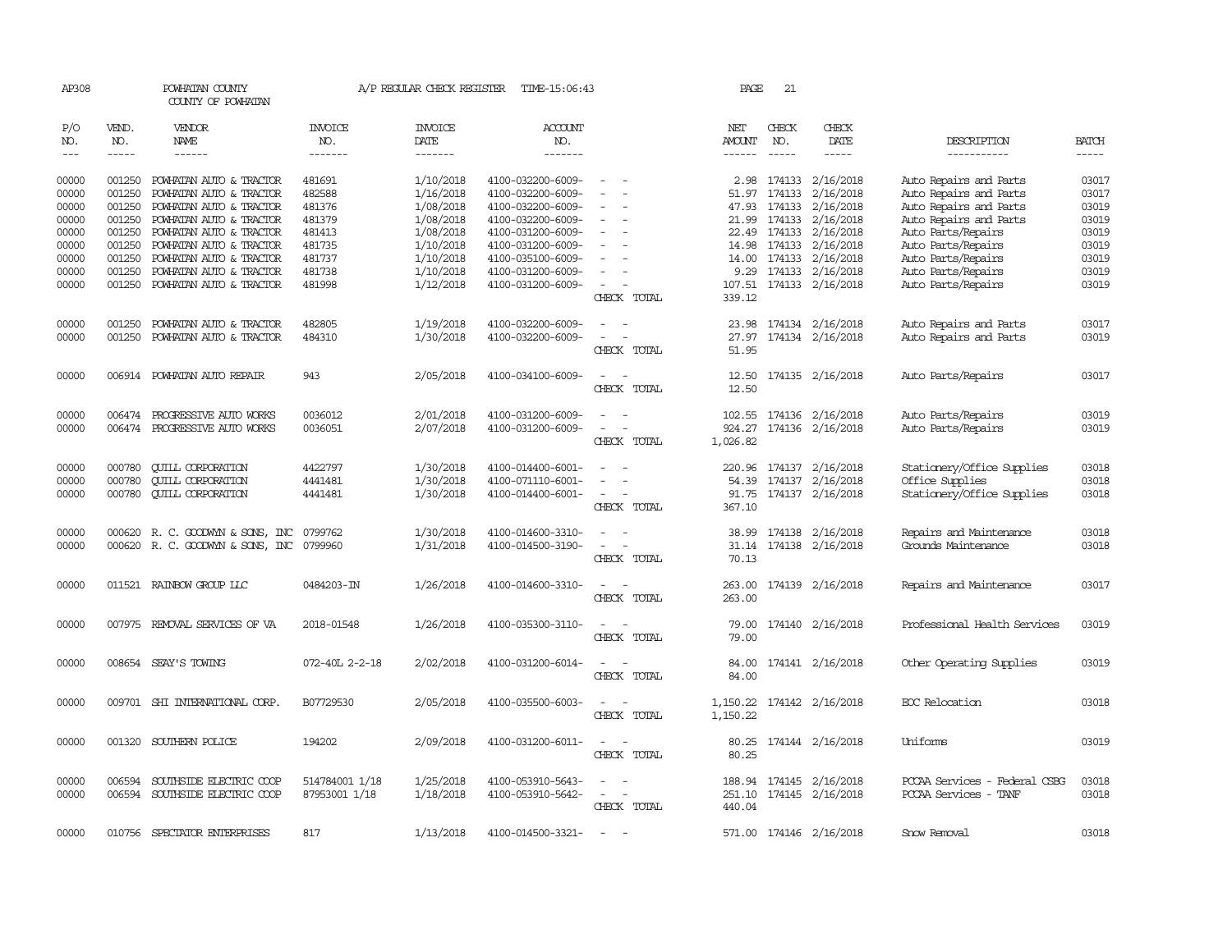| AP308          |               | POWHATAN COUNTY<br>COUNTY OF POWHATAN                     |                                 |                        | A/P REGULAR CHECK REGISTER TIME-15:06:43 |                                    | PAGE          | 21                    |                                                    |                                                  |                |
|----------------|---------------|-----------------------------------------------------------|---------------------------------|------------------------|------------------------------------------|------------------------------------|---------------|-----------------------|----------------------------------------------------|--------------------------------------------------|----------------|
| P/O<br>NO.     | VEND.<br>NO.  | VENDOR<br>NAME                                            | <b>INVOICE</b><br>NO.           | <b>INVOICE</b><br>DATE | <b>ACCOUNT</b><br>NO.                    |                                    | NET<br>AMOUNT | CHECK<br>NO.          | CHECK<br>DATE                                      | DESCRIPTION                                      | <b>BATCH</b>   |
| $- - -$        | $\frac{1}{2}$ | ------                                                    | -------                         | -------                | -------                                  |                                    | ------        | $\frac{1}{2}$         | $- - - - -$                                        | -----------                                      | -----          |
| 00000<br>00000 | 001250        | 001250 POWHATAN AUTO & TRACTOR<br>POWHATAN AUTO & TRACTOR | 481691<br>482588                | 1/10/2018<br>1/16/2018 | 4100-032200-6009-<br>4100-032200-6009-   | $\sim$<br>$\sim$                   | 51.97         | 2.98 174133<br>174133 | 2/16/2018<br>2/16/2018                             | Auto Repairs and Parts<br>Auto Repairs and Parts | 03017<br>03017 |
| 00000          | 001250        | POWHATAN AUTO & TRACTOR                                   | 481376                          | 1/08/2018              | 4100-032200-6009-                        |                                    |               | 47.93 174133          | 2/16/2018                                          | Auto Repairs and Parts                           | 03019          |
| 00000          | 001250        | POWHATAN AUTO & TRACTOR                                   | 481379                          | 1/08/2018              | 4100-032200-6009-                        | $\overline{\phantom{a}}$           |               | 21.99 174133          | 2/16/2018                                          | Auto Repairs and Parts                           | 03019          |
| 00000          | 001250        | POWHATAN AUTO & TRACTOR                                   | 481413                          | 1/08/2018              | 4100-031200-6009-                        | $\equiv$                           |               | 22.49 174133          | 2/16/2018                                          | Auto Parts/Repairs                               | 03019          |
| 00000          | 001250        | POWHATAN AUTO & TRACTOR                                   | 481735                          | 1/10/2018              | 4100-031200-6009-                        | $\equiv$                           | 14.98         | 174133                | 2/16/2018                                          | Auto Parts/Repairs                               | 03019          |
| 00000          | 001250        | POWHATAN AUTO & TRACTOR                                   | 481737                          | 1/10/2018              | 4100-035100-6009-                        |                                    |               | 14.00 174133          | 2/16/2018                                          | Auto Parts/Repairs                               | 03019          |
| 00000          | 001250        | POWHATAN AUTO & TRACTOR                                   | 481738                          | 1/10/2018              | 4100-031200-6009-                        | $\sim$                             |               | 9.29 174133           | 2/16/2018                                          | Auto Parts/Repairs                               | 03019          |
| 00000          | 001250        | POWHATAN AUTO & TRACTOR                                   | 481998                          | 1/12/2018              | 4100-031200-6009-                        | $\sim$                             | 107.51        |                       | 174133 2/16/2018                                   | Auto Parts/Repairs                               | 03019          |
|                |               |                                                           |                                 |                        |                                          | CHECK TOTAL                        | 339.12        |                       |                                                    |                                                  |                |
| 00000          |               | 001250 POWHATAN AUTO & TRACTOR                            | 482805                          | 1/19/2018              | 4100-032200-6009-                        | $\overline{\phantom{a}}$<br>$\sim$ |               |                       | 23.98 174134 2/16/2018                             | Auto Repairs and Parts                           | 03017          |
| 00000          | 001250        | POWHATAN AUTO & TRACTOR                                   | 484310                          | 1/30/2018              | 4100-032200-6009-                        | $\sim$<br>$\overline{\phantom{a}}$ | 27.97         |                       | 174134 2/16/2018                                   | Auto Repairs and Parts                           | 03019          |
|                |               |                                                           |                                 |                        |                                          | CHECK TOTAL                        | 51.95         |                       |                                                    |                                                  |                |
| 00000          |               | 006914 POWHATAN AUTO REPAIR                               | 943                             | 2/05/2018              | 4100-034100-6009-                        | $\sim$                             | 12.50         |                       | 174135 2/16/2018                                   | Auto Parts/Repairs                               | 03017          |
|                |               |                                                           |                                 |                        |                                          | CHECK TOTAL                        | 12.50         |                       |                                                    |                                                  |                |
| 00000          | 006474        | PROGRESSIVE AUTO WORKS                                    | 0036012                         | 2/01/2018              | 4100-031200-6009-                        | $\sim$                             | 102.55        |                       | 174136 2/16/2018                                   | Auto Parts/Repairs                               | 03019          |
| 00000          |               | 006474 PROGRESSIVE AUTO WORKS                             | 0036051                         | 2/07/2018              | 4100-031200-6009-                        |                                    | 924.27        |                       | 174136 2/16/2018                                   | Auto Parts/Repairs                               | 03019          |
|                |               |                                                           |                                 |                        |                                          | CHECK TOTAL                        | 1,026.82      |                       |                                                    |                                                  |                |
| 00000          | 000780        | <b>CUILL CORPORATION</b>                                  | 4422797                         | 1/30/2018              | 4100-014400-6001-                        |                                    |               | 220.96 174137         | 2/16/2018                                          | Stationery/Office Supplies                       | 03018          |
| 00000          | 000780        | <b>CUILL CORPORATION</b>                                  | 4441481                         | 1/30/2018              | 4100-071110-6001-                        | $\equiv$                           | 54.39         | 174137                | 2/16/2018                                          | Office Supplies                                  | 03018          |
| 00000          |               | 000780 QUILL CORPORATION                                  | 4441481                         | 1/30/2018              | 4100-014400-6001-                        | $\sim$                             |               |                       | 91.75 174137 2/16/2018                             | Stationery/Office Supplies                       | 03018          |
|                |               |                                                           |                                 |                        |                                          | CHECK TOTAL                        | 367.10        |                       |                                                    |                                                  |                |
| 00000          |               | 000620 R. C. GOODWYN & SONS, INC                          | 0799762                         | 1/30/2018              | 4100-014600-3310-                        |                                    | 38.99         |                       | 174138 2/16/2018                                   | Repairs and Maintenance                          | 03018          |
| 00000          |               | 000620 R. C. GOODWYN & SONS, INC 0799960                  |                                 | 1/31/2018              | 4100-014500-3190-                        | $\sim$<br>$\sim$                   | 31.14         |                       | 174138 2/16/2018                                   | Grounds Maintenance                              | 03018          |
|                |               |                                                           |                                 |                        |                                          | CHECK TOTAL                        | 70.13         |                       |                                                    |                                                  |                |
| 00000          |               | 011521 RAINBOW GROUP LLC                                  | 0484203-IN                      | 1/26/2018              | 4100-014600-3310-                        | $\sim$<br>$\sim$                   | 263.00        |                       | 174139 2/16/2018                                   | Repairs and Maintenance                          | 03017          |
|                |               |                                                           |                                 |                        |                                          | CHECK TOTAL                        | 263,00        |                       |                                                    |                                                  |                |
| 00000          |               | 007975 REMOVAL SERVICES OF VA                             | 2018-01548                      | 1/26/2018              | 4100-035300-3110-                        |                                    | 79.00         |                       | 174140 2/16/2018                                   | Professional Health Services                     | 03019          |
|                |               |                                                           |                                 |                        |                                          | CHECK TOTAL                        | 79.00         |                       |                                                    |                                                  |                |
| 00000          |               | 008654 SEAY'S TOWING                                      | 072-40L 2-2-18                  | 2/02/2018              | 4100-031200-6014-                        | $\overline{\phantom{a}}$<br>$\sim$ | 84.00         |                       | 174141 2/16/2018                                   | Other Operating Supplies                         | 03019          |
|                |               |                                                           |                                 |                        |                                          | CHECK TOTAL                        | 84.00         |                       |                                                    |                                                  |                |
| 00000          |               | 009701 SHI INTERNATIONAL CORP.                            | B07729530                       | 2/05/2018              | 4100-035500-6003-                        | $\sim$                             |               |                       | 1, 150.22 174142 2/16/2018                         | EOC Relocation                                   | 03018          |
|                |               |                                                           |                                 |                        |                                          | CHECK TOTAL                        | 1,150.22      |                       |                                                    |                                                  |                |
| 00000          |               | 001320 SOUTHERN POLICE                                    | 194202                          | 2/09/2018              | 4100-031200-6011-                        | $\sim$<br>$\sim$                   |               |                       | 80.25 174144 2/16/2018                             | Uniforms                                         | 03019          |
|                |               |                                                           |                                 |                        |                                          | CHECK TOTAL                        | 80.25         |                       |                                                    |                                                  |                |
|                |               |                                                           |                                 |                        |                                          |                                    |               |                       |                                                    | PCCAA Services - Federal CSBG                    |                |
| 00000<br>00000 | 006594        | SOUTHSIDE ELECTRIC COOP<br>006594 SOUTHSIDE ELECTRIC COOP | 514784001 1/18<br>87953001 1/18 | 1/25/2018<br>1/18/2018 | 4100-053910-5643-<br>4100-053910-5642-   | $\sim$<br>$\sim$                   |               |                       | 188.94 174145 2/16/2018<br>251.10 174145 2/16/2018 | PCCAA Services - TANF                            | 03018<br>03018 |
|                |               |                                                           |                                 |                        |                                          | CHECK TOTAL                        | 440.04        |                       |                                                    |                                                  |                |
|                |               |                                                           |                                 |                        |                                          |                                    |               |                       |                                                    |                                                  |                |
| 00000          | 010756        | SPECTATOR ENTERPRISES                                     | 817                             | 1/13/2018              | 4100-014500-3321-                        | $\overline{\phantom{a}}$           |               |                       | 571.00 174146 2/16/2018                            | Snow Removal                                     | 03018          |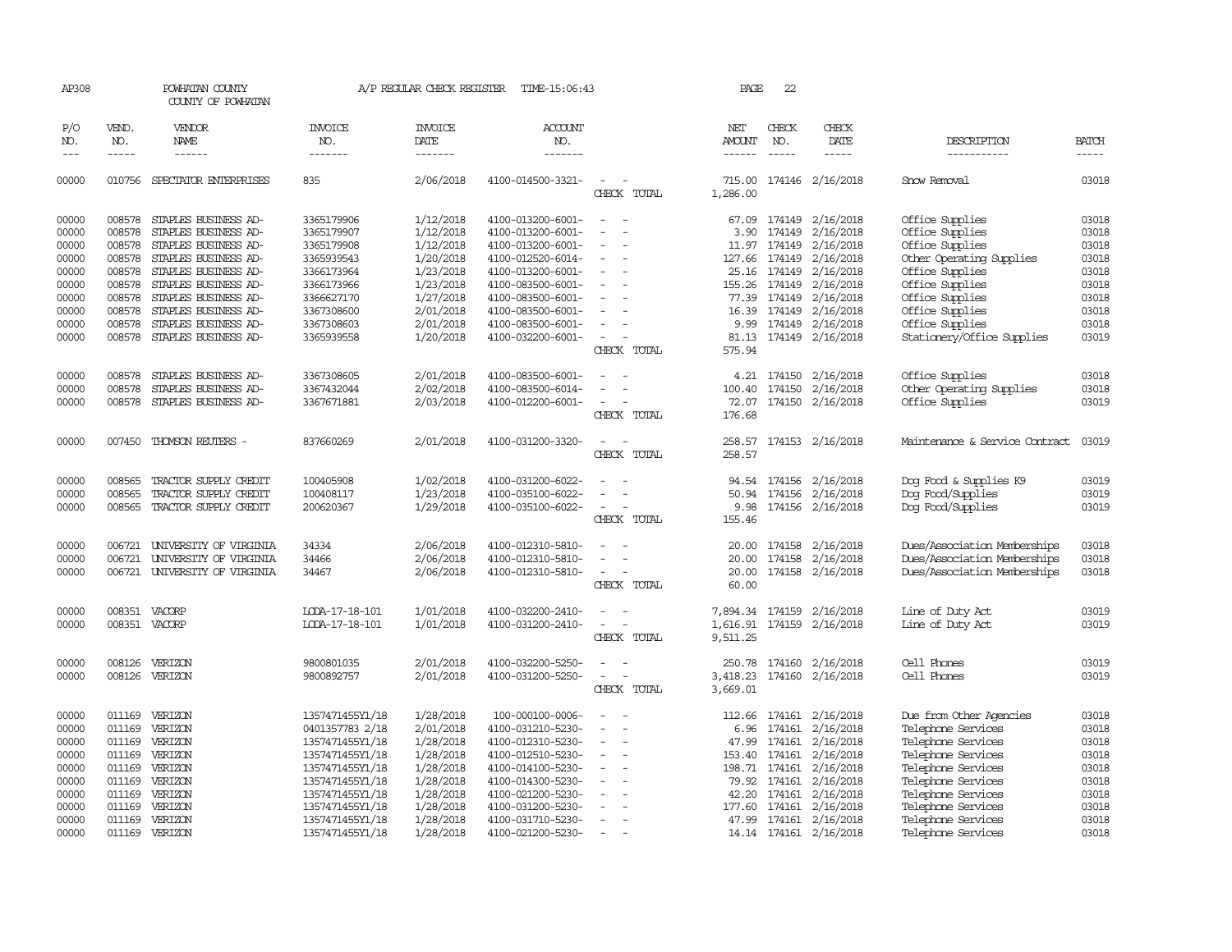| AP308      |              | POWHATAN COUNTY<br>COUNTY OF POWHATAN |                       | A/P REGULAR CHECK REGISTER | TIME-15:06:43         |                                    | PAGE            | 22            |                           |                                |                                                                |
|------------|--------------|---------------------------------------|-----------------------|----------------------------|-----------------------|------------------------------------|-----------------|---------------|---------------------------|--------------------------------|----------------------------------------------------------------|
| P/O<br>NO. | VEND.<br>NO. | VENDOR<br>NAME                        | <b>INVOICE</b><br>NO. | <b>INVOICE</b><br>DATE     | <b>ACCOUNT</b><br>NO. |                                    | NET<br>AMOUNT   | CHECK<br>NO.  | CHECK<br>DATE             | DESCRIPTION                    | <b>BATCH</b>                                                   |
| $---$      | $- - - - -$  | ------                                | -------               | $- - - - - - -$            | -------               |                                    | $- - - - - -$   | $- - - - -$   | -----                     | -----------                    | $\begin{tabular}{ccccc} - & - & - & - \\ \hline \end{tabular}$ |
| 00000      |              | 010756 SPECTATOR ENTERPRISES          | 835                   | 2/06/2018                  | 4100-014500-3321-     | $\sim$<br>$\sim$<br>CHECK TOTAL    | 1,286.00        |               | 715.00 174146 2/16/2018   | Snow Removal                   | 03018                                                          |
| 00000      |              | 008578 STAPLES BUSINESS AD-           | 3365179906            | 1/12/2018                  | 4100-013200-6001-     | $\equiv$<br>$\sim$                 |                 | 67.09 174149  | 2/16/2018                 | Office Supplies                | 03018                                                          |
| 00000      | 008578       | STAPLES BUSINESS AD-                  | 3365179907            | 1/12/2018                  | 4100-013200-6001-     | $\overline{a}$<br>$\overline{a}$   | 3.90            | 174149        | 2/16/2018                 | Office Supplies                | 03018                                                          |
| 00000      | 008578       | STAPLES BUSINESS AD-                  | 3365179908            | 1/12/2018                  | 4100-013200-6001-     | $\overline{\phantom{0}}$           |                 | 11.97 174149  | 2/16/2018                 | Office Supplies                | 03018                                                          |
| 00000      | 008578       | STAPLES BUSINESS AD-                  | 3365939543            | 1/20/2018                  | 4100-012520-6014-     | $\equiv$                           |                 | 127.66 174149 | 2/16/2018                 | Other Operating Supplies       | 03018                                                          |
| 00000      | 008578       | STAPLES BUSINESS AD-                  | 3366173964            | 1/23/2018                  | 4100-013200-6001-     | $\sim$                             |                 | 25.16 174149  | 2/16/2018                 | Office Supplies                | 03018                                                          |
| 00000      | 008578       | STAPLES BUSINESS AD-                  | 3366173966            | 1/23/2018                  | 4100-083500-6001-     | $\overline{\phantom{a}}$           | 155.26          | 174149        | 2/16/2018                 | Office Supplies                | 03018                                                          |
| 00000      | 008578       | STAPLES BUSINESS AD-                  | 3366627170            | 1/27/2018                  | 4100-083500-6001-     |                                    |                 | 77.39 174149  | 2/16/2018                 | Office Supplies                | 03018                                                          |
| 00000      | 008578       | STAPLES BUSINESS AD-                  | 3367308600            | 2/01/2018                  | 4100-083500-6001-     | $\sim$<br>$\overline{\phantom{a}}$ |                 | 16.39 174149  | 2/16/2018                 | Office Supplies                | 03018                                                          |
| 00000      | 008578       | STAPLES BUSINESS AD-                  | 3367308603            | 2/01/2018                  | 4100-083500-6001-     | $\sim$                             | 9.99            | 174149        | 2/16/2018                 | Office Supplies                | 03018                                                          |
| 00000      |              | 008578 STAPLES BUSINESS AD-           | 3365939558            | 1/20/2018                  | 4100-032200-6001-     | $\sim$<br>$\overline{\phantom{a}}$ |                 |               | 81.13 174149 2/16/2018    | Stationery/Office Supplies     | 03019                                                          |
|            |              |                                       |                       |                            |                       | CHECK TOTAL                        | 575.94          |               |                           |                                |                                                                |
| 00000      | 008578       | STAPLES BUSINESS AD-                  | 3367308605            | 2/01/2018                  | 4100-083500-6001-     |                                    | 4.21            | 174150        | 2/16/2018                 | Office Supplies                | 03018                                                          |
| 00000      | 008578       | STAPLES BUSINESS AD-                  | 3367432044            | 2/02/2018                  | 4100-083500-6014-     |                                    |                 | 100.40 174150 | 2/16/2018                 | Other Operating Supplies       | 03018                                                          |
| 00000      |              | 008578 STAPLES BUSINESS AD-           | 3367671881            | 2/03/2018                  | 4100-012200-6001-     | $\sim$                             |                 |               | 72.07 174150 2/16/2018    | Office Supplies                | 03019                                                          |
|            |              |                                       |                       |                            |                       | CHECK TOTAL                        | 176.68          |               |                           |                                |                                                                |
| 00000      |              | 007450 THOMSON REUTERS -              | 837660269             | 2/01/2018                  | 4100-031200-3320-     | $\sim$                             |                 |               | 258.57 174153 2/16/2018   | Maintenance & Service Contract | 03019                                                          |
|            |              |                                       |                       |                            |                       | CHECK TOTAL                        | 258.57          |               |                           |                                |                                                                |
| 00000      | 008565       | TRACTOR SUPPLY CREDIT                 | 100405908             | 1/02/2018                  | 4100-031200-6022-     |                                    |                 |               | 94.54 174156 2/16/2018    | Dog Food & Supplies K9         | 03019                                                          |
| 00000      | 008565       | TRACTOR SUPPLY CREDIT                 | 100408117             | 1/23/2018                  | 4100-035100-6022-     | $\sim$<br>$\overline{\phantom{a}}$ | 50.94           | 174156        | 2/16/2018                 | Dog Food/Supplies              | 03019                                                          |
| 00000      | 008565       | TRACTOR SUPPLY CREDIT                 | 200620367             | 1/29/2018                  | 4100-035100-6022-     | $\overline{\phantom{a}}$           | 9.98            | 174156        | 2/16/2018                 | Dog Food/Supplies              | 03019                                                          |
|            |              |                                       |                       |                            |                       | CHECK TOTAL                        | 155.46          |               |                           |                                |                                                                |
| 00000      |              | 006721 UNIVERSITY OF VIRGINIA         | 34334                 | 2/06/2018                  | 4100-012310-5810-     |                                    |                 | 20.00 174158  | 2/16/2018                 | Dues/Association Memberships   | 03018                                                          |
| 00000      |              | 006721 UNIVERSITY OF VIRGINIA         | 34466                 | 2/06/2018                  | 4100-012310-5810-     |                                    |                 | 20.00 174158  | 2/16/2018                 | Dues/Association Memberships   | 03018                                                          |
| 00000      |              | 006721 UNIVERSITY OF VIRGINIA         | 34467                 | 2/06/2018                  | 4100-012310-5810-     | $\overline{\phantom{a}}$           |                 | 20.00 174158  | 2/16/2018                 | Dues/Association Memberships   | 03018                                                          |
|            |              |                                       |                       |                            |                       | CHECK TOTAL                        | 60.00           |               |                           |                                |                                                                |
| 00000      |              | 008351 VACORP                         | LODA-17-18-101        | 1/01/2018                  | 4100-032200-2410-     |                                    | 7,894.34 174159 |               | 2/16/2018                 | Line of Duty Act               | 03019                                                          |
| 00000      |              | 008351 VACORP                         | LODA-17-18-101        | 1/01/2018                  | 4100-031200-2410-     | $\sim$<br>$\overline{\phantom{a}}$ |                 |               | 1,616.91 174159 2/16/2018 | Line of Duty Act               | 03019                                                          |
|            |              |                                       |                       |                            |                       | CHECK TOTAL                        | 9,511.25        |               |                           |                                |                                                                |
| 00000      |              | 008126 VERIZON                        | 9800801035            | 2/01/2018                  | 4100-032200-5250-     | $\overline{\phantom{a}}$           | 250.78          | 174160        | 2/16/2018                 | Cell Phones                    | 03019                                                          |
| 00000      |              | 008126 VERIZON                        | 9800892757            | 2/01/2018                  | 4100-031200-5250-     | $\overline{\phantom{a}}$           | 3,418.23        | 174160        | 2/16/2018                 | Cell Phones                    | 03019                                                          |
|            |              |                                       |                       |                            |                       | CHECK TOTAL                        | 3,669.01        |               |                           |                                |                                                                |
| 00000      | 011169       | VERIZON                               | 1357471455Y1/18       | 1/28/2018                  | 100-000100-0006-      | $\overline{\phantom{a}}$<br>$\sim$ | 112.66          | 174161        | 2/16/2018                 | Due from Other Agencies        | 03018                                                          |
| 00000      | 011169       | VERIZON                               | 0401357783 2/18       | 2/01/2018                  | 4100-031210-5230-     |                                    | 6.96            | 174161        | 2/16/2018                 | Telephone Services             | 03018                                                          |
| 00000      | 011169       | VERIZON                               | 1357471455Y1/18       | 1/28/2018                  | 4100-012310-5230-     |                                    | 47.99           | 174161        | 2/16/2018                 | Telephone Services             | 03018                                                          |
| 00000      |              | 011169 VERIZON                        | 1357471455Y1/18       | 1/28/2018                  | 4100-012510-5230-     | $\sim$<br>$\overline{\phantom{a}}$ |                 | 153.40 174161 | 2/16/2018                 | Telephone Services             | 03018                                                          |
| 00000      |              | 011169 VERIZON                        | 1357471455Y1/18       | 1/28/2018                  | 4100-014100-5230-     | $\overline{a}$                     | 198.71          | 174161        | 2/16/2018                 | Telephone Services             | 03018                                                          |
| 00000      | 011169       | VERIZON                               | 1357471455Y1/18       | 1/28/2018                  | 4100-014300-5230-     |                                    |                 | 79.92 174161  | 2/16/2018                 | Telephone Services             | 03018                                                          |
| 00000      | 011169       | VERIZON                               | 1357471455Y1/18       | 1/28/2018                  | 4100-021200-5230-     |                                    | 42.20           | 174161        | 2/16/2018                 | Telephone Services             | 03018                                                          |
| 00000      | 011169       | VERIZON                               | 1357471455Y1/18       | 1/28/2018                  | 4100-031200-5230-     |                                    | 177.60          | 174161        | 2/16/2018                 | Telephone Services             | 03018                                                          |
| 00000      | 011169       | VERIZON                               | 1357471455Y1/18       | 1/28/2018                  | 4100-031710-5230-     | $\sim$                             |                 | 47.99 174161  | 2/16/2018                 | Telephone Services             | 03018                                                          |
| 00000      |              | 011169 VERIZON                        | 1357471455Y1/18       | 1/28/2018                  | 4100-021200-5230-     | $\sim$                             |                 |               | 14.14 174161 2/16/2018    | Telephone Services             | 03018                                                          |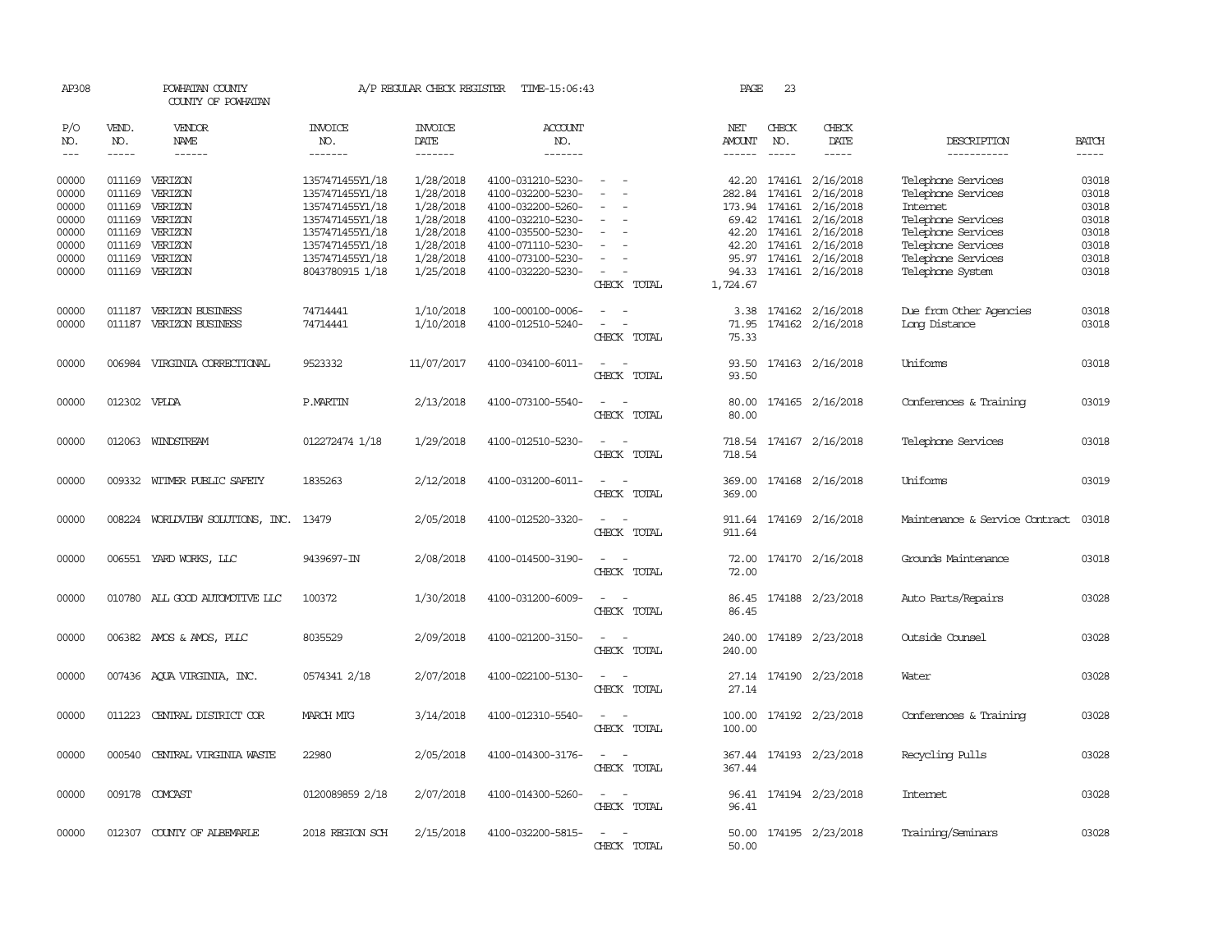| AP308                   |                  | POWHATAN COUNTY<br>COUNTY OF POWHATAN              |                                                       | A/P REGULAR CHECK REGISTER          | TIME-15:06:43                                               |                                                                                                                             | PAGE             | 23                            |                                                  |                                                      |                         |
|-------------------------|------------------|----------------------------------------------------|-------------------------------------------------------|-------------------------------------|-------------------------------------------------------------|-----------------------------------------------------------------------------------------------------------------------------|------------------|-------------------------------|--------------------------------------------------|------------------------------------------------------|-------------------------|
| P/O<br>NO.              | VEND.<br>NO.     | <b>VENDOR</b><br><b>NAME</b>                       | <b>INVOICE</b><br>NO.                                 | <b>INVOICE</b><br>DATE              | ACCOUNT<br>NO.                                              |                                                                                                                             | NET<br>AMOUNT    | CHECK<br>NO.                  | CHECK<br>DATE                                    | DESCRIPTION                                          | <b>BATCH</b>            |
| $---$                   | $- - - - -$      | $- - - - - -$                                      | -------                                               | -------                             | -------                                                     |                                                                                                                             | ------           | $- - - - -$                   | -----                                            | -----------                                          | $- - - - -$             |
| 00000<br>00000          | 011169           | 011169 VERIZON<br>VERIZON                          | 1357471455Y1/18<br>1357471455Y1/18                    | 1/28/2018<br>1/28/2018              | 4100-031210-5230-<br>4100-032200-5230-                      | $\sim$                                                                                                                      |                  | 282.84 174161                 | 42.20 174161 2/16/2018<br>2/16/2018              | Telephone Services<br>Telephone Services             | 03018<br>03018          |
| 00000<br>00000<br>00000 | 011169           | 011169 VERIZON<br>VERIZON<br>011169 VERIZON        | 1357471455Y1/18<br>1357471455Y1/18<br>1357471455Y1/18 | 1/28/2018<br>1/28/2018<br>1/28/2018 | 4100-032200-5260-<br>4100-032210-5230-<br>4100-035500-5230- | $\overline{\phantom{a}}$                                                                                                    |                  | 173.94 174161<br>69.42 174161 | 2/16/2018<br>2/16/2018<br>42.20 174161 2/16/2018 | Internet<br>Telephone Services<br>Telephone Services | 03018<br>03018<br>03018 |
| 00000<br>00000          | 011169<br>011169 | VERIZON<br>VERIZON                                 | 1357471455Y1/18<br>1357471455Y1/18                    | 1/28/2018<br>1/28/2018              | 4100-071110-5230-<br>4100-073100-5230-                      |                                                                                                                             | 42.20            | 174161                        | 2/16/2018<br>95.97 174161 2/16/2018              | Telephone Services<br>Telephone Services             | 03018<br>03018          |
| 00000                   |                  | 011169 VERIZON                                     | 8043780915 1/18                                       | 1/25/2018                           | 4100-032220-5230-                                           | $\overline{\phantom{a}}$<br>CHECK TOTAL                                                                                     | 1,724.67         |                               | 94.33 174161 2/16/2018                           | Telephone System                                     | 03018                   |
| 00000<br>00000          |                  | 011187 VERIZON BUSINESS<br>011187 VERIZON BUSINESS | 74714441<br>74714441                                  | 1/10/2018<br>1/10/2018              | 100-000100-0006-<br>4100-012510-5240-                       | $\sim$<br>$\overline{\phantom{a}}$<br>$\overline{\phantom{a}}$<br>$\overline{\phantom{a}}$<br>CHECK TOTAL                   | 3.38<br>75.33    |                               | 174162 2/16/2018<br>71.95 174162 2/16/2018       | Due from Other Agencies<br>Long Distance             | 03018<br>03018          |
| 00000                   |                  | 006984 VIRGINIA CORRECTIONAL                       | 9523332                                               | 11/07/2017                          | 4100-034100-6011-                                           | $\sim$ $ \sim$<br>CHECK TOTAL                                                                                               | 93.50            |                               | 93.50 174163 2/16/2018                           | Uniforms                                             | 03018                   |
| 00000                   | 012302 VPLDA     |                                                    | <b>P.MARTIN</b>                                       | 2/13/2018                           | 4100-073100-5540-                                           | $\sim$<br>CHECK TOTAL                                                                                                       | 80.00            |                               | 80.00 174165 2/16/2018                           | Conferences & Training                               | 03019                   |
| 00000                   |                  | 012063 WINDSTREAM                                  | 012272474 1/18                                        | 1/29/2018                           | 4100-012510-5230-                                           | CHECK TOTAL                                                                                                                 | 718.54           |                               | 718.54 174167 2/16/2018                          | Telephone Services                                   | 03018                   |
| 00000                   |                  | 009332 WITMER PUBLIC SAFETY                        | 1835263                                               | 2/12/2018                           | 4100-031200-6011-                                           | $\sim$<br>$\sim$<br>CHECK TOTAL                                                                                             | 369.00<br>369.00 |                               | 174168 2/16/2018                                 | Uniforms                                             | 03019                   |
| 00000                   |                  | 008224 WORLDVIEW SOLUTIONS, INC.                   | 13479                                                 | 2/05/2018                           | 4100-012520-3320-                                           | $\frac{1}{2} \left( \frac{1}{2} \right) \left( \frac{1}{2} \right) = \frac{1}{2} \left( \frac{1}{2} \right)$<br>CHECK TOTAL | 911.64<br>911.64 |                               | 174169 2/16/2018                                 | Maintenance & Service Contract                       | 03018                   |
| 00000                   |                  | 006551 YARD WORKS, LLC                             | 9439697-IN                                            | 2/08/2018                           | 4100-014500-3190-                                           | $\overline{\phantom{a}}$<br>$\overline{\phantom{a}}$<br>CHECK TOTAL                                                         | 72.00            |                               | 72.00 174170 2/16/2018                           | Grounds Maintenance                                  | 03018                   |
| 00000                   |                  | 010780 ALL GOOD AUTOMOTTVE LLC                     | 100372                                                | 1/30/2018                           | 4100-031200-6009-                                           | $\sim$ $\sim$<br>CHECK TOTAL                                                                                                | 86.45<br>86.45   |                               | 174188 2/23/2018                                 | Auto Parts/Repairs                                   | 03028                   |
| 00000                   |                  | 006382 AMOS & AMOS, PLLC                           | 8035529                                               | 2/09/2018                           | 4100-021200-3150-                                           | CHECK TOTAL                                                                                                                 | 240.00           |                               | 240.00 174189 2/23/2018                          | Outside Counsel                                      | 03028                   |
| 00000                   |                  | 007436 AQUA VIRGINIA, INC.                         | 0574341 2/18                                          | 2/07/2018                           | 4100-022100-5130-                                           | CHECK TOTAL                                                                                                                 | 27.14<br>27.14   |                               | 174190 2/23/2018                                 | Water                                                | 03028                   |
| 00000                   | 011223           | CENTRAL DISTRICT COR                               | MARCH MIG                                             | 3/14/2018                           | 4100-012310-5540-                                           | CHECK TOTAL                                                                                                                 | 100.00<br>100.00 |                               | 174192 2/23/2018                                 | Conferences & Training                               | 03028                   |
| 00000                   |                  | 000540 CENTRAL VIRGINIA WASTE                      | 22980                                                 | 2/05/2018                           | 4100-014300-3176-                                           | $\sim$<br>CHECK TOTAL                                                                                                       | 367.44           |                               | 367.44 174193 2/23/2018                          | Recycling Pulls                                      | 03028                   |
| 00000                   |                  | 009178 COMCAST                                     | 0120089859 2/18                                       | 2/07/2018                           | 4100-014300-5260-                                           | CHECK TOTAL                                                                                                                 | 96.41            |                               | 96.41 174194 2/23/2018                           | Internet                                             | 03028                   |
| 00000                   |                  | 012307 COUNTY OF ALBEMARLE                         | 2018 REGION SCH                                       | 2/15/2018                           | 4100-032200-5815-                                           | $\sim$<br>$\sim$<br>CHECK TOTAL                                                                                             | 50.00            |                               | 50.00 174195 2/23/2018                           | Training/Seminars                                    | 03028                   |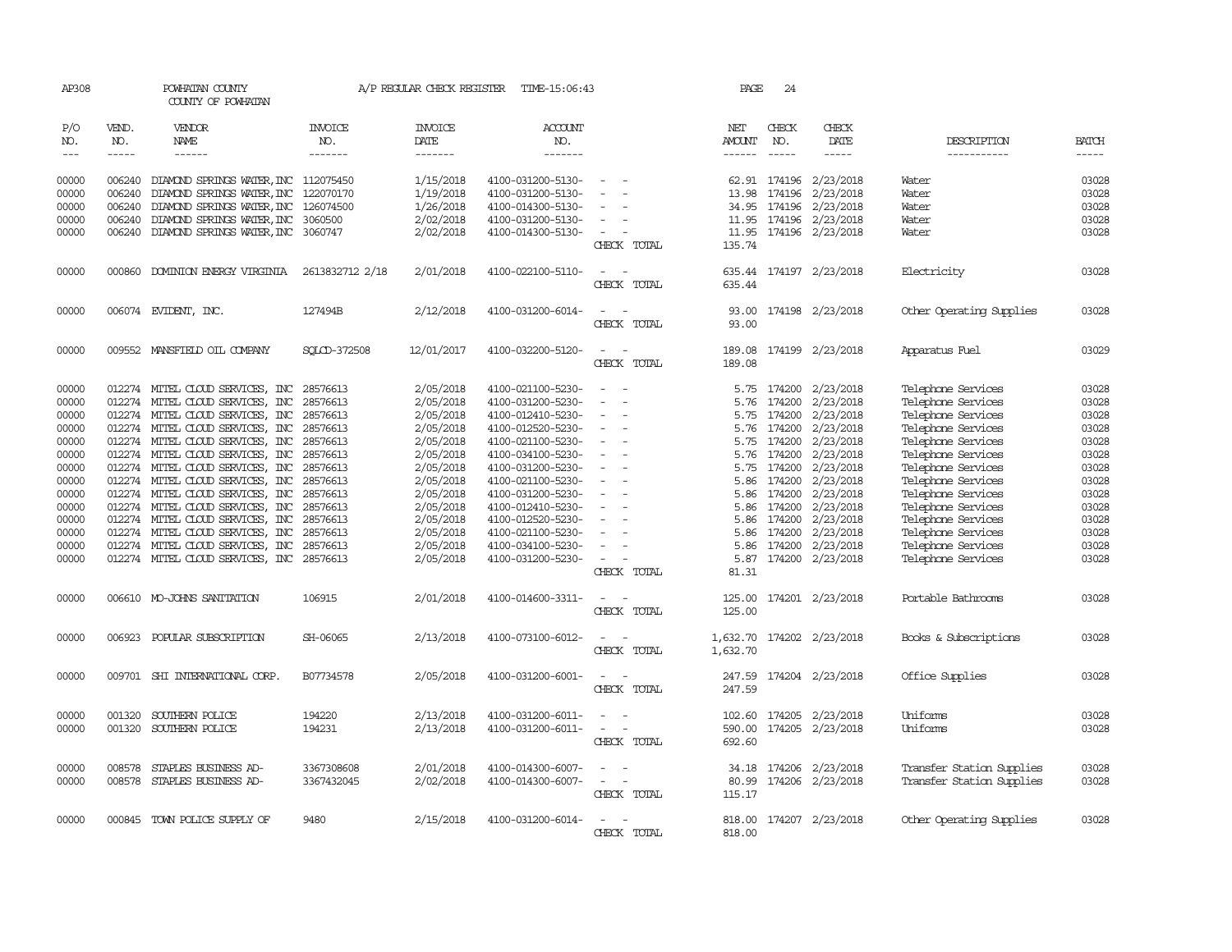| AP308          |               | POWHATAN COUNTY<br>COUNTY OF POWHATAN                                |                       | A/P REGULAR CHECK REGISTER | TIME-15:06:43                          |                                        |             | PAGE                 | 24               |                         |                                          |                |
|----------------|---------------|----------------------------------------------------------------------|-----------------------|----------------------------|----------------------------------------|----------------------------------------|-------------|----------------------|------------------|-------------------------|------------------------------------------|----------------|
| P/O<br>NO.     | VEND.<br>NO.  | <b>VENDOR</b><br>NAME                                                | <b>INVOICE</b><br>NO. | <b>INVOICE</b><br>DATE     | ACCOUNT<br>NO.                         |                                        |             | NET<br><b>AMOUNT</b> | CHECK<br>NO.     | CHECK<br>DATE           | DESCRIPTION                              | <b>BATCH</b>   |
| $---$          | $\frac{1}{2}$ | $- - - - - -$                                                        | -------               | -------                    | -------                                |                                        |             | ------               | $\frac{1}{2}$    | $- - - - -$             | -----------                              | $- - - - -$    |
| 00000          | 006240        | DIAMOND SPRINGS WATER, INC 112075450                                 |                       | 1/15/2018                  | 4100-031200-5130-                      |                                        |             |                      | 62.91 174196     | 2/23/2018               | Water                                    | 03028          |
| 00000          | 006240        | DIAMOND SPRINGS WATER, INC                                           | 122070170             | 1/19/2018                  | 4100-031200-5130-                      |                                        |             | 13.98                | 174196           | 2/23/2018               | Water                                    | 03028          |
| 00000          | 006240        | DIAMOND SPRINGS WATER, INC                                           | 126074500             | 1/26/2018                  | 4100-014300-5130-                      |                                        |             |                      | 34.95 174196     | 2/23/2018               | Water                                    | 03028          |
| 00000          | 006240        | DIAMOND SPRINGS WATER, INC                                           | 3060500               | 2/02/2018                  | 4100-031200-5130-                      | $\sim$                                 |             |                      | 11.95 174196     | 2/23/2018               | Water                                    | 03028          |
| 00000          | 006240        | DIAMOND SPRINGS WATER, INC                                           | 3060747               | 2/02/2018                  | 4100-014300-5130-                      | $\sim$                                 |             |                      | 11.95 174196     | 2/23/2018               | Water                                    | 03028          |
|                |               |                                                                      |                       |                            |                                        |                                        | CHECK TOTAL | 135.74               |                  |                         |                                          |                |
| 00000          | 000860        | DOMINION ENERGY VIRGINIA                                             | 2613832712 2/18       | 2/01/2018                  | 4100-022100-5110-                      |                                        |             | 635.44               |                  | 174197 2/23/2018        | Electricity                              | 03028          |
|                |               |                                                                      |                       |                            |                                        |                                        | CHECK TOTAL | 635.44               |                  |                         |                                          |                |
| 00000          |               | 006074 EVIDENT, INC.                                                 | 127494B               | 2/12/2018                  | 4100-031200-6014-                      | - -                                    |             |                      |                  | 93.00 174198 2/23/2018  | Other Operating Supplies                 | 03028          |
|                |               |                                                                      |                       |                            |                                        |                                        | CHECK TOTAL | 93.00                |                  |                         |                                          |                |
| 00000          |               | 009552 MANSFIELD OIL COMPANY                                         | SOLCD-372508          | 12/01/2017                 | 4100-032200-5120-                      | $\sim$<br>$\sim$                       |             | 189.08               |                  | 174199 2/23/2018        | Apparatus Fuel                           | 03029          |
|                |               |                                                                      |                       |                            |                                        |                                        | CHECK TOTAL | 189.08               |                  |                         |                                          |                |
| 00000          |               | 012274 MITEL CLOUD SERVICES, INC                                     | 28576613              | 2/05/2018                  | 4100-021100-5230-                      |                                        |             | 5.75                 | 174200           | 2/23/2018               | Telephone Services                       | 03028          |
| 00000          |               | 012274 MITEL CLOUD SERVICES, INC                                     | 28576613              | 2/05/2018                  | 4100-031200-5230-                      | $\sim$<br>$\overline{a}$               |             | 5.76                 | 174200           | 2/23/2018               | Telephone Services                       | 03028          |
| 00000          |               | 012274 MITEL CLOUD SERVICES, INC                                     | 28576613              | 2/05/2018                  | 4100-012410-5230-                      | $\sim$                                 |             | 5.75                 | 174200           | 2/23/2018               | Telephone Services                       | 03028          |
| 00000          |               | 012274 MITEL CLOUD SERVICES, INC                                     | 28576613              | 2/05/2018                  | 4100-012520-5230-                      | $\sim$                                 |             | 5.76                 | 174200           | 2/23/2018               | Telephone Services                       | 03028          |
| 00000          |               | 012274 MITEL CLOUD SERVICES, INC                                     | 28576613              | 2/05/2018                  | 4100-021100-5230-                      | $\overline{\phantom{a}}$               |             | 5.75                 | 174200           | 2/23/2018               | Telephone Services                       | 03028          |
| 00000          |               | 012274 MITEL CLOUD SERVICES, INC                                     | 28576613              | 2/05/2018                  | 4100-034100-5230-                      |                                        |             | 5.76                 | 174200           | 2/23/2018               | Telephone Services                       | 03028          |
| 00000          |               | 012274 MITEL CLOUD SERVICES, INC                                     | 28576613              | 2/05/2018                  | 4100-031200-5230-                      |                                        |             | 5.75                 | 174200           | 2/23/2018               | Telephone Services                       | 03028          |
| 00000          |               | 012274 MITEL CLOUD SERVICES, INC                                     | 28576613              | 2/05/2018                  | 4100-021100-5230-                      |                                        |             | 5.86                 | 174200           | 2/23/2018               | Telephone Services                       | 03028          |
| 00000          |               | 012274 MITEL CLOUD SERVICES, INC                                     | 28576613              | 2/05/2018                  | 4100-031200-5230-                      | $\overline{\phantom{a}}$               |             |                      | 5.86 174200      | 2/23/2018               | Telephone Services                       | 03028          |
| 00000<br>00000 |               | 012274 MITEL CLOUD SERVICES, INC                                     | 28576613              | 2/05/2018                  | 4100-012410-5230-                      | $\overline{\phantom{0}}$               |             | 5.86                 | 174200<br>174200 | 2/23/2018               | Telephone Services                       | 03028          |
| 00000          |               | 012274 MITEL CLOUD SERVICES, INC<br>012274 MITEL CLOUD SERVICES, INC | 28576613<br>28576613  | 2/05/2018                  | 4100-012520-5230-<br>4100-021100-5230- | $\equiv$                               |             | 5.86<br>5.86         | 174200           | 2/23/2018               | Telephone Services                       | 03028<br>03028 |
| 00000          |               | 012274 MITEL CLOUD SERVICES, INC                                     | 28576613              | 2/05/2018<br>2/05/2018     | 4100-034100-5230-                      | $\overline{\phantom{a}}$               |             | 5.86                 | 174200           | 2/23/2018<br>2/23/2018  | Telephone Services<br>Telephone Services | 03028          |
| 00000          |               | 012274 MITEL CLOUD SERVICES, INC 28576613                            |                       | 2/05/2018                  | 4100-031200-5230-                      | $\sim$                                 |             |                      | 5.87 174200      | 2/23/2018               | Telephone Services                       | 03028          |
|                |               |                                                                      |                       |                            |                                        |                                        | CHECK TOTAL | 81.31                |                  |                         |                                          |                |
| 00000          |               | 006610 MO-JOHNS SANITATION                                           | 106915                | 2/01/2018                  | 4100-014600-3311-                      |                                        |             | 125.00               |                  | 174201 2/23/2018        | Portable Bathrooms                       | 03028          |
|                |               |                                                                      |                       |                            |                                        |                                        | CHECK TOTAL | 125.00               |                  |                         |                                          |                |
| 00000          |               | 006923 POPULAR SUBSCRIPTION                                          | SH-06065              | 2/13/2018                  | 4100-073100-6012-                      |                                        |             | 1,632.70             |                  | 174202 2/23/2018        | Books & Subscriptions                    | 03028          |
|                |               |                                                                      |                       |                            |                                        |                                        | CHECK TOTAL | 1,632.70             |                  |                         |                                          |                |
| 00000          |               | 009701 SHI INTERNATIONAL CORP.                                       | B07734578             | 2/05/2018                  | 4100-031200-6001-                      | $\overline{\phantom{a}}$               |             | 247.59               |                  | 174204 2/23/2018        | Office Supplies                          | 03028          |
|                |               |                                                                      |                       |                            |                                        |                                        | CHECK TOTAL | 247.59               |                  |                         |                                          |                |
| 00000          | 001320        | SOUTHERN POLICE                                                      | 194220                | 2/13/2018                  | 4100-031200-6011-                      | $\sim$<br>$\sim$                       |             |                      | 102.60 174205    | 2/23/2018               | Uniforms                                 | 03028          |
| 00000          | 001320        | SOUTHERN POLICE                                                      | 194231                | 2/13/2018                  | 4100-031200-6011-                      | $\overline{\phantom{a}}$<br>$\sim$     |             | 590.00               | 174205           | 2/23/2018               | Uniforms                                 | 03028          |
|                |               |                                                                      |                       |                            |                                        |                                        | CHECK TOTAL | 692.60               |                  |                         |                                          |                |
| 00000          | 008578        | STAPLES BUSINESS AD-                                                 | 3367308608            | 2/01/2018                  | 4100-014300-6007-                      | $\equiv$                               |             |                      | 34.18 174206     | 2/23/2018               | Transfer Station Supplies                | 03028          |
| 00000          |               | 008578 STAPLES BUSINESS AD-                                          | 3367432045            | 2/02/2018                  | 4100-014300-6007-                      | $\sim$<br>$\sim$ $-$                   |             | 80.99                |                  | 174206 2/23/2018        | Transfer Station Supplies                | 03028          |
|                |               |                                                                      |                       |                            |                                        |                                        | CHECK TOTAL | 115.17               |                  |                         |                                          |                |
| 00000          |               | 000845 TOWN POLICE SUPPLY OF                                         | 9480                  | 2/15/2018                  | 4100-031200-6014-                      | $\overline{\phantom{a}}$<br>$\sim$ $-$ |             |                      |                  | 818.00 174207 2/23/2018 | Other Operating Supplies                 | 03028          |
|                |               |                                                                      |                       |                            |                                        |                                        | CHECK TOTAL | 818.00               |                  |                         |                                          |                |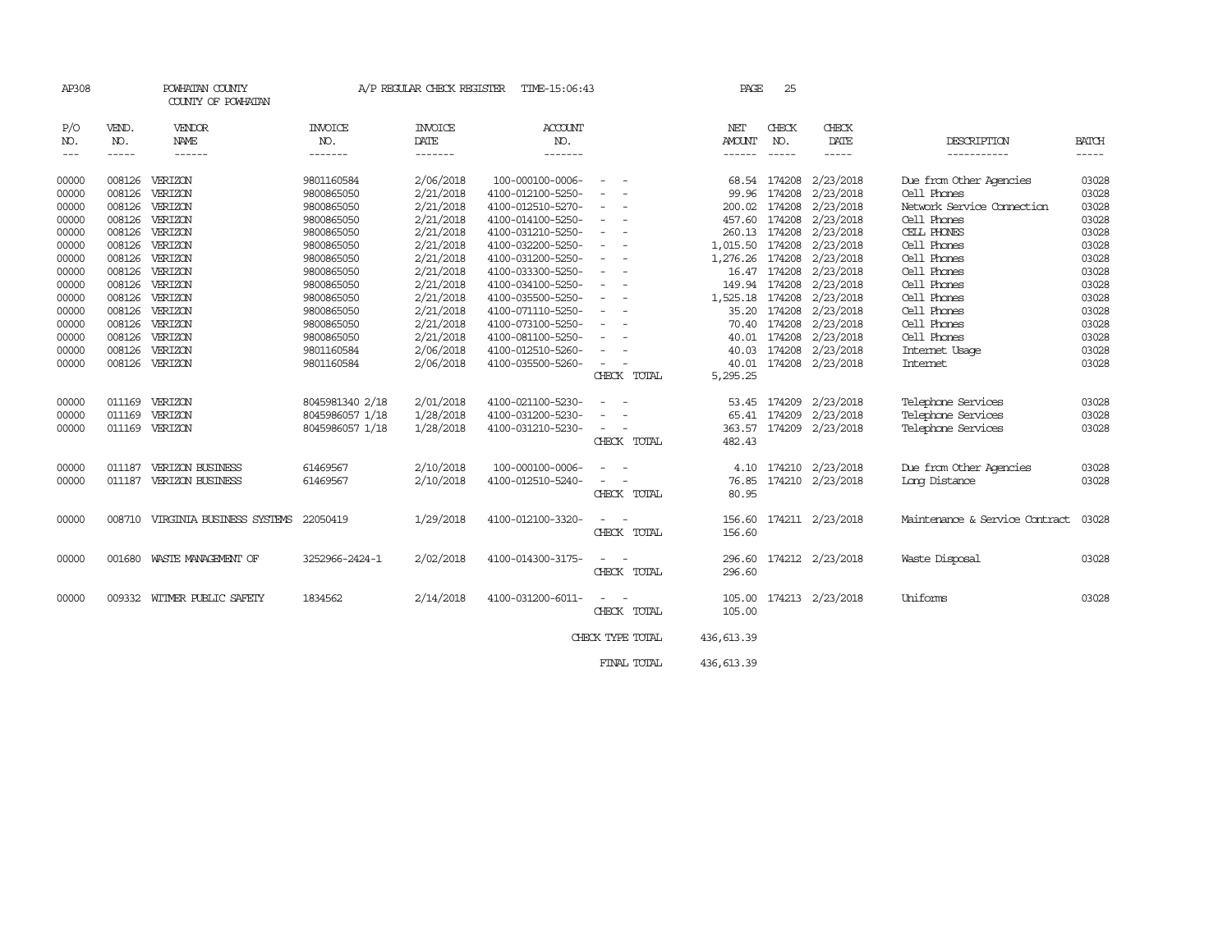| AP308   |        | POWHATAN COUNTY<br>COUNTY OF POWHATAN |                 | A/P REGULAR CHECK REGISTER | TIME-15:06:43     |                                                                                                              | PAGE        | 25           |                           |                                |                                                                                                                                                                                                                                                                                                                                                                                                                                                         |
|---------|--------|---------------------------------------|-----------------|----------------------------|-------------------|--------------------------------------------------------------------------------------------------------------|-------------|--------------|---------------------------|--------------------------------|---------------------------------------------------------------------------------------------------------------------------------------------------------------------------------------------------------------------------------------------------------------------------------------------------------------------------------------------------------------------------------------------------------------------------------------------------------|
| P/O     | VEND.  | VENDOR                                | INVOICE         | <b>INVOICE</b>             | <b>ACCOUNT</b>    |                                                                                                              | NET         | CHECK        | CHECK                     |                                |                                                                                                                                                                                                                                                                                                                                                                                                                                                         |
| NO.     | NO.    | NAME                                  | NO.             | DATE                       | NO.               |                                                                                                              | AMOUNT      | NO.          | DATE                      | DESCRIPTION                    | <b>BATCH</b>                                                                                                                                                                                                                                                                                                                                                                                                                                            |
| $- - -$ | -----  | ------                                | -------         | -------                    | -------           |                                                                                                              | ------      | $- - - - -$  | -----                     | -----------                    | $\begin{tabular}{ccccc} \multicolumn{2}{c }{\multicolumn{2}{c }{\multicolumn{2}{c }{\multicolumn{2}{c}}{\hspace{-2.2cm}}}} \multicolumn{2}{c }{\multicolumn{2}{c }{\hspace{-2.2cm}}\hline} \multicolumn{2}{c }{\hspace{-2.2cm}}\hline \multicolumn{2}{c }{\hspace{-2.2cm}}\hline \multicolumn{2}{c }{\hspace{-2.2cm}}\hline \multicolumn{2}{c }{\hspace{-2.2cm}}\hline \multicolumn{2}{c }{\hspace{-2.2cm}}\hline \multicolumn{2}{c }{\hspace{-2.2cm}}$ |
| 00000   | 008126 | VERIZON                               | 9801160584      | 2/06/2018                  | 100-000100-0006-  | $\sim$                                                                                                       |             | 68.54 174208 | 2/23/2018                 | Due from Other Agencies        | 03028                                                                                                                                                                                                                                                                                                                                                                                                                                                   |
| 00000   | 008126 | VERIZON                               | 9800865050      | 2/21/2018                  | 4100-012100-5250- | $\sim$                                                                                                       |             |              | 99.96 174208 2/23/2018    | Cell Phones                    | 03028                                                                                                                                                                                                                                                                                                                                                                                                                                                   |
| 00000   | 008126 | VERIZON                               | 9800865050      | 2/21/2018                  | 4100-012510-5270- | $\overline{\phantom{a}}$                                                                                     |             |              | 200.02 174208 2/23/2018   | Network Service Cornection     | 03028                                                                                                                                                                                                                                                                                                                                                                                                                                                   |
| 00000   | 008126 | VERIZON                               | 9800865050      | 2/21/2018                  | 4100-014100-5250- | $\overline{\phantom{a}}$                                                                                     | 457.60      |              | 174208 2/23/2018          | Cell Phones                    | 03028                                                                                                                                                                                                                                                                                                                                                                                                                                                   |
| 00000   | 008126 | VERIZON                               | 9800865050      | 2/21/2018                  | 4100-031210-5250- | $\sim$                                                                                                       |             |              | 260.13 174208 2/23/2018   | CELL PHONES                    | 03028                                                                                                                                                                                                                                                                                                                                                                                                                                                   |
| 00000   | 008126 | VERIZON                               | 9800865050      | 2/21/2018                  | 4100-032200-5250- | $\sim$                                                                                                       | 1,015.50    |              | 174208 2/23/2018          | Cell Phones                    | 03028                                                                                                                                                                                                                                                                                                                                                                                                                                                   |
| 00000   | 008126 | VERIZON                               | 9800865050      | 2/21/2018                  | 4100-031200-5250- | $\overline{\phantom{a}}$                                                                                     |             |              | 1,276.26 174208 2/23/2018 | Cell Phones                    | 03028                                                                                                                                                                                                                                                                                                                                                                                                                                                   |
| 00000   | 008126 | VERIZON                               | 9800865050      | 2/21/2018                  | 4100-033300-5250- | $\sim$                                                                                                       |             |              | 16.47 174208 2/23/2018    | Cell Phones                    | 03028                                                                                                                                                                                                                                                                                                                                                                                                                                                   |
| 00000   | 008126 | VERIZON                               | 9800865050      | 2/21/2018                  | 4100-034100-5250- | $\sim$                                                                                                       |             |              | 149.94 174208 2/23/2018   | Cell Phones                    | 03028                                                                                                                                                                                                                                                                                                                                                                                                                                                   |
| 00000   |        | 008126 VERIZON                        | 9800865050      | 2/21/2018                  | 4100-035500-5250- | $\overline{\phantom{a}}$                                                                                     |             |              | 1,525.18 174208 2/23/2018 | Cell Phones                    | 03028                                                                                                                                                                                                                                                                                                                                                                                                                                                   |
| 00000   | 008126 | VERIZON                               | 9800865050      | 2/21/2018                  | 4100-071110-5250- |                                                                                                              | 35.20       |              | 174208 2/23/2018          | Cell Phones                    | 03028                                                                                                                                                                                                                                                                                                                                                                                                                                                   |
| 00000   | 008126 | VERIZON                               | 9800865050      | 2/21/2018                  | 4100-073100-5250- | $\overline{\phantom{a}}$                                                                                     | 70.40       |              | 174208 2/23/2018          | Cell Phones                    | 03028                                                                                                                                                                                                                                                                                                                                                                                                                                                   |
| 00000   | 008126 | VERIZON                               | 9800865050      | 2/21/2018                  | 4100-081100-5250- | $\overline{\phantom{a}}$                                                                                     |             |              | 40.01 174208 2/23/2018    | Cell Phones                    | 03028                                                                                                                                                                                                                                                                                                                                                                                                                                                   |
| 00000   | 008126 | VERIZON                               | 9801160584      | 2/06/2018                  | 4100-012510-5260- |                                                                                                              |             |              | 40.03 174208 2/23/2018    | Internet Usage                 | 03028                                                                                                                                                                                                                                                                                                                                                                                                                                                   |
| 00000   |        | 008126 VERIZON                        | 9801160584      | 2/06/2018                  | 4100-035500-5260- | $\equiv$                                                                                                     |             |              | 40.01 174208 2/23/2018    | Internet                       | 03028                                                                                                                                                                                                                                                                                                                                                                                                                                                   |
|         |        |                                       |                 |                            |                   | CHECK TOTAL                                                                                                  | 5,295.25    |              |                           |                                |                                                                                                                                                                                                                                                                                                                                                                                                                                                         |
| 00000   | 011169 | VERIZON                               | 8045981340 2/18 | 2/01/2018                  | 4100-021100-5230- |                                                                                                              | 53.45       |              | 174209 2/23/2018          | Telephone Services             | 03028                                                                                                                                                                                                                                                                                                                                                                                                                                                   |
| 00000   | 011169 | VERIZON                               | 8045986057 1/18 | 1/28/2018                  | 4100-031200-5230- |                                                                                                              |             |              | 65.41 174209 2/23/2018    | Telephone Services             | 03028                                                                                                                                                                                                                                                                                                                                                                                                                                                   |
| 00000   |        | 011169 VERIZON                        | 8045986057 1/18 | 1/28/2018                  | 4100-031210-5230- | $\sim$ $-$                                                                                                   |             |              | 363.57 174209 2/23/2018   | Telephone Services             | 03028                                                                                                                                                                                                                                                                                                                                                                                                                                                   |
|         |        |                                       |                 |                            |                   | CHECK TOTAL                                                                                                  | 482.43      |              |                           |                                |                                                                                                                                                                                                                                                                                                                                                                                                                                                         |
| 00000   | 011187 | VERIZON BUSINESS                      | 61469567        | 2/10/2018                  | 100-000100-0006-  |                                                                                                              | 4.10        |              | 174210 2/23/2018          | Due from Other Agencies        | 03028                                                                                                                                                                                                                                                                                                                                                                                                                                                   |
| 00000   |        | 011187 VERIZON BUSINESS               | 61469567        | 2/10/2018                  | 4100-012510-5240- | $\sim$                                                                                                       | 76.85       |              | 174210 2/23/2018          | Long Distance                  | 03028                                                                                                                                                                                                                                                                                                                                                                                                                                                   |
|         |        |                                       |                 |                            |                   | CHECK TOTAL                                                                                                  | 80.95       |              |                           |                                |                                                                                                                                                                                                                                                                                                                                                                                                                                                         |
| 00000   |        | 008710 VIRGINIA BUSINESS SYSTEMS      | 22050419        | 1/29/2018                  | 4100-012100-3320- |                                                                                                              | 156.60      |              | 174211 2/23/2018          | Maintenance & Service Contract | 03028                                                                                                                                                                                                                                                                                                                                                                                                                                                   |
|         |        |                                       |                 |                            |                   | CHECK TOTAL                                                                                                  | 156.60      |              |                           |                                |                                                                                                                                                                                                                                                                                                                                                                                                                                                         |
| 00000   | 001680 | WASTE MANAGEMENT OF                   | 3252966-2424-1  | 2/02/2018                  | 4100-014300-3175- | $\frac{1}{2} \left( \frac{1}{2} \right) \left( \frac{1}{2} \right) = \frac{1}{2} \left( \frac{1}{2} \right)$ | 296.60      |              | 174212 2/23/2018          | Waste Disposal                 | 03028                                                                                                                                                                                                                                                                                                                                                                                                                                                   |
|         |        |                                       |                 |                            |                   | CHECK TOTAL                                                                                                  | 296.60      |              |                           |                                |                                                                                                                                                                                                                                                                                                                                                                                                                                                         |
| 00000   |        | 009332 WITMER PUBLIC SAFETY           | 1834562         | 2/14/2018                  | 4100-031200-6011- |                                                                                                              | 105.00      |              | 174213 2/23/2018          | Uniforms                       | 03028                                                                                                                                                                                                                                                                                                                                                                                                                                                   |
|         |        |                                       |                 |                            |                   | CHECK TOTAL                                                                                                  | 105.00      |              |                           |                                |                                                                                                                                                                                                                                                                                                                                                                                                                                                         |
|         |        |                                       |                 |                            |                   | CHECK TYPE TOTAL                                                                                             | 436, 613.39 |              |                           |                                |                                                                                                                                                                                                                                                                                                                                                                                                                                                         |
|         |        |                                       |                 |                            |                   | FINAL TOTAL                                                                                                  | 436, 613.39 |              |                           |                                |                                                                                                                                                                                                                                                                                                                                                                                                                                                         |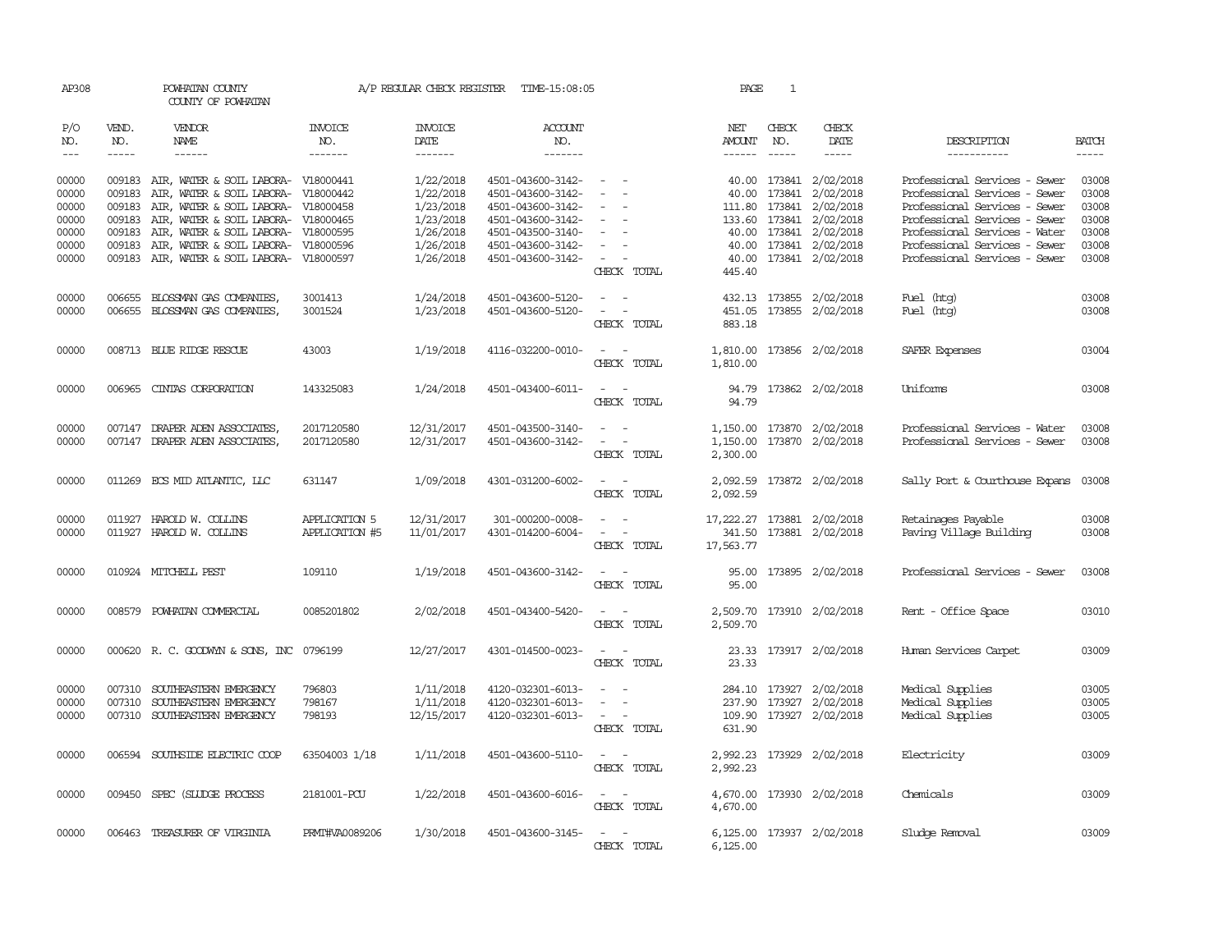| AP308          |              | POWHATAN COUNTY<br>COUNTY OF POWHATAN                            |                       | A/P REGULAR CHECK REGISTER | TIME-15:08:05                          |                                                                                                                             | PAGE                        | 1             |                                             |                                                                |                |
|----------------|--------------|------------------------------------------------------------------|-----------------------|----------------------------|----------------------------------------|-----------------------------------------------------------------------------------------------------------------------------|-----------------------------|---------------|---------------------------------------------|----------------------------------------------------------------|----------------|
| P/O<br>NO.     | VEND.<br>NO. | <b>VENDOR</b><br>NAME                                            | <b>INVOICE</b><br>NO. | <b>INVOICE</b><br>DATE     | <b>ACCOUNT</b><br>NO.                  |                                                                                                                             | NET<br>AMOUNT               | CHECK<br>NO.  | CHECK<br>DATE                               | DESCRIPTION                                                    | <b>BATCH</b>   |
| $---$          | $- - - - -$  | $- - - - - -$                                                    | -------               | -------                    | $- - - - - - -$                        |                                                                                                                             | ------                      | $\frac{1}{2}$ | $- - - - -$                                 | ------------                                                   | $- - - - -$    |
| 00000<br>00000 | 009183       | 009183 AIR, WATER & SOIL LABORA- V18000441                       |                       | 1/22/2018<br>1/22/2018     | 4501-043600-3142-<br>4501-043600-3142- | $\sim$<br>$\sim$<br>$\overline{\phantom{a}}$                                                                                | 40.00                       |               | 40.00 173841 2/02/2018<br>173841 2/02/2018  | Professional Services - Sewer<br>Professional Services - Sewer | 03008<br>03008 |
| 00000          | 009183       | AIR, WATER & SOIL LABORA- V18000442<br>AIR, WATER & SOIL LABORA- | V18000458             | 1/23/2018                  | 4501-043600-3142-                      | $\sim$                                                                                                                      | 111.80                      | 173841        | 2/02/2018                                   | Professional Services - Sewer                                  | 03008          |
| 00000          | 009183       | AIR, WATER & SOIL LABORA-                                        | V18000465             | 1/23/2018                  | 4501-043600-3142-                      |                                                                                                                             |                             |               | 133.60 173841 2/02/2018                     | Professional Services - Sewer                                  | 03008          |
| 00000          | 009183       | AIR, WATER & SOIL LABORA-                                        | V18000595             | 1/26/2018                  | 4501-043500-3140-                      |                                                                                                                             |                             |               | 40.00 173841 2/02/2018                      | Professional Services - Water                                  | 03008          |
| 00000          | 009183       | AIR, WATER & SOIL LABORA-                                        | V18000596             | 1/26/2018                  | 4501-043600-3142-                      | $\overline{\phantom{a}}$                                                                                                    |                             |               | 40.00 173841 2/02/2018                      | Professional Services - Sewer                                  | 03008          |
| 00000          | 009183       | AIR, WATER & SOIL LABORA-                                        | V18000597             | 1/26/2018                  | 4501-043600-3142-                      | $\overline{\phantom{a}}$<br>CHECK TOTAL                                                                                     | 40.00<br>445.40             |               | 173841 2/02/2018                            | Professional Services - Sewer                                  | 03008          |
| 00000          | 006655       | BLOSSMAN GAS COMPANIES,                                          | 3001413               | 1/24/2018                  | 4501-043600-5120-                      | $\overline{\phantom{a}}$                                                                                                    |                             |               | 432.13 173855 2/02/2018                     | Fuel (htg)                                                     | 03008          |
| 00000          |              | 006655 BLOSSMAN GAS COMPANIES,                                   | 3001524               | 1/23/2018                  | 4501-043600-5120-                      |                                                                                                                             | 451.05                      |               | 173855 2/02/2018                            | Fuel (htg)                                                     | 03008          |
|                |              |                                                                  |                       |                            |                                        | CHECK TOTAL                                                                                                                 | 883.18                      |               |                                             |                                                                |                |
| 00000          |              | 008713 BLUE RIDGE RESCUE                                         | 43003                 | 1/19/2018                  | 4116-032200-0010-                      | $\overline{\phantom{a}}$<br>CHECK TOTAL                                                                                     | 1,810.00<br>1,810.00        |               | 173856 2/02/2018                            | SAFER Expenses                                                 | 03004          |
| 00000          |              | 006965 CINIAS CORPORATION                                        | 143325083             | 1/24/2018                  | 4501-043400-6011-                      | $\sim$ 10 $\sim$ 10 $\sim$<br>CHECK TOTAL                                                                                   | 94.79                       |               | 94.79 173862 2/02/2018                      | <b>Uniforms</b>                                                | 03008          |
| 00000          |              | 007147 DRAPER ADEN ASSOCIATES                                    | 2017120580            | 12/31/2017                 | 4501-043500-3140-                      |                                                                                                                             | 1,150.00                    |               | 173870 2/02/2018                            | Professional Services - Water                                  | 03008          |
| 00000          |              | 007147 DRAPER ADEN ASSOCIATES,                                   | 2017120580            | 12/31/2017                 | 4501-043600-3142-                      | $\equiv$<br>CHECK TOTAL                                                                                                     | 1,150.00<br>2,300.00        |               | 173870 2/02/2018                            | Professional Services - Sewer                                  | 03008          |
| 00000          |              | 011269 ECS MID ATLANTIC, LLC                                     | 631147                | 1/09/2018                  | 4301-031200-6002-                      | CHECK TOTAL                                                                                                                 | 2,092.59<br>2,092.59        |               | 173872 2/02/2018                            | Sally Port & Courthouse Expans                                 | 03008          |
| 00000          |              | 011927 HAROLD W. COLLINS                                         | <b>APPLICATION 5</b>  | 12/31/2017                 | 301-000200-0008-                       | $ -$                                                                                                                        | 17, 222.27 173881 2/02/2018 |               |                                             | Retainages Payable                                             | 03008          |
| 00000          |              | 011927 HAROLD W. COLLINS                                         | APPLICATION #5        | 11/01/2017                 | 4301-014200-6004-                      | $\sim$ 100 $\sim$ 100 $\sim$<br>CHECK TOTAL                                                                                 | 341.50<br>17,563.77         |               | 173881 2/02/2018                            | Paving Village Building                                        | 03008          |
| 00000          |              | 010924 MITCHELL PEST                                             | 109110                | 1/19/2018                  | 4501-043600-3142-                      | $\sim$ $ \sim$<br>CHECK TOTAL                                                                                               | 95.00<br>95.00              |               | 173895 2/02/2018                            | Professional Services - Sewer                                  | 03008          |
| 00000          |              | 008579 POWHATAN COMMERCIAL                                       | 0085201802            | 2/02/2018                  | 4501-043400-5420-                      | $\sim$<br>CHECK TOTAL                                                                                                       | 2,509.70<br>2,509.70        |               | 173910 2/02/2018                            | Rent - Office Space                                            | 03010          |
| 00000          |              | 000620 R. C. GOODWYN & SONS, INC 0796199                         |                       | 12/27/2017                 | 4301-014500-0023-                      | $\overline{\phantom{a}}$<br>- -<br>CHECK TOTAL                                                                              | 23.33<br>23.33              |               | 173917 2/02/2018                            | Human Services Carpet                                          | 03009          |
| 00000          | 007310       | SOUTHEASTERN EMERGENCY                                           | 796803                | 1/11/2018                  | 4120-032301-6013-                      |                                                                                                                             |                             |               | 284.10 173927 2/02/2018                     | Medical Supplies                                               | 03005          |
| 00000<br>00000 | 007310       | SOUTHEASTERN EMERGENCY<br>007310 SOUTHEASTERN EMERGENCY          | 798167<br>798193      | 1/11/2018<br>12/15/2017    | 4120-032301-6013-<br>4120-032301-6013- | $\sim$<br>$\sim$ $ \sim$                                                                                                    | 237.90                      |               | 173927 2/02/2018<br>109.90 173927 2/02/2018 | Medical Supplies<br>Medical Supplies                           | 03005<br>03005 |
|                |              |                                                                  |                       |                            |                                        | CHECK TOTAL                                                                                                                 | 631.90                      |               |                                             |                                                                |                |
| 00000          |              | 006594 SOUTHSIDE ELECTRIC COOP                                   | 63504003 1/18         | 1/11/2018                  | 4501-043600-5110-                      | $\sim$<br>$\sim$<br>CHECK TOTAL                                                                                             | 2,992.23<br>2,992.23        |               | 173929 2/02/2018                            | Electricity                                                    | 03009          |
| 00000          |              | 009450 SPEC (SLUDGE PROCESS                                      | 2181001-PCU           | 1/22/2018                  | 4501-043600-6016-                      | $\frac{1}{2} \left( \frac{1}{2} \right) \left( \frac{1}{2} \right) = \frac{1}{2} \left( \frac{1}{2} \right)$<br>CHECK TOTAL | 4,670.00<br>4,670.00        |               | 173930 2/02/2018                            | Chemicals                                                      | 03009          |
| 00000          | 006463       | TREASURER OF VIRGINIA                                            | PRMI#VA0089206        | 1/30/2018                  | 4501-043600-3145-                      | $\sim$ 100 $\sim$<br>CHECK TOTAL                                                                                            | 6,125.00                    |               | 6,125.00 173937 2/02/2018                   | Sludge Removal                                                 | 03009          |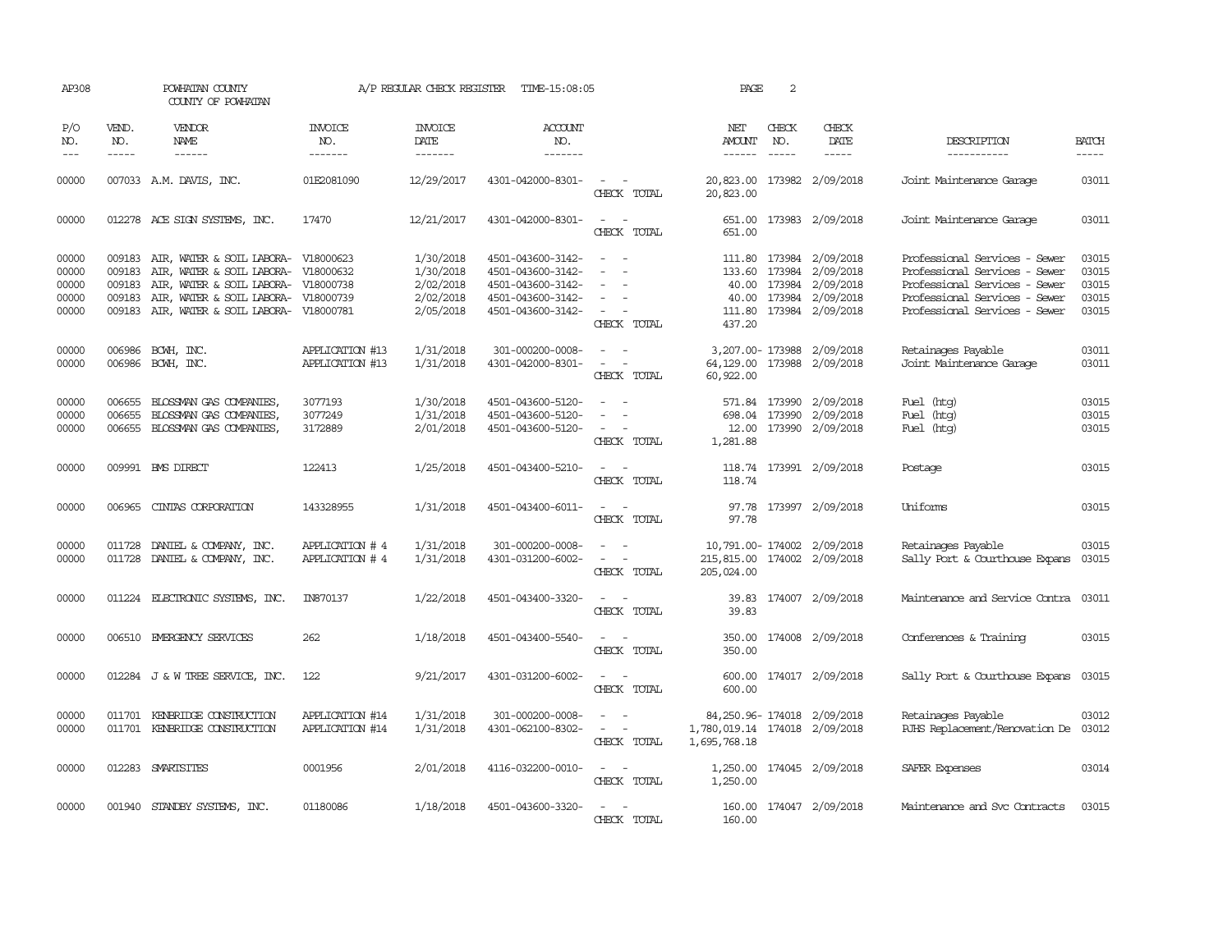| AP308                                     |                  | POWHATAN COUNTY<br>COUNTY OF POWHATAN                                                                                                                                                                                |                                    |                                                               | A/P REGULAR CHECK REGISTER TIME-15:08:05                                                              |                                                                                                                             | PAGE                                          | 2            |                                                                                                                                                                                                                                                                                                                                                                                                                                                                                             |                                                                                                                                                                   |                                                                                                                                                                                                                                                                                                                                                                                                                                                                                               |
|-------------------------------------------|------------------|----------------------------------------------------------------------------------------------------------------------------------------------------------------------------------------------------------------------|------------------------------------|---------------------------------------------------------------|-------------------------------------------------------------------------------------------------------|-----------------------------------------------------------------------------------------------------------------------------|-----------------------------------------------|--------------|---------------------------------------------------------------------------------------------------------------------------------------------------------------------------------------------------------------------------------------------------------------------------------------------------------------------------------------------------------------------------------------------------------------------------------------------------------------------------------------------|-------------------------------------------------------------------------------------------------------------------------------------------------------------------|-----------------------------------------------------------------------------------------------------------------------------------------------------------------------------------------------------------------------------------------------------------------------------------------------------------------------------------------------------------------------------------------------------------------------------------------------------------------------------------------------|
| P/O<br>NO.<br>$---$                       | VEND.<br>NO.     | <b>VENDOR</b><br>NAME<br>$- - - - - -$                                                                                                                                                                               | <b>INVOICE</b><br>NO.<br>-------   | <b>INVOICE</b><br>DATE<br>$-----$                             | ACCOUNT<br>NO.<br>-------                                                                             |                                                                                                                             | NET<br><b>AMOUNT</b>                          | CHECK<br>NO. | CHECK<br>DATE<br>$\frac{1}{2} \left( \frac{1}{2} \right) \left( \frac{1}{2} \right) \left( \frac{1}{2} \right) \left( \frac{1}{2} \right) \left( \frac{1}{2} \right) \left( \frac{1}{2} \right) \left( \frac{1}{2} \right) \left( \frac{1}{2} \right) \left( \frac{1}{2} \right) \left( \frac{1}{2} \right) \left( \frac{1}{2} \right) \left( \frac{1}{2} \right) \left( \frac{1}{2} \right) \left( \frac{1}{2} \right) \left( \frac{1}{2} \right) \left( \frac{1}{2} \right) \left( \frac$ | DESCRIPTION<br>$-----$                                                                                                                                            | <b>BATCH</b><br>$\begin{tabular}{ccccc} \multicolumn{2}{c }{\multicolumn{2}{c }{\multicolumn{2}{c }{\multicolumn{2}{c}}}{\multicolumn{2}{c }{\multicolumn{2}{c}}}\end{tabular} \end{tabular} \begin{tabular}{c c }{\multicolumn{2}{c }{\multicolumn{2}{c }{\multicolumn{2}{c}}}{\multicolumn{2}{c }{\multicolumn{2}{c}}}{\multicolumn{2}{c }{\multicolumn{2}{c}}}{\multicolumn{2}{c }{\multicolumn{2}{c}}}{\end{tabular} \begin{tabular}{c c }{\multicolumn{2}{c }{\multicolumn{2}{c }{\mult$ |
| 00000                                     |                  | 007033 A.M. DAVIS, INC.                                                                                                                                                                                              | 01E2081090                         | 12/29/2017                                                    | 4301-042000-8301-                                                                                     | $\sim$ 100 $\sim$<br>CHECK TOTAL                                                                                            | 20,823.00                                     |              | 20,823.00 173982 2/09/2018                                                                                                                                                                                                                                                                                                                                                                                                                                                                  | Joint Maintenance Garage                                                                                                                                          | 03011                                                                                                                                                                                                                                                                                                                                                                                                                                                                                         |
| 00000                                     |                  | 012278 ACE SIGN SYSTEMS, INC.                                                                                                                                                                                        | 17470                              | 12/21/2017                                                    | 4301-042000-8301-                                                                                     | $\sim$<br>CHECK TOTAL                                                                                                       | 651.00                                        |              | 651.00 173983 2/09/2018                                                                                                                                                                                                                                                                                                                                                                                                                                                                     | Joint Maintenance Garage                                                                                                                                          | 03011                                                                                                                                                                                                                                                                                                                                                                                                                                                                                         |
| 00000<br>00000<br>00000<br>00000<br>00000 | 009183<br>009183 | 009183 AIR, WATER & SOIL LABORA- V18000623<br>AIR, WATER & SOIL LABORA- V18000632<br>AIR, WATER & SOIL LABORA- V18000738<br>009183 AIR, WATER & SOIL LABORA- V18000739<br>009183 AIR, WATER & SOIL LABORA- V18000781 |                                    | 1/30/2018<br>1/30/2018<br>2/02/2018<br>2/02/2018<br>2/05/2018 | 4501-043600-3142-<br>4501-043600-3142-<br>4501-043600-3142-<br>4501-043600-3142-<br>4501-043600-3142- | $\sim$<br>$\overline{\phantom{a}}$<br>$\sim$ $  -$<br>CHECK TOTAL                                                           | 437.20                                        |              | 111.80 173984 2/09/2018<br>133.60 173984 2/09/2018<br>40.00 173984 2/09/2018<br>40.00 173984 2/09/2018<br>111.80 173984 2/09/2018                                                                                                                                                                                                                                                                                                                                                           | Professional Services - Sewer<br>Professional Services - Sewer<br>Professional Services - Sewer<br>Professional Services - Sewer<br>Professional Services - Sewer | 03015<br>03015<br>03015<br>03015<br>03015                                                                                                                                                                                                                                                                                                                                                                                                                                                     |
| 00000<br>00000                            |                  | 006986 BCWH, INC.<br>006986 BCWH, INC.                                                                                                                                                                               | APPLICATION #13<br>APPLICATION #13 | 1/31/2018<br>1/31/2018                                        | 301-000200-0008-<br>4301-042000-8301-                                                                 | $\overline{\phantom{a}}$<br>$\sim$<br>CHECK TOTAL                                                                           | 60,922.00                                     |              | 3,207.00-173988 2/09/2018<br>64,129.00 173988 2/09/2018                                                                                                                                                                                                                                                                                                                                                                                                                                     | Retainages Payable<br>Joint Maintenance Garage                                                                                                                    | 03011<br>03011                                                                                                                                                                                                                                                                                                                                                                                                                                                                                |
| 00000<br>00000<br>00000                   | 006655<br>006655 | BLOSSMAN GAS COMPANIES,<br>BLOSSMAN GAS COMPANIES,<br>006655 BLOSSMAN GAS COMPANIES,                                                                                                                                 | 3077193<br>3077249<br>3172889      | 1/30/2018<br>1/31/2018<br>2/01/2018                           | 4501-043600-5120-<br>4501-043600-5120-<br>4501-043600-5120-                                           | $\sim$<br>$\sim$<br>$\sim$ $  -$<br>CHECK TOTAL                                                                             | 571.84<br>1,281.88                            | 173990       | 2/09/2018<br>698.04 173990 2/09/2018<br>12.00 173990 2/09/2018                                                                                                                                                                                                                                                                                                                                                                                                                              | Fuel (htg)<br>Fuel (htg)<br>Fuel (htg)                                                                                                                            | 03015<br>03015<br>03015                                                                                                                                                                                                                                                                                                                                                                                                                                                                       |
| 00000                                     |                  | 009991 BMS DIRECT                                                                                                                                                                                                    | 122413                             | 1/25/2018                                                     | 4501-043400-5210-                                                                                     | $\sim$ $ \sim$<br>CHECK TOTAL                                                                                               | 118.74                                        |              | 118.74 173991 2/09/2018                                                                                                                                                                                                                                                                                                                                                                                                                                                                     | Postage                                                                                                                                                           | 03015                                                                                                                                                                                                                                                                                                                                                                                                                                                                                         |
| 00000                                     |                  | 006965 CINTAS CORPORATION                                                                                                                                                                                            | 143328955                          | 1/31/2018                                                     | 4501-043400-6011-                                                                                     | $\sim$<br>CHECK TOTAL                                                                                                       | 97.78                                         |              | 97.78 173997 2/09/2018                                                                                                                                                                                                                                                                                                                                                                                                                                                                      | <b>Uniforms</b>                                                                                                                                                   | 03015                                                                                                                                                                                                                                                                                                                                                                                                                                                                                         |
| 00000<br>00000                            |                  | 011728 DANIEL & COMPANY, INC.<br>011728 DANIEL & COMPANY, INC.                                                                                                                                                       | APPLICATION # 4<br>APPLICATION # 4 | 1/31/2018<br>1/31/2018                                        | 301-000200-0008-<br>4301-031200-6002-                                                                 | CHECK TOTAL                                                                                                                 | 215,815.00 174002 2/09/2018<br>205,024.00     |              | 10,791.00-174002 2/09/2018                                                                                                                                                                                                                                                                                                                                                                                                                                                                  | Retainages Payable<br>Sally Port & Courthouse Expans                                                                                                              | 03015<br>03015                                                                                                                                                                                                                                                                                                                                                                                                                                                                                |
| 00000                                     |                  | 011224 ELECTRONIC SYSTEMS, INC.                                                                                                                                                                                      | IN870137                           | 1/22/2018                                                     | 4501-043400-3320-                                                                                     | $\sim$<br>CHECK TOTAL                                                                                                       | 39.83                                         |              | 39.83 174007 2/09/2018                                                                                                                                                                                                                                                                                                                                                                                                                                                                      | Maintenance and Service Contra 03011                                                                                                                              |                                                                                                                                                                                                                                                                                                                                                                                                                                                                                               |
| 00000                                     |                  | 006510 EMERGENCY SERVICES                                                                                                                                                                                            | 262                                | 1/18/2018                                                     | 4501-043400-5540-                                                                                     | $\frac{1}{2} \left( \frac{1}{2} \right) \left( \frac{1}{2} \right) = \frac{1}{2} \left( \frac{1}{2} \right)$<br>CHECK TOTAL | 350.00                                        |              | 350.00 174008 2/09/2018                                                                                                                                                                                                                                                                                                                                                                                                                                                                     | Conferences & Training                                                                                                                                            | 03015                                                                                                                                                                                                                                                                                                                                                                                                                                                                                         |
| 00000                                     |                  | 012284 J & W TREE SERVICE, INC.                                                                                                                                                                                      | 122                                | 9/21/2017                                                     | 4301-031200-6002-                                                                                     | $\frac{1}{2} \left( \frac{1}{2} \right) \left( \frac{1}{2} \right) = \frac{1}{2} \left( \frac{1}{2} \right)$<br>CHECK TOTAL | 600.00                                        |              | 600.00 174017 2/09/2018                                                                                                                                                                                                                                                                                                                                                                                                                                                                     | Sally Port & Courthouse Expans                                                                                                                                    | 03015                                                                                                                                                                                                                                                                                                                                                                                                                                                                                         |
| 00000<br>00000                            |                  | 011701 KENBRIDGE CONSTRUCTION<br>011701 KENBRIDGE CONSTRUCTION                                                                                                                                                       | APPLICATION #14<br>APPLICATION #14 | 1/31/2018<br>1/31/2018                                        | 301-000200-0008-<br>4301-062100-8302-                                                                 | $\overline{a}$<br>$\sim$ $ -$<br>CHECK TOTAL                                                                                | 1,780,019.14 174018 2/09/2018<br>1,695,768.18 |              | 84, 250.96 - 174018 2/09/2018                                                                                                                                                                                                                                                                                                                                                                                                                                                               | Retainages Payable<br>RJHS Replacement/Renovation De 03012                                                                                                        | 03012                                                                                                                                                                                                                                                                                                                                                                                                                                                                                         |
| 00000                                     |                  | 012283 SMARTSITES                                                                                                                                                                                                    | 0001956                            | 2/01/2018                                                     | 4116-032200-0010-                                                                                     | $\sim$ $ \sim$<br>CHECK TOTAL                                                                                               | 1,250.00                                      |              | 1,250.00 174045 2/09/2018                                                                                                                                                                                                                                                                                                                                                                                                                                                                   | SAFER Expenses                                                                                                                                                    | 03014                                                                                                                                                                                                                                                                                                                                                                                                                                                                                         |
| 00000                                     |                  | 001940 STANDBY SYSTEMS, INC.                                                                                                                                                                                         | 01180086                           | 1/18/2018                                                     | 4501-043600-3320-                                                                                     | CHECK TOTAL                                                                                                                 | 160.00                                        |              | 160.00 174047 2/09/2018                                                                                                                                                                                                                                                                                                                                                                                                                                                                     | Maintenance and Svc Contracts                                                                                                                                     | 03015                                                                                                                                                                                                                                                                                                                                                                                                                                                                                         |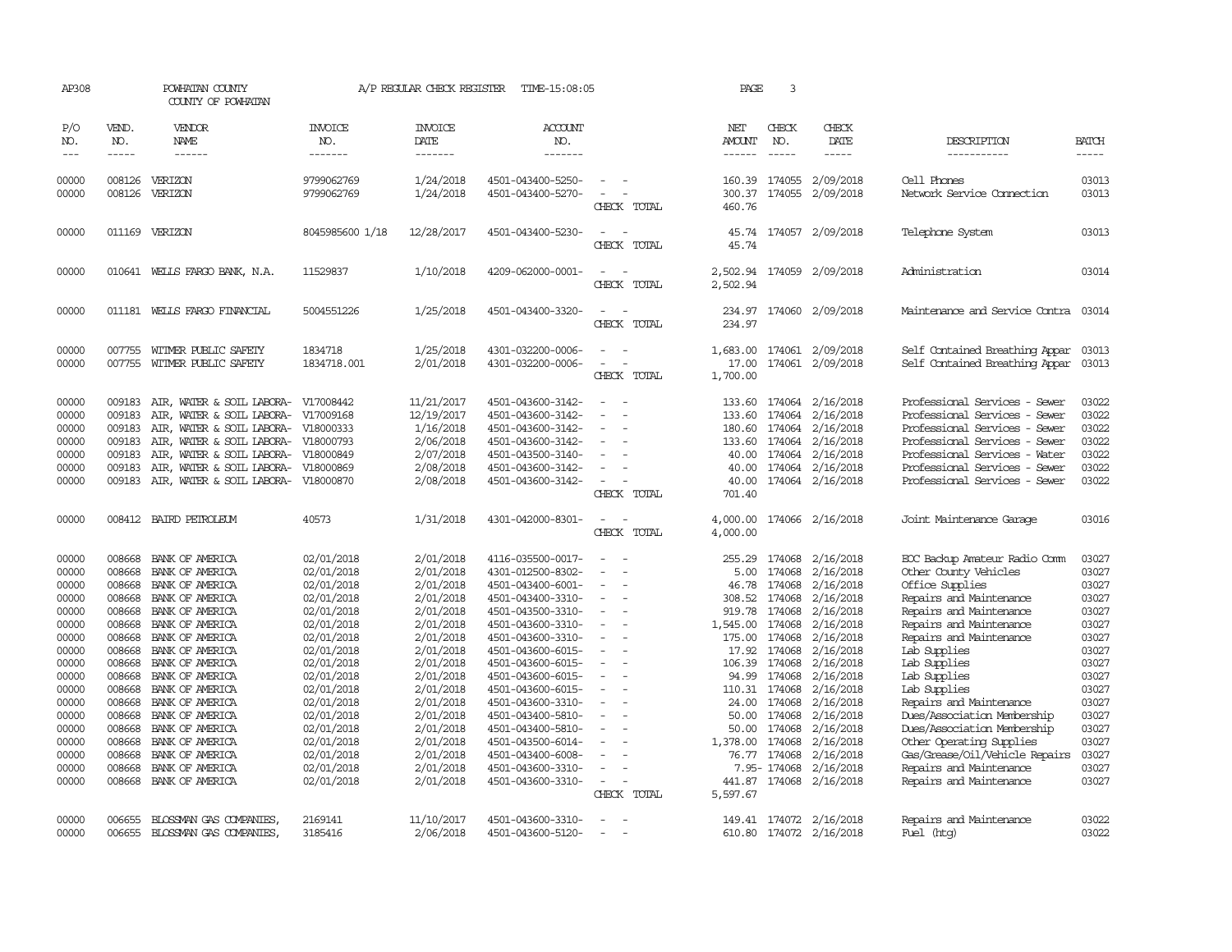| AP308                                                                                                                                                          |                                                                                                                                                    | POWHATAN COUNTY<br>COUNTY OF POWHATAN                                                                                                                                                                                                                                                                                                                                   |                                                                                                                                                                                                                                                          | A/P REGULAR CHECK REGISTER                                                                                                                                                                                                             | TIME-15:08:05                                                                                                                                                                                                                                                                                                                                                                          |                                                                                                                                                                                                                                                                                         | PAGE                                                                                                                                    | 3                                                                                                                                                                                              |                                                                                                                                                                                                                                                      |                                                                                                                                                                                                                                                                                                                                                                                                                                                                    |                                                                                                                                                                |
|----------------------------------------------------------------------------------------------------------------------------------------------------------------|----------------------------------------------------------------------------------------------------------------------------------------------------|-------------------------------------------------------------------------------------------------------------------------------------------------------------------------------------------------------------------------------------------------------------------------------------------------------------------------------------------------------------------------|----------------------------------------------------------------------------------------------------------------------------------------------------------------------------------------------------------------------------------------------------------|----------------------------------------------------------------------------------------------------------------------------------------------------------------------------------------------------------------------------------------|----------------------------------------------------------------------------------------------------------------------------------------------------------------------------------------------------------------------------------------------------------------------------------------------------------------------------------------------------------------------------------------|-----------------------------------------------------------------------------------------------------------------------------------------------------------------------------------------------------------------------------------------------------------------------------------------|-----------------------------------------------------------------------------------------------------------------------------------------|------------------------------------------------------------------------------------------------------------------------------------------------------------------------------------------------|------------------------------------------------------------------------------------------------------------------------------------------------------------------------------------------------------------------------------------------------------|--------------------------------------------------------------------------------------------------------------------------------------------------------------------------------------------------------------------------------------------------------------------------------------------------------------------------------------------------------------------------------------------------------------------------------------------------------------------|----------------------------------------------------------------------------------------------------------------------------------------------------------------|
| P/O<br>NO.<br>$---$                                                                                                                                            | VEND.<br>NO.<br>$- - - - -$                                                                                                                        | <b>VENDOR</b><br><b>NAME</b><br>$- - - - - -$                                                                                                                                                                                                                                                                                                                           | <b>INVOICE</b><br>NO.<br>-------                                                                                                                                                                                                                         | <b>INVOICE</b><br>DATE<br>-------                                                                                                                                                                                                      | ACCOUNT<br>NO.<br>-------                                                                                                                                                                                                                                                                                                                                                              |                                                                                                                                                                                                                                                                                         | NET<br><b>AMOUNT</b><br>------                                                                                                          | CHECK<br>NO.<br>$- - - - -$                                                                                                                                                                    | CHECK<br>DATE<br>$- - - - -$                                                                                                                                                                                                                         | DESCRIPTION<br>-----------                                                                                                                                                                                                                                                                                                                                                                                                                                         | <b>BATCH</b><br>-----                                                                                                                                          |
| 00000<br>00000                                                                                                                                                 | 008126<br>008126                                                                                                                                   | VERIZON<br>VERIZON                                                                                                                                                                                                                                                                                                                                                      | 9799062769<br>9799062769                                                                                                                                                                                                                                 | 1/24/2018<br>1/24/2018                                                                                                                                                                                                                 | 4501-043400-5250-<br>4501-043400-5270-                                                                                                                                                                                                                                                                                                                                                 | $\sim$<br>CHECK TOTAL                                                                                                                                                                                                                                                                   | 160.39<br>460.76                                                                                                                        | 174055                                                                                                                                                                                         | 2/09/2018<br>300.37 174055 2/09/2018                                                                                                                                                                                                                 | Cell Phones<br>Network Service Cornection                                                                                                                                                                                                                                                                                                                                                                                                                          | 03013<br>03013                                                                                                                                                 |
| 00000                                                                                                                                                          |                                                                                                                                                    | 011169 VERIZON                                                                                                                                                                                                                                                                                                                                                          | 8045985600 1/18                                                                                                                                                                                                                                          | 12/28/2017                                                                                                                                                                                                                             | 4501-043400-5230-                                                                                                                                                                                                                                                                                                                                                                      | CHECK TOTAL                                                                                                                                                                                                                                                                             | 45.74                                                                                                                                   |                                                                                                                                                                                                | 45.74 174057 2/09/2018                                                                                                                                                                                                                               | Telephone System                                                                                                                                                                                                                                                                                                                                                                                                                                                   | 03013                                                                                                                                                          |
| 00000                                                                                                                                                          |                                                                                                                                                    | 010641 WELLS FARGO BANK, N.A.                                                                                                                                                                                                                                                                                                                                           | 11529837                                                                                                                                                                                                                                                 | 1/10/2018                                                                                                                                                                                                                              | 4209-062000-0001-                                                                                                                                                                                                                                                                                                                                                                      | CHECK TOTAL                                                                                                                                                                                                                                                                             | 2,502.94<br>2,502.94                                                                                                                    | 174059                                                                                                                                                                                         | 2/09/2018                                                                                                                                                                                                                                            | Administration                                                                                                                                                                                                                                                                                                                                                                                                                                                     | 03014                                                                                                                                                          |
| 00000                                                                                                                                                          |                                                                                                                                                    | 011181 WELLS FARGO FINANCIAL                                                                                                                                                                                                                                                                                                                                            | 5004551226                                                                                                                                                                                                                                               | 1/25/2018                                                                                                                                                                                                                              | 4501-043400-3320-                                                                                                                                                                                                                                                                                                                                                                      | CHECK TOTAL                                                                                                                                                                                                                                                                             | 234.97<br>234.97                                                                                                                        | 174060                                                                                                                                                                                         | 2/09/2018                                                                                                                                                                                                                                            | Maintenance and Service Contra                                                                                                                                                                                                                                                                                                                                                                                                                                     | 03014                                                                                                                                                          |
| 00000<br>00000                                                                                                                                                 | 007755<br>007755                                                                                                                                   | WITMER PUBLIC SAFETY<br>WITMER PUBLIC SAFETY                                                                                                                                                                                                                                                                                                                            | 1834718<br>1834718.001                                                                                                                                                                                                                                   | 1/25/2018<br>2/01/2018                                                                                                                                                                                                                 | 4301-032200-0006-<br>4301-032200-0006-                                                                                                                                                                                                                                                                                                                                                 | $\sim$<br>CHECK TOTAL                                                                                                                                                                                                                                                                   | 1,683.00<br>17.00<br>1,700.00                                                                                                           | 174061                                                                                                                                                                                         | 174061 2/09/2018<br>2/09/2018                                                                                                                                                                                                                        | Self Contained Breathing Appar<br>Self Contained Breathing Appar                                                                                                                                                                                                                                                                                                                                                                                                   | 03013<br>03013                                                                                                                                                 |
| 00000<br>00000<br>00000<br>00000<br>00000<br>00000<br>00000                                                                                                    | 009183<br>009183<br>009183<br>009183<br>009183<br>009183                                                                                           | AIR, WATER & SOIL LABORA- V17008442<br>AIR, WATER & SOIL LABORA-<br>AIR, WATER & SOIL LABORA-<br>AIR, WATER & SOIL LABORA-<br>AIR, WATER & SOIL LABORA-<br>AIR, WATER & SOIL LABORA-<br>009183 AIR, WATER & SOIL LABORA- V18000870                                                                                                                                      | V17009168<br>V18000333<br>V18000793<br>V18000849<br>V18000869                                                                                                                                                                                            | 11/21/2017<br>12/19/2017<br>1/16/2018<br>2/06/2018<br>2/07/2018<br>2/08/2018<br>2/08/2018                                                                                                                                              | 4501-043600-3142-<br>4501-043600-3142-<br>4501-043600-3142-<br>4501-043600-3142-<br>4501-043500-3140-<br>4501-043600-3142-<br>4501-043600-3142-                                                                                                                                                                                                                                        | $\sim$<br>$\overline{\phantom{a}}$<br>$\overline{\phantom{a}}$<br>CHECK TOTAL                                                                                                                                                                                                           | 133.60<br>133.60<br>180.60<br>40.00<br>40.00<br>40.00<br>701.40                                                                         | 174064<br>174064<br>133.60 174064<br>174064                                                                                                                                                    | 174064 2/16/2018<br>2/16/2018<br>2/16/2018<br>2/16/2018<br>2/16/2018<br>174064 2/16/2018<br>174064 2/16/2018                                                                                                                                         | Professional Services - Sewer<br>Professional Services - Sewer<br>Professional Services - Sewer<br>Professional Services - Sewer<br>Professional Services - Water<br>Professional Services - Sewer<br>Professional Services - Sewer                                                                                                                                                                                                                                | 03022<br>03022<br>03022<br>03022<br>03022<br>03022<br>03022                                                                                                    |
| 00000                                                                                                                                                          |                                                                                                                                                    | 008412 BAIRD PETROLEUM                                                                                                                                                                                                                                                                                                                                                  | 40573                                                                                                                                                                                                                                                    | 1/31/2018                                                                                                                                                                                                                              | 4301-042000-8301-                                                                                                                                                                                                                                                                                                                                                                      | $\sim$<br>CHECK TOTAL                                                                                                                                                                                                                                                                   | 4,000.00                                                                                                                                |                                                                                                                                                                                                | 4,000.00 174066 2/16/2018                                                                                                                                                                                                                            | Joint Maintenance Garage                                                                                                                                                                                                                                                                                                                                                                                                                                           | 03016                                                                                                                                                          |
| 00000<br>00000<br>00000<br>00000<br>00000<br>00000<br>00000<br>00000<br>00000<br>00000<br>00000<br>00000<br>00000<br>00000<br>00000<br>00000<br>00000<br>00000 | 008668<br>008668<br>008668<br>008668<br>008668<br>008668<br>008668<br>008668<br>008668<br>008668<br>008668<br>008668<br>008668<br>008668<br>008668 | BANK OF AMERICA<br>BANK OF AMERICA<br>008668 BANK OF AMERICA<br>BANK OF AMERICA<br>BANK OF AMERICA<br>008668 BANK OF AMERICA<br>BANK OF AMERICA<br>BANK OF AMERICA<br>BANK OF AMERICA<br>BANK OF AMERICA<br>BANK OF AMERICA<br>BANK OF AMERICA<br>BANK OF AMERICA<br>BANK OF AMERICA<br>BANK OF AMERICA<br>BANK OF AMERICA<br>BANK OF AMERICA<br>008668 BANK OF AMERICA | 02/01/2018<br>02/01/2018<br>02/01/2018<br>02/01/2018<br>02/01/2018<br>02/01/2018<br>02/01/2018<br>02/01/2018<br>02/01/2018<br>02/01/2018<br>02/01/2018<br>02/01/2018<br>02/01/2018<br>02/01/2018<br>02/01/2018<br>02/01/2018<br>02/01/2018<br>02/01/2018 | 2/01/2018<br>2/01/2018<br>2/01/2018<br>2/01/2018<br>2/01/2018<br>2/01/2018<br>2/01/2018<br>2/01/2018<br>2/01/2018<br>2/01/2018<br>2/01/2018<br>2/01/2018<br>2/01/2018<br>2/01/2018<br>2/01/2018<br>2/01/2018<br>2/01/2018<br>2/01/2018 | 4116-035500-0017-<br>4301-012500-8302-<br>4501-043400-6001-<br>4501-043400-3310-<br>4501-043500-3310-<br>4501-043600-3310-<br>4501-043600-3310-<br>4501-043600-6015-<br>4501-043600-6015-<br>4501-043600-6015-<br>4501-043600-6015-<br>4501-043600-3310-<br>4501-043400-5810-<br>4501-043400-5810-<br>4501-043500-6014-<br>4501-043400-6008-<br>4501-043600-3310-<br>4501-043600-3310- | $\equiv$<br>$\overline{\phantom{a}}$<br>$\overline{\phantom{a}}$<br>$\overline{\phantom{a}}$<br>$\overline{\phantom{a}}$<br>$\overline{\phantom{a}}$<br>$\equiv$<br>$\overline{\phantom{a}}$<br>$\sim$<br>$\sim$<br>$\overline{\phantom{a}}$<br>$\overline{\phantom{a}}$<br>CHECK TOTAL | 255.29<br>5.00<br>46.78<br>308.52<br>919.78<br>1,545.00<br>175.00<br>17.92<br>94.99<br>110.31<br>50.00<br>50.00<br>1,378.00<br>5,597.67 | 174068<br>174068<br>174068<br>174068<br>174068<br>174068<br>174068<br>174068<br>106.39 174068<br>174068<br>174068<br>24.00 174068<br>174068<br>174068<br>174068<br>76.77 174068<br>7.95-174068 | 2/16/2018<br>2/16/2018<br>2/16/2018<br>2/16/2018<br>2/16/2018<br>2/16/2018<br>2/16/2018<br>2/16/2018<br>2/16/2018<br>2/16/2018<br>2/16/2018<br>2/16/2018<br>2/16/2018<br>2/16/2018<br>2/16/2018<br>2/16/2018<br>2/16/2018<br>441.87 174068 2/16/2018 | EOC Backup Amateur Radio Comm<br>Other County Vehicles<br>Office Supplies<br>Repairs and Maintenance<br>Repairs and Maintenance<br>Repairs and Maintenance<br>Repairs and Maintenance<br>Lab Supplies<br>Lab Supplies<br>Lab Supplies<br>Lab Supplies<br>Repairs and Maintenance<br>Dues/Association Membership<br>Dues/Association Membership<br>Other Operating Supplies<br>Gas/Grease/Oil/Vehicle Repairs<br>Repairs and Maintenance<br>Repairs and Maintenance | 03027<br>03027<br>03027<br>03027<br>03027<br>03027<br>03027<br>03027<br>03027<br>03027<br>03027<br>03027<br>03027<br>03027<br>03027<br>03027<br>03027<br>03027 |
| 00000<br>00000                                                                                                                                                 | 006655<br>006655                                                                                                                                   | BLOSSMAN GAS COMPANIES<br>BLOSSMAN GAS COMPANIES                                                                                                                                                                                                                                                                                                                        | 2169141<br>3185416                                                                                                                                                                                                                                       | 11/10/2017<br>2/06/2018                                                                                                                                                                                                                | 4501-043600-3310-<br>4501-043600-5120-                                                                                                                                                                                                                                                                                                                                                 | $\overline{\phantom{a}}$                                                                                                                                                                                                                                                                |                                                                                                                                         |                                                                                                                                                                                                | 149.41 174072 2/16/2018<br>610.80 174072 2/16/2018                                                                                                                                                                                                   | Repairs and Maintenance<br>Fuel (htg)                                                                                                                                                                                                                                                                                                                                                                                                                              | 03022<br>03022                                                                                                                                                 |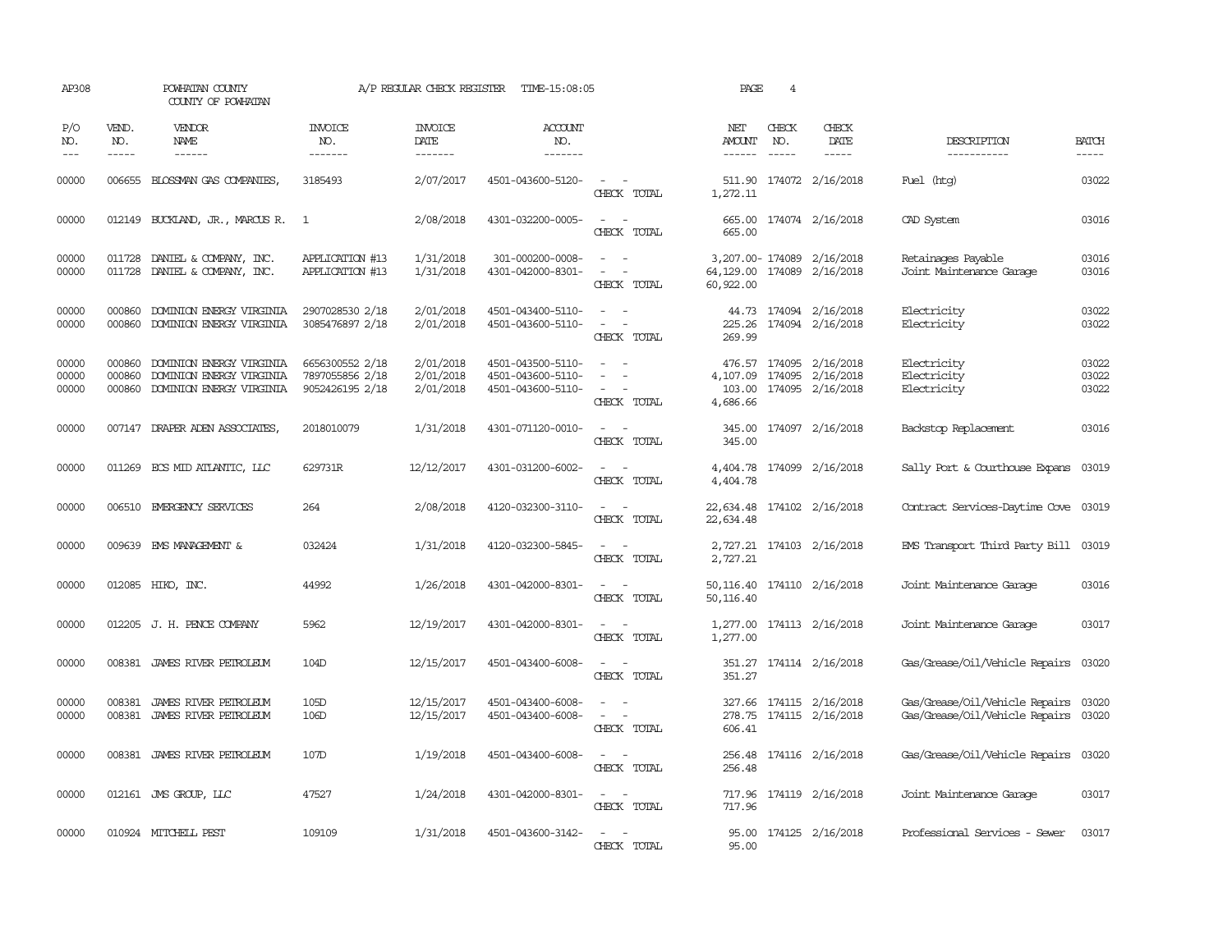| AP308                   |                             | POWHATAN COUNTY<br>COUNTY OF POWHATAN                                                   |                                                       | A/P REGULAR CHECK REGISTER                | TIME-15:08:05                                               |                                                                                                                             | PAGE                           | 4                             |                                                                           |                                                                  |                         |
|-------------------------|-----------------------------|-----------------------------------------------------------------------------------------|-------------------------------------------------------|-------------------------------------------|-------------------------------------------------------------|-----------------------------------------------------------------------------------------------------------------------------|--------------------------------|-------------------------------|---------------------------------------------------------------------------|------------------------------------------------------------------|-------------------------|
| P/O<br>NO.<br>$---$     | VEND.<br>NO.<br>$- - - - -$ | VENDOR<br>NAME<br>$- - - - - -$                                                         | <b>INVOICE</b><br>NO.<br>--------                     | <b>INVOICE</b><br>DATE<br>$- - - - - - -$ | <b>ACCOUNT</b><br>NO.<br>-------                            |                                                                                                                             | NET<br>AMOUNT<br>$- - - - - -$ | CHECK<br>NO.<br>$\frac{1}{2}$ | CHECK<br>DATE<br>$- - - - -$                                              | DESCRIPTION<br>-----------                                       | <b>BATCH</b><br>-----   |
| 00000                   | 006655                      | BLOSSMAN GAS COMPANIES                                                                  | 3185493                                               | 2/07/2017                                 | 4501-043600-5120-                                           | $\frac{1}{2} \left( \frac{1}{2} \right) \left( \frac{1}{2} \right) = \frac{1}{2} \left( \frac{1}{2} \right)$<br>CHECK TOTAL | 1,272.11                       |                               | 511.90 174072 2/16/2018                                                   | Fuel (htg)                                                       | 03022                   |
| 00000                   |                             | 012149 BUCKLAND, JR., MARCUS R. 1                                                       |                                                       | 2/08/2018                                 | 4301-032200-0005-                                           | CHECK TOTAL                                                                                                                 | 665.00                         |                               | 665.00 174074 2/16/2018                                                   | CAD System                                                       | 03016                   |
| 00000<br>00000          |                             | 011728 DANIEL & COMPANY, INC.<br>011728 DANIEL & COMPANY, INC.                          | APPLICATION #13<br>APPLICATION #13                    | 1/31/2018<br>1/31/2018                    | 301-000200-0008-<br>4301-042000-8301-                       | $\sim$<br>$\sim$<br>CHECK TOTAL                                                                                             | 60,922.00                      |                               | 3,207.00-174089 2/16/2018<br>64, 129.00 174089 2/16/2018                  | Retainages Payable<br>Joint Maintenance Garage                   | 03016<br>03016          |
| 00000<br>00000          | 000860<br>000860            | DOMINION ENERGY VIRGINIA<br>DOMINION ENERGY VIRGINIA                                    | 2907028530 2/18<br>3085476897 2/18                    | 2/01/2018<br>2/01/2018                    | 4501-043400-5110-<br>4501-043600-5110-                      | $\equiv$<br>$\sim$<br>$\sim$<br>CHECK TOTAL                                                                                 | 225.26<br>269.99               |                               | 44.73 174094 2/16/2018<br>174094 2/16/2018                                | Electricity<br>Electricity                                       | 03022<br>03022          |
| 00000<br>00000<br>00000 | 000860<br>000860            | DOMINION ENERGY VIRGINIA<br>DOMINION ENERGY VIRGINIA<br>000860 DOMINION ENERGY VIRGINIA | 6656300552 2/18<br>7897055856 2/18<br>9052426195 2/18 | 2/01/2018<br>2/01/2018<br>2/01/2018       | 4501-043500-5110-<br>4501-043600-5110-<br>4501-043600-5110- | $\sim$<br>$\sim$<br>$\overline{\phantom{a}}$<br>$\overline{\phantom{a}}$<br>CHECK TOTAL                                     | 103.00<br>4,686.66             |                               | 476.57 174095 2/16/2018<br>4, 107.09 174095 2/16/2018<br>174095 2/16/2018 | Electricity<br>Electricity<br>Electricity                        | 03022<br>03022<br>03022 |
| 00000                   |                             | 007147 DRAPER ADEN ASSOCIATES,                                                          | 2018010079                                            | 1/31/2018                                 | 4301-071120-0010-                                           | $\sim$<br>CHECK TOTAL                                                                                                       | 345.00<br>345.00               |                               | 174097 2/16/2018                                                          | Backstop Replacement                                             | 03016                   |
| 00000                   |                             | 011269 ECS MID ATLANTIC, LLC                                                            | 629731R                                               | 12/12/2017                                | 4301-031200-6002-                                           | $\frac{1}{2} \left( \frac{1}{2} \right) \left( \frac{1}{2} \right) = \frac{1}{2} \left( \frac{1}{2} \right)$<br>CHECK TOTAL | 4,404.78                       |                               | 4,404.78 174099 2/16/2018                                                 | Sally Port & Courthouse Expans                                   | 03019                   |
| 00000                   |                             | 006510 EMERGENCY SERVICES                                                               | 264                                                   | 2/08/2018                                 | 4120-032300-3110-                                           | $\sim$ $\sim$<br>CHECK TOTAL                                                                                                | 22,634.48<br>22,634.48         |                               | 174102 2/16/2018                                                          | Contract Services-Daytime Cove 03019                             |                         |
| 00000                   |                             | 009639 EMS MANAGEMENT &                                                                 | 032424                                                | 1/31/2018                                 | 4120-032300-5845-                                           | $\sim$ $ \sim$<br>CHECK TOTAL                                                                                               | 2,727.21                       |                               | 2,727.21 174103 2/16/2018                                                 | EMS Transport Third Party Bill 03019                             |                         |
| 00000                   |                             | 012085 HIKO, INC.                                                                       | 44992                                                 | 1/26/2018                                 | 4301-042000-8301-                                           | $\sim$ 10 $\sim$ 10 $\sim$<br>CHECK TOTAL                                                                                   | 50, 116.40                     |                               | 50,116.40 174110 2/16/2018                                                | Joint Maintenance Garage                                         | 03016                   |
| 00000                   |                             | 012205 J. H. PENCE COMPANY                                                              | 5962                                                  | 12/19/2017                                | 4301-042000-8301-                                           | $\sim$<br>CHECK TOTAL                                                                                                       | 1,277.00                       |                               | 1,277.00 174113 2/16/2018                                                 | Joint Maintenance Garage                                         | 03017                   |
| 00000                   |                             | 008381 JAMES RIVER PETROLEUM                                                            | 104D                                                  | 12/15/2017                                | 4501-043400-6008-                                           | $\overline{\phantom{a}}$<br>$\sim$<br>CHECK TOTAL                                                                           | 351.27                         |                               | 351.27 174114 2/16/2018                                                   | Gas/Grease/Oil/Vehicle Repairs                                   | 03020                   |
| 00000<br>00000          | 008381<br>008381            | JAMES RIVER PETROLEUM<br>JAMES RIVER PEIROLEUM                                          | 105D<br>10 <sub>6</sub> D                             | 12/15/2017<br>12/15/2017                  | 4501-043400-6008-<br>4501-043400-6008-                      | $\equiv$<br>CHECK TOTAL                                                                                                     | 278.75<br>606.41               |                               | 327.66 174115 2/16/2018<br>174115 2/16/2018                               | Gas/Grease/Oil/Vehicle Repairs<br>Gas/Grease/Oil/Vehicle Repairs | 03020<br>03020          |
| 00000                   |                             | 008381 JAMES RIVER PETROLEUM                                                            | 107D                                                  | 1/19/2018                                 | 4501-043400-6008-                                           | CHECK TOTAL                                                                                                                 | 256.48                         |                               | 256.48 174116 2/16/2018                                                   | Gas/Grease/Oil/Vehicle Repairs 03020                             |                         |
| 00000                   |                             | 012161 JMS GROUP, LLC                                                                   | 47527                                                 | 1/24/2018                                 | 4301-042000-8301-                                           | $\sim$<br>CHECK TOTAL                                                                                                       | 717.96                         |                               | 717.96 174119 2/16/2018                                                   | Joint Maintenance Garage                                         | 03017                   |
| 00000                   |                             | 010924 MITCHELL PEST                                                                    | 109109                                                | 1/31/2018                                 | 4501-043600-3142-                                           | $\sim$<br>CHECK TOTAL                                                                                                       | 95.00                          |                               | 95.00 174125 2/16/2018                                                    | Professional Services - Sewer                                    | 03017                   |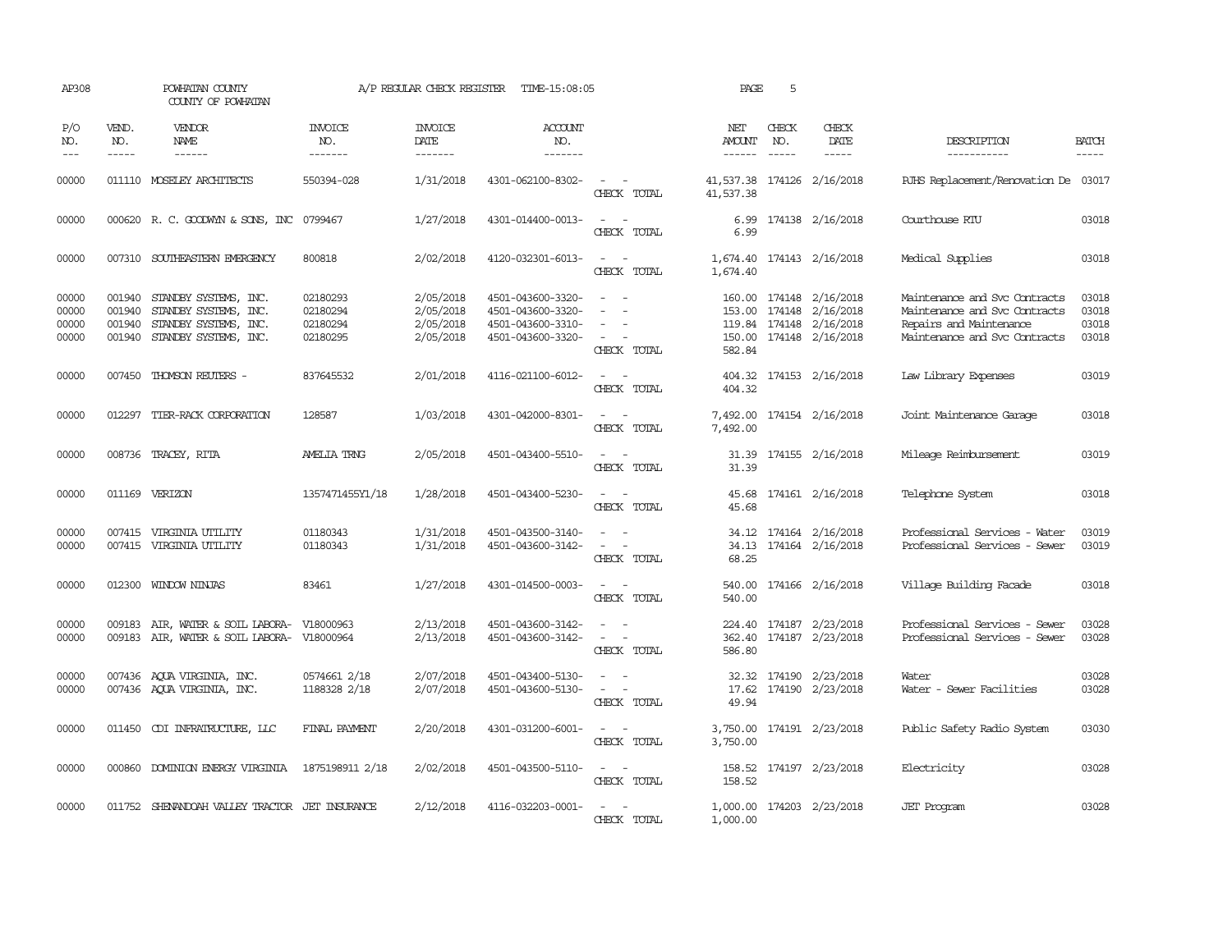| AP308                            |                               | POWHATAN COUNTY<br>COUNTY OF POWHATAN                                                                          |                                              | A/P REGULAR CHECK REGISTER                       | TIME-15:08:05                                                                    |                                                                                                                             | PAGE                                    | 5            |                                                                                            |                                                                                                                            |                                  |
|----------------------------------|-------------------------------|----------------------------------------------------------------------------------------------------------------|----------------------------------------------|--------------------------------------------------|----------------------------------------------------------------------------------|-----------------------------------------------------------------------------------------------------------------------------|-----------------------------------------|--------------|--------------------------------------------------------------------------------------------|----------------------------------------------------------------------------------------------------------------------------|----------------------------------|
| P/O<br>NO.<br>$ -$               | VEND.<br>NO.<br>$\frac{1}{2}$ | VENDOR<br><b>NAME</b><br>$\frac{1}{2}$                                                                         | INVOICE<br>NO.<br>-------                    | <b>INVOICE</b><br>DATE<br>-------                | <b>ACCOUNT</b><br>NO.<br>-------                                                 |                                                                                                                             | NET<br>AMOUNT<br>$- - - - - -$          | CHECK<br>NO. | CHECK<br>DATE<br>$\frac{1}{2}$                                                             | DESCRIPTION<br>-----------                                                                                                 | <b>BATCH</b><br>-----            |
| 00000                            |                               | 011110 MOSELEY ARCHITECTS                                                                                      | 550394-028                                   | 1/31/2018                                        | 4301-062100-8302-                                                                | CHECK TOTAL                                                                                                                 | 41,537.38 174126 2/16/2018<br>41,537.38 |              |                                                                                            | RJHS Replacement/Renovation De 03017                                                                                       |                                  |
| 00000                            |                               | 000620 R. C. GOODWYN & SONS, INC                                                                               | 0799467                                      | 1/27/2018                                        | 4301-014400-0013-                                                                | $\overline{\phantom{a}}$<br>CHECK TOTAL                                                                                     | 6.99<br>6.99                            |              | 174138 2/16/2018                                                                           | Courthouse RTU                                                                                                             | 03018                            |
| 00000                            |                               | 007310 SOUTHEASTERN EMERGENCY                                                                                  | 800818                                       | 2/02/2018                                        | 4120-032301-6013-                                                                | $\overline{\phantom{a}}$<br>CHECK TOTAL                                                                                     | 1,674.40                                |              | 1,674.40 174143 2/16/2018                                                                  | Medical Supplies                                                                                                           | 03018                            |
| 00000<br>00000<br>00000<br>00000 | 001940<br>001940              | 001940 STANDBY SYSTEMS, INC.<br>STANDBY SYSTEMS, INC.<br>STANDBY SYSTEMS, INC.<br>001940 STANDBY SYSTEMS, INC. | 02180293<br>02180294<br>02180294<br>02180295 | 2/05/2018<br>2/05/2018<br>2/05/2018<br>2/05/2018 | 4501-043600-3320-<br>4501-043600-3320-<br>4501-043600-3310-<br>4501-043600-3320- | $\sim$ $\sim$<br>$\sim$<br>CHECK TOTAL                                                                                      | 153.00<br>582.84                        | 174148       | 160.00 174148 2/16/2018<br>2/16/2018<br>119.84 174148 2/16/2018<br>150.00 174148 2/16/2018 | Maintenance and Svc Contracts<br>Maintenance and Svc Contracts<br>Repairs and Maintenance<br>Maintenance and Svc Contracts | 03018<br>03018<br>03018<br>03018 |
| 00000                            |                               | 007450 THOMSON REUTERS -                                                                                       | 837645532                                    | 2/01/2018                                        | 4116-021100-6012-                                                                | $\sim$<br>$\sim$<br>CHECK TOTAL                                                                                             | 404.32                                  |              | 404.32 174153 2/16/2018                                                                    | Law Library Expenses                                                                                                       | 03019                            |
| 00000                            |                               | 012297 TIER-RACK CORPORATION                                                                                   | 128587                                       | 1/03/2018                                        | 4301-042000-8301-                                                                | $\sim$ $\sim$<br>CHECK TOTAL                                                                                                | 7,492.00                                |              | 7,492.00 174154 2/16/2018                                                                  | Joint Maintenance Garage                                                                                                   | 03018                            |
| 00000                            |                               | 008736 TRACEY, RITA                                                                                            | <b>AMELIA TRNG</b>                           | 2/05/2018                                        | 4501-043400-5510-                                                                | CHECK TOTAL                                                                                                                 | 31.39<br>31.39                          |              | 174155 2/16/2018                                                                           | Mileage Reimbursement                                                                                                      | 03019                            |
| 00000                            |                               | 011169 VERIZON                                                                                                 | 1357471455Y1/18                              | 1/28/2018                                        | 4501-043400-5230-                                                                | $\sim$ $ \sim$<br>CHECK TOTAL                                                                                               | 45.68<br>45.68                          |              | 174161 2/16/2018                                                                           | Telephone System                                                                                                           | 03018                            |
| 00000<br>00000                   | 007415                        | 007415 VIRGINIA UTILITY<br>VIRGINIA UTILITY                                                                    | 01180343<br>01180343                         | 1/31/2018<br>1/31/2018                           | 4501-043500-3140-<br>4501-043600-3142-                                           | CHECK TOTAL                                                                                                                 | 34.13<br>68.25                          |              | 34.12 174164 2/16/2018<br>174164 2/16/2018                                                 | Professional Services - Water<br>Professional Services - Sewer                                                             | 03019<br>03019                   |
| 00000                            | 012300                        | WINDOW NINJAS                                                                                                  | 83461                                        | 1/27/2018                                        | 4301-014500-0003-                                                                | CHECK TOTAL                                                                                                                 | 540.00<br>540.00                        |              | 174166 2/16/2018                                                                           | Village Building Facade                                                                                                    | 03018                            |
| 00000<br>00000                   | 009183                        | AIR, WATER & SOIL LABORA-<br>009183 AIR, WATER & SOIL LABORA- V18000964                                        | V18000963                                    | 2/13/2018<br>2/13/2018                           | 4501-043600-3142-<br>4501-043600-3142-                                           | $\sim$<br>$\sim$<br>CHECK TOTAL                                                                                             | 586.80                                  |              | 224.40 174187 2/23/2018<br>362.40 174187 2/23/2018                                         | Professional Services - Sewer<br>Professional Services - Sewer                                                             | 03028<br>03028                   |
| 00000<br>00000                   |                               | 007436 AQUA VIRGINIA, INC.<br>007436 AQUA VIRGINIA, INC.                                                       | 0574661 2/18<br>1188328 2/18                 | 2/07/2018<br>2/07/2018                           | 4501-043400-5130-<br>4501-043600-5130-                                           | $\equiv$<br>$\sim$<br>$\sim$<br>CHECK TOTAL                                                                                 | 17.62<br>49.94                          |              | 32.32 174190 2/23/2018<br>174190 2/23/2018                                                 | Water<br>Water - Sewer Facilities                                                                                          | 03028<br>03028                   |
| 00000                            |                               | 011450 CDI INFRAIRUCTURE, LLC                                                                                  | FINAL PAYMENT                                | 2/20/2018                                        | 4301-031200-6001-                                                                | $\frac{1}{2} \left( \frac{1}{2} \right) \left( \frac{1}{2} \right) = \frac{1}{2} \left( \frac{1}{2} \right)$<br>CHECK TOTAL | 3,750.00<br>3,750.00                    |              | 174191 2/23/2018                                                                           | Public Safety Radio System                                                                                                 | 03030                            |
| 00000                            |                               | 000860 DOMINION ENERGY VIRGINIA                                                                                | 1875198911 2/18                              | 2/02/2018                                        | 4501-043500-5110-                                                                | $\sim$ 10 $\sim$ 10 $\sim$<br>CHECK TOTAL                                                                                   | 158.52                                  |              | 158.52 174197 2/23/2018                                                                    | Electricity                                                                                                                | 03028                            |
| 00000                            |                               | 011752 SHENANDOAH VALLEY TRACTOR JET INSURANCE                                                                 |                                              | 2/12/2018                                        | 4116-032203-0001-                                                                | CHECK TOTAL                                                                                                                 | 1,000.00                                |              | 1,000.00 174203 2/23/2018                                                                  | <b>JET</b> Program                                                                                                         | 03028                            |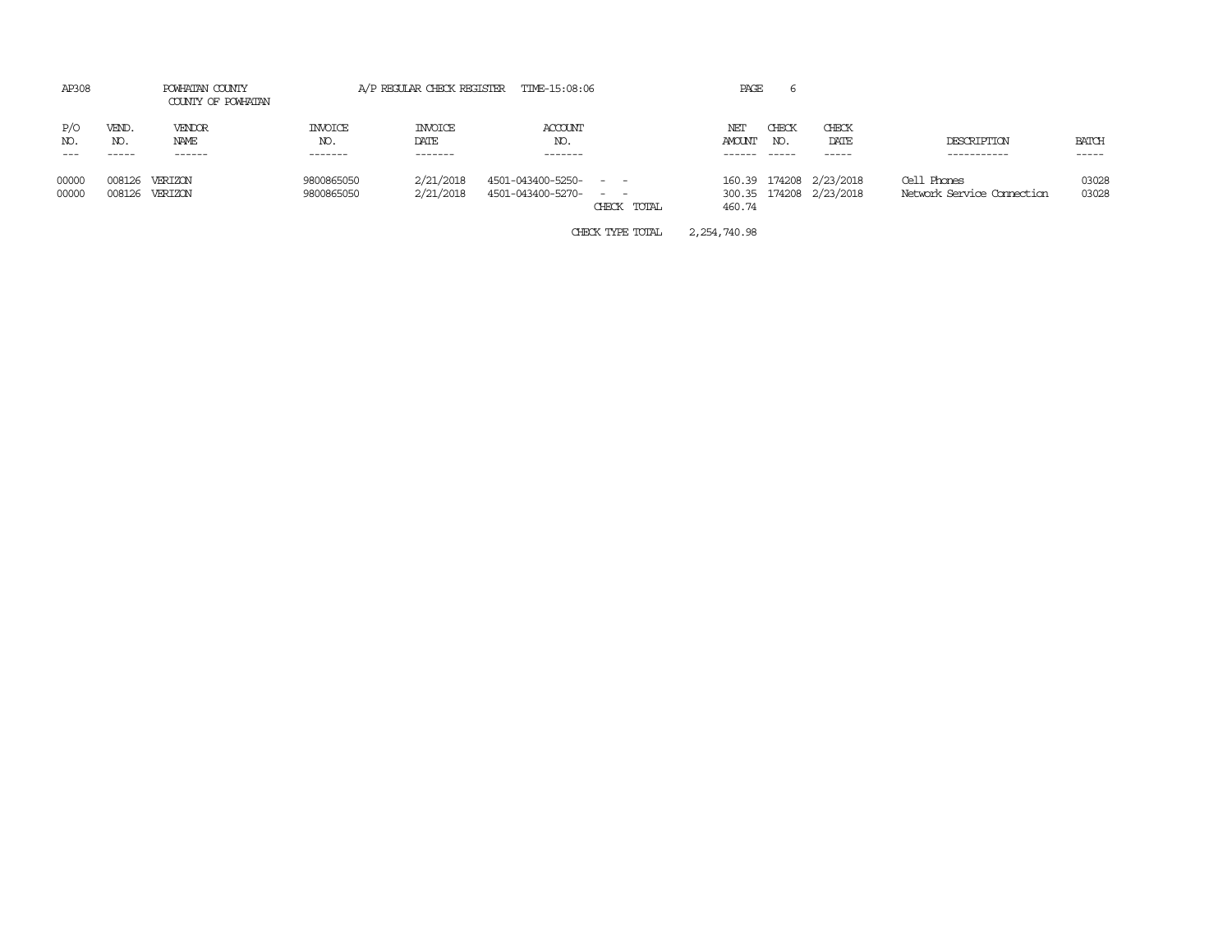| AP308             |                       | POWHATAN COUNTY<br>COUNTY OF POWHATAN |                           | A/P REGULAR CHECK REGISTER        | TIME-15:08:06                                  |             | PAGE                    |                       |                                                    |                                           |                |
|-------------------|-----------------------|---------------------------------------|---------------------------|-----------------------------------|------------------------------------------------|-------------|-------------------------|-----------------------|----------------------------------------------------|-------------------------------------------|----------------|
| P/O<br>NO.<br>--- | VEND.<br>NO.<br>----- | VENDOR<br>NAME<br>------              | INVOICE<br>NO.<br>------- | <b>INVOICE</b><br>DATE<br>------- | ACCOUNT<br>NO.<br>-------                      |             | NET<br>AMOUNT<br>------ | CHECK<br>NO.<br>----- | CHECK<br>DATE<br>-----                             | DESCRIPTION<br>-----------                | BATCH<br>----- |
| 00000<br>00000    | 008126<br>008126      | VERTZON<br>VERIZON                    | 9800865050<br>9800865050  | 2/21/2018<br>2/21/2018            | 4501-043400-5250- - -<br>4501-043400-5270- - - | CHECK TOTAL | 460.74                  |                       | 160.39 174208 2/23/2018<br>300.35 174208 2/23/2018 | Cell Phones<br>Network Service Connection | 03028<br>03028 |

CHECK TYPE TOTAL 2,254,740.98